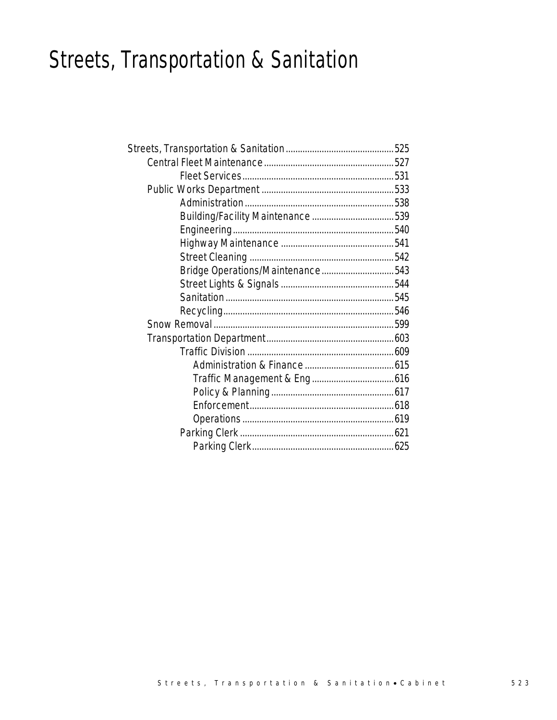# Streets, Transportation & Sanitation

| Building/Facility Maintenance 539 |  |
|-----------------------------------|--|
|                                   |  |
|                                   |  |
|                                   |  |
| Bridge Operations/Maintenance543  |  |
|                                   |  |
|                                   |  |
|                                   |  |
|                                   |  |
|                                   |  |
|                                   |  |
|                                   |  |
|                                   |  |
|                                   |  |
|                                   |  |
|                                   |  |
|                                   |  |
|                                   |  |
|                                   |  |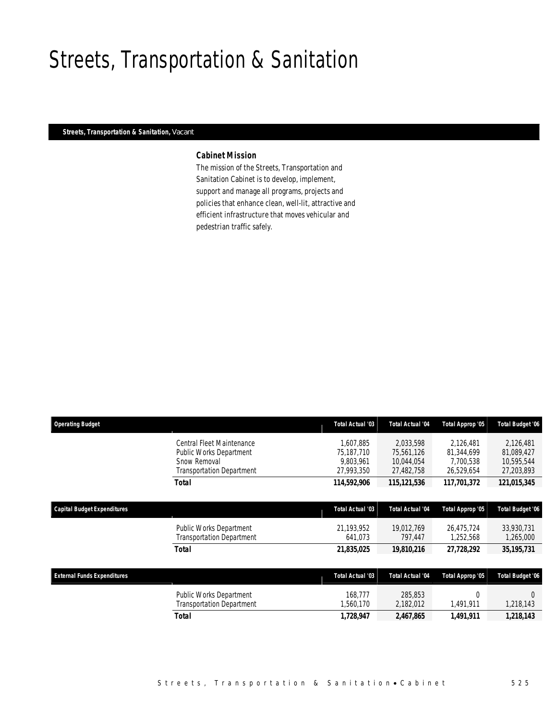# Streets, Transportation & Sanitation

#### *Streets, Transportation & Sanitation, Vacant*

#### *Cabinet Mission*

The mission of the Streets, Transportation and Sanitation Cabinet is to develop, implement, support and manage all programs, projects and policies that enhance clean, well-lit, attractive and efficient infrastructure that moves vehicular and pedestrian traffic safely.

| <b>Operating Budget</b>            |                                  | Total Actual '03 | <b>Total Actual '04</b> | Total Approp '05 | <b>Total Budget '06</b> |
|------------------------------------|----------------------------------|------------------|-------------------------|------------------|-------------------------|
|                                    | <b>Central Fleet Maintenance</b> | 1,607,885        | 2,033,598               | 2.126.481        | 2,126,481               |
|                                    | Public Works Department          | 75,187,710       | 75,561,126              | 81,344,699       | 81,089,427              |
|                                    | Snow Removal                     | 9.803.961        | 10.044.054              | 7,700,538        | 10,595,544              |
|                                    | <b>Transportation Department</b> | 27,993,350       | 27,482,758              | 26,529,654       | 27,203,893              |
|                                    | <b>Total</b>                     | 114,592,906      | 115, 121, 536           | 117,701,372      | 121,015,345             |
| <b>Capital Budget Expenditures</b> |                                  | Total Actual '03 | Total Actual '04        | Total Approp '05 | Total Budget '06        |
|                                    |                                  |                  |                         |                  |                         |
|                                    | Public Works Department          | 21.193.952       | 19.012.769              | 26,475,724       | 33,930,731              |
|                                    | <b>Transportation Department</b> | 641,073          | 797,447                 | 1,252,568        | 1,265,000               |
|                                    | Total                            | 21,835,025       | 19,810,216              | 27,728,292       | 35, 195, 731            |
|                                    |                                  |                  |                         |                  |                         |
| <b>External Funds Expenditures</b> |                                  | Total Actual '03 | Total Actual '04        | Total Approp '05 | Total Budget '06        |
|                                    | Public Works Department          | 168,777          | 285,853                 | 0                | 0                       |
|                                    | <b>Transportation Department</b> | ,560,170         | 2,182,012               | 1,491,911        | 1,218,143               |
|                                    | <b>Total</b>                     | 1,728,947        | 2,467,865               | 1,491,911        | 1,218,143               |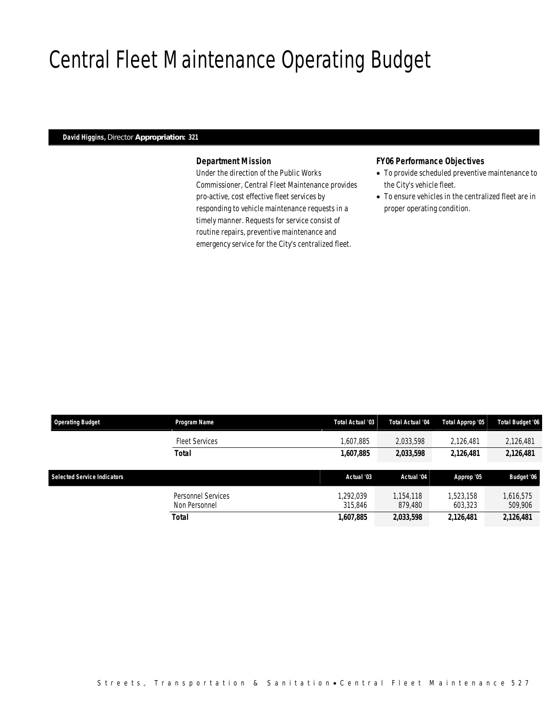# Central Fleet Maintenance Operating Budget

#### *David Higgins, Director Appropriation: 321*

### *Department Mission*

Under the direction of the Public Works Commissioner, Central Fleet Maintenance provides pro-active, cost effective fleet services by responding to vehicle maintenance requests in a timely manner. Requests for service consist of routine repairs, preventive maintenance and emergency service for the City's centralized fleet.

#### *FY06 Performance Objectives*

- To provide scheduled preventive maintenance to the City's vehicle fleet.
- To ensure vehicles in the centralized fleet are in proper operating condition.

| <b>Operating Budget</b>            | Program Name                               | Total Actual '03     | Total Actual '04     | Total Approp '05     | Total Budget '06     |
|------------------------------------|--------------------------------------------|----------------------|----------------------|----------------------|----------------------|
|                                    | <b>Fleet Services</b>                      | 1.607.885            | 2.033.598            | 2.126.481            | 2,126,481            |
|                                    | Total                                      | 1,607,885            | 2,033,598            | 2,126,481            | 2,126,481            |
| <b>Selected Service Indicators</b> |                                            | Actual '03           | Actual '04           | Approp '05           | Budget '06           |
|                                    |                                            |                      |                      |                      |                      |
|                                    | <b>Personnel Services</b><br>Non Personnel | 1.292.039<br>315,846 | 1.154.118<br>879.480 | 1.523.158<br>603.323 | 1,616,575<br>509,906 |
|                                    | <b>Total</b>                               | 1,607,885            | 2,033,598            | 2,126,481            | 2,126,481            |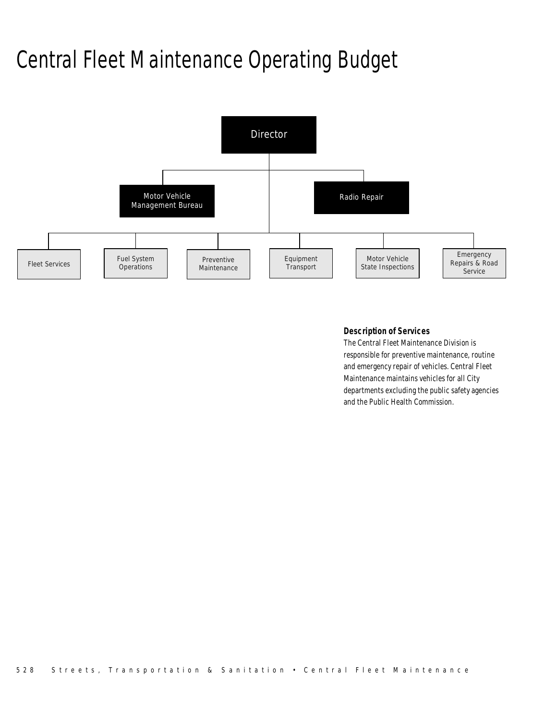# Central Fleet Maintenance Operating Budget



#### *Description of Services*

The Central Fleet Maintenance Division is responsible for preventive maintenance, routine and emergency repair of vehicles. Central Fleet Maintenance maintains vehicles for all City departments excluding the public safety agencies and the Public Health Commission.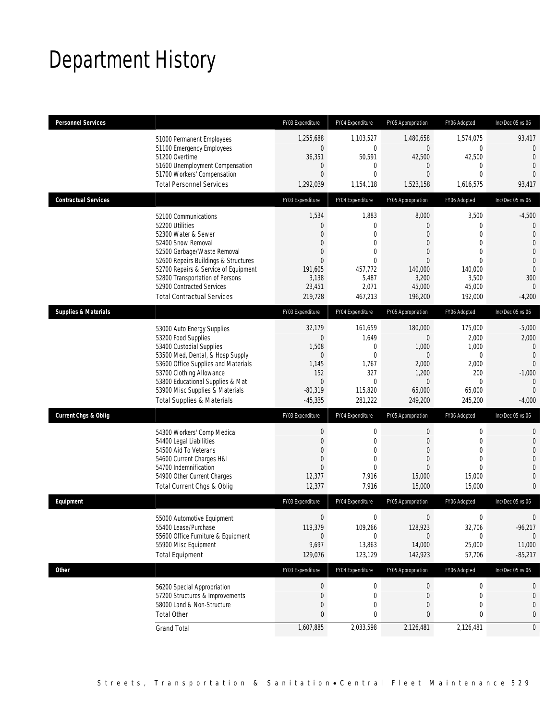# Department History

| <b>Personnel Services</b>                                                                                                                                                                                                                                                                                | FY03 Expenditure                                                                                                               | FY04 Expenditure                                                                                                          | FY05 Appropriation                                                                                               | FY06 Adopted                                                                                                               | Inc/Dec 05 vs 06                                                                                                                               |
|----------------------------------------------------------------------------------------------------------------------------------------------------------------------------------------------------------------------------------------------------------------------------------------------------------|--------------------------------------------------------------------------------------------------------------------------------|---------------------------------------------------------------------------------------------------------------------------|------------------------------------------------------------------------------------------------------------------|----------------------------------------------------------------------------------------------------------------------------|------------------------------------------------------------------------------------------------------------------------------------------------|
| 51000 Permanent Employees<br>51100 Emergency Employees<br>51200 Overtime<br>51600 Unemployment Compensation<br>51700 Workers' Compensation<br><b>Total Personnel Services</b>                                                                                                                            | 1,255,688<br>$\mathbf{0}$<br>36,351<br>$\mathbf{0}$<br>$\mathbf{0}$<br>1,292,039                                               | 1,103,527<br>0<br>50,591<br>$\mathbf 0$<br>$\mathbf{0}$<br>1,154,118                                                      | 1,480,658<br>$\overline{0}$<br>42,500<br>$\overline{0}$<br>$\overline{0}$<br>1,523,158                           | 1,574,075<br>$\mathbf{0}$<br>42,500<br>$\mathbf 0$<br>$\mathbf{0}$<br>1,616,575                                            | 93,417<br>$\mathbf 0$<br>$\overline{0}$<br>$\mathbf{0}$<br>$\mathbf{0}$<br>93,417                                                              |
| <b>Contractual Services</b>                                                                                                                                                                                                                                                                              | FY03 Expenditure                                                                                                               | FY04 Expenditure                                                                                                          | FY05 Appropriation                                                                                               | FY06 Adopted                                                                                                               | Inc/Dec 05 vs 06                                                                                                                               |
| 52100 Communications<br>52200 Utilities<br>52300 Water & Sewer<br>52400 Snow Removal<br>52500 Garbage/Waste Removal<br>52600 Repairs Buildings & Structures<br>52700 Repairs & Service of Equipment<br>52800 Transportation of Persons<br>52900 Contracted Services<br><b>Total Contractual Services</b> | 1,534<br>$\mathbf{0}$<br>$\overline{0}$<br>$\mathbf{0}$<br>$\overline{0}$<br>$\Omega$<br>191,605<br>3,138<br>23,451<br>219,728 | 1,883<br>$\mathbf{0}$<br>$\mathbf{0}$<br>$\mathbf{0}$<br>$\mathbf{0}$<br>$\Omega$<br>457,772<br>5,487<br>2,071<br>467,213 | 8,000<br>$\theta$<br>$\Omega$<br>$\theta$<br>$\overline{0}$<br>$\Omega$<br>140,000<br>3,200<br>45,000<br>196,200 | 3,500<br>$\mathbf 0$<br>$\mathbf{0}$<br>$\mathbf 0$<br>$\overline{0}$<br>$\Omega$<br>140,000<br>3,500<br>45,000<br>192,000 | $-4,500$<br>$\theta$<br>$\mathbf 0$<br>$\mathbf{0}$<br>$\boldsymbol{0}$<br>$\mathbf{0}$<br>$\overline{0}$<br>300<br>$\overline{0}$<br>$-4,200$ |
| <b>Supplies &amp; Materials</b>                                                                                                                                                                                                                                                                          | FY03 Expenditure                                                                                                               | FY04 Expenditure                                                                                                          | FY05 Appropriation                                                                                               | FY06 Adopted                                                                                                               | Inc/Dec 05 vs 06                                                                                                                               |
| 53000 Auto Energy Supplies<br>53200 Food Supplies<br>53400 Custodial Supplies<br>53500 Med, Dental, & Hosp Supply<br>53600 Office Supplies and Materials<br>53700 Clothing Allowance<br>53800 Educational Supplies & Mat<br>53900 Misc Supplies & Materials<br><b>Total Supplies &amp; Materials</b>     | 32,179<br>$\mathbf{0}$<br>1,508<br>$\mathbf{0}$<br>1,145<br>152<br>$\mathbf{0}$<br>$-80,319$<br>$-45,335$                      | 161,659<br>1,649<br>$\boldsymbol{0}$<br>$\mathbf 0$<br>1,767<br>327<br>$\theta$<br>115,820<br>281,222                     | 180,000<br>$\overline{0}$<br>1,000<br>$\overline{0}$<br>2,000<br>1,200<br>$\Omega$<br>65,000<br>249,200          | 175,000<br>2,000<br>1,000<br>$\mathbf 0$<br>2,000<br>200<br>$\Omega$<br>65,000<br>245,200                                  | $-5,000$<br>2,000<br>$\mathbf{0}$<br>$\theta$<br>$\theta$<br>$-1,000$<br>$\mathbf{0}$<br>$\overline{0}$<br>$-4,000$                            |
| <b>Current Chgs &amp; Oblig</b>                                                                                                                                                                                                                                                                          | FY03 Expenditure                                                                                                               | FY04 Expenditure                                                                                                          | FY05 Appropriation                                                                                               | FY06 Adopted                                                                                                               | Inc/Dec 05 vs 06                                                                                                                               |
| 54300 Workers' Comp Medical<br>54400 Legal Liabilities<br>54500 Aid To Veterans<br>54600 Current Charges H&I<br>54700 Indemnification<br>54900 Other Current Charges<br>Total Current Chgs & Oblig                                                                                                       | $\mathbf 0$<br>$\overline{0}$<br>0<br>$\overline{0}$<br>$\overline{0}$<br>12,377<br>12,377                                     | 0<br>$\overline{0}$<br>$\mathbf{0}$<br>$\mathbf{0}$<br>$\theta$<br>7,916<br>7,916                                         | $\theta$<br>$\overline{0}$<br>$\theta$<br>$\theta$<br>$\Omega$<br>15,000<br>15,000                               | $\mathbf 0$<br>$\mathbf{0}$<br>$\mathbf 0$<br>$\theta$<br>$\Omega$<br>15,000<br>15,000                                     | 0<br>$\boldsymbol{0}$<br>$\boldsymbol{0}$<br>$\mathbf 0$<br>$\theta$<br>$\mathbf 0$<br>$\mathbf{0}$                                            |
| Equipment                                                                                                                                                                                                                                                                                                | FY03 Expenditure                                                                                                               | FY04 Expenditure                                                                                                          | FY05 Appropriation                                                                                               | FY06 Adopted                                                                                                               | Inc/Dec 05 vs 06                                                                                                                               |
| 55000 Automotive Equipment<br>55400 Lease/Purchase<br>55600 Office Furniture & Equipment<br>55900 Misc Equipment<br><b>Total Equipment</b>                                                                                                                                                               | $\mathbf 0$<br>119,379<br>$\mathbf{0}$<br>9,697<br>129,076                                                                     | 0<br>109,266<br>$\theta$<br>13,863<br>123,129                                                                             | $\mathbf 0$<br>128,923<br>$\Omega$<br>14,000<br>142,923                                                          | $\mathbf 0$<br>32,706<br>$\Omega$<br>25,000<br>57,706                                                                      | $\Omega$<br>$-96,217$<br>11,000<br>$-85,217$                                                                                                   |
| <b>Other</b>                                                                                                                                                                                                                                                                                             | FY03 Expenditure                                                                                                               | FY04 Expenditure                                                                                                          | FY05 Appropriation                                                                                               | FY06 Adopted                                                                                                               | Inc/Dec 05 vs 06                                                                                                                               |
| 56200 Special Appropriation<br>57200 Structures & Improvements<br>58000 Land & Non-Structure<br><b>Total Other</b><br><b>Grand Total</b>                                                                                                                                                                 | 0<br>$\mathbf 0$<br>0<br>$\mathbf{0}$<br>1,607,885                                                                             | $\boldsymbol{0}$<br>0<br>0<br>0<br>2,033,598                                                                              | $\theta$<br>$\theta$<br>$\theta$<br>0<br>2,126,481                                                               | $\boldsymbol{0}$<br>$\mathbf 0$<br>0<br>0<br>2,126,481                                                                     | 0<br>$\boldsymbol{0}$<br>$\mathbf{0}$<br>0<br>$\mathbf 0$                                                                                      |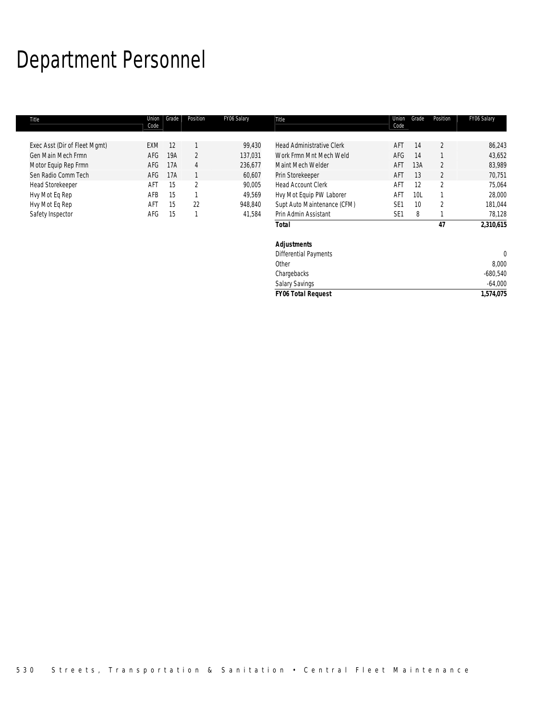# Department Personnel

| Title                         | Union | Grade | Position       | FY06 Salary | Title                            | Union           | Grade | Position       | FY06 Salary |
|-------------------------------|-------|-------|----------------|-------------|----------------------------------|-----------------|-------|----------------|-------------|
|                               | Code  |       |                |             |                                  | Code            |       |                |             |
|                               |       |       |                |             |                                  |                 |       |                |             |
| Exec Asst (Dir of Fleet Mgmt) | EXM   | 12    |                | 99,430      | <b>Head Administrative Clerk</b> | AFT             | 14    | $\overline{2}$ | 86,243      |
| Gen Main Mech Frmn            | AFG   | 19A   | $\overline{2}$ | 137,031     | Work Frmn Mnt Mech Weld          | AFG             | 14    |                | 43,652      |
| Motor Equip Rep Frmn          | AFG   | 17A   | 4              | 236,677     | Maint Mech Welder                | AFT             | 13A   | $\overline{2}$ | 83,989      |
| Sen Radio Comm Tech           | AFG   | 17A   |                | 60,607      | Prin Storekeeper                 | AFT             | 13    | 2              | 70,751      |
| <b>Head Storekeeper</b>       | AFT   | 15    | 2              | 90,005      | <b>Head Account Clerk</b>        | AFT             | 12    | $\overline{2}$ | 75,064      |
| Hvy Mot Eq Rep                | AFB   | 15    |                | 49,569      | Hvy Mot Equip PW Laborer         | AFT             | 10L   |                | 28,000      |
| Hvy Mot Eq Rep                | AFT   | 15    | 22             | 948,840     | Supt Auto Maintenance (CFM)      | SE <sub>1</sub> | 10    | $\overline{2}$ | 181,044     |
| Safety Inspector              | AFG   | 15    |                | 41,584      | Prin Admin Assistant             | SE <sub>1</sub> | 8     |                | 78,128      |
|                               |       |       |                |             | <b>Total</b>                     |                 |       | 47             | 2,310,615   |
|                               |       |       |                |             | <b>Adjustments</b>               |                 |       |                |             |
|                               |       |       |                |             | <b>Differential Payments</b>     |                 |       |                | $\theta$    |
|                               |       |       |                |             | Other                            |                 |       |                | 8,000       |
|                               |       |       |                |             | Chargebacks                      |                 |       |                | $-680,540$  |
|                               |       |       |                |             | <b>Salary Savings</b>            |                 |       |                | $-64,000$   |

*FY06 Total Request 1,574,075*

530 Streets, Transportation & Sanitation • Central Fleet Maintenance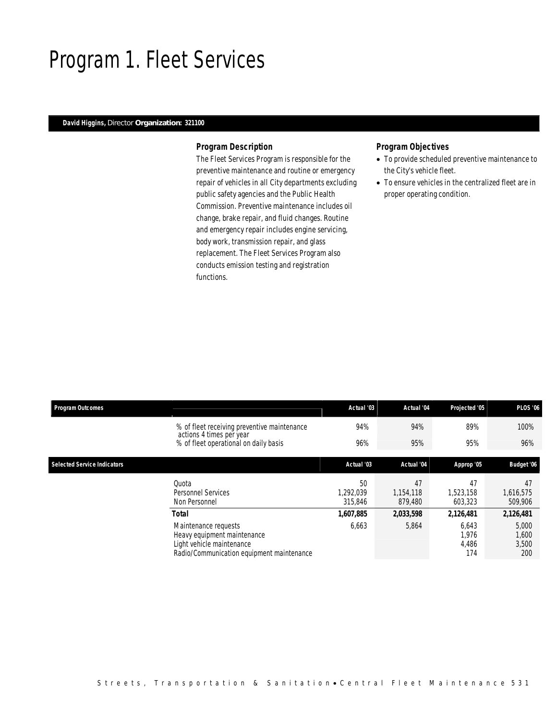### Program 1. Fleet Services

#### *David Higgins, Director Organization: 321100*

#### *Program Description*

The Fleet Services Program is responsible for the preventive maintenance and routine or emergency repair of vehicles in all City departments excluding public safety agencies and the Public Health Commission. Preventive maintenance includes oil change, brake repair, and fluid changes. Routine and emergency repair includes engine servicing, body work, transmission repair, and glass replacement. The Fleet Services Program also conducts emission testing and registration functions.

### *Program Objectives*

- To provide scheduled preventive maintenance to the City's vehicle fleet.
- To ensure vehicles in the centralized fleet are in proper operating condition.

| <b>Program Outcomes</b>            |                                                                                                                               | Actual '03                 | Actual '04                 | Projected '05                  | <b>PLOS '06</b>                |
|------------------------------------|-------------------------------------------------------------------------------------------------------------------------------|----------------------------|----------------------------|--------------------------------|--------------------------------|
|                                    | % of fleet receiving preventive maintenance<br>actions 4 times per year                                                       | 94%                        | 94%                        | 89%                            | 100%                           |
|                                    | % of fleet operational on daily basis                                                                                         | 96%                        | 95%                        | 95%                            | 96%                            |
| <b>Selected Service Indicators</b> |                                                                                                                               | Actual '03                 | Actual '04                 | Approp '05                     | Budget '06                     |
|                                    | Quota<br>Personnel Services<br>Non Personnel                                                                                  | 50<br>1.292.039<br>315,846 | 47<br>1,154,118<br>879,480 | 47<br>1,523,158<br>603,323     | 47<br>1,616,575<br>509,906     |
|                                    | <b>Total</b>                                                                                                                  | 1,607,885                  | 2,033,598                  | 2,126,481                      | 2,126,481                      |
|                                    | Maintenance requests<br>Heavy equipment maintenance<br>Light vehicle maintenance<br>Radio/Communication equipment maintenance | 6,663                      | 5,864                      | 6,643<br>1,976<br>4.486<br>174 | 5,000<br>1,600<br>3,500<br>200 |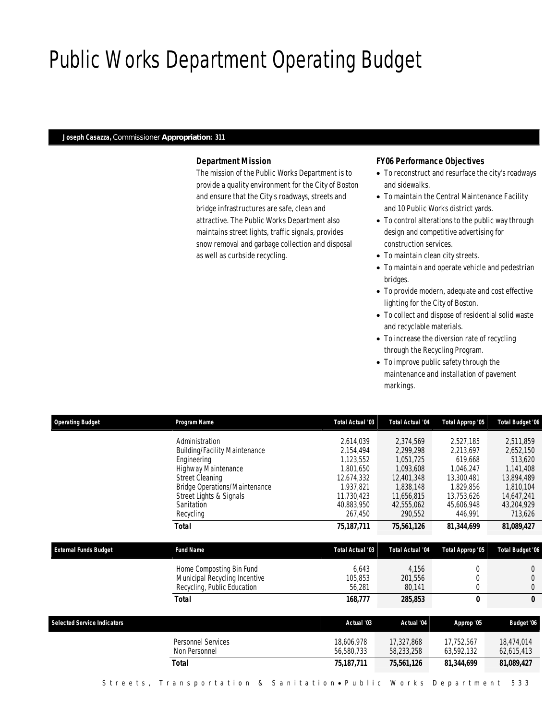# Public Works Department Operating Budget

#### *Joseph Casazza, Commissioner Appropriation: 311*

### *Department Mission*

The mission of the Public Works Department is to provide a quality environment for the City of Boston and ensure that the City's roadways, streets and bridge infrastructures are safe, clean and attractive. The Public Works Department also maintains street lights, traffic signals, provides snow removal and garbage collection and disposal as well as curbside recycling.

#### *FY06 Performance Objectives*

- To reconstruct and resurface the city's roadways and sidewalks.
- To maintain the Central Maintenance Facility and 10 Public Works district yards.
- To control alterations to the public way through design and competitive advertising for construction services.
- To maintain clean city streets.
- To maintain and operate vehicle and pedestrian bridges.
- To provide modern, adequate and cost effective lighting for the City of Boston.
- To collect and dispose of residential solid waste and recyclable materials.
- To increase the diversion rate of recycling through the Recycling Program.
- To improve public safety through the maintenance and installation of pavement markings.

| <b>Operating Budget</b>            | Program Name                                                                                                                                                                                                         | <b>Total Actual '03</b>                                                                                            | <b>Total Actual '04</b>                                                                                            | Total Approp '05                                                                                                 | Total Budget '06                                                                                                 |
|------------------------------------|----------------------------------------------------------------------------------------------------------------------------------------------------------------------------------------------------------------------|--------------------------------------------------------------------------------------------------------------------|--------------------------------------------------------------------------------------------------------------------|------------------------------------------------------------------------------------------------------------------|------------------------------------------------------------------------------------------------------------------|
|                                    | Administration<br><b>Building/Facility Maintenance</b><br>Engineering<br>Highway Maintenance<br><b>Street Cleaning</b><br><b>Bridge Operations/Maintenance</b><br>Street Lights & Signals<br>Sanitation<br>Recycling | 2,614,039<br>2,154,494<br>1,123,552<br>1,801,650<br>12,674,332<br>1,937,821<br>11,730,423<br>40,883,950<br>267,450 | 2,374,569<br>2,299,298<br>1,051,725<br>1,093,608<br>12,401,348<br>1,838,148<br>11,656,815<br>42,555,062<br>290,552 | 2,527,185<br>2,213,697<br>619,668<br>1,046,247<br>13,300,481<br>1,829,856<br>13,753,626<br>45,606,948<br>446,991 | 2,511,859<br>2,652,150<br>513,620<br>1,141,408<br>13,894,489<br>1,810,104<br>14,647,241<br>43,204,929<br>713,626 |
|                                    | <b>Total</b>                                                                                                                                                                                                         | 75,187,711                                                                                                         | 75,561,126                                                                                                         | 81,344,699                                                                                                       | 81,089,427                                                                                                       |
| <b>External Funds Budget</b>       | <b>Fund Name</b>                                                                                                                                                                                                     | Total Actual '03                                                                                                   | Total Actual '04                                                                                                   | Total Approp '05                                                                                                 | Total Budget '06                                                                                                 |
|                                    | Home Composting Bin Fund<br>Municipal Recycling Incentive<br>Recycling, Public Education                                                                                                                             | 6,643<br>105,853<br>56,281                                                                                         | 4,156<br>201,556<br>80,141                                                                                         | $\theta$<br>$\Omega$<br>$\Omega$                                                                                 | 0<br>$\Omega$<br>$\theta$                                                                                        |
|                                    | <b>Total</b>                                                                                                                                                                                                         | 168,777                                                                                                            | 285,853                                                                                                            | 0                                                                                                                | 0                                                                                                                |
| <b>Selected Service Indicators</b> |                                                                                                                                                                                                                      | Actual '03                                                                                                         | Actual '04                                                                                                         | Approp '05                                                                                                       | Budget '06                                                                                                       |
|                                    | <b>Personnel Services</b><br>Non Personnel                                                                                                                                                                           | 18,606,978<br>56,580,733                                                                                           | 17,327,868<br>58,233,258                                                                                           | 17,752,567<br>63,592,132                                                                                         | 18,474,014<br>62,615,413                                                                                         |
|                                    | <b>Total</b>                                                                                                                                                                                                         | 75,187,711                                                                                                         | 75,561,126                                                                                                         | 81,344,699                                                                                                       | 81,089,427                                                                                                       |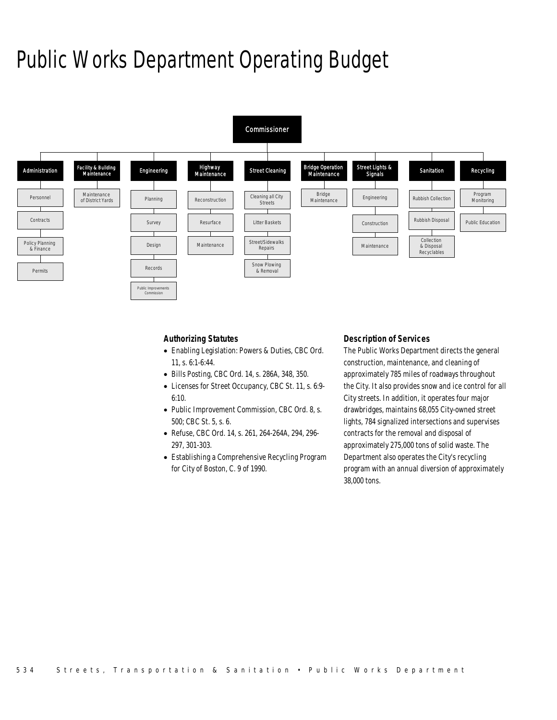# Public Works Department Operating Budget



#### *Authorizing Statutes*

- Enabling Legislation: Powers & Duties, CBC Ord. 11, s. 6:1-6:44.
- Bills Posting, CBC Ord. 14, s. 286A, 348, 350.
- Licenses for Street Occupancy, CBC St. 11, s. 6:9- 6:10.
- Public Improvement Commission, CBC Ord. 8, s. 500; CBC St. 5, s. 6.
- Refuse, CBC Ord. 14, s. 261, 264-264A, 294, 296- 297, 301-303.
- Establishing a Comprehensive Recycling Program for City of Boston, C. 9 of 1990.

#### *Description of Services*

The Public Works Department directs the general construction, maintenance, and cleaning of approximately 785 miles of roadways throughout the City. It also provides snow and ice control for all City streets. In addition, it operates four major drawbridges, maintains 68,055 City-owned street lights, 784 signalized intersections and supervises contracts for the removal and disposal of approximately 275,000 tons of solid waste. The Department also operates the City's recycling program with an annual diversion of approximately 38,000 tons.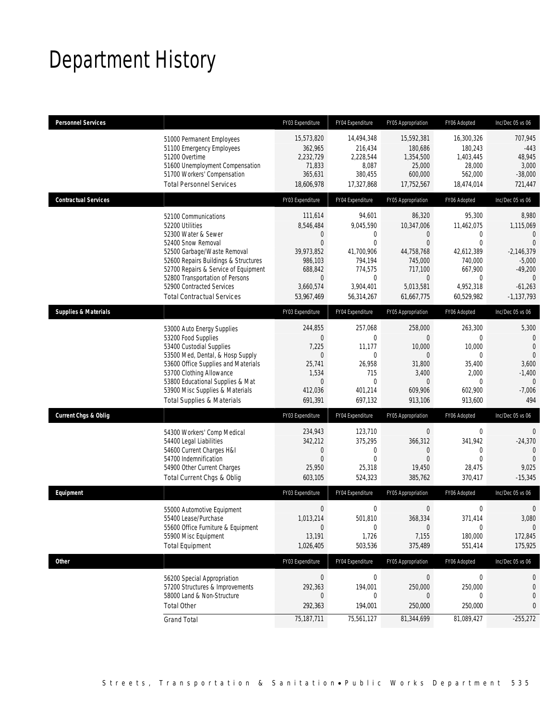# Department History

| <b>Personnel Services</b>       |                                                                                                                                                                                                                                                                                                          | FY03 Expenditure                                                                                                                     | FY04 Expenditure                                                                                         | FY05 Appropriation                                                                                                                | FY06 Adopted                                                                                       | Inc/Dec 05 vs 06                                                                                                     |
|---------------------------------|----------------------------------------------------------------------------------------------------------------------------------------------------------------------------------------------------------------------------------------------------------------------------------------------------------|--------------------------------------------------------------------------------------------------------------------------------------|----------------------------------------------------------------------------------------------------------|-----------------------------------------------------------------------------------------------------------------------------------|----------------------------------------------------------------------------------------------------|----------------------------------------------------------------------------------------------------------------------|
|                                 | 51000 Permanent Employees<br>51100 Emergency Employees<br>51200 Overtime<br>51600 Unemployment Compensation<br>51700 Workers' Compensation<br><b>Total Personnel Services</b>                                                                                                                            | 15,573,820<br>362,965<br>2,232,729<br>71,833<br>365,631<br>18,606,978                                                                | 14,494,348<br>216,434<br>2,228,544<br>8,087<br>380,455<br>17,327,868                                     | 15,592,381<br>180,686<br>1,354,500<br>25,000<br>600,000<br>17,752,567                                                             | 16,300,326<br>180,243<br>1,403,445<br>28,000<br>562,000<br>18,474,014                              | 707,945<br>$-443$<br>48,945<br>3,000<br>$-38,000$<br>721,447                                                         |
| <b>Contractual Services</b>     |                                                                                                                                                                                                                                                                                                          | FY03 Expenditure                                                                                                                     | FY04 Expenditure                                                                                         | FY05 Appropriation                                                                                                                | FY06 Adopted                                                                                       | Inc/Dec 05 vs 06                                                                                                     |
|                                 | 52100 Communications<br>52200 Utilities<br>52300 Water & Sewer<br>52400 Snow Removal<br>52500 Garbage/Waste Removal<br>52600 Repairs Buildings & Structures<br>52700 Repairs & Service of Equipment<br>52800 Transportation of Persons<br>52900 Contracted Services<br><b>Total Contractual Services</b> | 111,614<br>8,546,484<br>$\mathbf 0$<br>$\overline{0}$<br>39,973,852<br>986,103<br>688,842<br>$\mathbf{0}$<br>3,660,574<br>53,967,469 | 94,601<br>9,045,590<br>0<br>$\theta$<br>41,700,906<br>794,194<br>774,575<br>0<br>3,904,401<br>56,314,267 | 86,320<br>10,347,006<br>$\overline{0}$<br>$\Omega$<br>44,758,768<br>745,000<br>717,100<br>$\mathbf{0}$<br>5,013,581<br>61,667,775 | 95,300<br>11,462,075<br>0<br>0<br>42,612,389<br>740,000<br>667,900<br>0<br>4,952,318<br>60,529,982 | 8,980<br>1,115,069<br>0<br>$\overline{0}$<br>$-2,146,379$<br>$-5,000$<br>$-49,200$<br>0<br>$-61,263$<br>$-1,137,793$ |
| <b>Supplies &amp; Materials</b> |                                                                                                                                                                                                                                                                                                          | FY03 Expenditure                                                                                                                     | FY04 Expenditure                                                                                         | FY05 Appropriation                                                                                                                | FY06 Adopted                                                                                       | Inc/Dec 05 vs 06                                                                                                     |
|                                 | 53000 Auto Energy Supplies<br>53200 Food Supplies<br>53400 Custodial Supplies<br>53500 Med, Dental, & Hosp Supply<br>53600 Office Supplies and Materials<br>53700 Clothing Allowance<br>53800 Educational Supplies & Mat<br>53900 Misc Supplies & Materials<br><b>Total Supplies &amp; Materials</b>     | 244,855<br>$\overline{0}$<br>7,225<br>$\overline{0}$<br>25,741<br>1,534<br>$\theta$<br>412,036<br>691,391                            | 257,068<br>$\theta$<br>11,177<br>$\mathbf 0$<br>26,958<br>715<br>$\theta$<br>401,214<br>697,132          | 258,000<br>$\Omega$<br>10,000<br>$\Omega$<br>31,800<br>3,400<br>$\Omega$<br>609,906<br>913,106                                    | 263,300<br>0<br>10,000<br>$\mathbf 0$<br>35,400<br>2,000<br>0<br>602,900<br>913,600                | 5,300<br>$\mathbf{0}$<br>$\overline{0}$<br>$\theta$<br>3,600<br>$-1,400$<br>$\overline{0}$<br>$-7,006$<br>494        |
| <b>Current Chgs &amp; Oblig</b> |                                                                                                                                                                                                                                                                                                          | FY03 Expenditure                                                                                                                     | FY04 Expenditure                                                                                         | FY05 Appropriation                                                                                                                | FY06 Adopted                                                                                       | Inc/Dec 05 vs 06                                                                                                     |
|                                 | 54300 Workers' Comp Medical<br>54400 Legal Liabilities<br>54600 Current Charges H&I<br>54700 Indemnification<br>54900 Other Current Charges<br>Total Current Chgs & Oblig                                                                                                                                | 234,943<br>342,212<br>$\mathbf 0$<br>$\mathbf{0}$<br>25,950<br>603,105                                                               | 123,710<br>375,295<br>0<br>$\mathbf 0$<br>25,318<br>524,323                                              | $\mathbf 0$<br>366,312<br>$\overline{0}$<br>$\Omega$<br>19,450<br>385,762                                                         | 0<br>341,942<br>0<br>$\theta$<br>28,475<br>370,417                                                 | $\mathbf 0$<br>$-24,370$<br>$\Omega$<br>$\Omega$<br>9,025<br>$-15,345$                                               |
| Equipment                       |                                                                                                                                                                                                                                                                                                          | FY03 Expenditure                                                                                                                     | FY04 Expenditure                                                                                         | FY05 Appropriation                                                                                                                | FY06 Adopted                                                                                       | Inc/Dec 05 vs 06                                                                                                     |
|                                 | 55000 Automotive Equipment<br>55400 Lease/Purchase<br>55600 Office Furniture & Equipment<br>55900 Misc Equipment<br><b>Total Equipment</b>                                                                                                                                                               | $\mathbf 0$<br>1,013,214<br>$\mathbf 0$<br>13,191<br>1,026,405                                                                       | 0<br>501,810<br>$\mathbf{0}$<br>1,726<br>503,536                                                         | 0<br>368,334<br>$\mathbf 0$<br>7,155<br>375,489                                                                                   | 0<br>371,414<br>0<br>180,000<br>551,414                                                            | $\mathbf 0$<br>3,080<br>$\theta$<br>172,845<br>175,925                                                               |
| Other                           |                                                                                                                                                                                                                                                                                                          | FY03 Expenditure                                                                                                                     | FY04 Expenditure                                                                                         | FY05 Appropriation                                                                                                                | FY06 Adopted                                                                                       | Inc/Dec 05 vs 06                                                                                                     |
|                                 | 56200 Special Appropriation<br>57200 Structures & Improvements<br>58000 Land & Non-Structure<br><b>Total Other</b>                                                                                                                                                                                       | $\mathbf 0$<br>292,363<br>$\mathbf 0$<br>292,363                                                                                     | $\boldsymbol{0}$<br>194,001<br>0<br>194,001                                                              | $\boldsymbol{0}$<br>250,000<br>0<br>250,000                                                                                       | 0<br>250,000<br>0<br>250,000                                                                       | 0<br>$\mathbf 0$<br>$\mathbf 0$<br>0                                                                                 |
|                                 | <b>Grand Total</b>                                                                                                                                                                                                                                                                                       | 75,187,711                                                                                                                           | 75,561,127                                                                                               | 81,344,699                                                                                                                        | 81,089,427                                                                                         | $-255,272$                                                                                                           |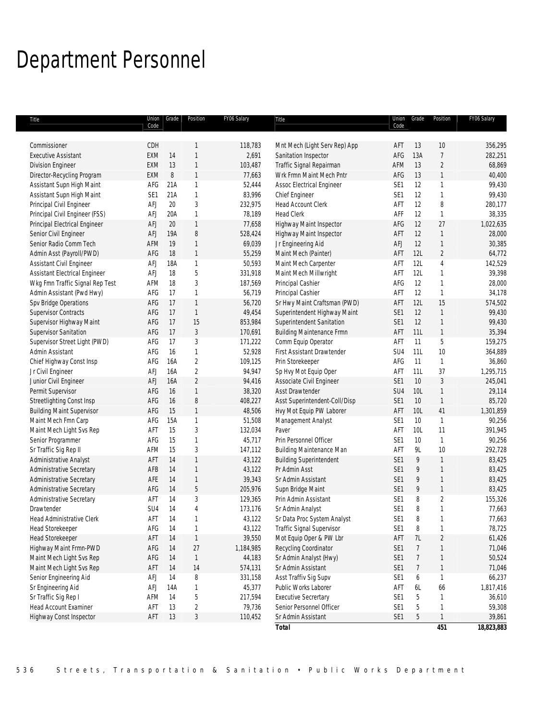# Department Personnel

| Commissioner<br>CDH<br>118,783<br>Mnt Mech (Light Serv Rep) App<br>AFT<br>13<br>356,295<br>10<br>1<br>14<br>$\mathbf{1}$<br>2,691<br>AFG<br>13A<br>$\overline{7}$<br>282,251<br><b>Executive Assistant</b><br><b>EXM</b><br>Sanitation Inspector<br>13<br>$\mathbf{1}$<br>Traffic Signal Repairman<br>13<br>$\overline{2}$<br>68,869<br><b>Division Engineer</b><br>EXM<br>103,487<br>AFM<br>$\, 8$<br>$\mathbf{1}$<br>Wrk Frmn Maint Mech Pntr<br>13<br>40,400<br>Director-Recycling Program<br>EXM<br>77,663<br>AFG<br>1<br>Assistant Supn High Maint<br>$\mathbf{1}$<br>12<br>99,430<br>AFG<br>21A<br>52,444<br><b>Assoc Electrical Engineer</b><br>SE <sub>1</sub><br>1<br>SE <sub>1</sub><br>21A<br>$\mathbf{1}$<br>83,996<br>12<br>Assistant Supn High Maint<br>Chief Engineer<br>SE <sub>1</sub><br>1<br>99,430<br>Principal Civil Engineer<br>20<br>3<br><b>Head Account Clerk</b><br>12<br>8<br>AFJ<br>232,975<br>AFT<br>280,177<br>12<br>20A<br>$\mathbf{1}$<br>78,189<br><b>Head Clerk</b><br>$\mathbf{1}$<br>38,335<br>Principal Civil Engineer (FSS)<br>AFJ<br>AFF<br><b>AFJ</b><br>20<br>$\mathbf{1}$<br>77,658<br>12<br>27<br>1,022,635<br>Principal Electrical Engineer<br>Highway Maint Inspector<br>AFG<br>8<br>Senior Civil Engineer<br>19A<br>528,424<br>12<br>28,000<br>AFJ<br>Highway Maint Inspector<br>AFT<br>$\mathbf{1}$<br>Senior Radio Comm Tech<br>19<br>$\mathbf{1}$<br>12<br>30,385<br>AFM<br>69,039<br>Jr Engineering Aid<br>AFJ<br>1<br>18<br>$\sqrt{2}$<br>Admin Asst (Payroll/PWD)<br>AFG<br>$\mathbf{1}$<br>55,259<br>Maint Mech (Painter)<br>12L<br>64,772<br>AFT<br>18A<br>$\mathbf{1}$<br>50,593<br>12L<br>Assistant Civil Engineer<br>AFJ<br>Maint Mech Carpenter<br>4<br>142,529<br>AFT<br>5<br>18<br>331,918<br>39,398<br>Assistant Electrical Engineer<br>AFJ<br>Maint Mech Millwright<br>AFT<br>12L<br>1<br>$\sqrt{3}$<br>Wkg Fmn Traffic Signal Rep Test<br>18<br>12<br>28,000<br>AFM<br>187,569<br>Principal Cashier<br>AFG<br>1<br>17<br>$\mathbf{1}$<br>12<br>34,178<br>Admin Assistant (Pwd Hwy)<br>AFG<br>56,719<br>Principal Cashier<br>AFT<br>1<br>AFG<br>17<br>$\mathbf{1}$<br>56,720<br>Sr Hwy Maint Craftsman (PWD)<br>12L<br>15<br>574,502<br>Spv Bridge Operations<br>AFT<br>17<br>$\mathbf{1}$<br>AFG<br>49,454<br>SE <sub>1</sub><br>12<br>$\mathbf{1}$<br><b>Supervisor Contracts</b><br>Superintendent Highway Maint<br>99,430<br>AFG<br>17<br>15<br>853.984<br>SE1<br>12<br>99,430<br>Supervisor Highway Maint<br>Superintendent Sanitation<br>1<br>17<br>$\sqrt{3}$<br>Supervisor Sanitation<br>AFG<br>170,691<br>11L<br>35,394<br><b>Building Maintenance Frmn</b><br>AFT<br>1<br>AFG<br>17<br>3<br>5<br>159,275<br>Supervisor Street Light (PWD)<br>171,222<br>Comm Equip Operator<br>AFT<br>11<br>${\sf AFG}$<br>16<br>$\mathbf{1}$<br>52,928<br>10<br>364,889<br>Admin Assistant<br>First Assistant Drawtender<br>SU <sub>4</sub><br>11L<br>$\overline{2}$<br>16A<br>11<br>$\mathbf{1}$<br>Chief Highway Const Insp<br>AFG<br>109,125<br>Prin Storekeeper<br>AFG<br>36,860<br>$\overline{2}$<br>16A<br>94,947<br>1,295,715<br>Jr Civil Engineer<br>AFJ<br>Sp Hvy Mot Equip Oper<br>AFT<br>11L<br>37<br>$\overline{2}$<br>Junior Civil Engineer<br>16A<br>10<br>$\sqrt{3}$<br>245,041<br>AFJ<br>94,416<br>Associate Civil Engineer<br>SE <sub>1</sub><br>Permit Supervisor<br>AFG<br>$\mathbf{1}$<br>38,320<br>10L<br>$\mathbf{1}$<br>29,114<br>16<br>Asst Drawtender<br>SU4<br>$\, 8$<br>Streetlighting Const Insp<br>AFG<br>16<br>SE1<br>10<br>$\mathbf{1}$<br>85,720<br>408,227<br>Asst Superintendent-Coll/Disp<br>15<br>$\mathbf{1}$<br>AFG<br>48,506<br>10L<br><b>Building Maint Supervisor</b><br>Hvy Mot Equip PW Laborer<br>AFT<br>41<br>1,301,859<br>Maint Mech Fmn Carp<br>51,508<br>90,256<br>AFG<br>15A<br>1<br>Management Analyst<br>SE <sub>1</sub><br>10<br>1<br>15<br>3<br>391,945<br>Maint Mech Light Svs Rep<br>AFT<br>132,034<br>Paver<br>AFT<br>10L<br>11<br>AFG<br>15<br>$\mathbf{1}$<br>45,717<br>SE1<br>$\mathbf{1}$<br>Senior Programmer<br>Prin Personnel Officer<br>10<br>90,256<br>3<br>15<br>10<br>292,728<br>Sr Traffic Sig Rep II<br>AFM<br>147,112<br><b>Building Maintenance Man</b><br>AFT<br>9L<br>$\mathbf{1}$<br>14<br>9<br>$\mathbf{1}$<br>83,425<br>Administrative Analyst<br>AFT<br>43,122<br><b>Building Superintendent</b><br>SE <sub>1</sub><br>$\mathbf{1}$<br>43,122<br>Pr Admin Asst<br>9<br>83,425<br>Administrative Secretary<br>AFB<br>14<br>SE <sub>1</sub><br>$\mathbf{1}$<br>$\mathbf{1}$<br>39,343<br>9<br>83,425<br>Administrative Secretary<br>AFE<br>14<br>Sr Admin Assistant<br>SE <sub>1</sub><br>1<br>$\mathbf 5$<br>AFG<br>14<br>205,976<br>SE <sub>1</sub><br>9<br>1<br>Administrative Secretary<br>Supn Bridge Maint<br>83,425<br>8<br>14<br>3<br>$\overline{2}$<br>Administrative Secretary<br>AFT<br>129,365<br>Prin Admin Assistant<br>SE <sub>1</sub><br>155,326<br>8<br>SU4<br>14<br>$\overline{4}$<br>SE <sub>1</sub><br>1<br>Drawtender<br>173,176<br>Sr Admin Analyst<br>77,663<br>SE1<br>77,663<br><b>Head Administrative Clerk</b><br>AFT<br>14<br>43,122<br>Sr Data Proc System Analyst<br>8<br>1<br>8<br>78,725<br>AFG<br>14<br>$\mathbf{1}$<br>43,122<br>Traffic Signal Supervisor<br>SE <sub>1</sub><br>1<br><b>Head Storekeeper</b><br>39,550<br><b>Head Storekeeper</b><br>AFT<br>14<br>$\mathbf{1}$<br>Mot Equip Oper & PW Lbr<br>AFT<br>7L<br>$\overline{2}$<br>61,426<br>Highway Maint Frmn-PWD<br>14<br>27<br>Recycling Coordinator<br>SE1<br>$\overline{7}$<br>$\mathbf{1}$<br>71,046<br>AFG<br>1,184,985<br>14<br>$\mathbf{1}$<br>SE1<br>$\overline{7}$<br>$\mathbf{1}$<br>Maint Mech Light Svs Rep<br>AFG<br>44,183<br>Sr Admin Analyst (Hwy)<br>50,524<br>SE1<br>Maint Mech Light Svs Rep<br>AFT<br>14<br>14<br>574,131<br>Sr Admin Assistant<br>$\overline{7}$<br>$\mathbf{1}$<br>71,046<br>Senior Engineering Aid<br>AFJ<br>8<br>331,158<br>Asst Traffiv Sig Supv<br>SE <sub>1</sub><br>66,237<br>14<br>6<br>1<br>Sr Engineering Aid<br>AFJ<br>14A<br>1<br>45,377<br>Public Works Laborer<br>AFT<br>66<br>1,817,416<br>6L<br>Sr Traffic Sig Rep I<br>5<br><b>Executive Secrertary</b><br>AFM<br>14<br>217,594<br>SE1<br>5<br>1<br>36,610<br>13<br>$\overline{2}$<br>SE1<br>5<br><b>Head Account Examiner</b><br>AFT<br>79,736<br>Senior Personnel Officer<br>1<br>59,308<br>$\sqrt{3}$<br>Highway Const Inspector<br>AFT<br>13<br>110,452<br>Sr Admin Assistant<br>SE1<br>5<br>39,861<br>1<br>451<br>Total<br>18,823,883 | Title | Union<br>Code | Grade | Position | FY06 Salary | Title | Union<br>Code | Grade | Position | FY06 Salary |
|------------------------------------------------------------------------------------------------------------------------------------------------------------------------------------------------------------------------------------------------------------------------------------------------------------------------------------------------------------------------------------------------------------------------------------------------------------------------------------------------------------------------------------------------------------------------------------------------------------------------------------------------------------------------------------------------------------------------------------------------------------------------------------------------------------------------------------------------------------------------------------------------------------------------------------------------------------------------------------------------------------------------------------------------------------------------------------------------------------------------------------------------------------------------------------------------------------------------------------------------------------------------------------------------------------------------------------------------------------------------------------------------------------------------------------------------------------------------------------------------------------------------------------------------------------------------------------------------------------------------------------------------------------------------------------------------------------------------------------------------------------------------------------------------------------------------------------------------------------------------------------------------------------------------------------------------------------------------------------------------------------------------------------------------------------------------------------------------------------------------------------------------------------------------------------------------------------------------------------------------------------------------------------------------------------------------------------------------------------------------------------------------------------------------------------------------------------------------------------------------------------------------------------------------------------------------------------------------------------------------------------------------------------------------------------------------------------------------------------------------------------------------------------------------------------------------------------------------------------------------------------------------------------------------------------------------------------------------------------------------------------------------------------------------------------------------------------------------------------------------------------------------------------------------------------------------------------------------------------------------------------------------------------------------------------------------------------------------------------------------------------------------------------------------------------------------------------------------------------------------------------------------------------------------------------------------------------------------------------------------------------------------------------------------------------------------------------------------------------------------------------------------------------------------------------------------------------------------------------------------------------------------------------------------------------------------------------------------------------------------------------------------------------------------------------------------------------------------------------------------------------------------------------------------------------------------------------------------------------------------------------------------------------------------------------------------------------------------------------------------------------------------------------------------------------------------------------------------------------------------------------------------------------------------------------------------------------------------------------------------------------------------------------------------------------------------------------------------------------------------------------------------------------------------------------------------------------------------------------------------------------------------------------------------------------------------------------------------------------------------------------------------------------------------------------------------------------------------------------------------------------------------------------------------------------------------------------------------------------------------------------------------------------------------------------------------------------------------------------------------------------------------------------------------------------------------------------------------------------------------------------------------------------------------------------------------------------------------------------------------------------------------------------------------------------------------------------------------------------------------------------------------------------------------------------------------------------------------------------------------------------------------------------------------------------------------------------------------------------------------------------------------------------------------------------------------------------------------------------------------------------------------------------------------------------------------------------------------------------------------------------------------------------------------------------------------------------------------------------------------------------------------------------------------------------------------------------------------------------|-------|---------------|-------|----------|-------------|-------|---------------|-------|----------|-------------|
|                                                                                                                                                                                                                                                                                                                                                                                                                                                                                                                                                                                                                                                                                                                                                                                                                                                                                                                                                                                                                                                                                                                                                                                                                                                                                                                                                                                                                                                                                                                                                                                                                                                                                                                                                                                                                                                                                                                                                                                                                                                                                                                                                                                                                                                                                                                                                                                                                                                                                                                                                                                                                                                                                                                                                                                                                                                                                                                                                                                                                                                                                                                                                                                                                                                                                                                                                                                                                                                                                                                                                                                                                                                                                                                                                                                                                                                                                                                                                                                                                                                                                                                                                                                                                                                                                                                                                                                                                                                                                                                                                                                                                                                                                                                                                                                                                                                                                                                                                                                                                                                                                                                                                                                                                                                                                                                                                                                                                                                                                                                                                                                                                                                                                                                                                                                                                                                                                                                                                                                                                                                                                                                                                                                                                                                                                                                                                                                                                                                                                    |       |               |       |          |             |       |               |       |          |             |
|                                                                                                                                                                                                                                                                                                                                                                                                                                                                                                                                                                                                                                                                                                                                                                                                                                                                                                                                                                                                                                                                                                                                                                                                                                                                                                                                                                                                                                                                                                                                                                                                                                                                                                                                                                                                                                                                                                                                                                                                                                                                                                                                                                                                                                                                                                                                                                                                                                                                                                                                                                                                                                                                                                                                                                                                                                                                                                                                                                                                                                                                                                                                                                                                                                                                                                                                                                                                                                                                                                                                                                                                                                                                                                                                                                                                                                                                                                                                                                                                                                                                                                                                                                                                                                                                                                                                                                                                                                                                                                                                                                                                                                                                                                                                                                                                                                                                                                                                                                                                                                                                                                                                                                                                                                                                                                                                                                                                                                                                                                                                                                                                                                                                                                                                                                                                                                                                                                                                                                                                                                                                                                                                                                                                                                                                                                                                                                                                                                                                                    |       |               |       |          |             |       |               |       |          |             |
|                                                                                                                                                                                                                                                                                                                                                                                                                                                                                                                                                                                                                                                                                                                                                                                                                                                                                                                                                                                                                                                                                                                                                                                                                                                                                                                                                                                                                                                                                                                                                                                                                                                                                                                                                                                                                                                                                                                                                                                                                                                                                                                                                                                                                                                                                                                                                                                                                                                                                                                                                                                                                                                                                                                                                                                                                                                                                                                                                                                                                                                                                                                                                                                                                                                                                                                                                                                                                                                                                                                                                                                                                                                                                                                                                                                                                                                                                                                                                                                                                                                                                                                                                                                                                                                                                                                                                                                                                                                                                                                                                                                                                                                                                                                                                                                                                                                                                                                                                                                                                                                                                                                                                                                                                                                                                                                                                                                                                                                                                                                                                                                                                                                                                                                                                                                                                                                                                                                                                                                                                                                                                                                                                                                                                                                                                                                                                                                                                                                                                    |       |               |       |          |             |       |               |       |          |             |
|                                                                                                                                                                                                                                                                                                                                                                                                                                                                                                                                                                                                                                                                                                                                                                                                                                                                                                                                                                                                                                                                                                                                                                                                                                                                                                                                                                                                                                                                                                                                                                                                                                                                                                                                                                                                                                                                                                                                                                                                                                                                                                                                                                                                                                                                                                                                                                                                                                                                                                                                                                                                                                                                                                                                                                                                                                                                                                                                                                                                                                                                                                                                                                                                                                                                                                                                                                                                                                                                                                                                                                                                                                                                                                                                                                                                                                                                                                                                                                                                                                                                                                                                                                                                                                                                                                                                                                                                                                                                                                                                                                                                                                                                                                                                                                                                                                                                                                                                                                                                                                                                                                                                                                                                                                                                                                                                                                                                                                                                                                                                                                                                                                                                                                                                                                                                                                                                                                                                                                                                                                                                                                                                                                                                                                                                                                                                                                                                                                                                                    |       |               |       |          |             |       |               |       |          |             |
|                                                                                                                                                                                                                                                                                                                                                                                                                                                                                                                                                                                                                                                                                                                                                                                                                                                                                                                                                                                                                                                                                                                                                                                                                                                                                                                                                                                                                                                                                                                                                                                                                                                                                                                                                                                                                                                                                                                                                                                                                                                                                                                                                                                                                                                                                                                                                                                                                                                                                                                                                                                                                                                                                                                                                                                                                                                                                                                                                                                                                                                                                                                                                                                                                                                                                                                                                                                                                                                                                                                                                                                                                                                                                                                                                                                                                                                                                                                                                                                                                                                                                                                                                                                                                                                                                                                                                                                                                                                                                                                                                                                                                                                                                                                                                                                                                                                                                                                                                                                                                                                                                                                                                                                                                                                                                                                                                                                                                                                                                                                                                                                                                                                                                                                                                                                                                                                                                                                                                                                                                                                                                                                                                                                                                                                                                                                                                                                                                                                                                    |       |               |       |          |             |       |               |       |          |             |
|                                                                                                                                                                                                                                                                                                                                                                                                                                                                                                                                                                                                                                                                                                                                                                                                                                                                                                                                                                                                                                                                                                                                                                                                                                                                                                                                                                                                                                                                                                                                                                                                                                                                                                                                                                                                                                                                                                                                                                                                                                                                                                                                                                                                                                                                                                                                                                                                                                                                                                                                                                                                                                                                                                                                                                                                                                                                                                                                                                                                                                                                                                                                                                                                                                                                                                                                                                                                                                                                                                                                                                                                                                                                                                                                                                                                                                                                                                                                                                                                                                                                                                                                                                                                                                                                                                                                                                                                                                                                                                                                                                                                                                                                                                                                                                                                                                                                                                                                                                                                                                                                                                                                                                                                                                                                                                                                                                                                                                                                                                                                                                                                                                                                                                                                                                                                                                                                                                                                                                                                                                                                                                                                                                                                                                                                                                                                                                                                                                                                                    |       |               |       |          |             |       |               |       |          |             |
|                                                                                                                                                                                                                                                                                                                                                                                                                                                                                                                                                                                                                                                                                                                                                                                                                                                                                                                                                                                                                                                                                                                                                                                                                                                                                                                                                                                                                                                                                                                                                                                                                                                                                                                                                                                                                                                                                                                                                                                                                                                                                                                                                                                                                                                                                                                                                                                                                                                                                                                                                                                                                                                                                                                                                                                                                                                                                                                                                                                                                                                                                                                                                                                                                                                                                                                                                                                                                                                                                                                                                                                                                                                                                                                                                                                                                                                                                                                                                                                                                                                                                                                                                                                                                                                                                                                                                                                                                                                                                                                                                                                                                                                                                                                                                                                                                                                                                                                                                                                                                                                                                                                                                                                                                                                                                                                                                                                                                                                                                                                                                                                                                                                                                                                                                                                                                                                                                                                                                                                                                                                                                                                                                                                                                                                                                                                                                                                                                                                                                    |       |               |       |          |             |       |               |       |          |             |
|                                                                                                                                                                                                                                                                                                                                                                                                                                                                                                                                                                                                                                                                                                                                                                                                                                                                                                                                                                                                                                                                                                                                                                                                                                                                                                                                                                                                                                                                                                                                                                                                                                                                                                                                                                                                                                                                                                                                                                                                                                                                                                                                                                                                                                                                                                                                                                                                                                                                                                                                                                                                                                                                                                                                                                                                                                                                                                                                                                                                                                                                                                                                                                                                                                                                                                                                                                                                                                                                                                                                                                                                                                                                                                                                                                                                                                                                                                                                                                                                                                                                                                                                                                                                                                                                                                                                                                                                                                                                                                                                                                                                                                                                                                                                                                                                                                                                                                                                                                                                                                                                                                                                                                                                                                                                                                                                                                                                                                                                                                                                                                                                                                                                                                                                                                                                                                                                                                                                                                                                                                                                                                                                                                                                                                                                                                                                                                                                                                                                                    |       |               |       |          |             |       |               |       |          |             |
|                                                                                                                                                                                                                                                                                                                                                                                                                                                                                                                                                                                                                                                                                                                                                                                                                                                                                                                                                                                                                                                                                                                                                                                                                                                                                                                                                                                                                                                                                                                                                                                                                                                                                                                                                                                                                                                                                                                                                                                                                                                                                                                                                                                                                                                                                                                                                                                                                                                                                                                                                                                                                                                                                                                                                                                                                                                                                                                                                                                                                                                                                                                                                                                                                                                                                                                                                                                                                                                                                                                                                                                                                                                                                                                                                                                                                                                                                                                                                                                                                                                                                                                                                                                                                                                                                                                                                                                                                                                                                                                                                                                                                                                                                                                                                                                                                                                                                                                                                                                                                                                                                                                                                                                                                                                                                                                                                                                                                                                                                                                                                                                                                                                                                                                                                                                                                                                                                                                                                                                                                                                                                                                                                                                                                                                                                                                                                                                                                                                                                    |       |               |       |          |             |       |               |       |          |             |
|                                                                                                                                                                                                                                                                                                                                                                                                                                                                                                                                                                                                                                                                                                                                                                                                                                                                                                                                                                                                                                                                                                                                                                                                                                                                                                                                                                                                                                                                                                                                                                                                                                                                                                                                                                                                                                                                                                                                                                                                                                                                                                                                                                                                                                                                                                                                                                                                                                                                                                                                                                                                                                                                                                                                                                                                                                                                                                                                                                                                                                                                                                                                                                                                                                                                                                                                                                                                                                                                                                                                                                                                                                                                                                                                                                                                                                                                                                                                                                                                                                                                                                                                                                                                                                                                                                                                                                                                                                                                                                                                                                                                                                                                                                                                                                                                                                                                                                                                                                                                                                                                                                                                                                                                                                                                                                                                                                                                                                                                                                                                                                                                                                                                                                                                                                                                                                                                                                                                                                                                                                                                                                                                                                                                                                                                                                                                                                                                                                                                                    |       |               |       |          |             |       |               |       |          |             |
|                                                                                                                                                                                                                                                                                                                                                                                                                                                                                                                                                                                                                                                                                                                                                                                                                                                                                                                                                                                                                                                                                                                                                                                                                                                                                                                                                                                                                                                                                                                                                                                                                                                                                                                                                                                                                                                                                                                                                                                                                                                                                                                                                                                                                                                                                                                                                                                                                                                                                                                                                                                                                                                                                                                                                                                                                                                                                                                                                                                                                                                                                                                                                                                                                                                                                                                                                                                                                                                                                                                                                                                                                                                                                                                                                                                                                                                                                                                                                                                                                                                                                                                                                                                                                                                                                                                                                                                                                                                                                                                                                                                                                                                                                                                                                                                                                                                                                                                                                                                                                                                                                                                                                                                                                                                                                                                                                                                                                                                                                                                                                                                                                                                                                                                                                                                                                                                                                                                                                                                                                                                                                                                                                                                                                                                                                                                                                                                                                                                                                    |       |               |       |          |             |       |               |       |          |             |
|                                                                                                                                                                                                                                                                                                                                                                                                                                                                                                                                                                                                                                                                                                                                                                                                                                                                                                                                                                                                                                                                                                                                                                                                                                                                                                                                                                                                                                                                                                                                                                                                                                                                                                                                                                                                                                                                                                                                                                                                                                                                                                                                                                                                                                                                                                                                                                                                                                                                                                                                                                                                                                                                                                                                                                                                                                                                                                                                                                                                                                                                                                                                                                                                                                                                                                                                                                                                                                                                                                                                                                                                                                                                                                                                                                                                                                                                                                                                                                                                                                                                                                                                                                                                                                                                                                                                                                                                                                                                                                                                                                                                                                                                                                                                                                                                                                                                                                                                                                                                                                                                                                                                                                                                                                                                                                                                                                                                                                                                                                                                                                                                                                                                                                                                                                                                                                                                                                                                                                                                                                                                                                                                                                                                                                                                                                                                                                                                                                                                                    |       |               |       |          |             |       |               |       |          |             |
|                                                                                                                                                                                                                                                                                                                                                                                                                                                                                                                                                                                                                                                                                                                                                                                                                                                                                                                                                                                                                                                                                                                                                                                                                                                                                                                                                                                                                                                                                                                                                                                                                                                                                                                                                                                                                                                                                                                                                                                                                                                                                                                                                                                                                                                                                                                                                                                                                                                                                                                                                                                                                                                                                                                                                                                                                                                                                                                                                                                                                                                                                                                                                                                                                                                                                                                                                                                                                                                                                                                                                                                                                                                                                                                                                                                                                                                                                                                                                                                                                                                                                                                                                                                                                                                                                                                                                                                                                                                                                                                                                                                                                                                                                                                                                                                                                                                                                                                                                                                                                                                                                                                                                                                                                                                                                                                                                                                                                                                                                                                                                                                                                                                                                                                                                                                                                                                                                                                                                                                                                                                                                                                                                                                                                                                                                                                                                                                                                                                                                    |       |               |       |          |             |       |               |       |          |             |
|                                                                                                                                                                                                                                                                                                                                                                                                                                                                                                                                                                                                                                                                                                                                                                                                                                                                                                                                                                                                                                                                                                                                                                                                                                                                                                                                                                                                                                                                                                                                                                                                                                                                                                                                                                                                                                                                                                                                                                                                                                                                                                                                                                                                                                                                                                                                                                                                                                                                                                                                                                                                                                                                                                                                                                                                                                                                                                                                                                                                                                                                                                                                                                                                                                                                                                                                                                                                                                                                                                                                                                                                                                                                                                                                                                                                                                                                                                                                                                                                                                                                                                                                                                                                                                                                                                                                                                                                                                                                                                                                                                                                                                                                                                                                                                                                                                                                                                                                                                                                                                                                                                                                                                                                                                                                                                                                                                                                                                                                                                                                                                                                                                                                                                                                                                                                                                                                                                                                                                                                                                                                                                                                                                                                                                                                                                                                                                                                                                                                                    |       |               |       |          |             |       |               |       |          |             |
|                                                                                                                                                                                                                                                                                                                                                                                                                                                                                                                                                                                                                                                                                                                                                                                                                                                                                                                                                                                                                                                                                                                                                                                                                                                                                                                                                                                                                                                                                                                                                                                                                                                                                                                                                                                                                                                                                                                                                                                                                                                                                                                                                                                                                                                                                                                                                                                                                                                                                                                                                                                                                                                                                                                                                                                                                                                                                                                                                                                                                                                                                                                                                                                                                                                                                                                                                                                                                                                                                                                                                                                                                                                                                                                                                                                                                                                                                                                                                                                                                                                                                                                                                                                                                                                                                                                                                                                                                                                                                                                                                                                                                                                                                                                                                                                                                                                                                                                                                                                                                                                                                                                                                                                                                                                                                                                                                                                                                                                                                                                                                                                                                                                                                                                                                                                                                                                                                                                                                                                                                                                                                                                                                                                                                                                                                                                                                                                                                                                                                    |       |               |       |          |             |       |               |       |          |             |
|                                                                                                                                                                                                                                                                                                                                                                                                                                                                                                                                                                                                                                                                                                                                                                                                                                                                                                                                                                                                                                                                                                                                                                                                                                                                                                                                                                                                                                                                                                                                                                                                                                                                                                                                                                                                                                                                                                                                                                                                                                                                                                                                                                                                                                                                                                                                                                                                                                                                                                                                                                                                                                                                                                                                                                                                                                                                                                                                                                                                                                                                                                                                                                                                                                                                                                                                                                                                                                                                                                                                                                                                                                                                                                                                                                                                                                                                                                                                                                                                                                                                                                                                                                                                                                                                                                                                                                                                                                                                                                                                                                                                                                                                                                                                                                                                                                                                                                                                                                                                                                                                                                                                                                                                                                                                                                                                                                                                                                                                                                                                                                                                                                                                                                                                                                                                                                                                                                                                                                                                                                                                                                                                                                                                                                                                                                                                                                                                                                                                                    |       |               |       |          |             |       |               |       |          |             |
|                                                                                                                                                                                                                                                                                                                                                                                                                                                                                                                                                                                                                                                                                                                                                                                                                                                                                                                                                                                                                                                                                                                                                                                                                                                                                                                                                                                                                                                                                                                                                                                                                                                                                                                                                                                                                                                                                                                                                                                                                                                                                                                                                                                                                                                                                                                                                                                                                                                                                                                                                                                                                                                                                                                                                                                                                                                                                                                                                                                                                                                                                                                                                                                                                                                                                                                                                                                                                                                                                                                                                                                                                                                                                                                                                                                                                                                                                                                                                                                                                                                                                                                                                                                                                                                                                                                                                                                                                                                                                                                                                                                                                                                                                                                                                                                                                                                                                                                                                                                                                                                                                                                                                                                                                                                                                                                                                                                                                                                                                                                                                                                                                                                                                                                                                                                                                                                                                                                                                                                                                                                                                                                                                                                                                                                                                                                                                                                                                                                                                    |       |               |       |          |             |       |               |       |          |             |
|                                                                                                                                                                                                                                                                                                                                                                                                                                                                                                                                                                                                                                                                                                                                                                                                                                                                                                                                                                                                                                                                                                                                                                                                                                                                                                                                                                                                                                                                                                                                                                                                                                                                                                                                                                                                                                                                                                                                                                                                                                                                                                                                                                                                                                                                                                                                                                                                                                                                                                                                                                                                                                                                                                                                                                                                                                                                                                                                                                                                                                                                                                                                                                                                                                                                                                                                                                                                                                                                                                                                                                                                                                                                                                                                                                                                                                                                                                                                                                                                                                                                                                                                                                                                                                                                                                                                                                                                                                                                                                                                                                                                                                                                                                                                                                                                                                                                                                                                                                                                                                                                                                                                                                                                                                                                                                                                                                                                                                                                                                                                                                                                                                                                                                                                                                                                                                                                                                                                                                                                                                                                                                                                                                                                                                                                                                                                                                                                                                                                                    |       |               |       |          |             |       |               |       |          |             |
|                                                                                                                                                                                                                                                                                                                                                                                                                                                                                                                                                                                                                                                                                                                                                                                                                                                                                                                                                                                                                                                                                                                                                                                                                                                                                                                                                                                                                                                                                                                                                                                                                                                                                                                                                                                                                                                                                                                                                                                                                                                                                                                                                                                                                                                                                                                                                                                                                                                                                                                                                                                                                                                                                                                                                                                                                                                                                                                                                                                                                                                                                                                                                                                                                                                                                                                                                                                                                                                                                                                                                                                                                                                                                                                                                                                                                                                                                                                                                                                                                                                                                                                                                                                                                                                                                                                                                                                                                                                                                                                                                                                                                                                                                                                                                                                                                                                                                                                                                                                                                                                                                                                                                                                                                                                                                                                                                                                                                                                                                                                                                                                                                                                                                                                                                                                                                                                                                                                                                                                                                                                                                                                                                                                                                                                                                                                                                                                                                                                                                    |       |               |       |          |             |       |               |       |          |             |
|                                                                                                                                                                                                                                                                                                                                                                                                                                                                                                                                                                                                                                                                                                                                                                                                                                                                                                                                                                                                                                                                                                                                                                                                                                                                                                                                                                                                                                                                                                                                                                                                                                                                                                                                                                                                                                                                                                                                                                                                                                                                                                                                                                                                                                                                                                                                                                                                                                                                                                                                                                                                                                                                                                                                                                                                                                                                                                                                                                                                                                                                                                                                                                                                                                                                                                                                                                                                                                                                                                                                                                                                                                                                                                                                                                                                                                                                                                                                                                                                                                                                                                                                                                                                                                                                                                                                                                                                                                                                                                                                                                                                                                                                                                                                                                                                                                                                                                                                                                                                                                                                                                                                                                                                                                                                                                                                                                                                                                                                                                                                                                                                                                                                                                                                                                                                                                                                                                                                                                                                                                                                                                                                                                                                                                                                                                                                                                                                                                                                                    |       |               |       |          |             |       |               |       |          |             |
|                                                                                                                                                                                                                                                                                                                                                                                                                                                                                                                                                                                                                                                                                                                                                                                                                                                                                                                                                                                                                                                                                                                                                                                                                                                                                                                                                                                                                                                                                                                                                                                                                                                                                                                                                                                                                                                                                                                                                                                                                                                                                                                                                                                                                                                                                                                                                                                                                                                                                                                                                                                                                                                                                                                                                                                                                                                                                                                                                                                                                                                                                                                                                                                                                                                                                                                                                                                                                                                                                                                                                                                                                                                                                                                                                                                                                                                                                                                                                                                                                                                                                                                                                                                                                                                                                                                                                                                                                                                                                                                                                                                                                                                                                                                                                                                                                                                                                                                                                                                                                                                                                                                                                                                                                                                                                                                                                                                                                                                                                                                                                                                                                                                                                                                                                                                                                                                                                                                                                                                                                                                                                                                                                                                                                                                                                                                                                                                                                                                                                    |       |               |       |          |             |       |               |       |          |             |
|                                                                                                                                                                                                                                                                                                                                                                                                                                                                                                                                                                                                                                                                                                                                                                                                                                                                                                                                                                                                                                                                                                                                                                                                                                                                                                                                                                                                                                                                                                                                                                                                                                                                                                                                                                                                                                                                                                                                                                                                                                                                                                                                                                                                                                                                                                                                                                                                                                                                                                                                                                                                                                                                                                                                                                                                                                                                                                                                                                                                                                                                                                                                                                                                                                                                                                                                                                                                                                                                                                                                                                                                                                                                                                                                                                                                                                                                                                                                                                                                                                                                                                                                                                                                                                                                                                                                                                                                                                                                                                                                                                                                                                                                                                                                                                                                                                                                                                                                                                                                                                                                                                                                                                                                                                                                                                                                                                                                                                                                                                                                                                                                                                                                                                                                                                                                                                                                                                                                                                                                                                                                                                                                                                                                                                                                                                                                                                                                                                                                                    |       |               |       |          |             |       |               |       |          |             |
|                                                                                                                                                                                                                                                                                                                                                                                                                                                                                                                                                                                                                                                                                                                                                                                                                                                                                                                                                                                                                                                                                                                                                                                                                                                                                                                                                                                                                                                                                                                                                                                                                                                                                                                                                                                                                                                                                                                                                                                                                                                                                                                                                                                                                                                                                                                                                                                                                                                                                                                                                                                                                                                                                                                                                                                                                                                                                                                                                                                                                                                                                                                                                                                                                                                                                                                                                                                                                                                                                                                                                                                                                                                                                                                                                                                                                                                                                                                                                                                                                                                                                                                                                                                                                                                                                                                                                                                                                                                                                                                                                                                                                                                                                                                                                                                                                                                                                                                                                                                                                                                                                                                                                                                                                                                                                                                                                                                                                                                                                                                                                                                                                                                                                                                                                                                                                                                                                                                                                                                                                                                                                                                                                                                                                                                                                                                                                                                                                                                                                    |       |               |       |          |             |       |               |       |          |             |
|                                                                                                                                                                                                                                                                                                                                                                                                                                                                                                                                                                                                                                                                                                                                                                                                                                                                                                                                                                                                                                                                                                                                                                                                                                                                                                                                                                                                                                                                                                                                                                                                                                                                                                                                                                                                                                                                                                                                                                                                                                                                                                                                                                                                                                                                                                                                                                                                                                                                                                                                                                                                                                                                                                                                                                                                                                                                                                                                                                                                                                                                                                                                                                                                                                                                                                                                                                                                                                                                                                                                                                                                                                                                                                                                                                                                                                                                                                                                                                                                                                                                                                                                                                                                                                                                                                                                                                                                                                                                                                                                                                                                                                                                                                                                                                                                                                                                                                                                                                                                                                                                                                                                                                                                                                                                                                                                                                                                                                                                                                                                                                                                                                                                                                                                                                                                                                                                                                                                                                                                                                                                                                                                                                                                                                                                                                                                                                                                                                                                                    |       |               |       |          |             |       |               |       |          |             |
|                                                                                                                                                                                                                                                                                                                                                                                                                                                                                                                                                                                                                                                                                                                                                                                                                                                                                                                                                                                                                                                                                                                                                                                                                                                                                                                                                                                                                                                                                                                                                                                                                                                                                                                                                                                                                                                                                                                                                                                                                                                                                                                                                                                                                                                                                                                                                                                                                                                                                                                                                                                                                                                                                                                                                                                                                                                                                                                                                                                                                                                                                                                                                                                                                                                                                                                                                                                                                                                                                                                                                                                                                                                                                                                                                                                                                                                                                                                                                                                                                                                                                                                                                                                                                                                                                                                                                                                                                                                                                                                                                                                                                                                                                                                                                                                                                                                                                                                                                                                                                                                                                                                                                                                                                                                                                                                                                                                                                                                                                                                                                                                                                                                                                                                                                                                                                                                                                                                                                                                                                                                                                                                                                                                                                                                                                                                                                                                                                                                                                    |       |               |       |          |             |       |               |       |          |             |
|                                                                                                                                                                                                                                                                                                                                                                                                                                                                                                                                                                                                                                                                                                                                                                                                                                                                                                                                                                                                                                                                                                                                                                                                                                                                                                                                                                                                                                                                                                                                                                                                                                                                                                                                                                                                                                                                                                                                                                                                                                                                                                                                                                                                                                                                                                                                                                                                                                                                                                                                                                                                                                                                                                                                                                                                                                                                                                                                                                                                                                                                                                                                                                                                                                                                                                                                                                                                                                                                                                                                                                                                                                                                                                                                                                                                                                                                                                                                                                                                                                                                                                                                                                                                                                                                                                                                                                                                                                                                                                                                                                                                                                                                                                                                                                                                                                                                                                                                                                                                                                                                                                                                                                                                                                                                                                                                                                                                                                                                                                                                                                                                                                                                                                                                                                                                                                                                                                                                                                                                                                                                                                                                                                                                                                                                                                                                                                                                                                                                                    |       |               |       |          |             |       |               |       |          |             |
|                                                                                                                                                                                                                                                                                                                                                                                                                                                                                                                                                                                                                                                                                                                                                                                                                                                                                                                                                                                                                                                                                                                                                                                                                                                                                                                                                                                                                                                                                                                                                                                                                                                                                                                                                                                                                                                                                                                                                                                                                                                                                                                                                                                                                                                                                                                                                                                                                                                                                                                                                                                                                                                                                                                                                                                                                                                                                                                                                                                                                                                                                                                                                                                                                                                                                                                                                                                                                                                                                                                                                                                                                                                                                                                                                                                                                                                                                                                                                                                                                                                                                                                                                                                                                                                                                                                                                                                                                                                                                                                                                                                                                                                                                                                                                                                                                                                                                                                                                                                                                                                                                                                                                                                                                                                                                                                                                                                                                                                                                                                                                                                                                                                                                                                                                                                                                                                                                                                                                                                                                                                                                                                                                                                                                                                                                                                                                                                                                                                                                    |       |               |       |          |             |       |               |       |          |             |
|                                                                                                                                                                                                                                                                                                                                                                                                                                                                                                                                                                                                                                                                                                                                                                                                                                                                                                                                                                                                                                                                                                                                                                                                                                                                                                                                                                                                                                                                                                                                                                                                                                                                                                                                                                                                                                                                                                                                                                                                                                                                                                                                                                                                                                                                                                                                                                                                                                                                                                                                                                                                                                                                                                                                                                                                                                                                                                                                                                                                                                                                                                                                                                                                                                                                                                                                                                                                                                                                                                                                                                                                                                                                                                                                                                                                                                                                                                                                                                                                                                                                                                                                                                                                                                                                                                                                                                                                                                                                                                                                                                                                                                                                                                                                                                                                                                                                                                                                                                                                                                                                                                                                                                                                                                                                                                                                                                                                                                                                                                                                                                                                                                                                                                                                                                                                                                                                                                                                                                                                                                                                                                                                                                                                                                                                                                                                                                                                                                                                                    |       |               |       |          |             |       |               |       |          |             |
|                                                                                                                                                                                                                                                                                                                                                                                                                                                                                                                                                                                                                                                                                                                                                                                                                                                                                                                                                                                                                                                                                                                                                                                                                                                                                                                                                                                                                                                                                                                                                                                                                                                                                                                                                                                                                                                                                                                                                                                                                                                                                                                                                                                                                                                                                                                                                                                                                                                                                                                                                                                                                                                                                                                                                                                                                                                                                                                                                                                                                                                                                                                                                                                                                                                                                                                                                                                                                                                                                                                                                                                                                                                                                                                                                                                                                                                                                                                                                                                                                                                                                                                                                                                                                                                                                                                                                                                                                                                                                                                                                                                                                                                                                                                                                                                                                                                                                                                                                                                                                                                                                                                                                                                                                                                                                                                                                                                                                                                                                                                                                                                                                                                                                                                                                                                                                                                                                                                                                                                                                                                                                                                                                                                                                                                                                                                                                                                                                                                                                    |       |               |       |          |             |       |               |       |          |             |
|                                                                                                                                                                                                                                                                                                                                                                                                                                                                                                                                                                                                                                                                                                                                                                                                                                                                                                                                                                                                                                                                                                                                                                                                                                                                                                                                                                                                                                                                                                                                                                                                                                                                                                                                                                                                                                                                                                                                                                                                                                                                                                                                                                                                                                                                                                                                                                                                                                                                                                                                                                                                                                                                                                                                                                                                                                                                                                                                                                                                                                                                                                                                                                                                                                                                                                                                                                                                                                                                                                                                                                                                                                                                                                                                                                                                                                                                                                                                                                                                                                                                                                                                                                                                                                                                                                                                                                                                                                                                                                                                                                                                                                                                                                                                                                                                                                                                                                                                                                                                                                                                                                                                                                                                                                                                                                                                                                                                                                                                                                                                                                                                                                                                                                                                                                                                                                                                                                                                                                                                                                                                                                                                                                                                                                                                                                                                                                                                                                                                                    |       |               |       |          |             |       |               |       |          |             |
|                                                                                                                                                                                                                                                                                                                                                                                                                                                                                                                                                                                                                                                                                                                                                                                                                                                                                                                                                                                                                                                                                                                                                                                                                                                                                                                                                                                                                                                                                                                                                                                                                                                                                                                                                                                                                                                                                                                                                                                                                                                                                                                                                                                                                                                                                                                                                                                                                                                                                                                                                                                                                                                                                                                                                                                                                                                                                                                                                                                                                                                                                                                                                                                                                                                                                                                                                                                                                                                                                                                                                                                                                                                                                                                                                                                                                                                                                                                                                                                                                                                                                                                                                                                                                                                                                                                                                                                                                                                                                                                                                                                                                                                                                                                                                                                                                                                                                                                                                                                                                                                                                                                                                                                                                                                                                                                                                                                                                                                                                                                                                                                                                                                                                                                                                                                                                                                                                                                                                                                                                                                                                                                                                                                                                                                                                                                                                                                                                                                                                    |       |               |       |          |             |       |               |       |          |             |
|                                                                                                                                                                                                                                                                                                                                                                                                                                                                                                                                                                                                                                                                                                                                                                                                                                                                                                                                                                                                                                                                                                                                                                                                                                                                                                                                                                                                                                                                                                                                                                                                                                                                                                                                                                                                                                                                                                                                                                                                                                                                                                                                                                                                                                                                                                                                                                                                                                                                                                                                                                                                                                                                                                                                                                                                                                                                                                                                                                                                                                                                                                                                                                                                                                                                                                                                                                                                                                                                                                                                                                                                                                                                                                                                                                                                                                                                                                                                                                                                                                                                                                                                                                                                                                                                                                                                                                                                                                                                                                                                                                                                                                                                                                                                                                                                                                                                                                                                                                                                                                                                                                                                                                                                                                                                                                                                                                                                                                                                                                                                                                                                                                                                                                                                                                                                                                                                                                                                                                                                                                                                                                                                                                                                                                                                                                                                                                                                                                                                                    |       |               |       |          |             |       |               |       |          |             |
|                                                                                                                                                                                                                                                                                                                                                                                                                                                                                                                                                                                                                                                                                                                                                                                                                                                                                                                                                                                                                                                                                                                                                                                                                                                                                                                                                                                                                                                                                                                                                                                                                                                                                                                                                                                                                                                                                                                                                                                                                                                                                                                                                                                                                                                                                                                                                                                                                                                                                                                                                                                                                                                                                                                                                                                                                                                                                                                                                                                                                                                                                                                                                                                                                                                                                                                                                                                                                                                                                                                                                                                                                                                                                                                                                                                                                                                                                                                                                                                                                                                                                                                                                                                                                                                                                                                                                                                                                                                                                                                                                                                                                                                                                                                                                                                                                                                                                                                                                                                                                                                                                                                                                                                                                                                                                                                                                                                                                                                                                                                                                                                                                                                                                                                                                                                                                                                                                                                                                                                                                                                                                                                                                                                                                                                                                                                                                                                                                                                                                    |       |               |       |          |             |       |               |       |          |             |
|                                                                                                                                                                                                                                                                                                                                                                                                                                                                                                                                                                                                                                                                                                                                                                                                                                                                                                                                                                                                                                                                                                                                                                                                                                                                                                                                                                                                                                                                                                                                                                                                                                                                                                                                                                                                                                                                                                                                                                                                                                                                                                                                                                                                                                                                                                                                                                                                                                                                                                                                                                                                                                                                                                                                                                                                                                                                                                                                                                                                                                                                                                                                                                                                                                                                                                                                                                                                                                                                                                                                                                                                                                                                                                                                                                                                                                                                                                                                                                                                                                                                                                                                                                                                                                                                                                                                                                                                                                                                                                                                                                                                                                                                                                                                                                                                                                                                                                                                                                                                                                                                                                                                                                                                                                                                                                                                                                                                                                                                                                                                                                                                                                                                                                                                                                                                                                                                                                                                                                                                                                                                                                                                                                                                                                                                                                                                                                                                                                                                                    |       |               |       |          |             |       |               |       |          |             |
|                                                                                                                                                                                                                                                                                                                                                                                                                                                                                                                                                                                                                                                                                                                                                                                                                                                                                                                                                                                                                                                                                                                                                                                                                                                                                                                                                                                                                                                                                                                                                                                                                                                                                                                                                                                                                                                                                                                                                                                                                                                                                                                                                                                                                                                                                                                                                                                                                                                                                                                                                                                                                                                                                                                                                                                                                                                                                                                                                                                                                                                                                                                                                                                                                                                                                                                                                                                                                                                                                                                                                                                                                                                                                                                                                                                                                                                                                                                                                                                                                                                                                                                                                                                                                                                                                                                                                                                                                                                                                                                                                                                                                                                                                                                                                                                                                                                                                                                                                                                                                                                                                                                                                                                                                                                                                                                                                                                                                                                                                                                                                                                                                                                                                                                                                                                                                                                                                                                                                                                                                                                                                                                                                                                                                                                                                                                                                                                                                                                                                    |       |               |       |          |             |       |               |       |          |             |
|                                                                                                                                                                                                                                                                                                                                                                                                                                                                                                                                                                                                                                                                                                                                                                                                                                                                                                                                                                                                                                                                                                                                                                                                                                                                                                                                                                                                                                                                                                                                                                                                                                                                                                                                                                                                                                                                                                                                                                                                                                                                                                                                                                                                                                                                                                                                                                                                                                                                                                                                                                                                                                                                                                                                                                                                                                                                                                                                                                                                                                                                                                                                                                                                                                                                                                                                                                                                                                                                                                                                                                                                                                                                                                                                                                                                                                                                                                                                                                                                                                                                                                                                                                                                                                                                                                                                                                                                                                                                                                                                                                                                                                                                                                                                                                                                                                                                                                                                                                                                                                                                                                                                                                                                                                                                                                                                                                                                                                                                                                                                                                                                                                                                                                                                                                                                                                                                                                                                                                                                                                                                                                                                                                                                                                                                                                                                                                                                                                                                                    |       |               |       |          |             |       |               |       |          |             |
|                                                                                                                                                                                                                                                                                                                                                                                                                                                                                                                                                                                                                                                                                                                                                                                                                                                                                                                                                                                                                                                                                                                                                                                                                                                                                                                                                                                                                                                                                                                                                                                                                                                                                                                                                                                                                                                                                                                                                                                                                                                                                                                                                                                                                                                                                                                                                                                                                                                                                                                                                                                                                                                                                                                                                                                                                                                                                                                                                                                                                                                                                                                                                                                                                                                                                                                                                                                                                                                                                                                                                                                                                                                                                                                                                                                                                                                                                                                                                                                                                                                                                                                                                                                                                                                                                                                                                                                                                                                                                                                                                                                                                                                                                                                                                                                                                                                                                                                                                                                                                                                                                                                                                                                                                                                                                                                                                                                                                                                                                                                                                                                                                                                                                                                                                                                                                                                                                                                                                                                                                                                                                                                                                                                                                                                                                                                                                                                                                                                                                    |       |               |       |          |             |       |               |       |          |             |
|                                                                                                                                                                                                                                                                                                                                                                                                                                                                                                                                                                                                                                                                                                                                                                                                                                                                                                                                                                                                                                                                                                                                                                                                                                                                                                                                                                                                                                                                                                                                                                                                                                                                                                                                                                                                                                                                                                                                                                                                                                                                                                                                                                                                                                                                                                                                                                                                                                                                                                                                                                                                                                                                                                                                                                                                                                                                                                                                                                                                                                                                                                                                                                                                                                                                                                                                                                                                                                                                                                                                                                                                                                                                                                                                                                                                                                                                                                                                                                                                                                                                                                                                                                                                                                                                                                                                                                                                                                                                                                                                                                                                                                                                                                                                                                                                                                                                                                                                                                                                                                                                                                                                                                                                                                                                                                                                                                                                                                                                                                                                                                                                                                                                                                                                                                                                                                                                                                                                                                                                                                                                                                                                                                                                                                                                                                                                                                                                                                                                                    |       |               |       |          |             |       |               |       |          |             |
|                                                                                                                                                                                                                                                                                                                                                                                                                                                                                                                                                                                                                                                                                                                                                                                                                                                                                                                                                                                                                                                                                                                                                                                                                                                                                                                                                                                                                                                                                                                                                                                                                                                                                                                                                                                                                                                                                                                                                                                                                                                                                                                                                                                                                                                                                                                                                                                                                                                                                                                                                                                                                                                                                                                                                                                                                                                                                                                                                                                                                                                                                                                                                                                                                                                                                                                                                                                                                                                                                                                                                                                                                                                                                                                                                                                                                                                                                                                                                                                                                                                                                                                                                                                                                                                                                                                                                                                                                                                                                                                                                                                                                                                                                                                                                                                                                                                                                                                                                                                                                                                                                                                                                                                                                                                                                                                                                                                                                                                                                                                                                                                                                                                                                                                                                                                                                                                                                                                                                                                                                                                                                                                                                                                                                                                                                                                                                                                                                                                                                    |       |               |       |          |             |       |               |       |          |             |
|                                                                                                                                                                                                                                                                                                                                                                                                                                                                                                                                                                                                                                                                                                                                                                                                                                                                                                                                                                                                                                                                                                                                                                                                                                                                                                                                                                                                                                                                                                                                                                                                                                                                                                                                                                                                                                                                                                                                                                                                                                                                                                                                                                                                                                                                                                                                                                                                                                                                                                                                                                                                                                                                                                                                                                                                                                                                                                                                                                                                                                                                                                                                                                                                                                                                                                                                                                                                                                                                                                                                                                                                                                                                                                                                                                                                                                                                                                                                                                                                                                                                                                                                                                                                                                                                                                                                                                                                                                                                                                                                                                                                                                                                                                                                                                                                                                                                                                                                                                                                                                                                                                                                                                                                                                                                                                                                                                                                                                                                                                                                                                                                                                                                                                                                                                                                                                                                                                                                                                                                                                                                                                                                                                                                                                                                                                                                                                                                                                                                                    |       |               |       |          |             |       |               |       |          |             |
|                                                                                                                                                                                                                                                                                                                                                                                                                                                                                                                                                                                                                                                                                                                                                                                                                                                                                                                                                                                                                                                                                                                                                                                                                                                                                                                                                                                                                                                                                                                                                                                                                                                                                                                                                                                                                                                                                                                                                                                                                                                                                                                                                                                                                                                                                                                                                                                                                                                                                                                                                                                                                                                                                                                                                                                                                                                                                                                                                                                                                                                                                                                                                                                                                                                                                                                                                                                                                                                                                                                                                                                                                                                                                                                                                                                                                                                                                                                                                                                                                                                                                                                                                                                                                                                                                                                                                                                                                                                                                                                                                                                                                                                                                                                                                                                                                                                                                                                                                                                                                                                                                                                                                                                                                                                                                                                                                                                                                                                                                                                                                                                                                                                                                                                                                                                                                                                                                                                                                                                                                                                                                                                                                                                                                                                                                                                                                                                                                                                                                    |       |               |       |          |             |       |               |       |          |             |
|                                                                                                                                                                                                                                                                                                                                                                                                                                                                                                                                                                                                                                                                                                                                                                                                                                                                                                                                                                                                                                                                                                                                                                                                                                                                                                                                                                                                                                                                                                                                                                                                                                                                                                                                                                                                                                                                                                                                                                                                                                                                                                                                                                                                                                                                                                                                                                                                                                                                                                                                                                                                                                                                                                                                                                                                                                                                                                                                                                                                                                                                                                                                                                                                                                                                                                                                                                                                                                                                                                                                                                                                                                                                                                                                                                                                                                                                                                                                                                                                                                                                                                                                                                                                                                                                                                                                                                                                                                                                                                                                                                                                                                                                                                                                                                                                                                                                                                                                                                                                                                                                                                                                                                                                                                                                                                                                                                                                                                                                                                                                                                                                                                                                                                                                                                                                                                                                                                                                                                                                                                                                                                                                                                                                                                                                                                                                                                                                                                                                                    |       |               |       |          |             |       |               |       |          |             |
|                                                                                                                                                                                                                                                                                                                                                                                                                                                                                                                                                                                                                                                                                                                                                                                                                                                                                                                                                                                                                                                                                                                                                                                                                                                                                                                                                                                                                                                                                                                                                                                                                                                                                                                                                                                                                                                                                                                                                                                                                                                                                                                                                                                                                                                                                                                                                                                                                                                                                                                                                                                                                                                                                                                                                                                                                                                                                                                                                                                                                                                                                                                                                                                                                                                                                                                                                                                                                                                                                                                                                                                                                                                                                                                                                                                                                                                                                                                                                                                                                                                                                                                                                                                                                                                                                                                                                                                                                                                                                                                                                                                                                                                                                                                                                                                                                                                                                                                                                                                                                                                                                                                                                                                                                                                                                                                                                                                                                                                                                                                                                                                                                                                                                                                                                                                                                                                                                                                                                                                                                                                                                                                                                                                                                                                                                                                                                                                                                                                                                    |       |               |       |          |             |       |               |       |          |             |
|                                                                                                                                                                                                                                                                                                                                                                                                                                                                                                                                                                                                                                                                                                                                                                                                                                                                                                                                                                                                                                                                                                                                                                                                                                                                                                                                                                                                                                                                                                                                                                                                                                                                                                                                                                                                                                                                                                                                                                                                                                                                                                                                                                                                                                                                                                                                                                                                                                                                                                                                                                                                                                                                                                                                                                                                                                                                                                                                                                                                                                                                                                                                                                                                                                                                                                                                                                                                                                                                                                                                                                                                                                                                                                                                                                                                                                                                                                                                                                                                                                                                                                                                                                                                                                                                                                                                                                                                                                                                                                                                                                                                                                                                                                                                                                                                                                                                                                                                                                                                                                                                                                                                                                                                                                                                                                                                                                                                                                                                                                                                                                                                                                                                                                                                                                                                                                                                                                                                                                                                                                                                                                                                                                                                                                                                                                                                                                                                                                                                                    |       |               |       |          |             |       |               |       |          |             |
|                                                                                                                                                                                                                                                                                                                                                                                                                                                                                                                                                                                                                                                                                                                                                                                                                                                                                                                                                                                                                                                                                                                                                                                                                                                                                                                                                                                                                                                                                                                                                                                                                                                                                                                                                                                                                                                                                                                                                                                                                                                                                                                                                                                                                                                                                                                                                                                                                                                                                                                                                                                                                                                                                                                                                                                                                                                                                                                                                                                                                                                                                                                                                                                                                                                                                                                                                                                                                                                                                                                                                                                                                                                                                                                                                                                                                                                                                                                                                                                                                                                                                                                                                                                                                                                                                                                                                                                                                                                                                                                                                                                                                                                                                                                                                                                                                                                                                                                                                                                                                                                                                                                                                                                                                                                                                                                                                                                                                                                                                                                                                                                                                                                                                                                                                                                                                                                                                                                                                                                                                                                                                                                                                                                                                                                                                                                                                                                                                                                                                    |       |               |       |          |             |       |               |       |          |             |
|                                                                                                                                                                                                                                                                                                                                                                                                                                                                                                                                                                                                                                                                                                                                                                                                                                                                                                                                                                                                                                                                                                                                                                                                                                                                                                                                                                                                                                                                                                                                                                                                                                                                                                                                                                                                                                                                                                                                                                                                                                                                                                                                                                                                                                                                                                                                                                                                                                                                                                                                                                                                                                                                                                                                                                                                                                                                                                                                                                                                                                                                                                                                                                                                                                                                                                                                                                                                                                                                                                                                                                                                                                                                                                                                                                                                                                                                                                                                                                                                                                                                                                                                                                                                                                                                                                                                                                                                                                                                                                                                                                                                                                                                                                                                                                                                                                                                                                                                                                                                                                                                                                                                                                                                                                                                                                                                                                                                                                                                                                                                                                                                                                                                                                                                                                                                                                                                                                                                                                                                                                                                                                                                                                                                                                                                                                                                                                                                                                                                                    |       |               |       |          |             |       |               |       |          |             |
|                                                                                                                                                                                                                                                                                                                                                                                                                                                                                                                                                                                                                                                                                                                                                                                                                                                                                                                                                                                                                                                                                                                                                                                                                                                                                                                                                                                                                                                                                                                                                                                                                                                                                                                                                                                                                                                                                                                                                                                                                                                                                                                                                                                                                                                                                                                                                                                                                                                                                                                                                                                                                                                                                                                                                                                                                                                                                                                                                                                                                                                                                                                                                                                                                                                                                                                                                                                                                                                                                                                                                                                                                                                                                                                                                                                                                                                                                                                                                                                                                                                                                                                                                                                                                                                                                                                                                                                                                                                                                                                                                                                                                                                                                                                                                                                                                                                                                                                                                                                                                                                                                                                                                                                                                                                                                                                                                                                                                                                                                                                                                                                                                                                                                                                                                                                                                                                                                                                                                                                                                                                                                                                                                                                                                                                                                                                                                                                                                                                                                    |       |               |       |          |             |       |               |       |          |             |
|                                                                                                                                                                                                                                                                                                                                                                                                                                                                                                                                                                                                                                                                                                                                                                                                                                                                                                                                                                                                                                                                                                                                                                                                                                                                                                                                                                                                                                                                                                                                                                                                                                                                                                                                                                                                                                                                                                                                                                                                                                                                                                                                                                                                                                                                                                                                                                                                                                                                                                                                                                                                                                                                                                                                                                                                                                                                                                                                                                                                                                                                                                                                                                                                                                                                                                                                                                                                                                                                                                                                                                                                                                                                                                                                                                                                                                                                                                                                                                                                                                                                                                                                                                                                                                                                                                                                                                                                                                                                                                                                                                                                                                                                                                                                                                                                                                                                                                                                                                                                                                                                                                                                                                                                                                                                                                                                                                                                                                                                                                                                                                                                                                                                                                                                                                                                                                                                                                                                                                                                                                                                                                                                                                                                                                                                                                                                                                                                                                                                                    |       |               |       |          |             |       |               |       |          |             |
|                                                                                                                                                                                                                                                                                                                                                                                                                                                                                                                                                                                                                                                                                                                                                                                                                                                                                                                                                                                                                                                                                                                                                                                                                                                                                                                                                                                                                                                                                                                                                                                                                                                                                                                                                                                                                                                                                                                                                                                                                                                                                                                                                                                                                                                                                                                                                                                                                                                                                                                                                                                                                                                                                                                                                                                                                                                                                                                                                                                                                                                                                                                                                                                                                                                                                                                                                                                                                                                                                                                                                                                                                                                                                                                                                                                                                                                                                                                                                                                                                                                                                                                                                                                                                                                                                                                                                                                                                                                                                                                                                                                                                                                                                                                                                                                                                                                                                                                                                                                                                                                                                                                                                                                                                                                                                                                                                                                                                                                                                                                                                                                                                                                                                                                                                                                                                                                                                                                                                                                                                                                                                                                                                                                                                                                                                                                                                                                                                                                                                    |       |               |       |          |             |       |               |       |          |             |
|                                                                                                                                                                                                                                                                                                                                                                                                                                                                                                                                                                                                                                                                                                                                                                                                                                                                                                                                                                                                                                                                                                                                                                                                                                                                                                                                                                                                                                                                                                                                                                                                                                                                                                                                                                                                                                                                                                                                                                                                                                                                                                                                                                                                                                                                                                                                                                                                                                                                                                                                                                                                                                                                                                                                                                                                                                                                                                                                                                                                                                                                                                                                                                                                                                                                                                                                                                                                                                                                                                                                                                                                                                                                                                                                                                                                                                                                                                                                                                                                                                                                                                                                                                                                                                                                                                                                                                                                                                                                                                                                                                                                                                                                                                                                                                                                                                                                                                                                                                                                                                                                                                                                                                                                                                                                                                                                                                                                                                                                                                                                                                                                                                                                                                                                                                                                                                                                                                                                                                                                                                                                                                                                                                                                                                                                                                                                                                                                                                                                                    |       |               |       |          |             |       |               |       |          |             |
|                                                                                                                                                                                                                                                                                                                                                                                                                                                                                                                                                                                                                                                                                                                                                                                                                                                                                                                                                                                                                                                                                                                                                                                                                                                                                                                                                                                                                                                                                                                                                                                                                                                                                                                                                                                                                                                                                                                                                                                                                                                                                                                                                                                                                                                                                                                                                                                                                                                                                                                                                                                                                                                                                                                                                                                                                                                                                                                                                                                                                                                                                                                                                                                                                                                                                                                                                                                                                                                                                                                                                                                                                                                                                                                                                                                                                                                                                                                                                                                                                                                                                                                                                                                                                                                                                                                                                                                                                                                                                                                                                                                                                                                                                                                                                                                                                                                                                                                                                                                                                                                                                                                                                                                                                                                                                                                                                                                                                                                                                                                                                                                                                                                                                                                                                                                                                                                                                                                                                                                                                                                                                                                                                                                                                                                                                                                                                                                                                                                                                    |       |               |       |          |             |       |               |       |          |             |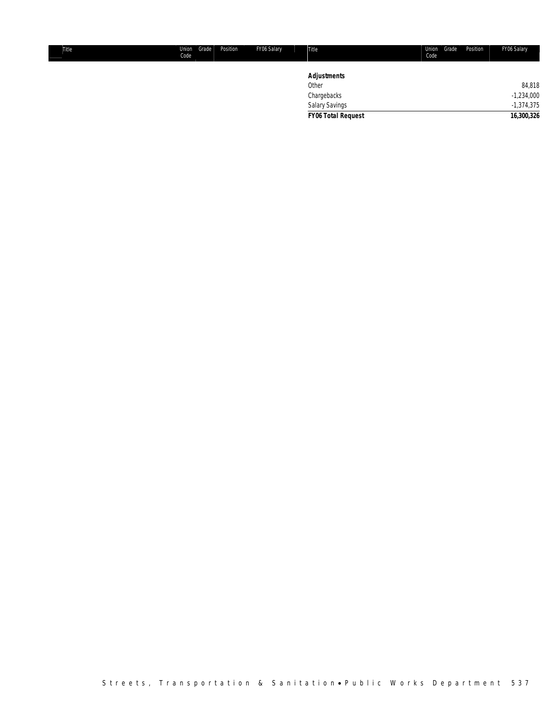| <b>Title</b> | Union Grade<br>Code | Position | FY06 Salary | <b>Title</b>       | Union<br>Code | Grade Position | FY06 Salary  |
|--------------|---------------------|----------|-------------|--------------------|---------------|----------------|--------------|
|              |                     |          |             | <b>Adjustments</b> |               |                |              |
|              |                     |          |             | Other              |               |                | 84,818       |
|              |                     |          |             | Chargebacks        |               |                | $-1,234,000$ |

Salary Savings -1,374,375 *FY06 Total Request 16,300,326*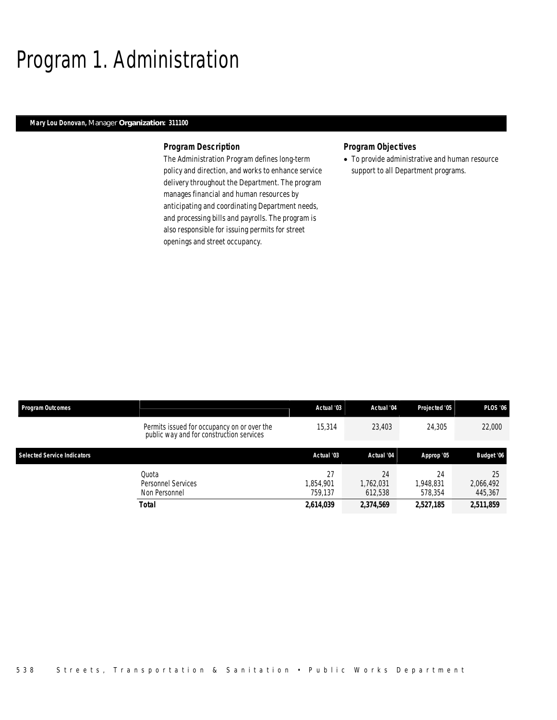## Program 1. Administration

### *Mary Lou Donovan, Manager Organization: 311100*

#### *Program Description*

The Administration Program defines long-term policy and direction, and works to enhance service delivery throughout the Department. The program manages financial and human resources by anticipating and coordinating Department needs, and processing bills and payrolls. The program is also responsible for issuing permits for street openings and street occupancy.

### *Program Objectives*

• To provide administrative and human resource support to all Department programs.

| <b>Program Outcomes</b>            |                                                                                         | Actual '03                              | Actual '04                              | Projected '05                           | <b>PLOS '06</b>                         |
|------------------------------------|-----------------------------------------------------------------------------------------|-----------------------------------------|-----------------------------------------|-----------------------------------------|-----------------------------------------|
|                                    | Permits issued for occupancy on or over the<br>public way and for construction services | 15,314                                  | 23,403                                  | 24.305                                  | 22,000                                  |
| <b>Selected Service Indicators</b> |                                                                                         | Actual '03                              | Actual '04                              | Approp '05                              | Budget '06                              |
|                                    | Ouota<br>Personnel Services<br>Non Personnel<br>Total                                   | 27<br>1.854.901<br>759.137<br>2,614,039 | 24<br>1.762.031<br>612.538<br>2,374,569 | 24<br>1.948.831<br>578.354<br>2,527,185 | 25<br>2,066,492<br>445,367<br>2,511,859 |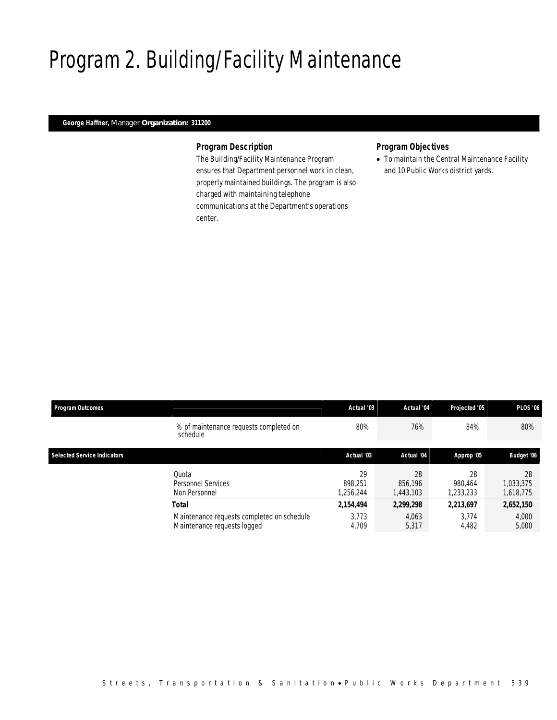# Program 2. Building/Facility Maintenance

### *George Haffner, Manager Organization: 311200*

### *Program Description*

The Building/Facility Maintenance Program ensures that Department personnel work in clean, properly maintained buildings. The program is also charged with maintaining telephone communications at the Department's operations center.

### *Program Objectives*

• To maintain the Central Maintenance Facility and 10 Public Works district yards.

| <b>Program Outcomes</b>            |                                                                           | Actual '03                 | Actual '04                 | Projected '05              | <b>PLOS '06</b>              |
|------------------------------------|---------------------------------------------------------------------------|----------------------------|----------------------------|----------------------------|------------------------------|
|                                    | % of maintenance requests completed on<br>schedule                        | 80%                        | 76%                        | 84%                        | 80%                          |
| <b>Selected Service Indicators</b> |                                                                           | Actual '03                 | Actual '04                 | Approp '05                 | Budget '06                   |
|                                    | Quota<br>Personnel Services<br>Non Personnel                              | 29<br>898.251<br>1.256.244 | 28<br>856.196<br>1,443,103 | 28<br>980.464<br>1,233,233 | 28<br>1,033,375<br>1,618,775 |
|                                    | <b>Total</b>                                                              | 2,154,494                  | 2,299,298                  | 2,213,697                  | 2,652,150                    |
|                                    | Maintenance requests completed on schedule<br>Maintenance requests logged | 3.773<br>4.709             | 4,063<br>5,317             | 3.774<br>4,482             | 4,000<br>5,000               |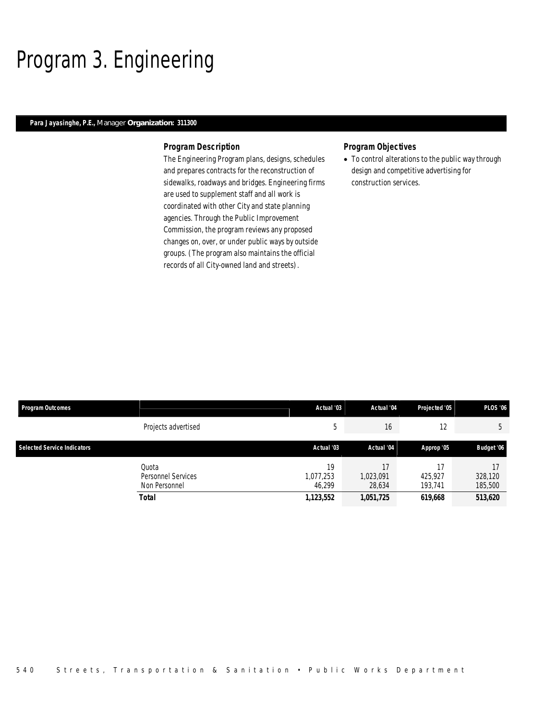## Program 3. Engineering

### *Para Jayasinghe, P.E., Manager Organization: 311300*

#### *Program Description*

The Engineering Program plans, designs, schedules and prepares contracts for the reconstruction of sidewalks, roadways and bridges. Engineering firms are used to supplement staff and all work is coordinated with other City and state planning agencies. Through the Public Improvement Commission, the program reviews any proposed changes on, over, or under public ways by outside groups. (The program also maintains the official records of all City-owned land and streets).

#### *Program Objectives*

• To control alterations to the public way through design and competitive advertising for construction services.

| <b>Program Outcomes</b>            |                                                                     | Actual '03                             | Actual '04                             | Projected '05                       | <b>PLOS '06</b>                     |
|------------------------------------|---------------------------------------------------------------------|----------------------------------------|----------------------------------------|-------------------------------------|-------------------------------------|
|                                    | Projects advertised                                                 | b                                      | 16                                     | 12                                  | 5                                   |
| <b>Selected Service Indicators</b> |                                                                     | Actual '03                             | Actual '04                             | Approp '05                          | <b>Budget '06</b>                   |
|                                    | Quota<br><b>Personnel Services</b><br>Non Personnel<br><b>Total</b> | 19<br>1,077,253<br>46.299<br>1,123,552 | 17<br>1,023,091<br>28,634<br>1,051,725 | 17<br>425,927<br>193.741<br>619,668 | 17<br>328,120<br>185,500<br>513,620 |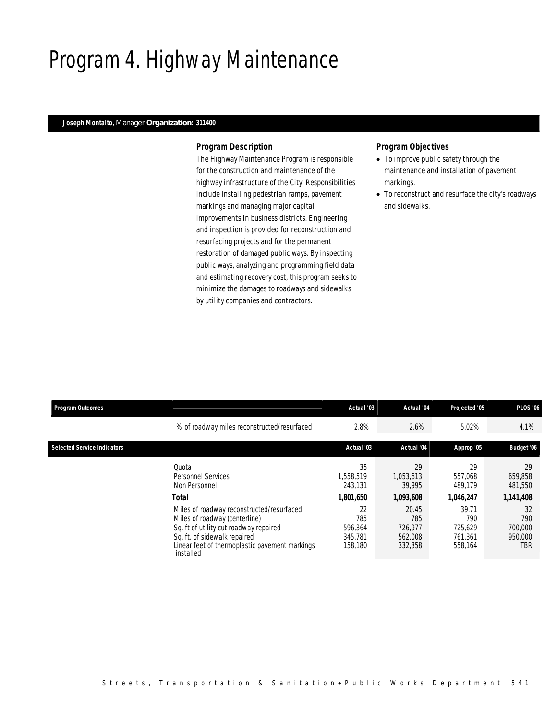## Program 4. Highway Maintenance

#### *Joseph Montalto, Manager Organization: 311400*

#### *Program Description*

The Highway Maintenance Program is responsible for the construction and maintenance of the highway infrastructure of the City. Responsibilities include installing pedestrian ramps, pavement markings and managing major capital improvements in business districts. Engineering and inspection is provided for reconstruction and resurfacing projects and for the permanent restoration of damaged public ways. By inspecting public ways, analyzing and programming field data and estimating recovery cost, this program seeks to minimize the damages to roadways and sidewalks by utility companies and contractors.

### *Program Objectives*

- To improve public safety through the maintenance and installation of pavement markings.
- To reconstruct and resurface the city's roadways and sidewalks.

| <b>Program Outcomes</b>            |                                                                                                                                                                                                                     | Actual '03                                 | Actual '04                                    | Projected '05                                 | <b>PLOS '06</b>                               |
|------------------------------------|---------------------------------------------------------------------------------------------------------------------------------------------------------------------------------------------------------------------|--------------------------------------------|-----------------------------------------------|-----------------------------------------------|-----------------------------------------------|
|                                    | % of roadway miles reconstructed/resurfaced                                                                                                                                                                         | 2.8%                                       | 2.6%                                          | 5.02%                                         | 4.1%                                          |
| <b>Selected Service Indicators</b> |                                                                                                                                                                                                                     | Actual '03                                 | Actual '04                                    | Approp '05                                    | Budget '06                                    |
|                                    | Ouota<br>Personnel Services<br>Non Personnel                                                                                                                                                                        | 35<br>1.558.519<br>243.131                 | 29<br>1.053.613<br>39.995                     | 29<br>557.068<br>489.179                      | 29<br>659.858<br>481,550                      |
|                                    | <b>Total</b>                                                                                                                                                                                                        | 1,801,650                                  | 1,093,608                                     | 1.046.247                                     | 1,141,408                                     |
|                                    | Miles of roadway reconstructed/resurfaced<br>Miles of roadway (centerline)<br>Sq. ft of utility cut roadway repaired<br>Sq. ft. of sidewalk repaired<br>Linear feet of thermoplastic pavement markings<br>installed | 22<br>785<br>596.364<br>345.781<br>158,180 | 20.45<br>785<br>726.977<br>562,008<br>332,358 | 39.71<br>790<br>725.629<br>761.361<br>558,164 | 32<br>790<br>700,000<br>950,000<br><b>TBR</b> |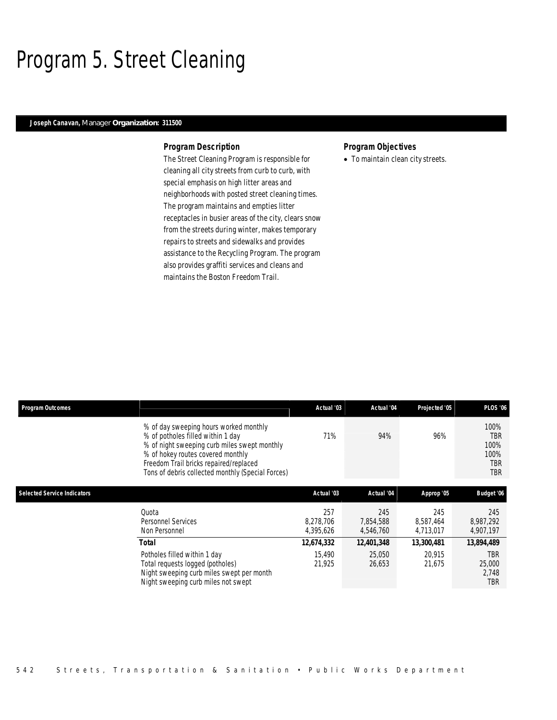### Program 5. Street Cleaning

### *Joseph Canavan, Manager Organization: 311500*

#### *Program Description*

The Street Cleaning Program is responsible for cleaning all city streets from curb to curb, with special emphasis on high litter areas and neighborhoods with posted street cleaning times. The program maintains and empties litter receptacles in busier areas of the city, clears snow from the streets during winter, makes temporary repairs to streets and sidewalks and provides assistance to the Recycling Program. The program also provides graffiti services and cleans and maintains the Boston Freedom Trail.

### *Program Objectives*

• To maintain clean city streets.

| <b>Program Outcomes</b>            |                                                                                                                                                                                                                                                                 | Actual '03                    | Actual '04                    | Projected '05                 | <b>PLOS '06</b>                                         |
|------------------------------------|-----------------------------------------------------------------------------------------------------------------------------------------------------------------------------------------------------------------------------------------------------------------|-------------------------------|-------------------------------|-------------------------------|---------------------------------------------------------|
|                                    | % of day sweeping hours worked monthly<br>% of potholes filled within 1 day<br>% of night sweeping curb miles swept monthly<br>% of hokey routes covered monthly<br>Freedom Trail bricks repaired/replaced<br>Tons of debris collected monthly (Special Forces) | 71%                           | 94%                           | 96%                           | 100%<br>TBR<br>100%<br>100%<br><b>TBR</b><br><b>TBR</b> |
| <b>Selected Service Indicators</b> |                                                                                                                                                                                                                                                                 | Actual '03                    | Actual '04                    | Approp '05                    | Budget '06                                              |
|                                    |                                                                                                                                                                                                                                                                 |                               |                               |                               |                                                         |
|                                    | Quota<br>Personnel Services<br>Non Personnel                                                                                                                                                                                                                    | 257<br>8,278,706<br>4,395,626 | 245<br>7,854,588<br>4,546,760 | 245<br>8,587,464<br>4,713,017 | 245<br>8,987,292<br>4,907,197                           |
|                                    | Total                                                                                                                                                                                                                                                           | 12,674,332                    | 12,401,348                    | 13,300,481                    | 13,894,489                                              |
|                                    | Potholes filled within 1 day<br>Total requests logged (potholes)<br>Night sweeping curb miles swept per month<br>Night sweeping curb miles not swept                                                                                                            | 15.490<br>21,925              | 25,050<br>26,653              | 20.915<br>21.675              | <b>TBR</b><br>25,000<br>2,748<br>TBR                    |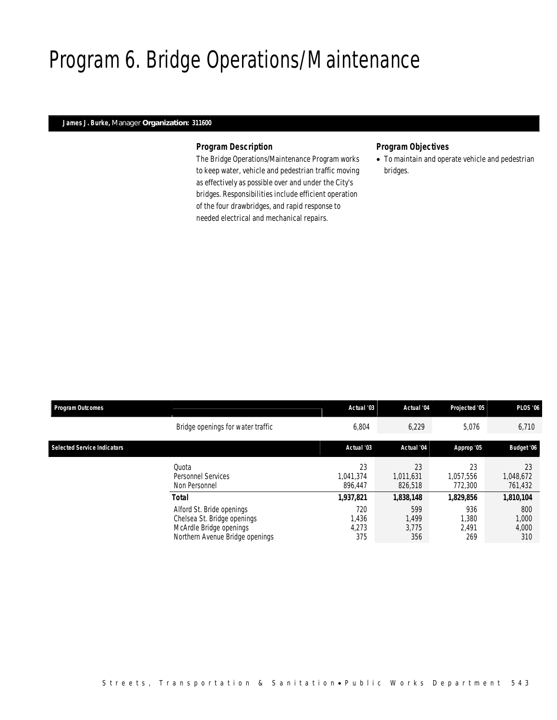## Program 6. Bridge Operations/Maintenance

### *James J. Burke, Manager Organization: 311600*

#### *Program Description*

The Bridge Operations/Maintenance Program works to keep water, vehicle and pedestrian traffic moving as effectively as possible over and under the City's bridges. Responsibilities include efficient operation of the four drawbridges, and rapid response to needed electrical and mechanical repairs.

### *Program Objectives*

• To maintain and operate vehicle and pedestrian bridges.

| <b>Program Outcomes</b>            |                                   | Actual '03 | Actual '04 | Projected '05 | <b>PLOS '06</b> |
|------------------------------------|-----------------------------------|------------|------------|---------------|-----------------|
|                                    | Bridge openings for water traffic | 6,804      | 6,229      | 5,076         | 6,710           |
| <b>Selected Service Indicators</b> |                                   | Actual '03 | Actual '04 | Approp '05    | Budget '06      |
|                                    | Quota                             | 23         | 23         | 23            | 23              |
|                                    | Personnel Services                | 1,041,374  | 1.011.631  | 1.057.556     | 1,048,672       |
|                                    | Non Personnel                     | 896.447    | 826,518    | 772,300       | 761,432         |
|                                    | Total                             | 1,937,821  | 1,838,148  | 1,829,856     | 1,810,104       |
|                                    | Alford St. Bride openings         | 720        | 599        | 936           | 800             |
|                                    | Chelsea St. Bridge openings       | 1,436      | ,499       | 1.380         | 1,000           |
|                                    | McArdle Bridge openings           | 4.273      | 3.775      | 2.491         | 4,000           |
|                                    | Northern Avenue Bridge openings   | 375        | 356        | 269           | 310             |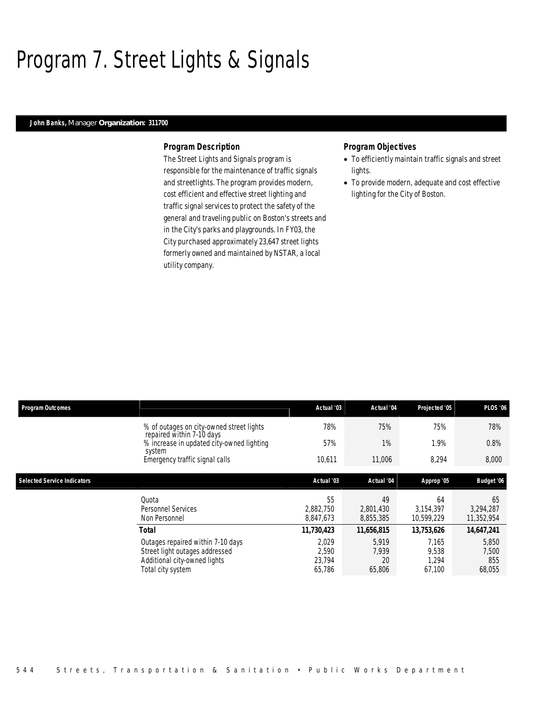## Program 7. Street Lights & Signals

#### *John Banks, Manager Organization: 311700*

#### *Program Description*

The Street Lights and Signals program is responsible for the maintenance of traffic signals and streetlights. The program provides modern, cost efficient and effective street lighting and traffic signal services to protect the safety of the general and traveling public on Boston's streets and in the City's parks and playgrounds. In FY03, the City purchased approximately 23,647 street lights formerly owned and maintained by NSTAR, a local utility company.

#### *Program Objectives*

- To efficiently maintain traffic signals and street lights.
- To provide modern, adequate and cost effective lighting for the City of Boston.

| <b>Program Outcomes</b>            |                                                                                                                          | Actual '03                         | Actual '04                     | Projected '05                     | <b>PLOS '06</b>                 |
|------------------------------------|--------------------------------------------------------------------------------------------------------------------------|------------------------------------|--------------------------------|-----------------------------------|---------------------------------|
|                                    | % of outages on city-owned street lights                                                                                 | 78%                                | 75%                            | 75%                               | 78%                             |
|                                    | repaired within 7-10 days<br>% increase in updated city-owned lighting                                                   | 57%                                | 1%                             | 1.9%                              | 0.8%                            |
|                                    | system<br>Emergency traffic signal calls                                                                                 | 10,611                             | 11,006                         | 8,294                             | 8,000                           |
| <b>Selected Service Indicators</b> |                                                                                                                          | Actual '03                         | Actual '04                     | Approp '05                        | Budget '06                      |
|                                    | Ouota<br>Personnel Services<br>Non Personnel                                                                             | 55<br>2.882.750<br>8,847,673       | 49<br>2,801,430<br>8,855,385   | 64<br>3.154.397<br>10,599,229     | 65<br>3,294,287<br>11,352,954   |
|                                    | <b>Total</b>                                                                                                             | 11,730,423                         | 11,656,815                     | 13,753,626                        | 14,647,241                      |
|                                    | Outages repaired within 7-10 days<br>Street light outages addressed<br>Additional city-owned lights<br>Total city system | 2,029<br>2,590<br>23,794<br>65,786 | 5,919<br>7.939<br>20<br>65,806 | 7.165<br>9,538<br>1.294<br>67.100 | 5,850<br>7,500<br>855<br>68,055 |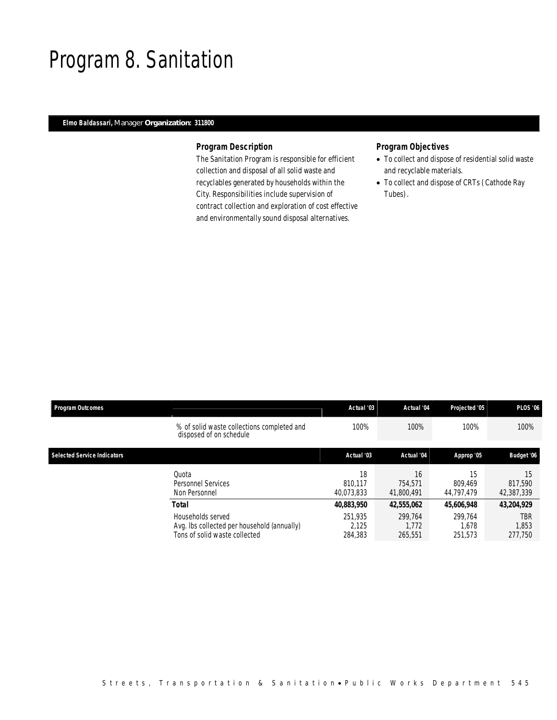### Program 8. Sanitation

### *Elmo Baldassari, Manager Organization: 311800*

### *Program Description*

The Sanitation Program is responsible for efficient collection and disposal of all solid waste and recyclables generated by households within the City. Responsibilities include supervision of contract collection and exploration of cost effective and environmentally sound disposal alternatives.

### *Program Objectives*

- To collect and dispose of residential solid waste and recyclable materials.
- To collect and dispose of CRTs (Cathode Ray Tubes).

| <b>Program Outcomes</b>            |                                                                                                                   | Actual '03                                | Actual '04                               | Projected '05                             | <b>PLOS '06</b>                              |
|------------------------------------|-------------------------------------------------------------------------------------------------------------------|-------------------------------------------|------------------------------------------|-------------------------------------------|----------------------------------------------|
|                                    | % of solid waste collections completed and<br>disposed of on schedule                                             | 100%                                      | 100%                                     | 100%                                      | 100%                                         |
| <b>Selected Service Indicators</b> |                                                                                                                   | Actual '03                                | Actual '04                               | Approp '05                                | Budget '06                                   |
|                                    | Ouota<br>Personnel Services<br>Non Personnel                                                                      | 18<br>810.117<br>40.073.833               | 16<br>754.571<br>41.800.491              | 15<br>809.469<br>44.797.479               | 15<br>817.590<br>42,387,339                  |
|                                    | <b>Total</b><br>Households served<br>Avg. Ibs collected per household (annually)<br>Tons of solid waste collected | 40,883,950<br>251.935<br>2.125<br>284.383 | 42,555,062<br>299.764<br>.772<br>265,551 | 45,606,948<br>299.764<br>1.678<br>251.573 | 43,204,929<br><b>TBR</b><br>1,853<br>277.750 |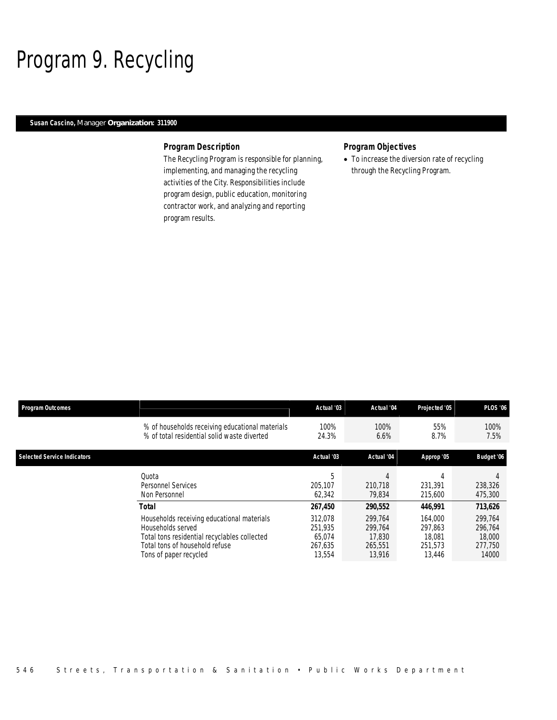## Program 9. Recycling

### *Susan Cascino, Manager Organization: 311900*

#### *Program Description*

The Recycling Program is responsible for planning, implementing, and managing the recycling activities of the City. Responsibilities include program design, public education, monitoring contractor work, and analyzing and reporting program results.

### *Program Objectives*

• To increase the diversion rate of recycling through the Recycling Program.

| <b>Program Outcomes</b>            |                                                                                                                                                                                      | Actual '03                                                   | Actual '04                                                   | Projected '05                                                | <b>PLOS '06</b>                                             |
|------------------------------------|--------------------------------------------------------------------------------------------------------------------------------------------------------------------------------------|--------------------------------------------------------------|--------------------------------------------------------------|--------------------------------------------------------------|-------------------------------------------------------------|
|                                    | % of households receiving educational materials<br>% of total residential solid waste diverted                                                                                       | 100%<br>24.3%                                                | 100%<br>6.6%                                                 | 55%<br>8.7%                                                  | 100%<br>7.5%                                                |
| <b>Selected Service Indicators</b> |                                                                                                                                                                                      | Actual '03                                                   | Actual '04                                                   | Approp '05                                                   | Budget '06                                                  |
|                                    | Quota<br>Personnel Services<br>Non Personnel                                                                                                                                         | 5<br>205.107<br>62,342                                       | 4<br>210.718<br>79,834                                       | 231.391<br>215,600                                           | 238,326<br>475,300                                          |
|                                    | Total<br>Households receiving educational materials<br>Households served<br>Total tons residential recyclables collected<br>Total tons of household refuse<br>Tons of paper recycled | 267,450<br>312.078<br>251.935<br>65.074<br>267,635<br>13,554 | 290,552<br>299.764<br>299.764<br>17,830<br>265,551<br>13,916 | 446.991<br>164,000<br>297.863<br>18,081<br>251,573<br>13.446 | 713,626<br>299,764<br>296.764<br>18,000<br>277,750<br>14000 |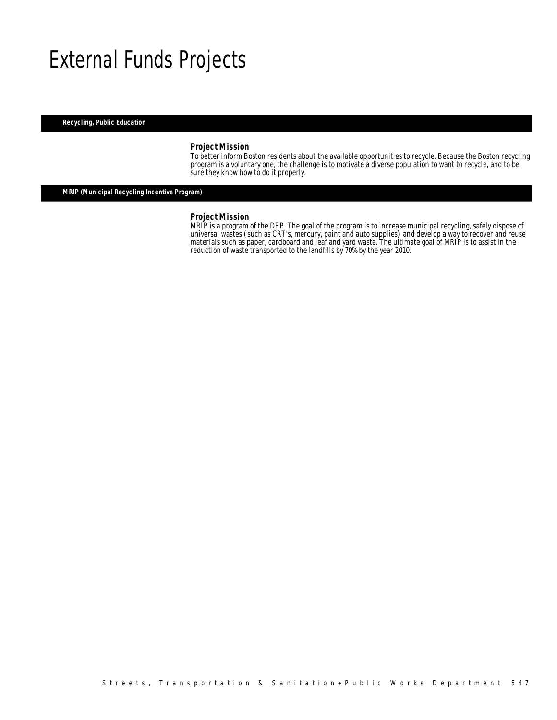### External Funds Projects

*Recycling, Public Education* 

#### *Project Mission*

To better inform Boston residents about the available opportunities to recycle. Because the Boston recycling program is a voluntary one, the challenge is to motivate a diverse population to want to recycle, and to be sure they know how to do it properly.

*MRIP (Municipal Recycling Incentive Program)* 

#### *Project Mission*

MRIP is a program of the DEP. The goal of the program is to increase municipal recycling, safely dispose of universal wastes (such as CRT's, mercury, paint and auto supplies) and develop a way to recover and reuse materials such as paper, cardboard and leaf and yard waste. The ultimate goal of MRIP is to assist in the reduction of waste transported to the landfills by 70% by the year 2010.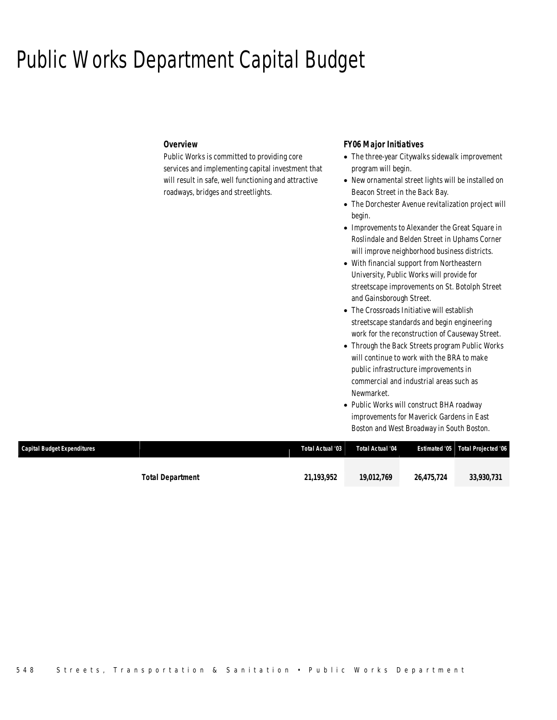### Public Works Department Capital Budget

### *Overview*

Public Works is committed to providing core services and implementing capital investment that will result in safe, well functioning and attractive roadways, bridges and streetlights.

### *FY06 Major Initiatives*

- The three-year Citywalks sidewalk improvement program will begin.
- New ornamental street lights will be installed on Beacon Street in the Back Bay.
- The Dorchester Avenue revitalization project will begin.
- Improvements to Alexander the Great Square in Roslindale and Belden Street in Uphams Corner will improve neighborhood business districts.
- With financial support from Northeastern University, Public Works will provide for streetscape improvements on St. Botolph Street and Gainsborough Street.
- The Crossroads Initiative will establish streetscape standards and begin engineering work for the reconstruction of Causeway Street.
- Through the Back Streets program Public Works will continue to work with the BRA to make public infrastructure improvements in commercial and industrial areas such as Newmarket.
- Public Works will construct BHA roadway improvements for Maverick Gardens in East Boston and West Broadway in South Boston.

| <b>Capital Budget Expenditures</b> | Total Actual '03 | Total Actual '04 |            | <b>Estimated '05 Total Projected '06</b> |
|------------------------------------|------------------|------------------|------------|------------------------------------------|
|                                    |                  |                  |            |                                          |
| <b>Total Department</b>            | 21.193.952       | 19.012.769       | 26.475.724 | 33,930,731                               |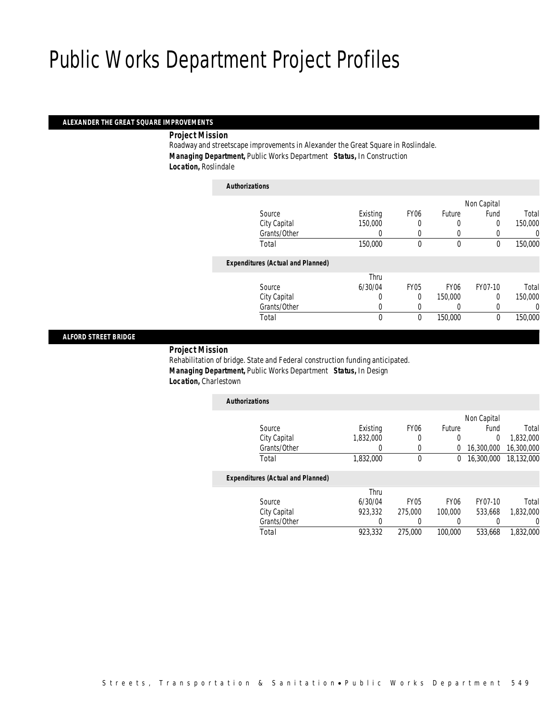#### *ALEXANDER THE GREAT SQUARE IMPROVEMENTS*

*Project Mission* 

Roadway and streetscape improvements in Alexander the Great Square in Roslindale. *Managing Department,* Public Works Department *Status,* In Construction *Location,* Roslindale

| <b>Authorizations</b>                    |              |                  |                  |             |         |
|------------------------------------------|--------------|------------------|------------------|-------------|---------|
|                                          |              |                  |                  | Non Capital |         |
| Source                                   | Existing     | FY <sub>06</sub> | Future           | Fund        | Total   |
| City Capital                             | 150,000      | 0                | 0                | 0           | 150,000 |
| Grants/Other                             | 0            | $\Omega$         | 0                | 0           |         |
| Total                                    | 150,000      | $\mathbf 0$      | 0                | 0           | 150,000 |
| <b>Expenditures (Actual and Planned)</b> |              |                  |                  |             |         |
|                                          | Thru         |                  |                  |             |         |
| Source                                   | 6/30/04      | <b>FY05</b>      | FY <sub>06</sub> | FY07-10     | Total   |
| City Capital                             | 0            | $\Omega$         | 150,000          | $\Omega$    | 150,000 |
| Grants/Other                             | 0            |                  | 0                | 0           |         |
| Total                                    | $\mathbf{0}$ | $\mathbf 0$      | 150,000          | $\theta$    | 150,000 |
|                                          |              |                  |                  |             |         |

#### *ALFORD STREET BRIDGE*

*Project Mission* 

Rehabilitation of bridge. State and Federal construction funding anticipated. *Managing Department,* Public Works Department *Status,* In Design *Location,* Charlestown

| <b>Authorizations</b> |                                          |           |                  |        |             |            |
|-----------------------|------------------------------------------|-----------|------------------|--------|-------------|------------|
|                       |                                          |           |                  |        | Non Capital |            |
|                       | Source                                   | Existing  | FY <sub>06</sub> | Future | Fund        | Total      |
|                       | City Capital                             | 1,832,000 | 0                | 0      | 0           | 1,832,000  |
|                       | Grants/Other                             | 0         | 0                | 0      | 16,300,000  | 16,300,000 |
|                       | Total                                    | 1,832,000 | 0                | 0      | 16,300,000  | 18,132,000 |
|                       | <b>Expenditures (Actual and Planned)</b> |           |                  |        |             |            |
|                       |                                          | Thru      |                  | ----   |             |            |

| Source       | 6/30/04 | <b>FY05</b> | FY <sub>06</sub> | FY07-10 | Total     |
|--------------|---------|-------------|------------------|---------|-----------|
| City Capital | 923,332 | 275.000     | 100,000          | 533.668 | 1,832,000 |
| Grants/Other |         |             |                  |         |           |
| Total        | 923,332 | 275.000     | 100,000          | 533.668 | 1,832,000 |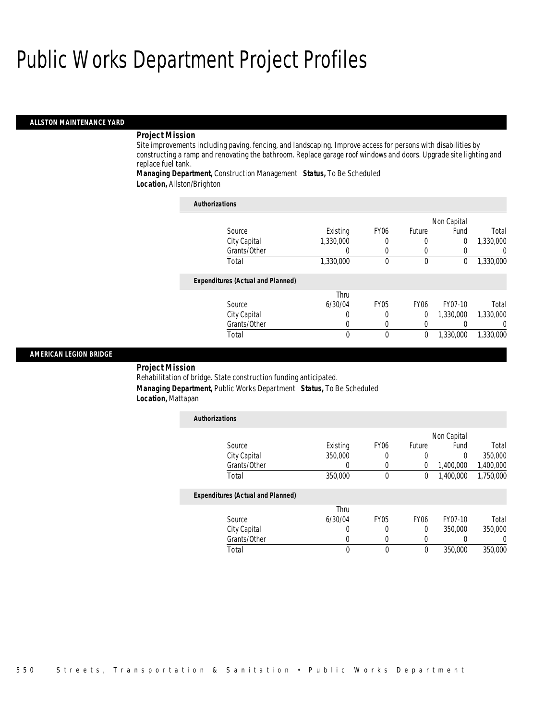#### *ALLSTON MAINTENANCE YARD*

#### *Project Mission*

Site improvements including paving, fencing, and landscaping. Improve access for persons with disabilities by constructing a ramp and renovating the bathroom. Replace garage roof windows and doors. Upgrade site lighting and replace fuel tank.

*Managing Department,* Construction Management *Status,* To Be Scheduled *Location,* Allston/Brighton

|           |                  |                  | Non Capital |           |
|-----------|------------------|------------------|-------------|-----------|
| Existing  | FY <sub>06</sub> | Future           | Fund        | Total     |
| 1,330,000 | 0                |                  | $\Omega$    | 1,330,000 |
| 0         | $\left($         | $\left( \right)$ |             | $\Omega$  |
| 1,330,000 | 0                | $\mathbf 0$      | $\mathbf 0$ | 1,330,000 |
|           |                  |                  |             |           |
| Thru      |                  |                  |             |           |
| 6/30/04   | <b>FY05</b>      | <b>FY06</b>      | FY07-10     | Total     |
| 0         | 0                | $\Omega$         | 1.330.000   | 1,330,000 |
| 0         | 0                | 0                |             | $\Omega$  |
| 0         | 0                | 0                | 1,330,000   | 1,330,000 |
|           |                  |                  |             |           |

#### *AMERICAN LEGION BRIDGE*

#### *Project Mission*

Rehabilitation of bridge. State construction funding anticipated. *Managing Department,* Public Works Department *Status,* To Be Scheduled *Location,* Mattapan

| <b>Authorizations</b>                    |          |             |                  |             |           |
|------------------------------------------|----------|-------------|------------------|-------------|-----------|
|                                          |          |             |                  | Non Capital |           |
| Source                                   | Existing | <b>FY06</b> | Future           | Fund        | Total     |
| City Capital                             | 350,000  |             | 0                | 0           | 350,000   |
| Grants/Other                             | O        |             | 0                | 1,400,000   | 1,400,000 |
| Total                                    | 350,000  | $\theta$    | 0                | 1,400,000   | 1,750,000 |
| <b>Expenditures (Actual and Planned)</b> |          |             |                  |             |           |
|                                          | Thru     |             |                  |             |           |
| Source                                   | 6/30/04  | <b>FY05</b> | FY <sub>06</sub> | FY07-10     | Total     |
| City Capital                             | 0        | 0           | $\theta$         | 350,000     | 350,000   |
| Grants/Other                             | 0        | 0           | 0                |             | 0         |
| Total                                    | 0        | $\theta$    | $\theta$         | 350,000     | 350,000   |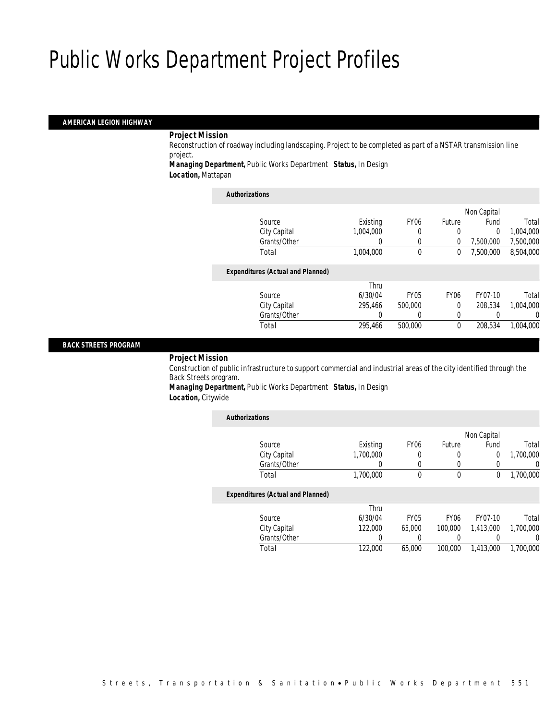#### *AMERICAN LEGION HIGHWAY*

#### *Project Mission*

Reconstruction of roadway including landscaping. Project to be completed as part of a NSTAR transmission line project.

*Managing Department,* Public Works Department *Status,* In Design *Location,* Mattapan

### *Authorizations*

|                                          |           |             |                  | Non Capital |           |
|------------------------------------------|-----------|-------------|------------------|-------------|-----------|
| Source                                   | Existing  | <b>FY06</b> | Future           | Fund        | Total     |
| City Capital                             | 1,004,000 | 0           | 0                | 0           | 1,004,000 |
| Grants/Other                             |           | 0           | 0                | 7,500,000   | 7,500,000 |
| Total                                    | 1,004,000 | 0           | 0                | 7,500,000   | 8,504,000 |
| <b>Expenditures (Actual and Planned)</b> |           |             |                  |             |           |
|                                          | Thru      |             |                  |             |           |
| Source                                   | 6/30/04   | <b>FY05</b> | FY <sub>06</sub> | FY07-10     | Total     |
| City Capital                             | 295,466   | 500,000     | $\Omega$         | 208,534     | 1,004,000 |
| Grants/Other                             | 0         |             | 0                |             | 0         |
| Total                                    | 295,466   | 500,000     | $\theta$         | 208,534     | 1.004.000 |
|                                          |           |             |                  |             |           |

#### *BACK STREETS PROGRAM*

*Project Mission* 

Construction of public infrastructure to support commercial and industrial areas of the city identified through the Back Streets program.

*Managing Department,* Public Works Department *Status,* In Design *Location,* Citywide

| <b>Authorizations</b> |                                          |           |             |                  |             |           |
|-----------------------|------------------------------------------|-----------|-------------|------------------|-------------|-----------|
|                       |                                          |           |             |                  | Non Capital |           |
|                       | Source                                   | Existing  | <b>FY06</b> | Future           | Fund        | Total     |
|                       | City Capital                             | 1.700.000 | 0           | 0                | 0           | 1,700,000 |
|                       | Grants/Other                             | 0         | 0           | 0                | 0           | 0         |
|                       | Total                                    | 1,700,000 | $\theta$    | $\mathbf 0$      | 0           | 1,700,000 |
|                       | <b>Expenditures (Actual and Planned)</b> |           |             |                  |             |           |
|                       |                                          | Thru      |             |                  |             |           |
|                       | Source                                   | 6/30/04   | FY05        | FY <sub>06</sub> | FY07-10     | Total     |
|                       | City Capital                             | 122,000   | 65,000      | 100,000          | 1,413,000   | 1,700,000 |
|                       | Grants/Other                             | 0         |             |                  |             | 0         |
|                       | Total                                    | 122,000   | 65,000      | 100,000          | 1,413,000   | 1.700.000 |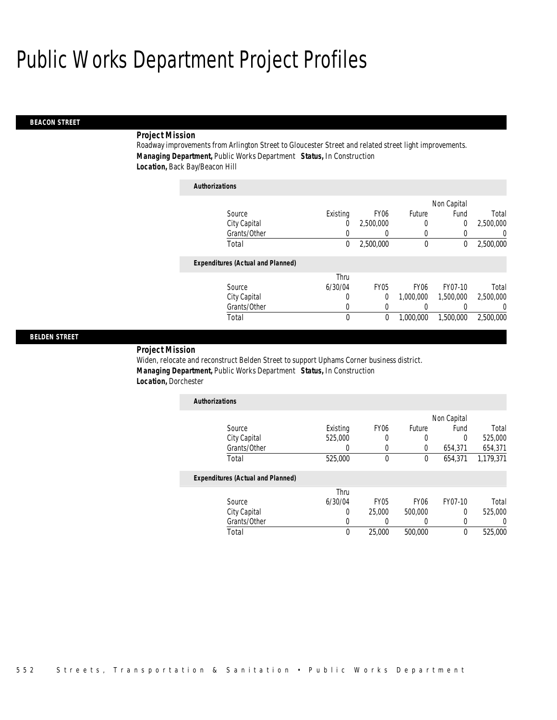#### *BEACON STREET*

### *Project Mission*

Roadway improvements from Arlington Street to Gloucester Street and related street light improvements. *Managing Department,* Public Works Department *Status,* In Construction *Location,* Back Bay/Beacon Hill

| <b>Authorizations</b>                    |          |                  |             |             |           |
|------------------------------------------|----------|------------------|-------------|-------------|-----------|
|                                          |          |                  |             | Non Capital |           |
| Source                                   | Existing | FY <sub>06</sub> | Future      | Fund        | Total     |
| City Capital                             | 0        | 2,500,000        | 0           | 0           | 2,500,000 |
| Grants/Other                             | 0        | 0                | 0           | 0           | 0         |
| Total                                    | 0        | 2,500,000        | $\mathbf 0$ | 0           | 2,500,000 |
| <b>Expenditures (Actual and Planned)</b> |          |                  |             |             |           |
|                                          | Thru     |                  |             |             |           |
| Source                                   | 6/30/04  | FY05             | <b>FY06</b> | FY07-10     | Total     |
| City Capital                             | 0        | 0                | 1,000,000   | 1,500,000   | 2,500,000 |
| Grants/Other                             | 0        | 0                | 0           |             | 0         |
| Total                                    | 0        | 0                | 1.000.000   | 1,500,000   | 2,500,000 |

#### *BELDEN STREET*

#### *Project Mission*

Widen, relocate and reconstruct Belden Street to support Uphams Corner business district. *Managing Department,* Public Works Department *Status,* In Construction *Location,* Dorchester

| <b>Authorizations</b> |          |                  |        |             |           |
|-----------------------|----------|------------------|--------|-------------|-----------|
|                       |          |                  |        | Non Capital |           |
| Source                | Existing | FY <sub>06</sub> | Future | Fund        | Total     |
| City Capital          | 525,000  |                  |        |             | 525,000   |
| Grants/Other          |          |                  | 0      | 654.371     | 654,371   |
| Total                 | 525,000  |                  | 0      | 654,371     | 1,179,371 |

|              | Thru    |             |                  |         |         |
|--------------|---------|-------------|------------------|---------|---------|
| Source       | 6/30/04 | <b>FY05</b> | FY <sub>06</sub> | FY07-10 | Total   |
| City Capital |         | 25,000      | 500,000          |         | 525,000 |
| Grants/Other |         |             |                  |         |         |
| Гоtal        | 0       | 25,000      | 500,000          |         | 525,000 |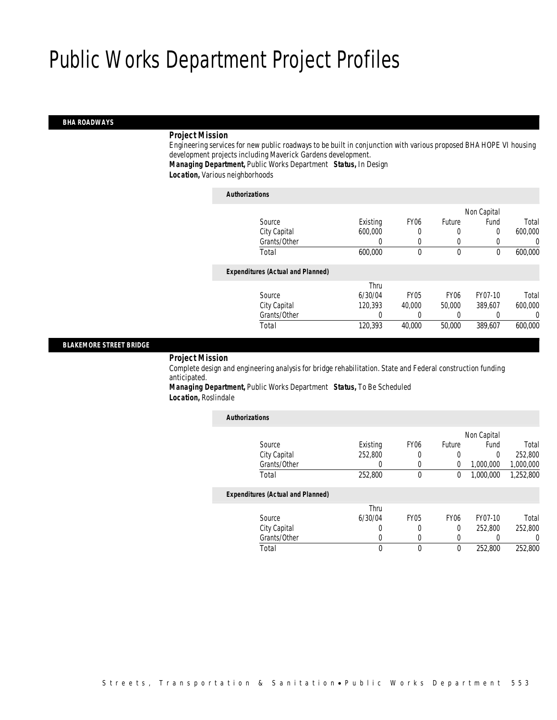#### *BHA ROADWAYS*

#### *Project Mission*

Engineering services for new public roadways to be built in conjunction with various proposed BHA HOPE VI housing development projects including Maverick Gardens development.

*Managing Department,* Public Works Department *Status,* In Design

*Location,* Various neighborhoods

#### *Authorizations*

|                                          |          |                  |                  | Non Capital |         |
|------------------------------------------|----------|------------------|------------------|-------------|---------|
| Source                                   | Existing | FY <sub>06</sub> | Future           | Fund        | Total   |
| City Capital                             | 600,000  | 0                | 0                | 0           | 600,000 |
| Grants/Other                             |          |                  | 0                |             | 0       |
| Total                                    | 600,000  | 0                | $\mathbf 0$      | $\theta$    | 600,000 |
| <b>Expenditures (Actual and Planned)</b> |          |                  |                  |             |         |
|                                          | Thru     |                  |                  |             |         |
| Source                                   | 6/30/04  | <b>FY05</b>      | FY <sub>06</sub> | FY07-10     | Total   |
| City Capital                             | 120,393  | 40,000           | 50,000           | 389,607     | 600,000 |
| Grants/Other                             | 0        |                  |                  |             | 0       |
| Total                                    | 120,393  | 40,000           | 50,000           | 389,607     | 600,000 |
|                                          |          |                  |                  |             |         |

#### *BLAKEMORE STREET BRIDGE*

*Project Mission* 

Complete design and engineering analysis for bridge rehabilitation. State and Federal construction funding anticipated.

*Managing Department,* Public Works Department *Status,* To Be Scheduled *Location,* Roslindale

| <b>Authorizations</b>                    |          |             |                  |             |           |
|------------------------------------------|----------|-------------|------------------|-------------|-----------|
|                                          |          |             |                  | Non Capital |           |
| Source                                   | Existing | <b>FY06</b> | Future           | Fund        | Total     |
| City Capital                             | 252,800  | 0           | 0                | $\Omega$    | 252,800   |
| Grants/Other                             |          | 0           | 0                | 1,000,000   | 1,000,000 |
| Total                                    | 252,800  | $\theta$    | 0                | 1,000,000   | 1,252,800 |
| <b>Expenditures (Actual and Planned)</b> |          |             |                  |             |           |
|                                          | Thru     |             |                  |             |           |
| Source                                   | 6/30/04  | <b>FY05</b> | FY <sub>06</sub> | FY07-10     | Total     |
| City Capital                             | 0        | 0           | 0                | 252.800     | 252,800   |
| Grants/Other                             | O        | 0           | 0                | 0           | 0         |
| Total                                    | 0        | 0           | 0                | 252,800     | 252,800   |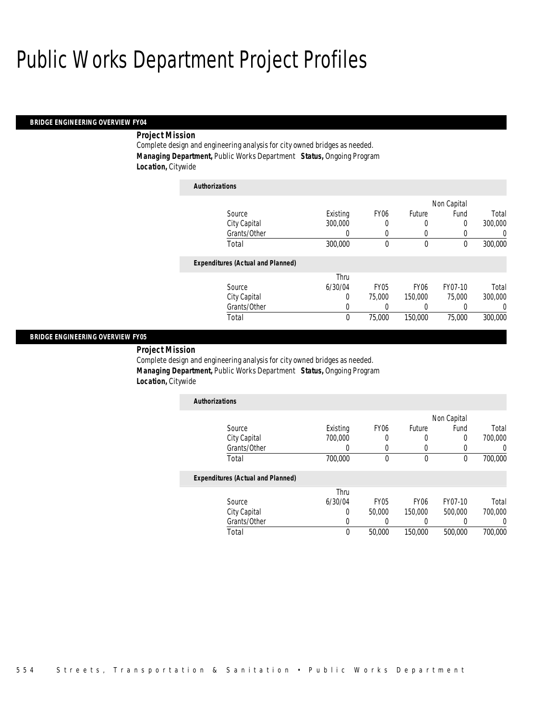*Authorizations*

#### *BRIDGE ENGINEERING OVERVIEW FY04*

### *Project Mission*

Complete design and engineering analysis for city owned bridges as needed. *Managing Department,* Public Works Department *Status,* Ongoing Program *Location,* Citywide

| Authorizations                           |          |                  |                  |             |          |
|------------------------------------------|----------|------------------|------------------|-------------|----------|
|                                          |          |                  |                  | Non Capital |          |
| Source                                   | Existing | FY <sub>06</sub> | Future           | Fund        | Total    |
| City Capital                             | 300,000  | 0                | 0                | 0           | 300,000  |
| Grants/Other                             | 0        | 0                | 0                | 0           | 0        |
| Total                                    | 300,000  | 0                | 0                | 0           | 300,000  |
| <b>Expenditures (Actual and Planned)</b> |          |                  |                  |             |          |
|                                          | Thru     |                  |                  |             |          |
| Source                                   | 6/30/04  | <b>FY05</b>      | FY <sub>06</sub> | FY07-10     | Total    |
| City Capital                             | 0        | 75,000           | 150,000          | 75,000      | 300,000  |
| Grants/Other                             | 0        | 0                | 0                |             | $\left($ |
| Total                                    | 0        | 75,000           | 150,000          | 75,000      | 300,000  |

#### *BRIDGE ENGINEERING OVERVIEW FY05*

*Project Mission* 

Complete design and engineering analysis for city owned bridges as needed. *Managing Department,* Public Works Department *Status,* Ongoing Program *Location,* Citywide

| <b>Authorizations</b> |          |                  |        |             |         |
|-----------------------|----------|------------------|--------|-------------|---------|
|                       |          |                  |        | Non Capital |         |
| Source                | Existing | FY <sub>06</sub> | Future | Fund        | Total   |
| City Capital          | 700,000  |                  |        |             | 700,000 |
| Grants/Other          |          |                  |        |             |         |
| Total                 | 700,000  |                  |        |             | 700,000 |

|              | Thru    |             |                  |         |         |
|--------------|---------|-------------|------------------|---------|---------|
| Source       | 6/30/04 | <b>FY05</b> | FY <sub>06</sub> | FY07-10 | Total   |
| City Capital |         | 50.000      | 150,000          | 500,000 | 700,000 |
| Grants/Other |         |             |                  |         |         |
| Total        | 0       | 50,000      | 150,000          | 500,000 | 700.000 |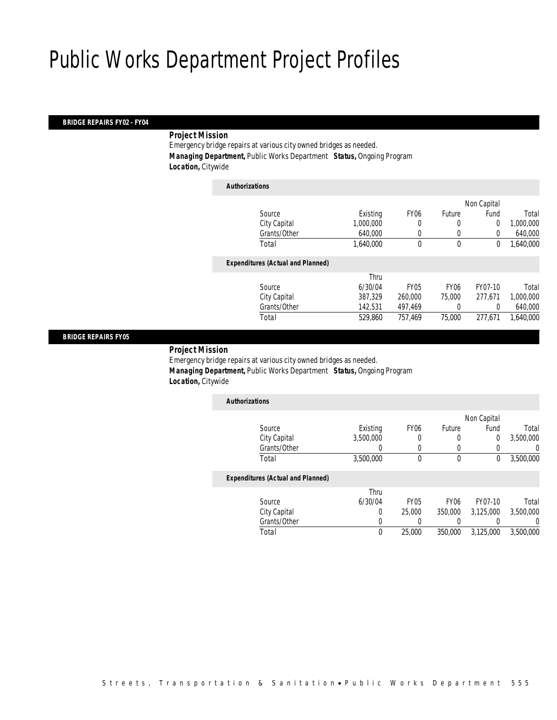#### *BRIDGE REPAIRS FY02 - FY04*

### *Project Mission*

Emergency bridge repairs at various city owned bridges as needed. *Managing Department,* Public Works Department *Status,* Ongoing Program *Location,* Citywide

| <b>Authorizations</b>                    |           |             |                  |             |           |
|------------------------------------------|-----------|-------------|------------------|-------------|-----------|
|                                          |           |             |                  | Non Capital |           |
| Source                                   | Existing  | <b>FY06</b> | Future           | Fund        | Total     |
| City Capital                             | 1,000,000 | 0           | 0                | $\mathbf 0$ | 1,000,000 |
| Grants/Other                             | 640,000   | 0           | 0                | $\Omega$    | 640,000   |
| Total                                    | 1,640,000 | 0           | $\mathbf 0$      | 0           | 1,640,000 |
| <b>Expenditures (Actual and Planned)</b> |           |             |                  |             |           |
|                                          | Thru      |             |                  |             |           |
| Source                                   | 6/30/04   | <b>FY05</b> | FY <sub>06</sub> | FY07-10     | Total     |
| City Capital                             | 387.329   | 260,000     | 75,000           | 277.671     | 1,000,000 |
| Grants/Other                             | 142,531   | 497,469     |                  | 0           | 640,000   |
| Total                                    | 529,860   | 757.469     | 75,000           | 277.671     | 1.640.000 |
|                                          |           |             |                  |             |           |

#### *BRIDGE REPAIRS FY05*

#### *Project Mission*

Emergency bridge repairs at various city owned bridges as needed. *Managing Department,* Public Works Department *Status,* Ongoing Program *Location,* Citywide

| Existing  | FY <sub>06</sub> | Future           | Fund | Total       |
|-----------|------------------|------------------|------|-------------|
| 3,500,000 |                  | $\left( \right)$ |      | 3,500,000   |
|           |                  |                  |      | 0           |
| 3,500,000 |                  | O                |      | 3,500,000   |
|           |                  |                  |      | Non Capital |

| Total<br>FY07-10       |
|------------------------|
| 3,500,000<br>3.125.000 |
|                        |
| 3.125.000<br>3,500,000 |
|                        |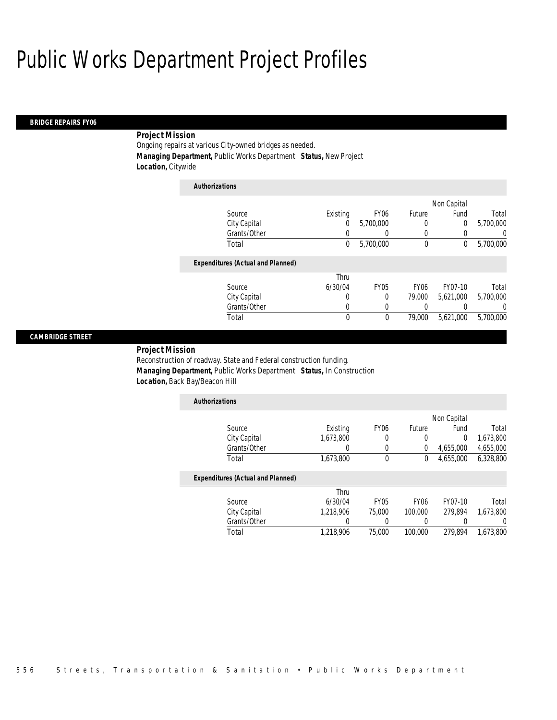#### *BRIDGE REPAIRS FY06*

### *Project Mission*

Ongoing repairs at various City-owned bridges as needed. *Managing Department,* Public Works Department *Status,* New Project *Location,* Citywide

*Authorizations*

| AUUDULLAUVUS                             |          |                  |                  |             |           |
|------------------------------------------|----------|------------------|------------------|-------------|-----------|
|                                          |          |                  |                  | Non Capital |           |
| Source                                   | Existing | FY <sub>06</sub> | Future           | Fund        | Total     |
| City Capital                             | 0        | 5,700,000        | 0                | 0           | 5,700,000 |
| Grants/Other                             | 0        |                  | 0                |             | $\left($  |
| Total                                    | 0        | 5,700,000        | $\theta$         | $\theta$    | 5,700,000 |
| <b>Expenditures (Actual and Planned)</b> |          |                  |                  |             |           |
|                                          | Thru     |                  |                  |             |           |
| Source                                   | 6/30/04  | FY05             | FY <sub>06</sub> | FY07-10     | Total     |
| City Capital                             | 0        | 0                | 79.000           | 5,621,000   | 5.700.000 |
| Grants/Other                             | 0        | 0                |                  |             | $\Omega$  |
| Total                                    | 0        | 0                | 79,000           | 5,621,000   | 5,700,000 |
|                                          |          |                  |                  |             |           |

#### *CAMBRIDGE STREET*

*Project Mission* 

Reconstruction of roadway. State and Federal construction funding. *Managing Department,* Public Works Department *Status,* In Construction *Location,* Back Bay/Beacon Hill

| <b>Authorizations</b> |           |                  |               |             |           |
|-----------------------|-----------|------------------|---------------|-------------|-----------|
|                       |           |                  |               | Non Capital |           |
| Source                | Existing  | FY <sub>06</sub> | <b>Future</b> | Fund        | Total     |
| City Capital          | 1,673,800 |                  |               |             | 1,673,800 |
| Grants/Other          |           |                  |               | 4,655,000   | 4,655,000 |
| Total                 | 1,673,800 |                  |               | 4.655.000   | 6.328.800 |
|                       |           |                  |               |             |           |

|              | Thru      |             |                  |         |           |
|--------------|-----------|-------------|------------------|---------|-----------|
| Source       | 6/30/04   | <b>FY05</b> | FY <sub>06</sub> | FY07-10 | Total     |
| City Capital | 1,218,906 | 75,000      | 100,000          | 279.894 | 1.673.800 |
| Grants/Other |           |             |                  |         |           |
| Total        | 1.218.906 | 75.000      | 100,000          | 279.894 | 1.673.800 |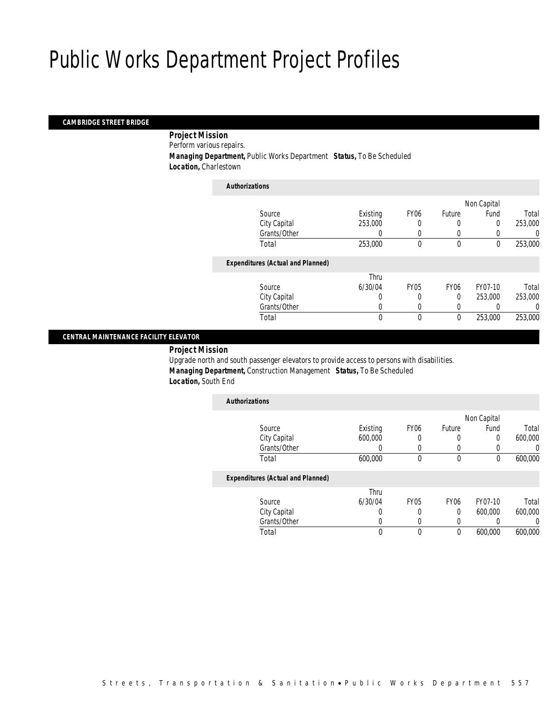#### *CAMBRIDGE STREET BRIDGE*

 *Project Mission* Perform various repairs. *Managing Department,* Public Works Department *Status,* To Be Scheduled

*Location,* Charlestown

| <b>Authorizations</b>                    |          |             |                  |             |         |
|------------------------------------------|----------|-------------|------------------|-------------|---------|
|                                          |          |             |                  | Non Capital |         |
| Source                                   | Existing | <b>FY06</b> | Future           | Fund        | Total   |
| City Capital                             | 253,000  |             | 0                | $\Omega$    | 253,000 |
| Grants/Other                             | 0        | 0           | 0                |             | 0       |
| Total                                    | 253,000  | 0           | $\mathbf 0$      | 0           | 253,000 |
| <b>Expenditures (Actual and Planned)</b> |          |             |                  |             |         |
|                                          | Thru     |             |                  |             |         |
| Source                                   | 6/30/04  | <b>FY05</b> | FY <sub>06</sub> | FY07-10     | Total   |
| City Capital                             | 0        | 0           | $\Omega$         | 253,000     | 253,000 |
| Grants/Other                             | 0        |             | 0                |             | 0       |
| Total                                    | 0        | 0           | $\mathbf 0$      | 253,000     | 253,000 |
|                                          |          |             |                  |             |         |

#### *CENTRAL MAINTENANCE FACILITY ELEVATOR*

*Project Mission* 

Upgrade north and south passenger elevators to provide access to persons with disabilities. *Managing Department,* Construction Management *Status,* To Be Scheduled *Location,* South End

| <b>Authorizations</b>                    |          |                  |             |             |         |
|------------------------------------------|----------|------------------|-------------|-------------|---------|
|                                          |          |                  |             | Non Capital |         |
| Source                                   | Existing | FY <sub>06</sub> | Future      | Fund        | Total   |
| City Capital                             | 600,000  | 0                | 0           | 0           | 600.000 |
| Grants/Other                             |          |                  |             |             |         |
| Total                                    | 600,000  | 0                | 0           | 0           | 600,000 |
| <b>Expenditures (Actual and Planned)</b> |          |                  |             |             |         |
|                                          | Thru     |                  |             |             |         |
| Source                                   | 6/30/04  | <b>FY05</b>      | <b>FY06</b> | FY07-10     | Total   |
| City Capital                             |          | 0                | 0           | 600,000     | 600.000 |
| Grants/Other                             |          | 0                | 0           |             |         |
| Total                                    | 0        | 0                | 0           | 600.000     | 600.000 |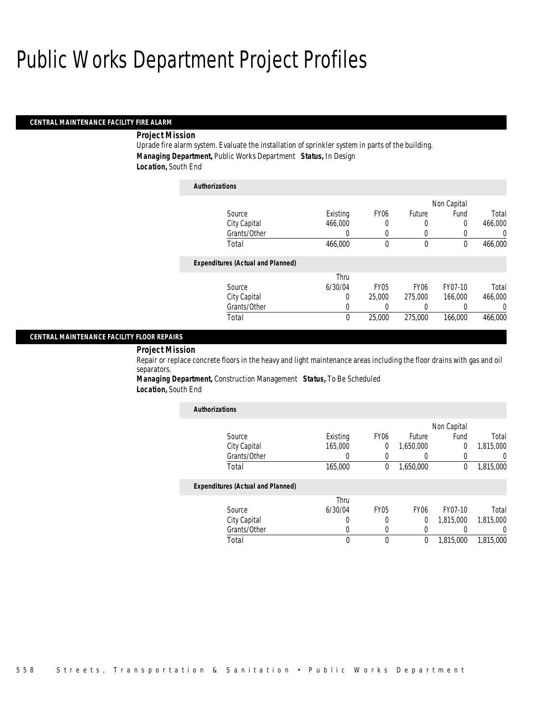#### *CENTRAL MAINTENANCE FACILITY FIRE ALARM*

#### *Project Mission*

Uprade fire alarm system. Evaluate the installation of sprinkler system in parts of the building. *Managing Department,* Public Works Department *Status,* In Design *Location,* South End

| <b>Authorizations</b>                    |          |                  |             |             |         |
|------------------------------------------|----------|------------------|-------------|-------------|---------|
|                                          |          |                  |             | Non Capital |         |
| Source                                   | Existing | FY <sub>06</sub> | Future      | Fund        | Total   |
| City Capital                             | 466,000  | 0                | 0           | 0           | 466.000 |
| Grants/Other                             | 0        | 0                | 0           | 0           | 0       |
| Total                                    | 466,000  | 0                | 0           | $\bf{0}$    | 466,000 |
| <b>Expenditures (Actual and Planned)</b> |          |                  |             |             |         |
|                                          | Thru     |                  |             |             |         |
| Source                                   | 6/30/04  | <b>FY05</b>      | <b>FY06</b> | FY07-10     | Total   |
| City Capital                             | 0        | 25,000           | 275,000     | 166,000     | 466,000 |
| Grants/Other                             | 0        | 0                | 0           | 0           | 0       |
| Total                                    | 0        | 25,000           | 275,000     | 166,000     | 466.000 |

#### *CENTRAL MAINTENANCE FACILITY FLOOR REPAIRS*

*Project Mission* 

Repair or replace concrete floors in the heavy and light maintenance areas including the floor drains with gas and oil separators.

*Managing Department,* Construction Management *Status,* To Be Scheduled *Location,* South End

| <b>Authorizations</b>                    |          |                  |                  |             |           |
|------------------------------------------|----------|------------------|------------------|-------------|-----------|
|                                          |          |                  |                  | Non Capital |           |
| Source                                   | Existing | FY <sub>06</sub> | Future           | Fund        | Total     |
| City Capital                             | 165,000  | $\overline{0}$   | 1,650,000        | 0           | 1,815,000 |
| Grants/Other                             | 0        | 0                | 0                | 0           | 0         |
| Total                                    | 165,000  | $\theta$         | 1,650,000        | 0           | 1,815,000 |
| <b>Expenditures (Actual and Planned)</b> |          |                  |                  |             |           |
|                                          | Thru     |                  |                  |             |           |
| Source                                   | 6/30/04  | FY <sub>05</sub> | FY <sub>06</sub> | FY07-10     | Total     |
| City Capital                             | 0        | 0                | 0                | 1,815,000   | 1,815,000 |
| Grants/Other                             | 0        | $\Omega$         | 0                | 0           | 0         |
| Total                                    | $\theta$ | $\theta$         | 0                | 1,815,000   | 1,815,000 |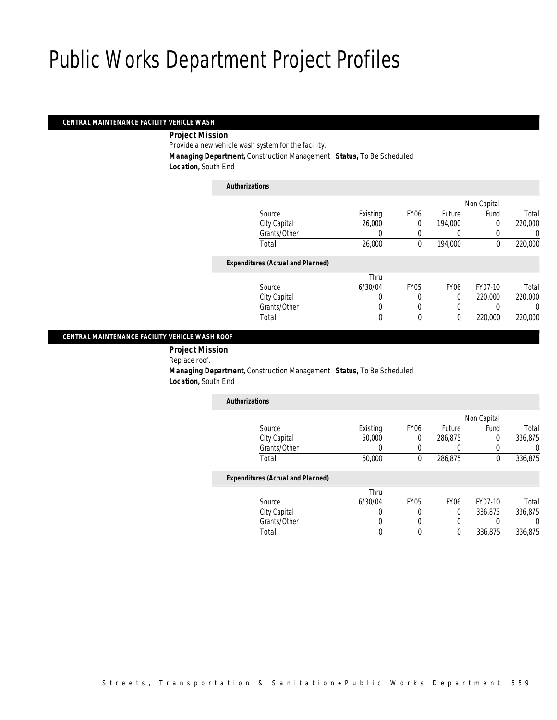#### *CENTRAL MAINTENANCE FACILITY VEHICLE WASH*

*Project Mission* 

Provide a new vehicle wash system for the facility. *Managing Department,* Construction Management *Status,* To Be Scheduled

*Location,* South End

| <b>Authorizations</b>                    |          |             |                  |             |         |
|------------------------------------------|----------|-------------|------------------|-------------|---------|
|                                          |          |             |                  | Non Capital |         |
| Source                                   | Existing | <b>FY06</b> | Future           | Fund        | Total   |
| City Capital                             | 26,000   | 0           | 194,000          | 0           | 220,000 |
| Grants/Other                             | $\left($ | 0           | $\Omega$         |             | 0       |
| Total                                    | 26,000   | 0           | 194,000          | 0           | 220,000 |
| <b>Expenditures (Actual and Planned)</b> |          |             |                  |             |         |
|                                          | Thru     |             |                  |             |         |
| Source                                   | 6/30/04  | <b>FY05</b> | FY <sub>06</sub> | FY07-10     | Total   |
| City Capital                             | 0        | 0           | $\Omega$         | 220,000     | 220,000 |
| Grants/Other                             | 0        | 0           | 0                |             | 0       |
| Total                                    | 0        | 0           | $\mathbf 0$      | 220,000     | 220,000 |
|                                          |          |             |                  |             |         |

#### *CENTRAL MAINTENANCE FACILITY VEHICLE WASH ROOF*

 *Project Mission* Replace roof. *Managing Department,* Construction Management *Status,* To Be Scheduled *Location,* South End

| <b>Authorizations</b>                    |          |                  |                  |             |         |
|------------------------------------------|----------|------------------|------------------|-------------|---------|
|                                          |          |                  |                  | Non Capital |         |
| Source                                   | Existing | FY <sub>06</sub> | Future           | Fund        | Total   |
| City Capital                             | 50,000   | $\Omega$         | 286.875          | 0           | 336,875 |
| Grants/Other                             |          | 0                | $\left( \right)$ |             |         |
| Total                                    | 50,000   | $\theta$         | 286,875          | $\theta$    | 336,875 |
| <b>Expenditures (Actual and Planned)</b> |          |                  |                  |             |         |
|                                          | Thru     |                  |                  |             |         |
| Source                                   | 6/30/04  | <b>FY05</b>      | FY <sub>06</sub> | FY07-10     | Total   |
| City Capital                             | 0        | 0                | 0                | 336,875     | 336,875 |
| Grants/Other                             |          | 0                | 0                |             |         |

Total 0 0 0 336,875 336,875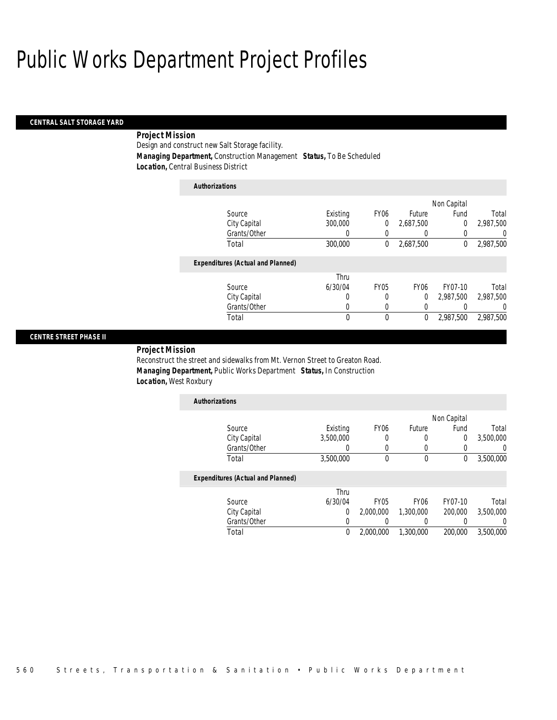#### *CENTRAL SALT STORAGE YARD*

### *Project Mission*

Design and construct new Salt Storage facility.

*Managing Department,* Construction Management *Status,* To Be Scheduled

*Location,* Central Business District

| <b>Authorizations</b>                    |          |                  |                  |             |           |
|------------------------------------------|----------|------------------|------------------|-------------|-----------|
|                                          |          |                  |                  | Non Capital |           |
| Source                                   | Existing | FY <sub>06</sub> | Future           | Fund        | Total     |
| City Capital                             | 300,000  | 0                | 2,687,500        | 0           | 2.987.500 |
| Grants/Other                             | 0        | 0                | 0                | 0           | 0         |
| Total                                    | 300,000  | 0                | 2,687,500        | 0           | 2,987,500 |
| <b>Expenditures (Actual and Planned)</b> |          |                  |                  |             |           |
|                                          | Thru     |                  |                  |             |           |
| Source                                   | 6/30/04  | <b>FY05</b>      | FY <sub>06</sub> | FY07-10     | Total     |
| City Capital                             | 0        | 0                | $\Omega$         | 2.987.500   | 2,987,500 |
| Grants/Other                             | 0        | 0                | 0                |             | 0         |
| Total                                    | 0        | 0                | 0                | 2.987.500   | 2.987.500 |

#### *CENTRE STREET PHASE II*

### *Project Mission*

Reconstruct the street and sidewalks from Mt. Vernon Street to Greaton Road. *Managing Department,* Public Works Department *Status,* In Construction *Location,* West Roxbury

| <b>Authorizations</b> |           |                  |        |             |           |
|-----------------------|-----------|------------------|--------|-------------|-----------|
|                       |           |                  |        | Non Capital |           |
| Source                | Existing  | FY <sub>06</sub> | Future | Fund        | Total     |
| City Capital          | 3,500,000 |                  |        |             | 3,500,000 |
| Grants/Other          |           |                  |        |             |           |
| Total                 | 3,500,000 |                  |        |             | 3,500,000 |

|              | Thru    |             |                  |         |           |
|--------------|---------|-------------|------------------|---------|-----------|
| Source       | 6/30/04 | <b>FY05</b> | FY <sub>06</sub> | FY07-10 | Total     |
| City Capital |         | 2.000.000   | 1,300,000        | 200,000 | 3,500,000 |
| Grants/Other |         |             |                  |         |           |
| Total        |         | 2.000.000   | 1,300,000        | 200,000 | 3,500,000 |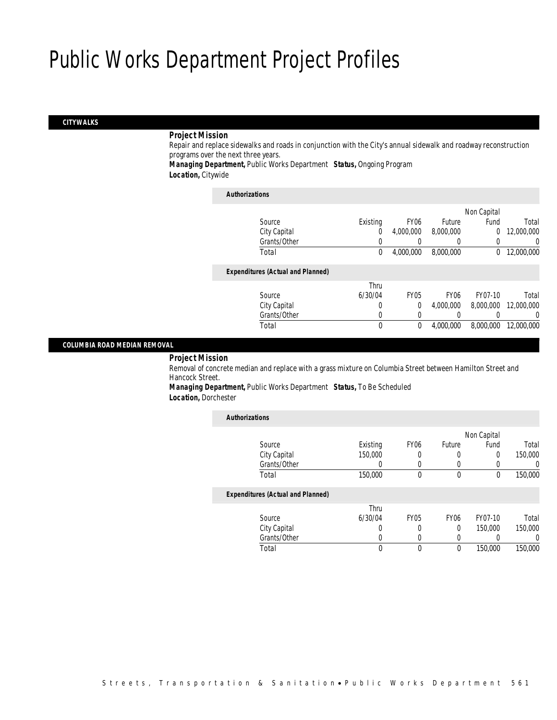### *CITYWALKS*

#### *Project Mission*

Repair and replace sidewalks and roads in conjunction with the City's annual sidewalk and roadway reconstruction programs over the next three years.

*Managing Department,* Public Works Department *Status,* Ongoing Program *Location,* Citywide

#### *Authorizations*

|                                          |          |                  |                  | Non Capital |            |
|------------------------------------------|----------|------------------|------------------|-------------|------------|
| Source                                   | Existing | FY <sub>06</sub> | Future           | Fund        | Total      |
| City Capital                             | 0        | 4,000,000        | 8,000,000        | $\theta$    | 12,000,000 |
| Grants/Other                             |          |                  |                  |             | 0          |
| Total                                    | 0        | 4,000,000        | 8,000,000        | 0           | 12,000,000 |
|                                          |          |                  |                  |             |            |
| <b>Expenditures (Actual and Planned)</b> |          |                  |                  |             |            |
|                                          | Thru     |                  |                  |             |            |
| Source                                   | 6/30/04  | <b>FY05</b>      | FY <sub>06</sub> | FY07-10     | Total      |
| City Capital                             | 0        | 0                | 4.000.000        | 8,000,000   | 12,000,000 |
| Grants/Other                             | 0        |                  |                  |             | 0          |
| Total                                    | 0        | 0                | 4,000,000        | 8,000,000   | 12.000.000 |
|                                          |          |                  |                  |             |            |

#### *COLUMBIA ROAD MEDIAN REMOVAL*

*Project Mission* 

Removal of concrete median and replace with a grass mixture on Columbia Street between Hamilton Street and Hancock Street.

*Managing Department,* Public Works Department *Status,* To Be Scheduled *Location,* Dorchester

| <b>Authorizations</b>                    |          |                  |                  |             |         |
|------------------------------------------|----------|------------------|------------------|-------------|---------|
|                                          |          |                  |                  | Non Capital |         |
| Source                                   | Existing | FY <sub>06</sub> | Future           | Fund        | Total   |
| City Capital                             | 150,000  | $\Omega$         | 0                | 0           | 150,000 |
| Grants/Other                             | 0        | 0                | 0                | 0           | 0       |
| Total                                    | 150,000  | $\theta$         | $\theta$         | $\theta$    | 150,000 |
| <b>Expenditures (Actual and Planned)</b> |          |                  |                  |             |         |
|                                          | Thru     |                  |                  |             |         |
| Source                                   | 6/30/04  | FY <sub>05</sub> | FY <sub>06</sub> | FY07-10     | Total   |
| City Capital                             | 0        | $\Omega$         | $\theta$         | 150,000     | 150,000 |
| Grants/Other                             | U        | 0                | 0                | 0           | 0       |
| Total                                    |          | 0                | 0                | 150,000     | 150,000 |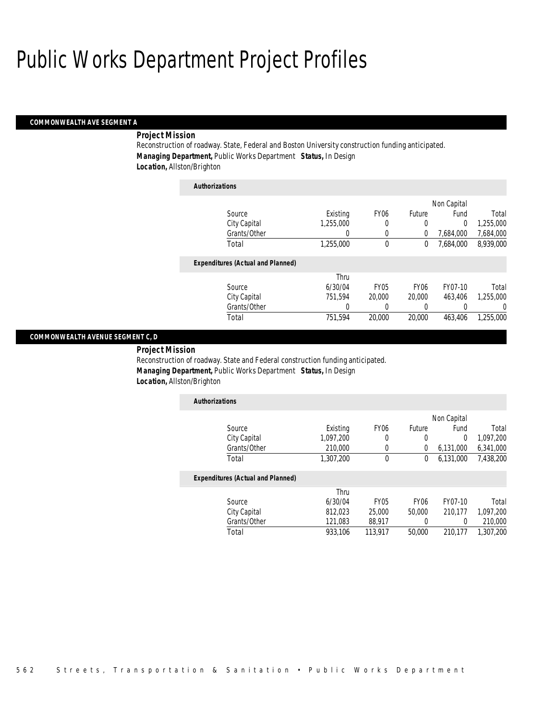#### *COMMONWEALTH AVE SEGMENT A*

#### *Project Mission*

Reconstruction of roadway. State, Federal and Boston University construction funding anticipated. *Managing Department,* Public Works Department *Status,* In Design *Location,* Allston/Brighton

| <b>Authorizations</b>                    |           |             |                  |             |           |
|------------------------------------------|-----------|-------------|------------------|-------------|-----------|
|                                          |           |             |                  | Non Capital |           |
| Source                                   | Existing  | <b>FY06</b> | Future           | Fund        | Total     |
| City Capital                             | 1.255.000 | 0           | 0                | $\Omega$    | 1,255,000 |
| Grants/Other                             | 0         | 0           | 0                | 7.684.000   | 7,684,000 |
| Total                                    | 1,255,000 | 0           | 0                | 7.684.000   | 8.939.000 |
| <b>Expenditures (Actual and Planned)</b> |           |             |                  |             |           |
|                                          | Thru      |             |                  |             |           |
| Source                                   | 6/30/04   | <b>FY05</b> | FY <sub>06</sub> | FY07-10     | Total     |
| City Capital                             | 751.594   | 20,000      | 20,000           | 463.406     | 1.255.000 |
| Grants/Other                             | 0         | 0           | 0                | 0           | 0         |
| Total                                    | 751,594   | 20,000      | 20,000           | 463,406     | 1.255.000 |

#### *COMMONWEALTH AVENUE SEGMENT C, D*

*Project Mission* 

Reconstruction of roadway. State and Federal construction funding anticipated. *Managing Department,* Public Works Department *Status,* In Design *Location,* Allston/Brighton

| <b>Authorizations</b>                                                                                                               |           |                  |         |             |           |
|-------------------------------------------------------------------------------------------------------------------------------------|-----------|------------------|---------|-------------|-----------|
|                                                                                                                                     |           |                  |         | Non Capital |           |
| Source                                                                                                                              | Existing  | FY <sub>06</sub> | Future  | Fund        | Total     |
| City Capital                                                                                                                        | 1,097,200 | 0                |         |             | 1.097.200 |
| Grants/Other                                                                                                                        | 210,000   |                  | $^{()}$ | 6,131,000   | 6,341,000 |
| Total                                                                                                                               | 1,307,200 |                  |         | 6.131.000   | 7.438.200 |
| $\mathbf{F}$ and $\mathbf{F}$ and $\mathbf{F}$ and $\mathbf{F}$ and $\mathbf{F}$ and $\mathbf{F}$ and $\mathbf{F}$ and $\mathbf{F}$ |           |                  |         |             |           |

|              | Thru    |             |                  |         |           |
|--------------|---------|-------------|------------------|---------|-----------|
| Source       | 6/30/04 | <b>FY05</b> | FY <sub>06</sub> | FY07-10 | Total     |
| City Capital | 812.023 | 25,000      | 50,000           | 210.177 | 1.097.200 |
| Grants/Other | 121.083 | 88.917      |                  |         | 210,000   |
| Total        | 933.106 | 113,917     | 50,000           | 210.177 | 1.307.200 |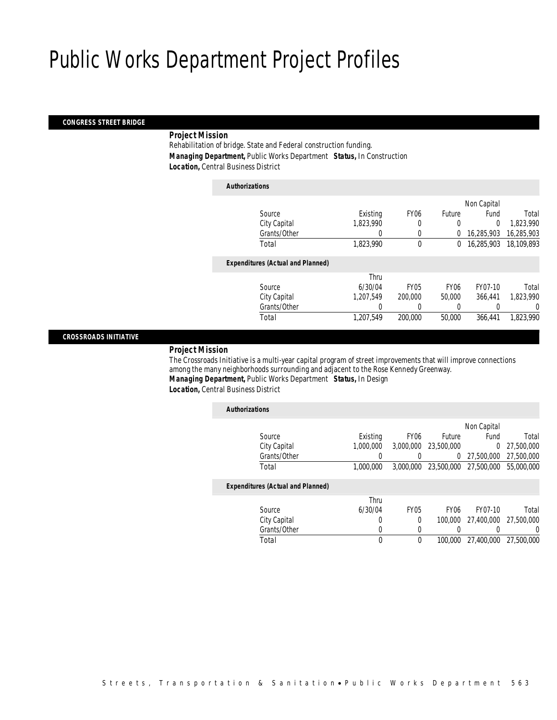#### *CONGRESS STREET BRIDGE*

### *Project Mission*

Rehabilitation of bridge. State and Federal construction funding. *Managing Department,* Public Works Department *Status,* In Construction *Location,* Central Business District

| <b>Authorizations</b> |                                          |           |                  |                  |             |            |
|-----------------------|------------------------------------------|-----------|------------------|------------------|-------------|------------|
|                       |                                          |           |                  |                  | Non Capital |            |
|                       | Source                                   | Existing  | FY <sub>06</sub> | Future           | Fund        | Total      |
|                       | City Capital                             | 1.823.990 | 0                | 0                | $\theta$    | 1,823,990  |
|                       | Grants/Other                             | 0         | 0                | 0                | 16.285.903  | 16,285,903 |
|                       | Total                                    | 1,823,990 | 0                | 0                | 16.285.903  | 18,109,893 |
|                       | <b>Expenditures (Actual and Planned)</b> |           |                  |                  |             |            |
|                       |                                          | Thru      |                  |                  |             |            |
|                       | Source                                   | 6/30/04   | FY <sub>05</sub> | FY <sub>06</sub> | FY07-10     | Total      |
|                       | City Capital                             | 1.207.549 | 200,000          | 50,000           | 366.441     | 1.823.990  |
|                       | Grants/Other                             | 0         | 0                | 0                |             | 0          |
|                       | Total                                    | 1.207.549 | 200,000          | 50,000           | 366.441     | 1,823,990  |

#### *CROSSROADS INITIATIVE*

### *Project Mission*

The Crossroads Initiative is a multi-year capital program of street improvements that will improve connections among the many neighborhoods surrounding and adjacent to the Rose Kennedy Greenway. *Managing Department,* Public Works Department *Status,* In Design *Location,* Central Business District

| <b>Authorizations</b> |                                          |           |                  |             |             |            |
|-----------------------|------------------------------------------|-----------|------------------|-------------|-------------|------------|
|                       |                                          |           |                  |             | Non Capital |            |
|                       | Source                                   | Existing  | FY <sub>06</sub> | Future      | Fund        | Total      |
|                       | City Capital                             | 1.000.000 | 3,000,000        | 23,500,000  | $\mathbf 0$ | 27,500,000 |
|                       | Grants/Other                             |           |                  | 0           | 27,500,000  | 27,500,000 |
|                       | Total                                    | 1.000.000 | 3,000,000        | 23,500,000  | 27,500,000  | 55,000,000 |
|                       | <b>Expenditures (Actual and Planned)</b> |           |                  |             |             |            |
|                       |                                          | Thru      |                  |             |             |            |
|                       | Source                                   | 6/30/04   | <b>FY05</b>      | <b>FY06</b> | FY07-10     | Total      |
|                       | City Capital                             | 0         | 0                | 100,000     | 27,400,000  | 27.500.000 |
|                       | Grants/Other                             | 0         |                  |             |             | 0          |
|                       | Total                                    | 0         | $\Omega$         | 100.000     | 27,400,000  | 27,500,000 |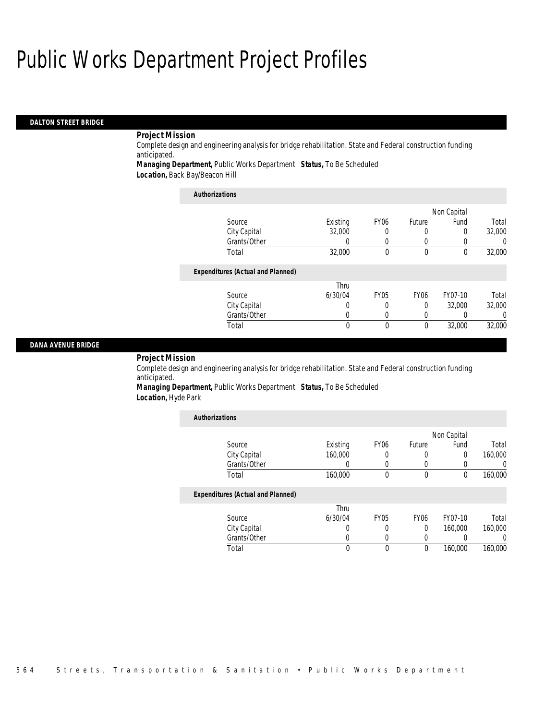#### *DALTON STREET BRIDGE*

### *Project Mission*

Complete design and engineering analysis for bridge rehabilitation. State and Federal construction funding anticipated.

*Managing Department,* Public Works Department *Status,* To Be Scheduled

*Location,* Back Bay/Beacon Hill

| <b>Authorizations</b>                    |          |                  |                  |             |        |
|------------------------------------------|----------|------------------|------------------|-------------|--------|
|                                          |          |                  |                  | Non Capital |        |
| Source                                   | Existing | FY <sub>06</sub> | Future           | Fund        | Total  |
| City Capital                             | 32,000   | 0                | 0                | 0           | 32,000 |
| Grants/Other                             |          | 0                | 0                | 0           |        |
| Total                                    | 32,000   | 0                | $\theta$         | $\theta$    | 32,000 |
| <b>Expenditures (Actual and Planned)</b> |          |                  |                  |             |        |
|                                          | Thru     |                  |                  |             |        |
| Source                                   | 6/30/04  | <b>FY05</b>      | FY <sub>06</sub> | FY07-10     | Total  |
| City Capital                             |          | 0                | 0                | 32,000      | 32,000 |
| Grants/Other                             |          | 0                | 0                |             |        |
| Total                                    | 0        | 0                | $\theta$         | 32,000      | 32,000 |

### *DANA AVENUE BRIDGE*

#### *Project Mission*

Complete design and engineering analysis for bridge rehabilitation. State and Federal construction funding anticipated.

### *Managing Department,* Public Works Department *Status,* To Be Scheduled *Location,* Hyde Park

| <b>Authorizations</b>                    |          |                  |                  |             |                  |
|------------------------------------------|----------|------------------|------------------|-------------|------------------|
|                                          |          |                  |                  | Non Capital |                  |
| Source                                   | Existing | FY <sub>06</sub> | Future           | Fund        | Total            |
| City Capital                             | 160,000  |                  | 0                | 0           | 160,000          |
| Grants/Other                             | 0        | 0                | 0                | 0           | $\left( \right)$ |
| Total                                    | 160,000  | $\theta$         | $\mathbf 0$      | 0           | 160,000          |
| <b>Expenditures (Actual and Planned)</b> |          |                  |                  |             |                  |
|                                          | Thru     |                  |                  |             |                  |
| Source                                   | 6/30/04  | <b>FY05</b>      | FY <sub>06</sub> | FY07-10     | Total            |
| City Capital                             | 0        | 0                | $\theta$         | 160,000     | 160,000          |
| Grants/Other                             | U        | 0                | 0                |             | 0                |
| Total                                    |          | 0                | $\theta$         | 160,000     | 160,000          |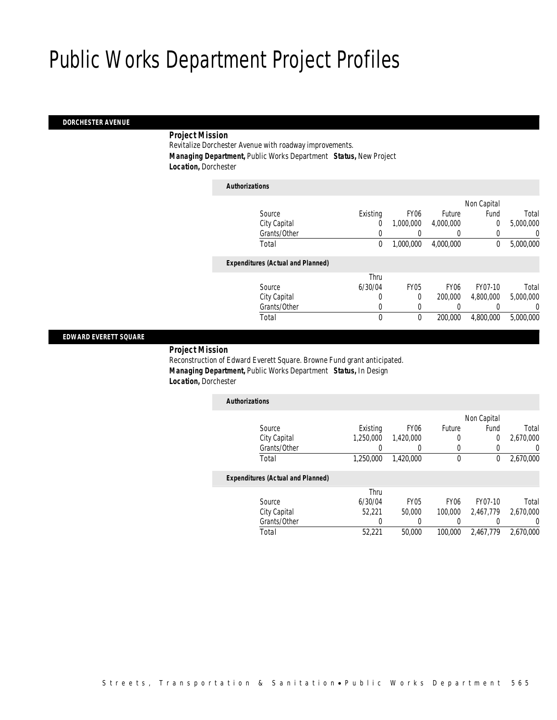#### *DORCHESTER AVENUE*

### *Project Mission*

Revitalize Dorchester Avenue with roadway improvements. *Managing Department,* Public Works Department *Status,* New Project *Location,* Dorchester

| <b>Authorizations</b>                    |              |                  |                  |             |           |
|------------------------------------------|--------------|------------------|------------------|-------------|-----------|
|                                          |              |                  |                  | Non Capital |           |
| Source                                   | Existing     | FY <sub>06</sub> | Future           | Fund        | Total     |
| City Capital                             | 0            | 1,000,000        | 4,000,000        | 0           | 5,000,000 |
| Grants/Other                             | 0            |                  |                  |             | 0         |
| Total                                    | 0            | 1.000.000        | 4,000,000        | 0           | 5,000,000 |
| <b>Expenditures (Actual and Planned)</b> |              |                  |                  |             |           |
|                                          | Thru         |                  |                  |             |           |
| Source                                   | 6/30/04      | <b>FY05</b>      | FY <sub>06</sub> | FY07-10     | Total     |
| City Capital                             | 0            | $\Omega$         | 200,000          | 4,800,000   | 5,000,000 |
| Grants/Other                             | 0            | 0                |                  |             | 0         |
| Total                                    | $\mathbf{0}$ | 0                | 200,000          | 4.800.000   | 5,000,000 |
|                                          |              |                  |                  |             |           |

#### *EDWARD EVERETT SQUARE*

*Project Mission* 

Reconstruction of Edward Everett Square. Browne Fund grant anticipated. *Managing Department,* Public Works Department *Status,* In Design *Location,* Dorchester

| <b>Authorizations</b>                    |           |                  |             |             |           |
|------------------------------------------|-----------|------------------|-------------|-------------|-----------|
|                                          |           |                  |             | Non Capital |           |
| Source                                   | Existing  | FY <sub>06</sub> | Future      | Fund        | Total     |
| City Capital                             | 1,250,000 | 1,420,000        | 0           | 0           | 2,670,000 |
| Grants/Other                             |           |                  | 0           | 0           | 0         |
| Total                                    | 1,250,000 | 1,420,000        | 0           | 0           | 2,670,000 |
| <b>Expenditures (Actual and Planned)</b> |           |                  |             |             |           |
|                                          | Thru      |                  |             |             |           |
| Source                                   | 6/30/04   | FY05             | <b>FY06</b> | FY07-10     | Total     |
| City Capital                             | 52,221    | 50,000           | 100,000     | 2.467.779   | 2,670,000 |

Grants/Other 0 0 0 0 0 0 Total 52,221 50,000 100,000 2,467,779 2,670,000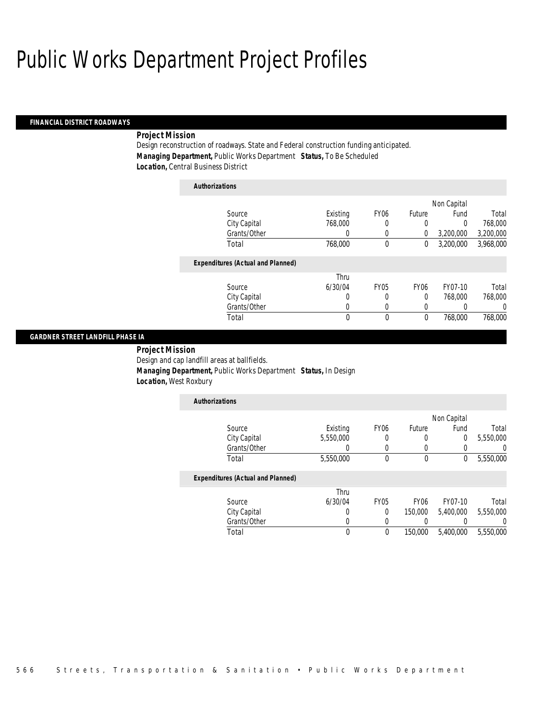#### *FINANCIAL DISTRICT ROADWAYS*

#### *Project Mission*

Design reconstruction of roadways. State and Federal construction funding anticipated. *Managing Department,* Public Works Department *Status,* To Be Scheduled *Location,* Central Business District

| <b>Authorizations</b>                    |          |             |             |             |           |
|------------------------------------------|----------|-------------|-------------|-------------|-----------|
|                                          |          |             |             | Non Capital |           |
| Source                                   | Existing | <b>FY06</b> | Future      | Fund        | Total     |
| City Capital                             | 768,000  | 0           | 0           | 0           | 768,000   |
| Grants/Other                             | 0        | 0           | 0           | 3,200,000   | 3,200,000 |
| Total                                    | 768,000  | 0           | 0           | 3,200,000   | 3.968.000 |
| <b>Expenditures (Actual and Planned)</b> |          |             |             |             |           |
|                                          | Thru     |             |             |             |           |
| Source                                   | 6/30/04  | <b>FY05</b> | <b>FY06</b> | FY07-10     | Total     |
| City Capital                             | 0        | 0           | 0           | 768,000     | 768,000   |
| Grants/Other                             | 0        | $\left($    | 0           | 0           | $\left($  |
| Total                                    | 0        | 0           | 0           | 768,000     | 768,000   |

#### *GARDNER STREET LANDFILL PHASE IA*

 *Project Mission* Design and cap landfill areas at ballfields. *Managing Department,* Public Works Department *Status,* In Design *Location,* West Roxbury

| <b>Authorizations</b> |           |                  |        |             |           |
|-----------------------|-----------|------------------|--------|-------------|-----------|
|                       |           |                  |        | Non Capital |           |
| Source                | Existing  | FY <sub>06</sub> | Future | Fund        | Total     |
| City Capital          | 5,550,000 |                  |        |             | 5,550,000 |
| Grants/Other          |           |                  |        |             |           |
| Total                 | 5,550,000 |                  |        |             | 5,550,000 |

|              | Thru    |             |                  |           |           |
|--------------|---------|-------------|------------------|-----------|-----------|
| Source       | 6/30/04 | <b>FY05</b> | FY <sub>06</sub> | FY07-10   | Total     |
| City Capital |         |             | 150,000          | 5,400,000 | 5,550,000 |
| Grants/Other |         |             |                  |           |           |
| Total        |         |             | 150,000          | 5,400,000 | 5,550,000 |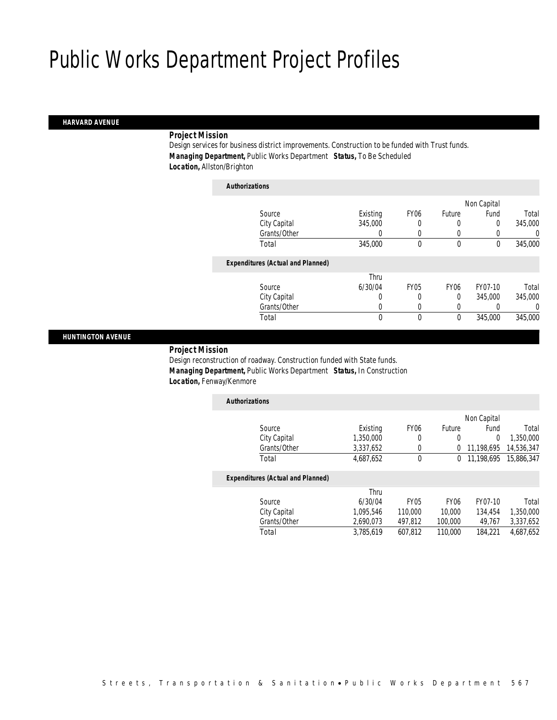#### *HARVARD AVENUE*

### *Project Mission*

Design services for business district improvements. Construction to be funded with Trust funds. *Managing Department,* Public Works Department *Status,* To Be Scheduled *Location,* Allston/Brighton

| <b>Authorizations</b>                    |                  |                  |             |             |         |
|------------------------------------------|------------------|------------------|-------------|-------------|---------|
|                                          |                  |                  |             | Non Capital |         |
| Source                                   | Existing         | FY <sub>06</sub> | Future      | Fund        | Total   |
| City Capital                             | 345,000          | 0                | 0           | 0           | 345,000 |
| Grants/Other                             | $\left( \right)$ | 0                | 0           |             |         |
| Total                                    | 345,000          | $\mathbf 0$      | 0           | 0           | 345,000 |
| <b>Expenditures (Actual and Planned)</b> |                  |                  |             |             |         |
|                                          | Thru             |                  |             |             |         |
| Source                                   | 6/30/04          | <b>FY05</b>      | <b>FY06</b> | FY07-10     | Total   |
| City Capital                             | 0                | 0                | 0           | 345,000     | 345,000 |
| Grants/Other                             |                  | 0                | 0           |             |         |
| Total                                    | 0                | $\theta$         | $\Omega$    | 345,000     | 345,000 |
|                                          |                  |                  |             |             |         |

#### *HUNTINGTON AVENUE*

#### *Project Mission*

Design reconstruction of roadway. Construction funded with State funds. *Managing Department,* Public Works Department *Status,* In Construction *Location,* Fenway/Kenmore

| <b>Authorizations</b>                    |           |                  |               |                       |            |
|------------------------------------------|-----------|------------------|---------------|-----------------------|------------|
|                                          |           |                  |               | Non Capital           |            |
| Source                                   | Existing  | FY <sub>06</sub> | <b>Future</b> | Fund                  | Total      |
| City Capital                             | 1,350,000 | 0                | 0             | $\Omega$              | 1.350.000  |
| Grants/Other                             | 3,337,652 |                  |               | 11,198,695            | 14,536,347 |
| Total                                    | 4,687,652 | 0                | 0             | 11.198.695 15.886.347 |            |
| <b>Expenditures (Actual and Planned)</b> |           |                  |               |                       |            |

|              | Thru      |             |                  |         |           |
|--------------|-----------|-------------|------------------|---------|-----------|
| Source       | 6/30/04   | <b>FY05</b> | FY <sub>06</sub> | FY07-10 | Total     |
| City Capital | 1.095.546 | 110.000     | 10,000           | 134.454 | 1,350,000 |
| Grants/Other | 2.690.073 | 497.812     | 100,000          | 49.767  | 3,337,652 |
| Total        | 3.785.619 | 607.812     | 110.000          | 184.221 | 4,687,652 |
|              |           |             |                  |         |           |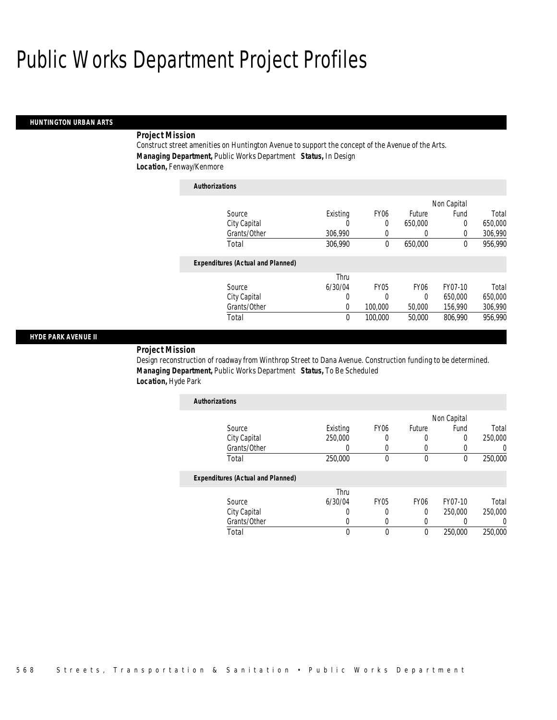#### *HUNTINGTON URBAN ARTS*

#### *Project Mission*

Construct street amenities on Huntington Avenue to support the concept of the Avenue of the Arts. *Managing Department,* Public Works Department *Status,* In Design *Location,* Fenway/Kenmore

| <b>Authorizations</b>                    |          |                  |                  |             |         |
|------------------------------------------|----------|------------------|------------------|-------------|---------|
|                                          |          |                  |                  | Non Capital |         |
| Source                                   | Existing | FY <sub>06</sub> | Future           | Fund        | Total   |
| City Capital                             | 0        | 0                | 650.000          | 0           | 650,000 |
| Grants/Other                             | 306,990  | 0                | 0                | 0           | 306,990 |
| Total                                    | 306.990  | 0                | 650,000          | $\bf{0}$    | 956.990 |
| <b>Expenditures (Actual and Planned)</b> |          |                  |                  |             |         |
|                                          | Thru     |                  |                  |             |         |
| Source                                   | 6/30/04  | <b>FY05</b>      | FY <sub>06</sub> | FY07-10     | Total   |
| City Capital                             | 0        | 0                | $\Omega$         | 650,000     | 650,000 |
| Grants/Other                             | 0        | 100,000          | 50,000           | 156,990     | 306,990 |
| Total                                    | 0        | 100,000          | 50,000           | 806.990     | 956.990 |

#### *HYDE PARK AVENUE II*

### *Project Mission*

Design reconstruction of roadway from Winthrop Street to Dana Avenue. Construction funding to be determined. *Managing Department,* Public Works Department *Status,* To Be Scheduled *Location,* Hyde Park

| <b>Authorizations</b>                    |          |                  |        |             |         |
|------------------------------------------|----------|------------------|--------|-------------|---------|
|                                          |          |                  |        | Non Capital |         |
| Source                                   | Existing | FY <sub>06</sub> | Future | Fund        | Total   |
| City Capital                             | 250,000  |                  |        | 0           | 250,000 |
| Grants/Other                             |          |                  |        |             |         |
| Total                                    | 250,000  |                  |        | 0           | 250,000 |
| <b>Expenditures (Actual and Planned)</b> |          |                  |        |             |         |

|              | Thru    |      |      |         |         |
|--------------|---------|------|------|---------|---------|
| Source       | 6/30/04 | FY05 | FY06 | FY07-10 | Total   |
| City Capital |         |      |      | 250,000 | 250,000 |
| Grants/Other |         |      |      |         |         |
| Total        |         |      |      | 250,000 | 250,000 |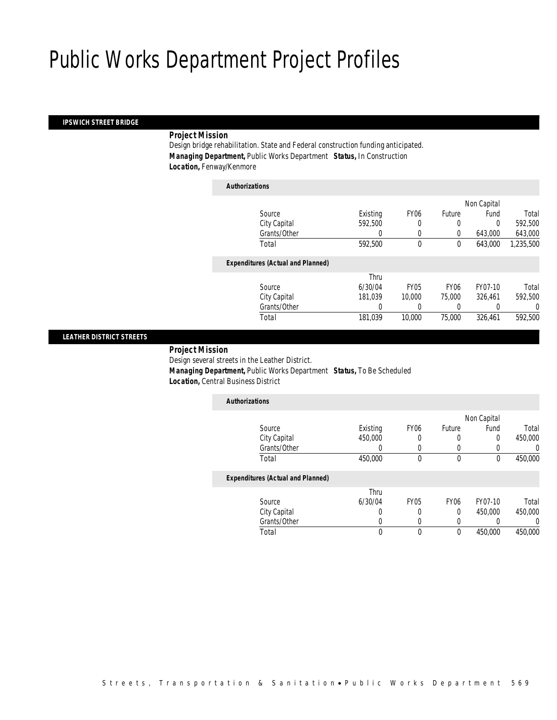#### *IPSWICH STREET BRIDGE*

### *Project Mission*

Design bridge rehabilitation. State and Federal construction funding anticipated. *Managing Department,* Public Works Department *Status,* In Construction *Location,* Fenway/Kenmore

| <b>Authorizations</b>                    |          |                  |             |             |           |
|------------------------------------------|----------|------------------|-------------|-------------|-----------|
|                                          |          |                  |             | Non Capital |           |
| Source                                   | Existing | FY <sub>06</sub> | Future      | Fund        | Total     |
| City Capital                             | 592,500  | $\mathbf 0$      | 0           | 0           | 592,500   |
| Grants/Other                             | 0        | $\mathbf 0$      | $\Omega$    | 643,000     | 643,000   |
| Total                                    | 592,500  | $\mathbf 0$      | 0           | 643,000     | 1,235,500 |
| <b>Expenditures (Actual and Planned)</b> |          |                  |             |             |           |
|                                          | Thru     |                  |             |             |           |
| Source                                   | 6/30/04  | <b>FY05</b>      | <b>FY06</b> | FY07-10     | Total     |
| City Capital                             | 181.039  | 10,000           | 75,000      | 326,461     | 592,500   |
| Grants/Other                             | 0        | 0                | 0           | 0           | $\left($  |
| Total                                    | 181,039  | 10,000           | 75,000      | 326,461     | 592,500   |
|                                          |          |                  |             |             |           |

#### *LEATHER DISTRICT STREETS*

#### *Project Mission*

Design several streets in the Leather District.

*Managing Department,* Public Works Department *Status,* To Be Scheduled

*Location,* Central Business District

| <b>Authorizations</b>                    |          |                  |                  |             |          |
|------------------------------------------|----------|------------------|------------------|-------------|----------|
|                                          |          |                  |                  | Non Capital |          |
| Source                                   | Existing | FY <sub>06</sub> | Future           | Fund        | Total    |
| City Capital                             | 450,000  | 0                | 0                | 0           | 450,000  |
| Grants/Other                             | 0        |                  | 0                |             | $\left($ |
| Total                                    | 450,000  | 0                | $\theta$         | 0           | 450,000  |
| <b>Expenditures (Actual and Planned)</b> |          |                  |                  |             |          |
|                                          | Thru     |                  |                  |             |          |
| Source                                   | 6/30/04  | FY <sub>05</sub> | FY <sub>06</sub> | FY07-10     | Total    |
| City Capital                             | 0        | 0                | 0                | 450,000     | 450,000  |
| Grants/Other                             | 0        |                  | 0                |             | $\left($ |

Total 0 0 0 450,000 450,000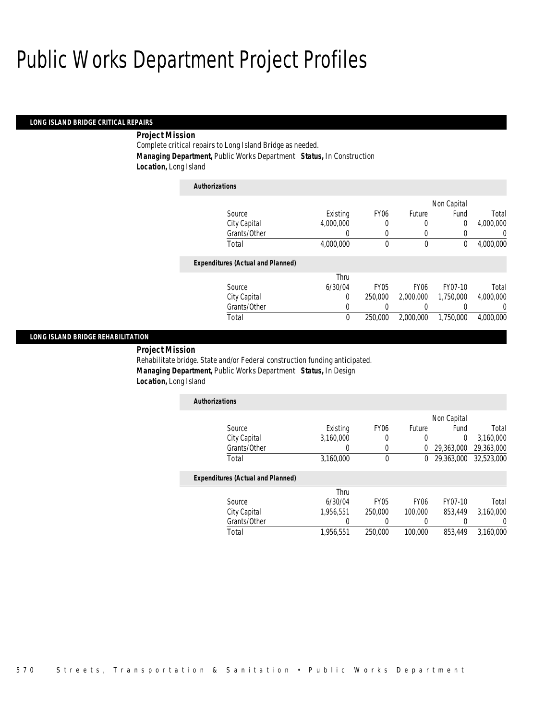#### *LONG ISLAND BRIDGE CRITICAL REPAIRS*

### *Project Mission*

Complete critical repairs to Long Island Bridge as needed. *Managing Department,* Public Works Department *Status,* In Construction *Location,* Long Island

*Authorizations*

| <i><b>AUINOFIZATIONS</b></i>             |           |                  |                  |             |           |
|------------------------------------------|-----------|------------------|------------------|-------------|-----------|
|                                          |           |                  |                  | Non Capital |           |
| Source                                   | Existing  | FY <sub>06</sub> | Future           | Fund        | Total     |
| City Capital                             | 4,000,000 | 0                | 0                | 0           | 4,000,000 |
| Grants/Other                             | 0         | 0                | 0                | 0           | 0         |
| Total                                    | 4,000,000 | 0                | 0                | 0           | 4,000,000 |
| <b>Expenditures (Actual and Planned)</b> |           |                  |                  |             |           |
|                                          | Thru      |                  |                  |             |           |
| Source                                   | 6/30/04   | <b>FY05</b>      | FY <sub>06</sub> | FY07-10     | Total     |
| City Capital                             | 0         | 250,000          | 2,000,000        | 1,750,000   | 4.000.000 |
| Grants/Other                             | 0         | 0                | 0                |             | 0         |
| Total                                    | 0         | 250,000          | 2,000,000        | 1,750,000   | 4.000.000 |
|                                          |           |                  |                  |             |           |

#### *LONG ISLAND BRIDGE REHABILITATION*

*Project Mission* 

Rehabilitate bridge. State and/or Federal construction funding anticipated. *Managing Department,* Public Works Department *Status,* In Design *Location,* Long Island

| <b>Authorizations</b> |           |                  |        |                         |           |
|-----------------------|-----------|------------------|--------|-------------------------|-----------|
|                       |           |                  |        | Non Capital             |           |
| Source                | Existing  | FY <sub>06</sub> | Future | Fund                    | Total     |
| City Capital          | 3,160,000 |                  |        |                         | 3.160.000 |
| Grants/Other          |           |                  |        | 0 29,363,000 29,363,000 |           |
| Total                 | 3,160,000 |                  |        | 0 29,363,000 32,523,000 |           |

|              | Thru      |             |                  |         |           |
|--------------|-----------|-------------|------------------|---------|-----------|
| Source       | 6/30/04   | <b>FY05</b> | FY <sub>06</sub> | FY07-10 | Total     |
| City Capital | 1.956.551 | 250,000     | 100,000          | 853,449 | 3.160.000 |
| Grants/Other |           |             |                  |         |           |
| Total        | 1.956.551 | 250,000     | 100,000          | 853,449 | 3.160.000 |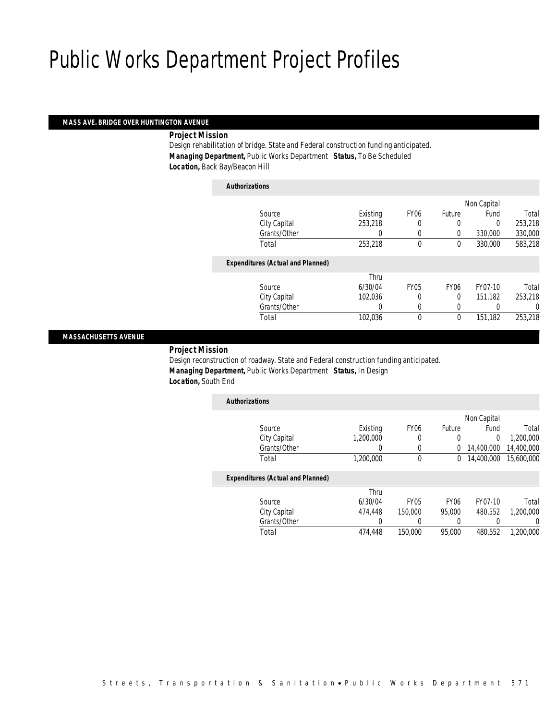#### *MASS AVE. BRIDGE OVER HUNTINGTON AVENUE*

*Project Mission* 

Design rehabilitation of bridge. State and Federal construction funding anticipated. *Managing Department,* Public Works Department *Status,* To Be Scheduled *Location,* Back Bay/Beacon Hill

|  | Authorizations |  |
|--|----------------|--|
|  |                |  |

|                                          |          |             |                  | Non Capital |         |
|------------------------------------------|----------|-------------|------------------|-------------|---------|
| Source                                   | Existing | <b>FY06</b> | Future           | Fund        | Total   |
| City Capital                             | 253,218  | 0           | 0                | 0           | 253,218 |
| Grants/Other                             | 0        | 0           | 0                | 330,000     | 330,000 |
| Total                                    | 253,218  | 0           | $\mathbf 0$      | 330,000     | 583,218 |
| <b>Expenditures (Actual and Planned)</b> |          |             |                  |             |         |
|                                          | Thru     |             |                  |             |         |
| Source                                   | 6/30/04  | <b>FY05</b> | FY <sub>06</sub> | FY07-10     | Total   |
| City Capital                             | 102,036  | 0           | 0                | 151,182     | 253,218 |
| Grants/Other                             | 0        |             | 0                |             | 0       |
| Total                                    | 102,036  | 0           | $\mathbf 0$      | 151,182     | 253,218 |
|                                          |          |             |                  |             |         |

#### *MASSACHUSETTS AVENUE*

#### *Project Mission*

Design reconstruction of roadway. State and Federal construction funding anticipated. *Managing Department,* Public Works Department *Status,* In Design *Location,* South End

| <b>Authorizations</b>                    |                |                   |                   |                                                 |            |
|------------------------------------------|----------------|-------------------|-------------------|-------------------------------------------------|------------|
|                                          |                |                   |                   | Non Capital                                     |            |
| Source                                   | Existing       | FY <sub>06</sub>  | <b>Future</b>     | Fund                                            | Total      |
| City Capital                             | 1,200,000      |                   |                   | 0                                               | 1,200,000  |
| Grants/Other                             | 0              |                   | $\Omega$          | 14,400,000                                      | 14,400,000 |
| Total                                    | 1,200,000      | 0                 | $\Omega$          | 14,400,000                                      | 15,600,000 |
| <b>Expenditures (Actual and Planned)</b> |                |                   |                   |                                                 |            |
| $\sim$                                   | Thru<br>100101 | $\Gamma$ $\Omega$ | $\Gamma$ $\Omega$ | $\Gamma$ $\Lambda$ $\Gamma$ $\Lambda$ $\Lambda$ | -          |

| Source       | 6/30/04 | <b>FY05</b> | FY <sub>06</sub> | FY07-10 | Total     |
|--------------|---------|-------------|------------------|---------|-----------|
| City Capital | 474.448 | 150,000     | 95,000           | 480.552 | 1,200,000 |
| Grants/Other |         |             |                  |         |           |
| Total        | 474.448 | 150.000     | 95,000           | 480,552 | 1,200,000 |
|              |         |             |                  |         |           |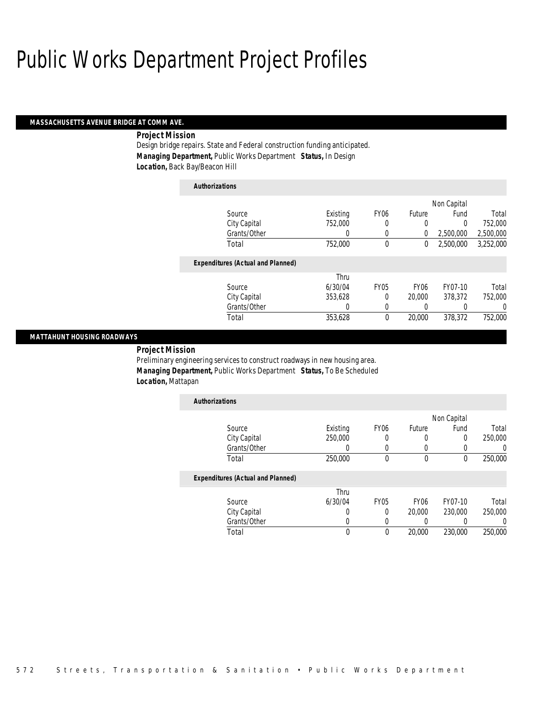#### *MASSACHUSETTS AVENUE BRIDGE AT COMM AVE.*

### *Project Mission*

Design bridge repairs. State and Federal construction funding anticipated. *Managing Department,* Public Works Department *Status,* In Design *Location,* Back Bay/Beacon Hill

| <b>Authorizations</b>                    |          |                  |                  |             |           |
|------------------------------------------|----------|------------------|------------------|-------------|-----------|
|                                          |          |                  |                  | Non Capital |           |
| Source                                   | Existing | FY <sub>06</sub> | Future           | Fund        | Total     |
| City Capital                             | 752,000  | 0                | 0                | 0           | 752,000   |
| Grants/Other                             | 0        | 0                | $\overline{0}$   | 2,500,000   | 2,500,000 |
| Total                                    | 752,000  | 0                | 0                | 2,500,000   | 3,252,000 |
| <b>Expenditures (Actual and Planned)</b> |          |                  |                  |             |           |
|                                          | Thru     |                  |                  |             |           |
| Source                                   | 6/30/04  | <b>FY05</b>      | FY <sub>06</sub> | FY07-10     | Total     |
| City Capital                             | 353.628  | 0                | 20,000           | 378,372     | 752,000   |
| Grants/Other                             | 0        | 0                | 0                | 0           | $\Omega$  |
| Total                                    | 353,628  | 0                | 20,000           | 378,372     | 752,000   |
|                                          |          |                  |                  |             |           |

#### *MATTAHUNT HOUSING ROADWAYS*

*Project Mission* 

Preliminary engineering services to construct roadways in new housing area. *Managing Department,* Public Works Department *Status,* To Be Scheduled *Location,* Mattapan

| <b>Authorizations</b>                    |          |                  |                  |             |         |
|------------------------------------------|----------|------------------|------------------|-------------|---------|
|                                          |          |                  |                  | Non Capital |         |
| Source                                   | Existing | FY <sub>06</sub> | Future           | Fund        | Total   |
| City Capital                             | 250,000  | 0                | 0                | 0           | 250,000 |
| Grants/Other                             |          | 0                | 0                | 0           |         |
| Total                                    | 250,000  | 0                | 0                | 0           | 250,000 |
| <b>Expenditures (Actual and Planned)</b> |          |                  |                  |             |         |
|                                          | Thru     |                  |                  |             |         |
| Source                                   | 6/30/04  | FY05             | FY <sub>06</sub> | FY07-10     | Total   |
| City Capital                             |          | 0                | 20,000           | 230,000     | 250,000 |

Total 0 0 20,000 230,000 250,000

Grants/Other 0 0 0 0 0 0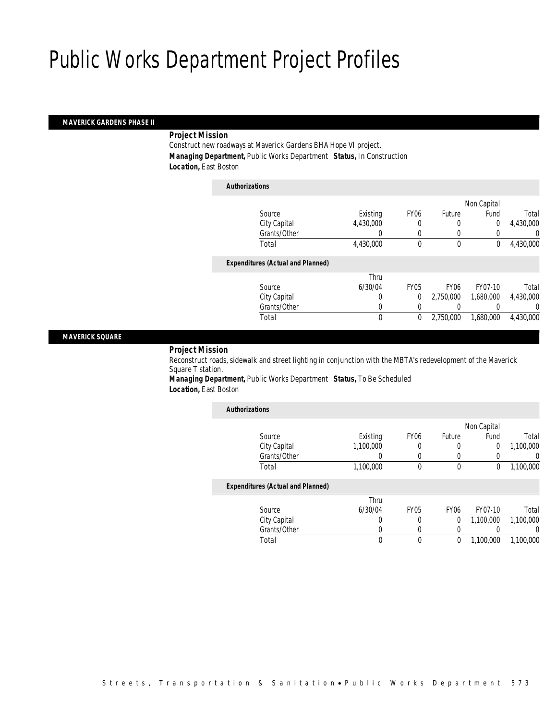#### *MAVERICK GARDENS PHASE II*

#### *Project Mission*

Construct new roadways at Maverick Gardens BHA Hope VI project. *Managing Department,* Public Works Department *Status,* In Construction *Location,* East Boston

|                                          |             |                  |             | Non Capital |           |
|------------------------------------------|-------------|------------------|-------------|-------------|-----------|
| Source                                   | Existing    | FY <sub>06</sub> | Future      | Fund        | Total     |
| City Capital                             | 4,430,000   | 0                | 0           | 0           | 4,430,000 |
| Grants/Other                             | 0           | 0                | 0           | 0           | $\cup$    |
| Total                                    | 4,430,000   | 0                | 0           | 0           | 4,430,000 |
| <b>Expenditures (Actual and Planned)</b> |             |                  |             |             |           |
|                                          | Thru        |                  |             |             |           |
| Source                                   | 6/30/04     | <b>FY05</b>      | <b>FY06</b> | FY07-10     | Total     |
| City Capital                             | 0           | 0                | 2,750,000   | 1,680,000   | 4,430,000 |
| Grants/Other                             | 0           | 0                |             |             |           |
| Total                                    | $\mathbf 0$ | 0                | 2,750,000   | 1,680,000   | 4,430,000 |

#### *MAVERICK SQUARE*

#### *Project Mission*

Reconstruct roads, sidewalk and street lighting in conjunction with the MBTA's redevelopment of the Maverick Square T station.

*Managing Department,* Public Works Department *Status,* To Be Scheduled *Location,* East Boston

| <b>Authorizations</b>                    |           |             |                  |             |           |
|------------------------------------------|-----------|-------------|------------------|-------------|-----------|
|                                          |           |             |                  | Non Capital |           |
| Source                                   | Existing  | <b>FY06</b> | Future           | Fund        | Total     |
| City Capital                             | 1,100,000 | 0           | 0                | 0           | 1,100,000 |
| Grants/Other                             |           |             |                  |             | 0         |
| Total                                    | 1,100,000 | 0           | $\mathbf 0$      | 0           | 1,100,000 |
| <b>Expenditures (Actual and Planned)</b> |           |             |                  |             |           |
|                                          | Thru      |             |                  |             |           |
| Source                                   | 6/30/04   | <b>FY05</b> | FY <sub>06</sub> | FY07-10     | Total     |
| City Capital                             | $\Omega$  | 0           | $\Omega$         | 1,100,000   | 1,100,000 |
| Grants/Other                             | 0         | 0           | 0                |             | 0         |
| Total                                    | 0         | 0           | 0                | 1.100.000   | 1.100.000 |
|                                          |           |             |                  |             |           |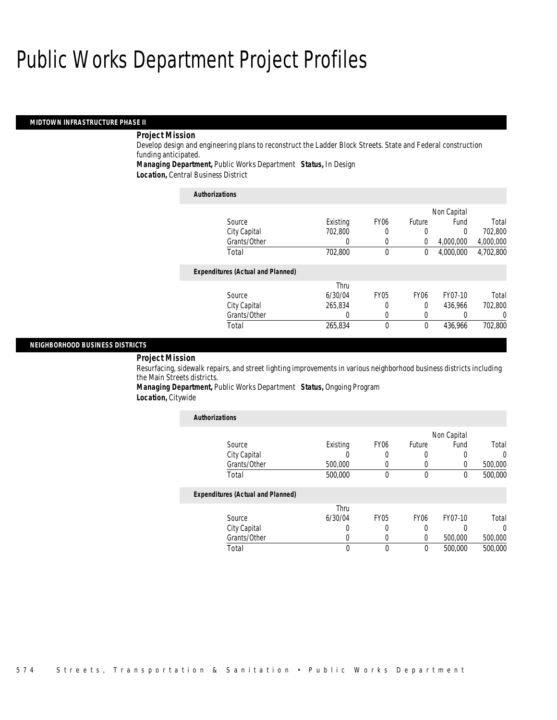#### *MIDTOWN INFRASTRUCTURE PHASE II*

### *Project Mission*

Develop design and engineering plans to reconstruct the Ladder Block Streets. State and Federal construction funding anticipated.

*Managing Department,* Public Works Department *Status,* In Design

*Location,* Central Business District

| <b>Authorizations</b>                    |          |                  |                  |             |           |
|------------------------------------------|----------|------------------|------------------|-------------|-----------|
|                                          |          |                  |                  | Non Capital |           |
| Source                                   | Existing | FY <sub>06</sub> | Future           | Fund        | Total     |
| City Capital                             | 702.800  | 0                | 0                | 0           | 702.800   |
| Grants/Other                             | 0        | $\left($         | $\Omega$         | 4,000,000   | 4,000,000 |
| Total                                    | 702.800  | $\theta$         | $\mathbf{0}$     | 4.000.000   | 4.702.800 |
| <b>Expenditures (Actual and Planned)</b> |          |                  |                  |             |           |
|                                          | Thru     |                  |                  |             |           |
| Source                                   | 6/30/04  | <b>FY05</b>      | FY <sub>06</sub> | FY07-10     | Total     |
| City Capital                             | 265.834  | 0                | $\theta$         | 436.966     | 702.800   |
| Grants/Other                             | 0        | $\left($         | $\left($         |             | $\Omega$  |
| Total                                    | 265,834  | 0                | 0                | 436.966     | 702.800   |

#### *NEIGHBORHOOD BUSINESS DISTRICTS*

*Project Mission* 

Resurfacing, sidewalk repairs, and street lighting improvements in various neighborhood business districts including the Main Streets districts.

#### *Managing Department,* Public Works Department *Status,* Ongoing Program *Location,* Citywide

| <b>Authorizations</b>                    |          |                  |             |             |          |
|------------------------------------------|----------|------------------|-------------|-------------|----------|
|                                          |          |                  |             | Non Capital |          |
| Source                                   | Existing | FY <sub>06</sub> | Future      | Fund        | Total    |
| City Capital                             |          | 0                | 0           | 0           | $\Omega$ |
| Grants/Other                             | 500,000  | 0                | 0           | $\left($    | 500,000  |
| Total                                    | 500,000  | 0                | 0           | 0           | 500,000  |
| <b>Expenditures (Actual and Planned)</b> |          |                  |             |             |          |
|                                          | Thru     |                  |             |             |          |
| Source                                   | 6/30/04  | <b>FY05</b>      | <b>FY06</b> | FY07-10     | Total    |
| City Capital                             | 0        | 0                | 0           | 0           | $\Omega$ |
| Grants/Other                             |          |                  | 0           | 500,000     | 500,000  |
| Total                                    | $\theta$ | 0                | 0           | 500,000     | 500,000  |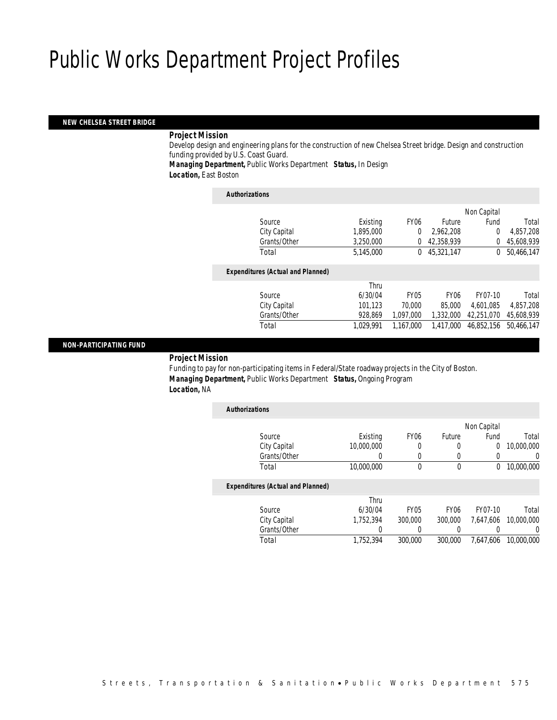#### *NEW CHELSEA STREET BRIDGE*

#### *Project Mission*

Develop design and engineering plans for the construction of new Chelsea Street bridge. Design and construction funding provided by U.S. Coast Guard. *Managing Department,* Public Works Department *Status,* In Design

*Location,* East Boston

| <b>Authorizations</b>                    |           |                  |                  |             |            |
|------------------------------------------|-----------|------------------|------------------|-------------|------------|
|                                          |           |                  |                  | Non Capital |            |
| Source                                   | Existing  | FY <sub>06</sub> | Future           | Fund        | Total      |
| City Capital                             | 1,895,000 | $\Omega$         | 2.962.208        | 0           | 4.857.208  |
| Grants/Other                             | 3.250.000 | 0                | 42.358.939       | 0           | 45,608,939 |
| Total                                    | 5.145.000 | 0                | 45.321.147       | 0           | 50.466.147 |
| <b>Expenditures (Actual and Planned)</b> |           |                  |                  |             |            |
|                                          | Thru      |                  |                  |             |            |
| Source                                   | 6/30/04   | <b>FY05</b>      | FY <sub>06</sub> | FY07-10     | Total      |
| City Capital                             | 101,123   | 70,000           | 85,000           | 4.601.085   | 4,857,208  |
| Grants/Other                             | 928.869   | 1.097.000        | 1,332,000        | 42.251.070  | 45,608,939 |
| Total                                    | 1.029.991 | 1.167.000        | 1.417.000        | 46.852.156  | 50.466.147 |
|                                          |           |                  |                  |             |            |

#### *NON-PARTICIPATING FUND*

*Project Mission* 

Funding to pay for non-participating items in Federal/State roadway projects in the City of Boston. *Managing Department,* Public Works Department *Status,* Ongoing Program *Location,* NA

| <b>Authorizations</b> |                                          |            |             |             |             |                  |
|-----------------------|------------------------------------------|------------|-------------|-------------|-------------|------------------|
|                       |                                          |            |             |             | Non Capital |                  |
|                       | Source                                   | Existing   | <b>FY06</b> | Future      | Fund        | Total            |
|                       | City Capital                             | 10,000,000 | 0           | 0           | 0           | 10,000,000       |
|                       | Grants/Other                             |            | 0           | 0           |             | 0                |
|                       | Total                                    | 10,000,000 | 0           | 0           | 0           | 10.000.000       |
|                       | <b>Expenditures (Actual and Planned)</b> |            |             |             |             |                  |
|                       |                                          | Thru       |             |             |             |                  |
|                       | Source                                   | 6/30/04    | <b>FY05</b> | <b>FY06</b> | FY07-10     | Total            |
|                       | City Capital                             | 1.752.394  | 300,000     | 300,000     | 7.647.606   | 10,000,000       |
|                       | Grants/Other                             | 0          | 0           | 0           |             | $\left( \right)$ |
|                       | Total                                    | 1.752.394  | 300,000     | 300,000     | 7.647.606   | 10,000,000       |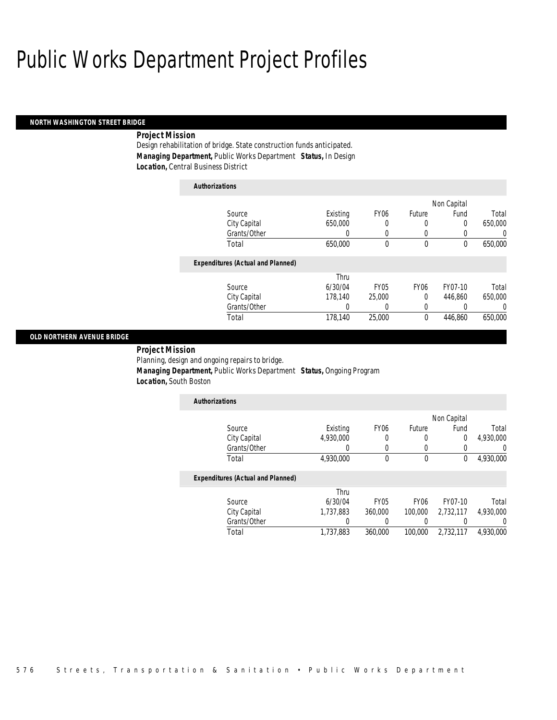#### *NORTH WASHINGTON STREET BRIDGE*

### *Project Mission*

Design rehabilitation of bridge. State construction funds anticipated. *Managing Department,* Public Works Department *Status,* In Design *Location,* Central Business District

### *Authorizations* Source **Existing** FY06 Future Non Capital Fund Total City Capital 650,000 0 0 0 650,000 Grants/Other 0 0 0 0 0 0 Total 650,000 0 0 0 650,000*Expenditures (Actual and Planned)* Source Thru 6/30/04 FY05 FY06 FY07-10 Total City Capital 178,140 25,000 0 446,860 650,000 Grants/Other 0 0 0 0 0 0 Total 178,140 25,000 0 446,860 650,000

#### *OLD NORTHERN AVENUE BRIDGE*

*Project Mission* 

Planning, design and ongoing repairs to bridge.

*Managing Department,* Public Works Department *Status,* Ongoing Program

*Location,* South Boston

| <b>Authorizations</b> |           |                  |        |             |           |
|-----------------------|-----------|------------------|--------|-------------|-----------|
|                       |           |                  |        | Non Capital |           |
| Source                | Existing  | FY <sub>06</sub> | Future | Fund        | Total     |
| City Capital          | 4,930,000 |                  |        |             | 4,930,000 |
| Grants/Other          |           |                  |        |             |           |
| Total                 | 4,930,000 |                  |        |             | 4,930,000 |

|              | Thru      |             |                  |           |           |
|--------------|-----------|-------------|------------------|-----------|-----------|
| Source       | 6/30/04   | <b>FY05</b> | FY <sub>06</sub> | FY07-10   | Total     |
| City Capital | 1.737.883 | 360,000     | 100,000          | 2.732.117 | 4,930,000 |
| Grants/Other |           |             |                  |           |           |
| Total        | 1.737.883 | 360,000     | 100,000          | 2.732.117 | 4.930.000 |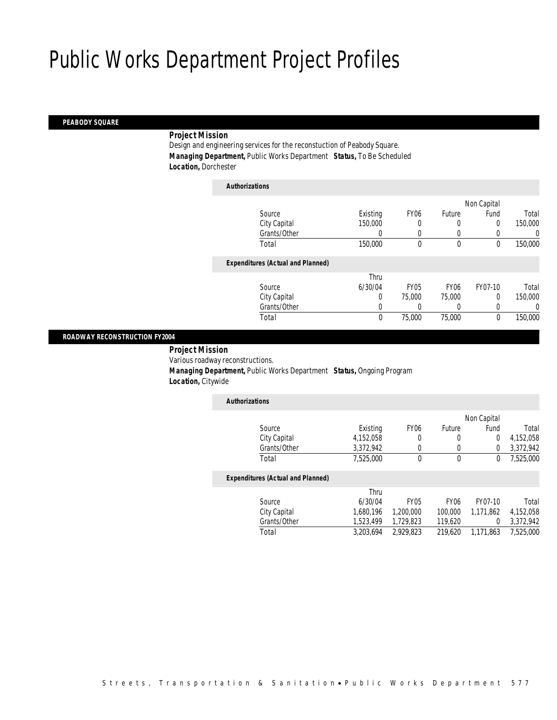#### *PEABODY SQUARE*

### *Project Mission*

Design and engineering services for the reconstuction of Peabody Square. *Managing Department,* Public Works Department *Status,* To Be Scheduled *Location,* Dorchester

| <b>Authorizations</b> |                                          |          |             |                  |             |         |
|-----------------------|------------------------------------------|----------|-------------|------------------|-------------|---------|
|                       |                                          |          |             |                  | Non Capital |         |
|                       | Source                                   | Existing | <b>FY06</b> | Future           | Fund        | Total   |
|                       | City Capital                             | 150,000  | 0           | 0                | 0           | 150,000 |
|                       | Grants/Other                             | 0        |             | 0                |             | 0       |
|                       | Total                                    | 150,000  | 0           | $\mathbf 0$      | $\mathbf 0$ | 150,000 |
|                       | <b>Expenditures (Actual and Planned)</b> |          |             |                  |             |         |
|                       |                                          | Thru     |             |                  |             |         |
|                       | Source                                   | 6/30/04  | <b>FY05</b> | FY <sub>06</sub> | FY07-10     | Total   |
|                       | City Capital                             | 0        | 75,000      | 75,000           | $\Omega$    | 150,000 |
|                       | Grants/Other                             | 0        |             | 0                |             | 0       |
|                       | Total                                    | 0        | 75,000      | 75,000           | 0           | 150,000 |

#### *ROADWAY RECONSTRUCTION FY2004*

*Project Mission* 

Various roadway reconstructions.

 *Managing Department,* Public Works Department *Status,* Ongoing Program *Location,* Citywide

| <b>Authorizations</b> |           |                  |        |             |           |
|-----------------------|-----------|------------------|--------|-------------|-----------|
|                       |           |                  |        | Non Capital |           |
| Source                | Existing  | FY <sub>06</sub> | Future | Fund        | Total     |
| City Capital          | 4,152,058 |                  |        |             | 4,152,058 |
| Grants/Other          | 3,372,942 |                  |        |             | 3,372,942 |
| Total                 | 7,525,000 |                  | 0      |             | 7,525,000 |

|              | Thru      |                  |                  |                     |           |
|--------------|-----------|------------------|------------------|---------------------|-----------|
| Source       | 6/30/04   | FY <sub>05</sub> | FY <sub>06</sub> | FY07-10             | Total     |
| City Capital | 1.680.196 | 1.200.000        | 100.000          | 1,171,862 4,152,058 |           |
| Grants/Other | 1.523.499 | 1.729.823        | 119,620          |                     | 3,372,942 |
| Total        | 3.203.694 | 2,929,823        | 219,620          | 1,171,863 7,525,000 |           |
|              |           |                  |                  |                     |           |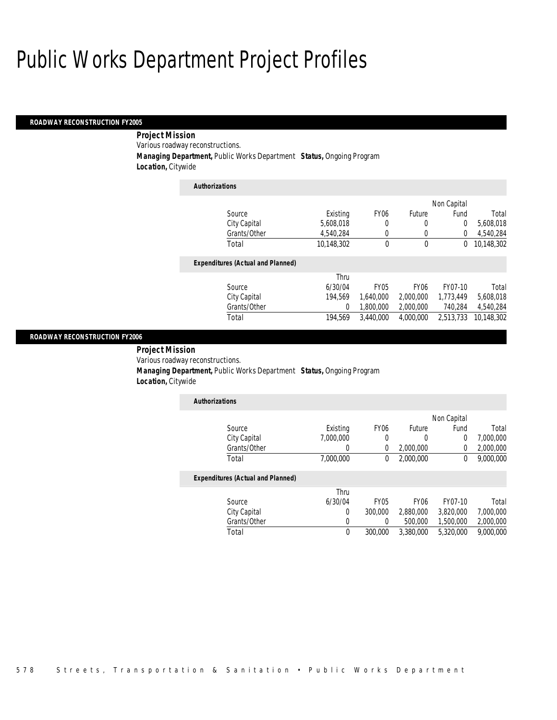#### *ROADWAY RECONSTRUCTION FY2005*

 *Project Mission* Various roadway reconstructions. *Managing Department,* Public Works Department *Status,* Ongoing Program *Location,* Citywide

| <b>Authorizations</b>                    |            |                  |                  |             |            |
|------------------------------------------|------------|------------------|------------------|-------------|------------|
|                                          |            |                  |                  | Non Capital |            |
| Source                                   | Existing   | FY <sub>06</sub> | Future           | Fund        | Total      |
| City Capital                             | 5,608,018  | 0                | 0                | 0           | 5,608,018  |
| Grants/Other                             | 4.540.284  | 0                | 0                | $\sigma$    | 4,540,284  |
| Total                                    | 10.148.302 | 0                | $\mathbf 0$      | 0           | 10.148.302 |
| <b>Expenditures (Actual and Planned)</b> |            |                  |                  |             |            |
|                                          | Thru       |                  |                  |             |            |
| Source                                   | 6/30/04    | <b>FY05</b>      | FY <sub>06</sub> | FY07-10     | Total      |
| City Capital                             | 194.569    | 1.640.000        | 2,000,000        | 1.773.449   | 5,608,018  |
| Grants/Other                             | 0          | 1,800,000        | 2.000.000        | 740.284     | 4,540,284  |
| Total                                    | 194.569    | 3,440,000        | 4.000.000        | 2,513,733   | 10.148.302 |

#### *ROADWAY RECONSTRUCTION FY2006*

 *Project Mission* Various roadway reconstructions. *Managing Department,* Public Works Department *Status,* Ongoing Program *Location,* Citywide

| <b>Authorizations</b> |           |                  |               |             |           |
|-----------------------|-----------|------------------|---------------|-------------|-----------|
|                       |           |                  |               | Non Capital |           |
| Source                | Existing  | FY <sub>06</sub> | <b>Future</b> | Fund        | Total     |
| City Capital          | 7,000,000 |                  |               |             | 7,000,000 |
| Grants/Other          |           |                  | 2,000,000     |             | 2,000,000 |
| Total                 | 7,000,000 |                  | 2,000,000     |             | 9,000,000 |

|              | Thru    |         |           |           |           |
|--------------|---------|---------|-----------|-----------|-----------|
| Source       | 6/30/04 | FY05    | FY06      | FY07-10   | Total     |
| City Capital |         | 300.000 | 2.880,000 | 3.820.000 | 7.000.000 |
| Grants/Other |         |         | 500.000   | 1,500,000 | 2,000,000 |
| Total        | 0       | 300.000 | 3,380,000 | 5.320.000 | 9,000,000 |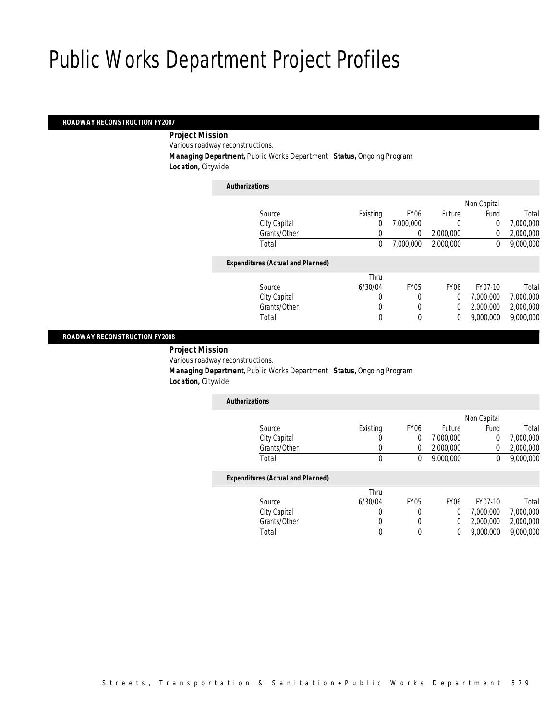#### *ROADWAY RECONSTRUCTION FY2007*

*Project Mission* 

Various roadway reconstructions.

*Managing Department,* Public Works Department *Status,* Ongoing Program

*Location,* Citywide

| <b>Authorizations</b>                    |          |                  |                  |             |           |
|------------------------------------------|----------|------------------|------------------|-------------|-----------|
|                                          |          |                  |                  | Non Capital |           |
| Source                                   | Existing | FY <sub>06</sub> | Future           | Fund        | Total     |
| City Capital                             | 0        | 7.000.000        | $\Omega$         | 0           | 7,000,000 |
| Grants/Other                             | 0        | $\Omega$         | 2.000.000        | $\Omega$    | 2,000,000 |
| Total                                    | 0        | 7,000,000        | 2.000.000        | 0           | 9,000,000 |
|                                          |          |                  |                  |             |           |
| <b>Expenditures (Actual and Planned)</b> |          |                  |                  |             |           |
|                                          | Thru     |                  |                  |             |           |
| Source                                   | 6/30/04  | <b>FY05</b>      | FY <sub>06</sub> | FY07-10     | Total     |
| City Capital                             | 0        | 0                | $\overline{0}$   | 7.000.000   | 7,000,000 |
| Grants/Other                             | 0        | 0                | $\Omega$         | 2,000,000   | 2,000,000 |
| Total                                    | 0        | $\theta$         | $\mathbf 0$      | 9,000,000   | 9,000,000 |
|                                          |          |                  |                  |             |           |

#### *ROADWAY RECONSTRUCTION FY2008*

*Project Mission* 

Various roadway reconstructions. *Managing Department,* Public Works Department *Status,* Ongoing Program *Location,* Citywide

| <b>Authorizations</b> |          |                  |           |             |           |
|-----------------------|----------|------------------|-----------|-------------|-----------|
|                       |          |                  |           | Non Capital |           |
| Source                | Existing | FY <sub>06</sub> | Future    | Fund        | Total     |
| City Capital          | 0        |                  | 7,000,000 |             | 7,000,000 |
| Grants/Other          | 0        |                  | 2,000,000 |             | 2,000,000 |
| Total                 | 0        |                  | 9,000,000 |             | 9,000,000 |

| Total<br>FY07-10       |
|------------------------|
| 7,000,000<br>7.000.000 |
| 2,000,000<br>2,000,000 |
| 9,000,000<br>9,000,000 |
|                        |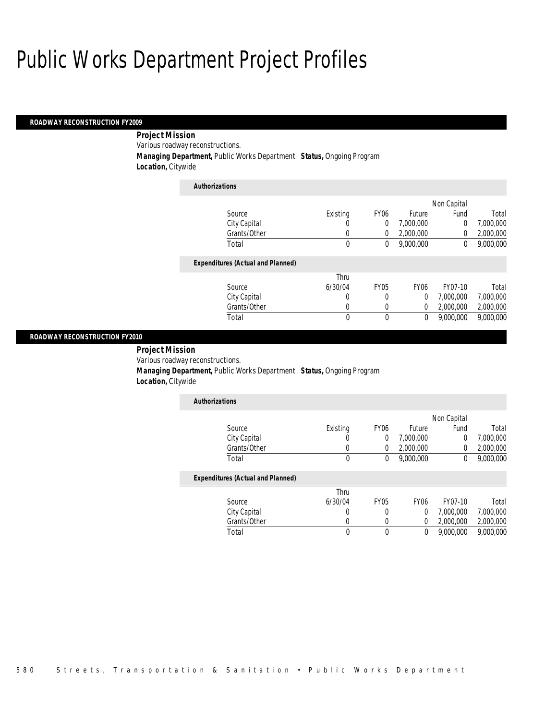#### *ROADWAY RECONSTRUCTION FY2009*

 *Project Mission* Various roadway reconstructions. *Managing Department,* Public Works Department *Status,* Ongoing Program *Location,* Citywide

| <b>Authorizations</b>                    |             |                  |                  |             |           |
|------------------------------------------|-------------|------------------|------------------|-------------|-----------|
|                                          |             |                  |                  | Non Capital |           |
| Source                                   | Existing    | FY <sub>06</sub> | Future           | Fund        | Total     |
| City Capital                             | 0           | 0                | 7,000,000        | 0           | 7,000,000 |
| Grants/Other                             | 0           | 0                | 2,000,000        | 0           | 2,000,000 |
| Total                                    | $\mathbf 0$ | 0                | 9.000.000        | 0           | 9.000.000 |
| <b>Expenditures (Actual and Planned)</b> |             |                  |                  |             |           |
|                                          | Thru        |                  |                  |             |           |
| Source                                   | 6/30/04     | <b>FY05</b>      | FY <sub>06</sub> | FY07-10     | Total     |
| City Capital                             | 0           | 0                | 0                | 7.000.000   | 7,000,000 |
| Grants/Other                             | 0           | 0                | 0                | 2,000,000   | 2,000,000 |
| Total                                    | 0           | 0                | 0                | 9.000.000   | 9.000.000 |

#### *ROADWAY RECONSTRUCTION FY2010*

 *Project Mission* Various roadway reconstructions. *Managing Department,* Public Works Department *Status,* Ongoing Program *Location,* Citywide

| <b>Authorizations</b> |          |                  |           |             |           |
|-----------------------|----------|------------------|-----------|-------------|-----------|
|                       |          |                  |           | Non Capital |           |
| Source                | Existing | FY <sub>06</sub> | Future    | Fund        | Total     |
| City Capital          |          |                  | 7,000,000 |             | 7,000,000 |
| Grants/Other          |          |                  | 2,000,000 |             | 2,000,000 |
| Total                 |          |                  | 9,000,000 |             | 9,000,000 |

|              | Thru    |      |      |           |           |
|--------------|---------|------|------|-----------|-----------|
| Source       | 6/30/04 | FY05 | FY06 | FY07-10   | Total     |
| City Capital |         |      |      | 7.000.000 | 7.000.000 |
| Grants/Other |         |      |      | 2,000,000 | 2,000,000 |
| Total        |         |      |      | 9,000,000 | 9.000.000 |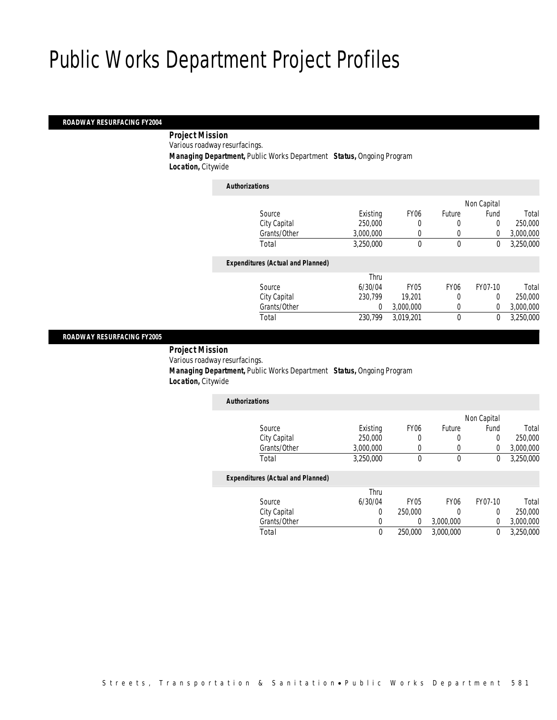#### *ROADWAY RESURFACING FY2004*

 *Project Mission* Various roadway resurfacings.

*Managing Department,* Public Works Department *Status,* Ongoing Program

*Location,* Citywide

| <b>Authorizations</b>                    |                |             |                  |             |           |
|------------------------------------------|----------------|-------------|------------------|-------------|-----------|
|                                          |                |             |                  | Non Capital |           |
| Source                                   | Existing       | <b>FY06</b> | Future           | Fund        | Total     |
| City Capital                             | 250,000        | 0           | 0                | $\mathbf 0$ | 250,000   |
| Grants/Other                             | 3.000.000      | 0           | 0                | 0           | 3,000,000 |
| Total                                    | 3.250.000      | 0           | $\mathbf 0$      | 0           | 3.250.000 |
| <b>Expenditures (Actual and Planned)</b> |                |             |                  |             |           |
|                                          | Thru           |             |                  |             |           |
| Source                                   | 6/30/04        | <b>FY05</b> | FY <sub>06</sub> | FY07-10     | Total     |
| City Capital                             | 230.799        | 19,201      | 0                | $\Omega$    | 250,000   |
| Grants/Other                             | $\overline{0}$ | 3,000,000   | 0                | 0           | 3,000,000 |
| Total                                    | 230.799        | 3,019,201   | $\theta$         | $\theta$    | 3,250,000 |
|                                          |                |             |                  |             |           |

#### *ROADWAY RESURFACING FY2005*

 *Project Mission* Various roadway resurfacings. *Managing Department,* Public Works Department *Status,* Ongoing Program *Location,* Citywide

| <b>Authorizations</b>                                       |           |                  |               |             |           |
|-------------------------------------------------------------|-----------|------------------|---------------|-------------|-----------|
|                                                             |           |                  |               | Non Capital |           |
| Source                                                      | Existing  | FY <sub>06</sub> | <b>Future</b> | Fund        | Total     |
| City Capital                                                | 250,000   | 0                |               |             | 250,000   |
| Grants/Other                                                | 3,000,000 |                  |               |             | 3,000,000 |
| Total                                                       | 3,250,000 |                  | 0             |             | 3,250,000 |
| $F_{t}$ and $H_{t}$ and $A$ and $L_{t}$ and $D_{t}$ and $A$ |           |                  |               |             |           |

| Thru    |             |                  |         |           |
|---------|-------------|------------------|---------|-----------|
| 6/30/04 | <b>FY05</b> | FY <sub>06</sub> | FY07-10 | Total     |
|         | 250,000     |                  |         | 250,000   |
|         |             | 3.000.000        |         | 3,000,000 |
|         | 250,000     | 3,000,000        |         | 3,250,000 |
|         |             |                  |         |           |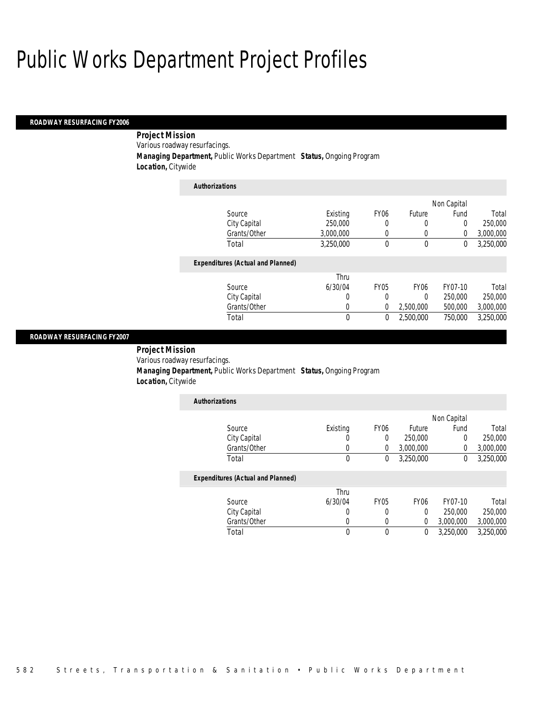#### *ROADWAY RESURFACING FY2006*

 *Project Mission* Various roadway resurfacings. *Managing Department,* Public Works Department *Status,* Ongoing Program *Location,* Citywide

| <b>Authorizations</b>                    |           |                  |                  |             |           |
|------------------------------------------|-----------|------------------|------------------|-------------|-----------|
|                                          |           |                  |                  | Non Capital |           |
| Source                                   | Existing  | FY <sub>06</sub> | Future           | Fund        | Total     |
| City Capital                             | 250,000   | 0                | 0                | 0           | 250,000   |
| Grants/Other                             | 3.000.000 | 0                | 0                | 0           | 3,000,000 |
| Total                                    | 3,250,000 | 0                | 0                | 0           | 3,250,000 |
| <b>Expenditures (Actual and Planned)</b> |           |                  |                  |             |           |
|                                          | Thru      |                  |                  |             |           |
| Source                                   | 6/30/04   | <b>FY05</b>      | FY <sub>06</sub> | FY07-10     | Total     |
| City Capital                             | 0         | 0                | 0                | 250,000     | 250,000   |
| Grants/Other                             | 0         | 0                | 2,500,000        | 500,000     | 3,000,000 |
| Total                                    | $\theta$  | 0                | 2,500,000        | 750,000     | 3.250.000 |

#### *ROADWAY RESURFACING FY2007*

 *Project Mission* Various roadway resurfacings. *Managing Department,* Public Works Department *Status,* Ongoing Program *Location,* Citywide

| <b>Authorizations</b> |          |                  |           |             |           |
|-----------------------|----------|------------------|-----------|-------------|-----------|
|                       |          |                  |           | Non Capital |           |
| Source                | Existing | FY <sub>06</sub> | Future    | Fund        | Total     |
| City Capital          |          |                  | 250,000   |             | 250,000   |
| Grants/Other          |          |                  | 3,000,000 |             | 3,000,000 |
| Total                 |          |                  | 3,250,000 |             | 3,250,000 |

|              | Thru    |             |      |           |           |
|--------------|---------|-------------|------|-----------|-----------|
| Source       | 6/30/04 | <b>FY05</b> | FY06 | FY07-10   | Total     |
| City Capital |         |             |      | 250,000   | 250,000   |
| Grants/Other |         |             |      | 3,000,000 | 3.000.000 |
| Total        |         |             |      | 3,250,000 | 3.250.000 |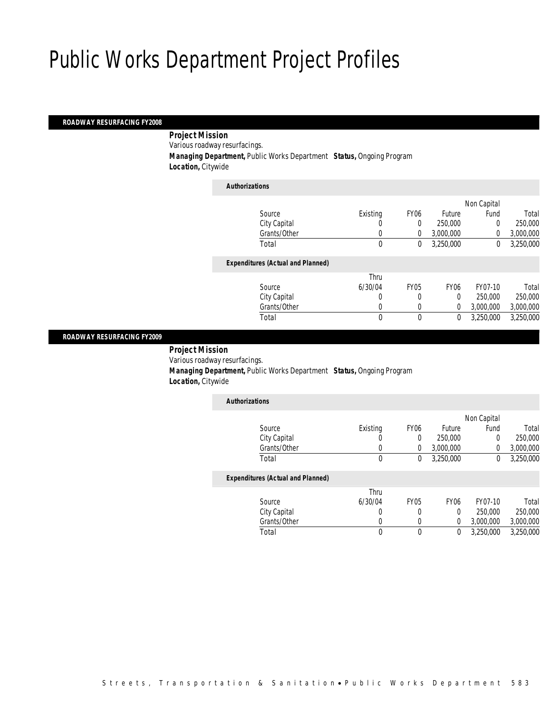#### *ROADWAY RESURFACING FY2008*

 *Project Mission* Various roadway resurfacings.

*Managing Department,* Public Works Department *Status,* Ongoing Program

*Location,* Citywide

| <b>Authorizations</b>                    |          |             |                  |             |           |
|------------------------------------------|----------|-------------|------------------|-------------|-----------|
|                                          |          |             |                  | Non Capital |           |
| Source                                   | Existing | <b>FY06</b> | Future           | Fund        | Total     |
| City Capital                             | 0        | $\Omega$    | 250,000          | $\Omega$    | 250,000   |
| Grants/Other                             | 0        | 0           | 3.000.000        | 0           | 3,000,000 |
| Total                                    | 0        | 0           | 3,250,000        | 0           | 3,250,000 |
| <b>Expenditures (Actual and Planned)</b> |          |             |                  |             |           |
|                                          | Thru     |             |                  |             |           |
| Source                                   | 6/30/04  | <b>FY05</b> | FY <sub>06</sub> | FY07-10     | Total     |
| City Capital                             | 0        | 0           | $\Omega$         | 250,000     | 250,000   |
| Grants/Other                             | 0        | 0           | $\overline{0}$   | 3,000,000   | 3,000,000 |
| Total                                    | 0        | 0           | $\theta$         | 3,250,000   | 3,250,000 |
|                                          |          |             |                  |             |           |

#### *ROADWAY RESURFACING FY2009*

 *Project Mission* Various roadway resurfacings. *Managing Department,* Public Works Department *Status,* Ongoing Program *Location,* Citywide

| <b>Authorizations</b>                    |          |                  |           |             |           |
|------------------------------------------|----------|------------------|-----------|-------------|-----------|
|                                          |          |                  |           | Non Capital |           |
| Source                                   | Existing | FY <sub>06</sub> | Future    | Fund        | Total     |
| City Capital                             | 0        | 0                | 250,000   |             | 250,000   |
| Grants/Other                             | 0        |                  | 3,000,000 |             | 3,000,000 |
| Total                                    | 0        |                  | 3.250.000 |             | 3,250,000 |
| <b>Expenditures (Actual and Planned)</b> |          |                  |           |             |           |

|              | Thru    |      |                  |           |           |
|--------------|---------|------|------------------|-----------|-----------|
| Source       | 6/30/04 | FY05 | FY <sub>06</sub> | FY07-10   | Total     |
| City Capital |         |      |                  | 250,000   | 250,000   |
| Grants/Other |         |      |                  | 3,000,000 | 3,000,000 |
| Total        |         |      |                  | 3,250,000 | 3,250,000 |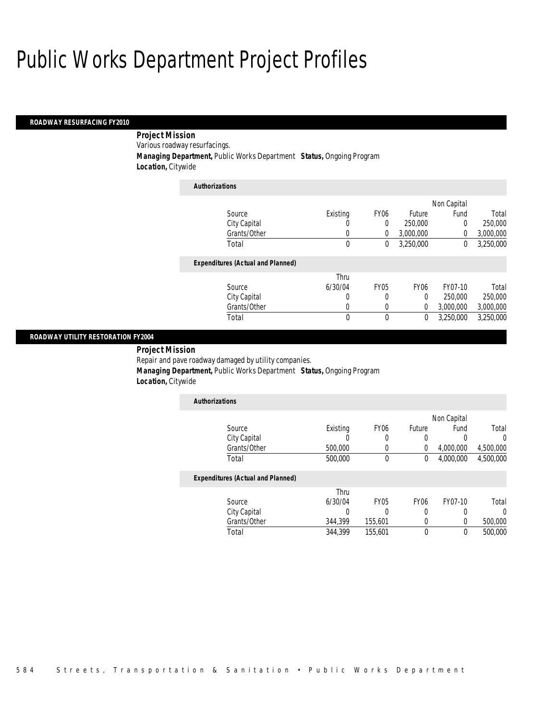#### *ROADWAY RESURFACING FY2010*

 *Project Mission* Various roadway resurfacings. *Managing Department,* Public Works Department *Status,* Ongoing Program *Location,* Citywide

| <b>Authorizations</b> |                                          |             |                  |             |             |           |
|-----------------------|------------------------------------------|-------------|------------------|-------------|-------------|-----------|
|                       |                                          |             |                  |             | Non Capital |           |
|                       | Source                                   | Existing    | FY <sub>06</sub> | Future      | Fund        | Total     |
|                       | City Capital                             | 0           | 0                | 250,000     | $\theta$    | 250,000   |
|                       | Grants/Other                             | 0           | 0                | 3,000,000   | 0           | 3,000,000 |
| Total                 |                                          | $\mathbf 0$ | 0                | 3,250,000   | 0           | 3,250,000 |
|                       | <b>Expenditures (Actual and Planned)</b> |             |                  |             |             |           |
|                       |                                          | Thru        |                  |             |             |           |
|                       | Source                                   | 6/30/04     | <b>FY05</b>      | <b>FY06</b> | FY07-10     | Total     |
|                       | City Capital                             | 0           | 0                | 0           | 250,000     | 250,000   |
|                       | Grants/Other                             | 0           | 0                | 0           | 3,000,000   | 3,000,000 |
|                       | Total                                    | 0           | 0                | 0           | 3.250.000   | 3.250.000 |

#### *ROADWAY UTILITY RESTORATION FY2004*

*Project Mission* 

Repair and pave roadway damaged by utility companies.

*Managing Department,* Public Works Department *Status,* Ongoing Program

*Location,* Citywide

| <b>Authorizations</b> |          |                  |        |             |           |
|-----------------------|----------|------------------|--------|-------------|-----------|
|                       |          |                  |        | Non Capital |           |
| Source                | Existing | FY <sub>06</sub> | Future | Fund        | Total     |
| City Capital          |          |                  |        |             |           |
| Grants/Other          | 500,000  |                  |        | 4,000,000   | 4,500,000 |
| Total                 | 500,000  |                  |        | 4,000,000   | 4,500,000 |

|              | Thru    |         |                  |         |         |
|--------------|---------|---------|------------------|---------|---------|
| Source       | 6/30/04 | FY05    | FY <sub>06</sub> | FY07-10 | Total   |
| City Capital |         |         |                  |         |         |
| Grants/Other | 344.399 | 155,601 |                  |         | 500,000 |
| Total        | 344.399 | 155.601 |                  |         | 500,000 |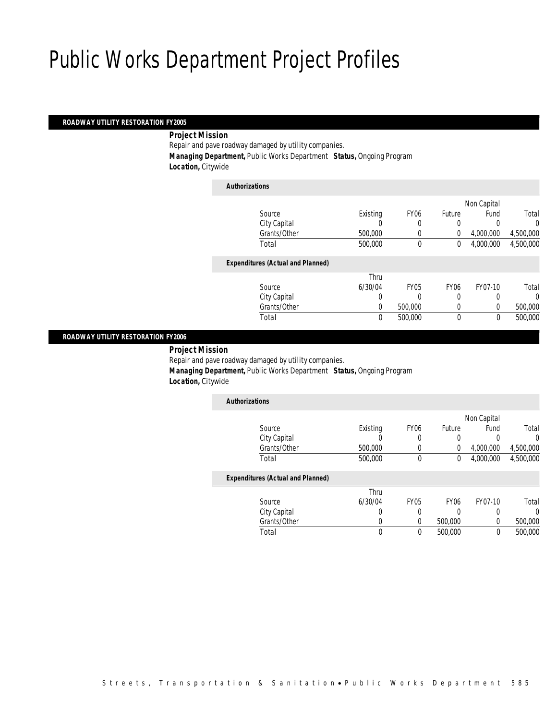#### *ROADWAY UTILITY RESTORATION FY2005*

*Project Mission* 

Repair and pave roadway damaged by utility companies. *Managing Department,* Public Works Department *Status,* Ongoing Program *Location,* Citywide

| <b>Authorizations</b> |                                          |          |             |                  |             |           |
|-----------------------|------------------------------------------|----------|-------------|------------------|-------------|-----------|
|                       |                                          |          |             |                  | Non Capital |           |
|                       | Source                                   | Existing | <b>FY06</b> | Future           | Fund        | Total     |
|                       | City Capital                             | 0        | 0           | 0                |             | 0         |
|                       | Grants/Other                             | 500,000  |             | $\overline{0}$   | 4,000,000   | 4,500,000 |
|                       | Total                                    | 500,000  | 0           | 0                | 4.000.000   | 4,500,000 |
|                       | <b>Expenditures (Actual and Planned)</b> |          |             |                  |             |           |
|                       |                                          | Thru     |             |                  |             |           |
|                       | Source                                   | 6/30/04  | <b>FY05</b> | FY <sub>06</sub> | FY07-10     | Total     |
|                       | City Capital                             | 0        |             | 0                | 0           | 0         |
|                       | Grants/Other                             | $\Omega$ | 500,000     | 0                | 0           | 500,000   |
|                       | Total                                    | 0        | 500,000     | $\mathbf 0$      | $\theta$    | 500,000   |

### *ROADWAY UTILITY RESTORATION FY2006*

 *Project Mission* Repair and pave roadway damaged by utility companies. *Managing Department,* Public Works Department *Status,* Ongoing Program *Location,* Citywide

| <b>Authorizations</b>                    |          |                  |                  |             |           |
|------------------------------------------|----------|------------------|------------------|-------------|-----------|
|                                          |          |                  |                  | Non Capital |           |
| Source                                   | Existing | FY <sub>06</sub> | <b>Future</b>    | Fund        | Total     |
| City Capital                             | $\theta$ | 0                | $\left( \right)$ |             | $\Omega$  |
| Grants/Other                             | 500,000  |                  | 0                | 4,000,000   | 4,500,000 |
| Total                                    | 500,000  | $\bf{0}$         | 0                | 4.000.000   | 4,500,000 |
| <b>Expenditures (Actual and Planned)</b> |          |                  |                  |             |           |

| Thru                              |         |         |
|-----------------------------------|---------|---------|
| 6/30/04<br>FY05<br>FY06<br>Source | FY07-10 | Total   |
| City Capital                      |         |         |
| Grants/Other<br>500,000           |         | 500,000 |
| Total<br>500,000                  |         | 500,000 |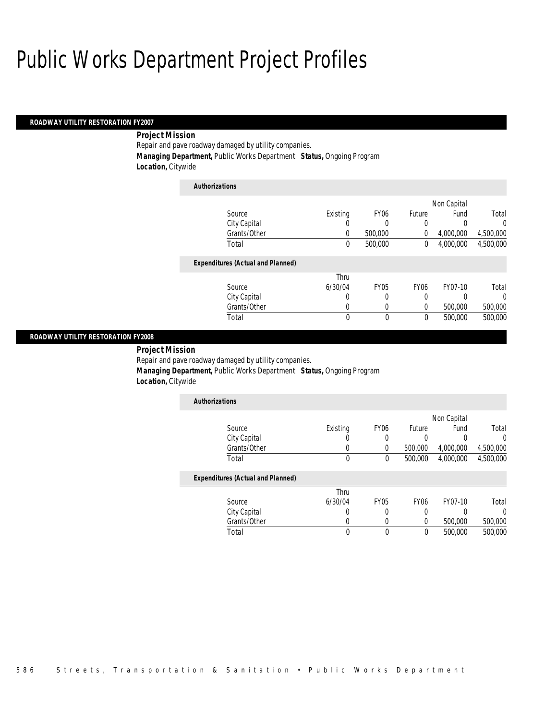### *ROADWAY UTILITY RESTORATION FY2007*

### *Project Mission*

Repair and pave roadway damaged by utility companies. *Managing Department,* Public Works Department *Status,* Ongoing Program *Location,* Citywide

| AUUDULLAUVUS                             |          |                  |                  |             |           |
|------------------------------------------|----------|------------------|------------------|-------------|-----------|
|                                          |          |                  |                  | Non Capital |           |
| Source                                   | Existing | FY <sub>06</sub> | Future           | Fund        | Total     |
| City Capital                             | U        | 0                | 0                | 0           | $\Omega$  |
| Grants/Other                             | 0        | 500,000          | 0                | 4,000,000   | 4,500,000 |
| Total                                    | 0        | 500,000          | 0                | 4,000,000   | 4,500,000 |
| <b>Expenditures (Actual and Planned)</b> |          |                  |                  |             |           |
|                                          | Thru     |                  |                  |             |           |
| Source                                   | 6/30/04  | FY <sub>05</sub> | FY <sub>06</sub> | FY07-10     | Total     |
| City Capital                             | 0        | 0                | 0                | 0           | $\Omega$  |
| Grants/Other                             | 0        | 0                | 0                | 500,000     | 500,000   |
| Total                                    | 0        | 0                | 0                | 500,000     | 500,000   |
|                                          |          |                  |                  |             |           |

#### *ROADWAY UTILITY RESTORATION FY2008*

*Project Mission* 

Repair and pave roadway damaged by utility companies.

*Authorizations*

*Managing Department,* Public Works Department *Status,* Ongoing Program

*Location,* Citywide

| <b>Authorizations</b> |          |                  |         |             |           |
|-----------------------|----------|------------------|---------|-------------|-----------|
|                       |          |                  |         | Non Capital |           |
| Source                | Existing | FY <sub>06</sub> | Future  | Fund        | Total     |
| City Capital          |          |                  |         |             |           |
| Grants/Other          |          |                  | 500,000 | 4,000,000   | 4,500,000 |
| Total                 | 0        |                  | 500,000 | 4.000.000   | 4,500,000 |

|              | Thru    |      |      |         |         |
|--------------|---------|------|------|---------|---------|
| Source       | 6/30/04 | FY05 | FY06 | FY07-10 | Total   |
| City Capital |         |      |      |         |         |
| Grants/Other |         |      |      | 500,000 | 500,000 |
| Total        |         |      |      | 500,000 | 500,000 |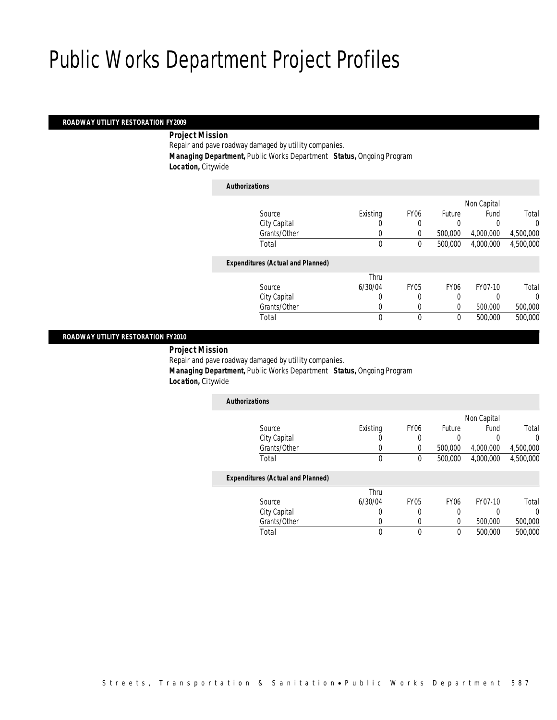#### *ROADWAY UTILITY RESTORATION FY2009*

*Project Mission* 

Repair and pave roadway damaged by utility companies. *Managing Department,* Public Works Department *Status,* Ongoing Program *Location,* Citywide

| <b>Authorizations</b> |                                          |          |             |                  |             |           |
|-----------------------|------------------------------------------|----------|-------------|------------------|-------------|-----------|
|                       |                                          |          |             |                  | Non Capital |           |
|                       | Source                                   | Existing | <b>FY06</b> | Future           | Fund        | Total     |
|                       | City Capital                             | 0        | 0           | 0                |             | 0         |
|                       | Grants/Other                             | 0        | 0           | 500,000          | 4,000,000   | 4,500,000 |
|                       | Total                                    | 0        | $\theta$    | 500,000          | 4,000,000   | 4,500,000 |
|                       | <b>Expenditures (Actual and Planned)</b> |          |             |                  |             |           |
|                       |                                          | Thru     |             |                  |             |           |
|                       | Source                                   | 6/30/04  | <b>FY05</b> | FY <sub>06</sub> | FY07-10     | Total     |
|                       | City Capital                             | 0        | O           | 0                |             | $\Omega$  |
|                       | Grants/Other                             | 0        | 0           | $\overline{0}$   | 500,000     | 500,000   |
|                       | Total                                    | 0        | 0           | $\mathbf 0$      | 500,000     | 500,000   |

#### *ROADWAY UTILITY RESTORATION FY2010*

 *Project Mission* Repair and pave roadway damaged by utility companies. *Managing Department,* Public Works Department *Status,* Ongoing Program *Location,* Citywide

| <b>Authorizations</b>                    |          |                  |         |             |           |
|------------------------------------------|----------|------------------|---------|-------------|-----------|
|                                          |          |                  |         | Non Capital |           |
| Source                                   | Existing | FY <sub>06</sub> | Future  | Fund        | Total     |
| City Capital                             | U        | 0                |         |             |           |
| Grants/Other                             | 0        | 0                | 500,000 | 4,000,000   | 4,500,000 |
| Total                                    | 0        | 0                | 500,000 | 4.000.000   | 4,500,000 |
| <b>Expenditures (Actual and Planned)</b> |          |                  |         |             |           |

| Thru    |      |      |         |         |
|---------|------|------|---------|---------|
| 6/30/04 | FY05 | FY06 | FY07-10 | Total   |
|         |      |      |         |         |
|         |      |      | 500,000 | 500,000 |
|         |      |      | 500,000 | 500,000 |
|         |      |      |         |         |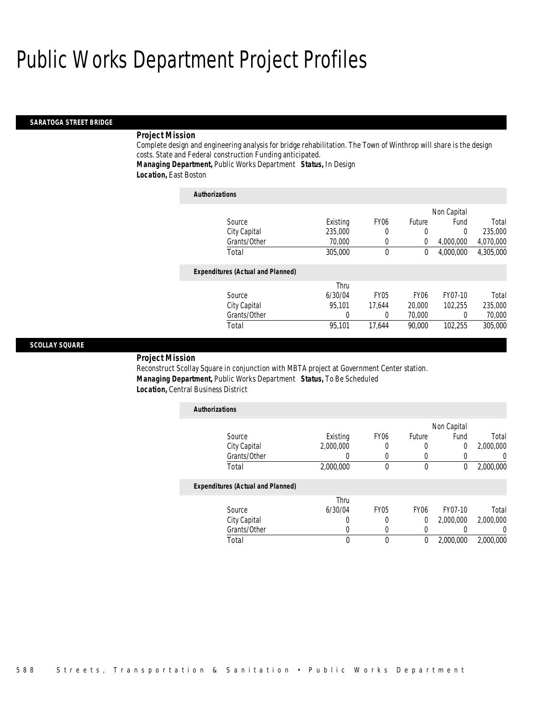#### *SARATOGA STREET BRIDGE*

#### *Project Mission*

Complete design and engineering analysis for bridge rehabilitation. The Town of Winthrop will share is the design costs. State and Federal construction Funding anticipated.

*Managing Department,* Public Works Department *Status,* In Design

*Location,* East Boston

| <b>Authorizations</b>                    |          |                  |                  |             |           |
|------------------------------------------|----------|------------------|------------------|-------------|-----------|
|                                          |          |                  |                  | Non Capital |           |
| Source                                   | Existing | FY <sub>06</sub> | Future           | Fund        | Total     |
| City Capital                             | 235,000  | 0                | 0                | 0           | 235,000   |
| Grants/Other                             | 70,000   | 0                | 0                | 4.000.000   | 4,070,000 |
| Total                                    | 305,000  | $\theta$         | 0                | 4.000.000   | 4,305,000 |
| <b>Expenditures (Actual and Planned)</b> |          |                  |                  |             |           |
|                                          | Thru     |                  |                  |             |           |
| Source                                   | 6/30/04  | <b>FY05</b>      | FY <sub>06</sub> | FY07-10     | Total     |
| City Capital                             | 95.101   | 17.644           | 20,000           | 102.255     | 235,000   |
| Grants/Other                             |          | 0                | 70,000           | 0           | 70,000    |
| Total                                    | 95,101   | 17.644           | 90.000           | 102.255     | 305,000   |

#### *SCOLLAY SQUARE*

#### *Project Mission*

Reconstruct Scollay Square in conjunction with MBTA project at Government Center station. *Managing Department,* Public Works Department *Status,* To Be Scheduled *Location,* Central Business District

| <b>Authorizations</b>                    |           |                  |             |             |           |
|------------------------------------------|-----------|------------------|-------------|-------------|-----------|
|                                          |           |                  |             | Non Capital |           |
| Source                                   | Existing  | FY <sub>06</sub> | Future      | Fund        | Total     |
| City Capital                             | 2,000,000 | $\left($         | 0           | 0           | 2,000,000 |
| Grants/Other                             |           | $\left($         |             |             |           |
| Total                                    | 2.000.000 | $\theta$         | $\mathbf 0$ | 0           | 2,000,000 |
| <b>Expenditures (Actual and Planned)</b> |           |                  |             |             |           |
|                                          | Thru      |                  |             |             |           |
| Source                                   | 6/30/04   | <b>FY05</b>      | <b>FY06</b> | FY07-10     | Total     |
| City Capital                             | U         | 0                | $\Omega$    | 2,000,000   | 2,000,000 |
| Grants/Other                             | 0         | $\Omega$         | 0           |             |           |
| Total                                    | 0         | 0                | 0           | 2.000.000   | 2,000,000 |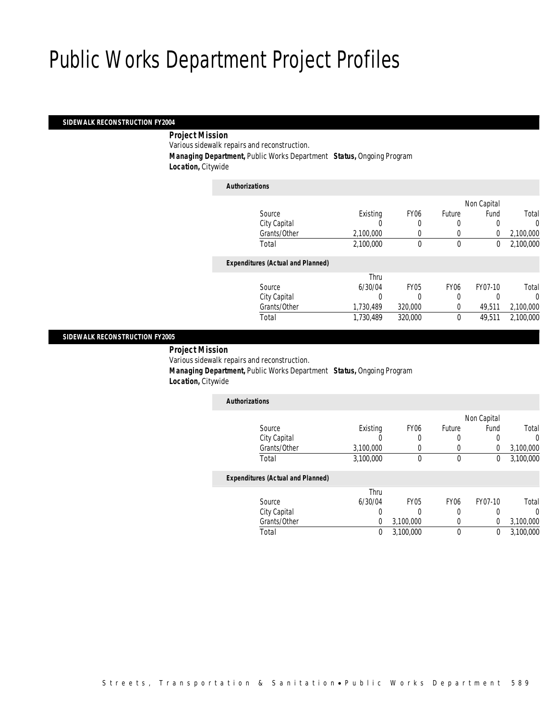#### *SIDEWALK RECONSTRUCTION FY2004*

#### *Project Mission*

Various sidewalk repairs and reconstruction.

*Managing Department,* Public Works Department *Status,* Ongoing Program

*Location,* Citywide

| <b>Authorizations</b>                    |           |             |                  |             |           |
|------------------------------------------|-----------|-------------|------------------|-------------|-----------|
|                                          |           |             |                  | Non Capital |           |
| Source                                   | Existing  | <b>FY06</b> | Future           | Fund        | Total     |
| City Capital                             |           | 0           | 0                |             | 0         |
| Grants/Other                             | 2,100,000 |             | 0                | 0           | 2,100,000 |
| Total                                    | 2,100,000 | 0           | $\mathbf 0$      | 0           | 2,100,000 |
| <b>Expenditures (Actual and Planned)</b> |           |             |                  |             |           |
|                                          | Thru      |             |                  |             |           |
| Source                                   | 6/30/04   | <b>FY05</b> | FY <sub>06</sub> | FY07-10     | Total     |
| City Capital                             | 0         |             | 0                |             | 0         |
| Grants/Other                             | 1,730,489 | 320,000     | 0                | 49,511      | 2,100,000 |
| Total                                    | 1,730,489 | 320,000     | $\theta$         | 49.511      | 2.100.000 |
|                                          |           |             |                  |             |           |

#### *SIDEWALK RECONSTRUCTION FY2005*

### *Project Mission*

Various sidewalk repairs and reconstruction.

 *Managing Department,* Public Works Department *Status,* Ongoing Program *Location,* Citywide

| <b>Authorizations</b> |           |                  |        |             |           |
|-----------------------|-----------|------------------|--------|-------------|-----------|
|                       |           |                  |        | Non Capital |           |
| Source                | Existing  | FY <sub>06</sub> | Future | Fund        | Total     |
| City Capital          | 0         |                  |        |             |           |
| Grants/Other          | 3,100,000 |                  |        |             | 3,100,000 |
| Total                 | 3,100,000 |                  |        |             | 3,100,000 |

| Thru    |           |                  |         |           |
|---------|-----------|------------------|---------|-----------|
| 6/30/04 | FY05      | FY <sub>06</sub> | FY07-10 | Total     |
|         |           |                  |         |           |
|         | 3.100.000 |                  |         | 3,100,000 |
|         | 3.100.000 |                  |         | 3,100,000 |
|         |           |                  |         |           |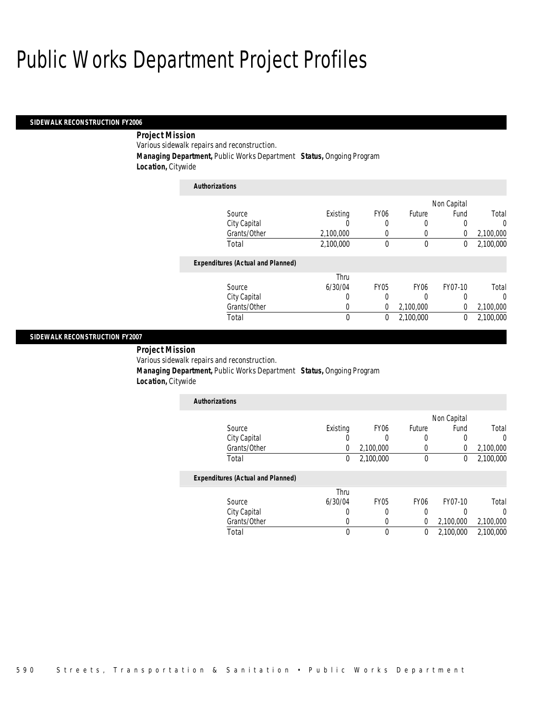#### *SIDEWALK RECONSTRUCTION FY2006*

### *Project Mission*

Various sidewalk repairs and reconstruction.

*Managing Department,* Public Works Department *Status,* Ongoing Program

*Location,* Citywide

| <b>Authorizations</b>                    |           |                  |             |             |           |
|------------------------------------------|-----------|------------------|-------------|-------------|-----------|
|                                          |           |                  |             | Non Capital |           |
| Source                                   | Existing  | FY <sub>06</sub> | Future      | Fund        | Total     |
| City Capital                             | O         | 0                | 0           | 0           | $\Omega$  |
| Grants/Other                             | 2,100,000 | 0                | 0           | 0           | 2,100,000 |
| Total                                    | 2,100,000 | 0                | 0           | 0           | 2,100,000 |
| <b>Expenditures (Actual and Planned)</b> |           |                  |             |             |           |
|                                          | Thru      |                  |             |             |           |
| Source                                   | 6/30/04   | <b>FY05</b>      | <b>FY06</b> | FY07-10     | Total     |
| City Capital                             | 0         | 0                | 0           | 0           | $\Omega$  |
| Grants/Other                             | 0         | 0                | 2,100,000   | 0           | 2,100,000 |
| Total                                    | 0         | 0                | 2.100.000   | 0           | 2.100.000 |

#### *SIDEWALK RECONSTRUCTION FY2007*

*Project Mission* 

Various sidewalk repairs and reconstruction.

*Managing Department,* Public Works Department *Status,* Ongoing Program

*Location,* Citywide

| <b>Authorizations</b> |          |                  |        |             |           |
|-----------------------|----------|------------------|--------|-------------|-----------|
|                       |          |                  |        | Non Capital |           |
| Source                | Existing | FY <sub>06</sub> | Future | Fund        | Total     |
| City Capital          |          |                  |        |             |           |
| Grants/Other          |          | 2,100,000        |        |             | 2,100,000 |
| Total                 | O        | 2,100,000        |        |             | 2,100,000 |

|              | Thru    |      |                  |           |           |
|--------------|---------|------|------------------|-----------|-----------|
| Source       | 6/30/04 | FY05 | FY <sub>06</sub> | FY07-10   | Total     |
| City Capital |         |      |                  |           |           |
| Grants/Other |         |      |                  | 2,100,000 | 2,100,000 |
| Total        |         |      |                  | 2.100.000 | 2,100,000 |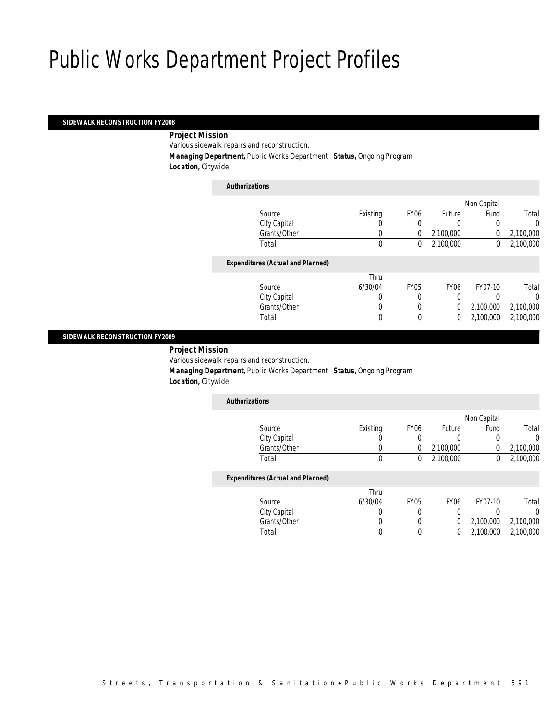#### *SIDEWALK RECONSTRUCTION FY2008*

#### *Project Mission*

Various sidewalk repairs and reconstruction.

*Managing Department,* Public Works Department *Status,* Ongoing Program

*Location,* Citywide

| <b>Authorizations</b>                    |          |             |                  |             |           |
|------------------------------------------|----------|-------------|------------------|-------------|-----------|
|                                          |          |             |                  | Non Capital |           |
| Source                                   | Existing | <b>FY06</b> | Future           | Fund        | Total     |
| City Capital                             | 0        |             |                  |             | 0         |
| Grants/Other                             | 0        | $\Omega$    | 2,100,000        | 0           | 2,100,000 |
| Total                                    | 0        | 0           | 2,100,000        | 0           | 2,100,000 |
| <b>Expenditures (Actual and Planned)</b> |          |             |                  |             |           |
|                                          | Thru     |             |                  |             |           |
| Source                                   | 6/30/04  | <b>FY05</b> | FY <sub>06</sub> | FY07-10     | Total     |
| City Capital                             | 0        | 0           | 0                |             | 0         |
| Grants/Other                             | 0        | 0           | $\overline{0}$   | 2,100,000   | 2,100,000 |
| Total                                    | 0        | 0           | $\theta$         | 2,100,000   | 2,100,000 |
|                                          |          |             |                  |             |           |

#### *SIDEWALK RECONSTRUCTION FY2009*

*Project Mission* 

Various sidewalk repairs and reconstruction.

*Managing Department,* Public Works Department *Status,* Ongoing Program

*Location,* Citywide

| <b>Authorizations</b> |          |                  |           |             |           |
|-----------------------|----------|------------------|-----------|-------------|-----------|
|                       |          |                  |           | Non Capital |           |
| Source                | Existing | FY <sub>06</sub> | Future    | Fund        | Total     |
| City Capital          | 0        |                  |           |             | 0         |
| Grants/Other          | 0        |                  | 2,100,000 |             | 2,100,000 |
| Total                 | 0        |                  | 2,100,000 |             | 2,100,000 |

|              | Thru    |             |                  |           |           |
|--------------|---------|-------------|------------------|-----------|-----------|
| Source       | 6/30/04 | <b>FY05</b> | FY <sub>06</sub> | FY07-10   | Total     |
| City Capital |         |             |                  |           |           |
| Grants/Other |         |             |                  | 2.100.000 | 2,100,000 |
| Total        |         |             |                  | 2.100.000 | 2,100,000 |
|              |         |             |                  |           |           |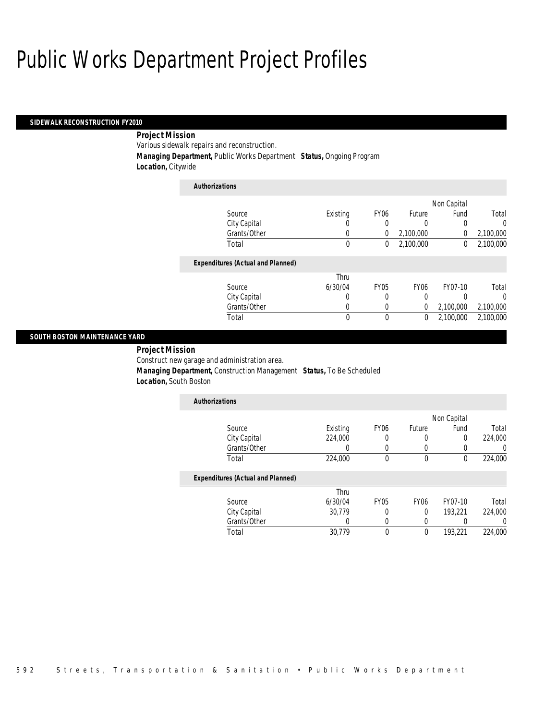#### *SIDEWALK RECONSTRUCTION FY2010*

### *Project Mission*

Various sidewalk repairs and reconstruction.

*Managing Department,* Public Works Department *Status,* Ongoing Program

*Location,* Citywide

| <b>Authorizations</b>                    |             |                  |                  |             |           |
|------------------------------------------|-------------|------------------|------------------|-------------|-----------|
|                                          |             |                  |                  | Non Capital |           |
| Source                                   | Existing    | FY <sub>06</sub> | Future           | Fund        | Total     |
| City Capital                             | O           | 0                | 0                | 0           | $\Omega$  |
| Grants/Other                             | 0           | 0                | 2,100,000        | 0           | 2,100,000 |
| Total                                    | $\mathbf 0$ | 0                | 2,100,000        | 0           | 2,100,000 |
| <b>Expenditures (Actual and Planned)</b> |             |                  |                  |             |           |
|                                          | Thru        |                  |                  |             |           |
| Source                                   | 6/30/04     | <b>FY05</b>      | FY <sub>06</sub> | FY07-10     | Total     |
| City Capital                             | 0           | 0                | 0                | 0           | $\Omega$  |
| Grants/Other                             | 0           | 0                | 0                | 2,100,000   | 2,100,000 |
| Total                                    | 0           | 0                | 0                | 2,100,000   | 2,100,000 |

#### *SOUTH BOSTON MAINTENANCE YARD*

*Project Mission* 

Construct new garage and administration area.

*Managing Department,* Construction Management *Status,* To Be Scheduled

*Location,* South Boston

| <b>Authorizations</b>                    |          |                  |        |             |         |
|------------------------------------------|----------|------------------|--------|-------------|---------|
|                                          |          |                  |        | Non Capital |         |
| Source                                   | Existing | FY <sub>06</sub> | Future | Fund        | Total   |
| City Capital                             | 224,000  |                  |        |             | 224,000 |
| Grants/Other                             |          |                  |        |             |         |
| Total                                    | 224,000  |                  |        |             | 224,000 |
| <b>Expenditures (Actual and Planned)</b> |          |                  |        |             |         |

Grants/Other 0 0 0 0 0 0

Total 30,779 0 0 193,221 224,000

|              | Thru    |      |      |         |         |
|--------------|---------|------|------|---------|---------|
| Source       | 6/30/04 | FY05 | FY06 | FY07-10 | Total   |
| City Capital | 30.779  |      |      | 193.221 | 224,000 |
| Grants/Other |         |      |      |         |         |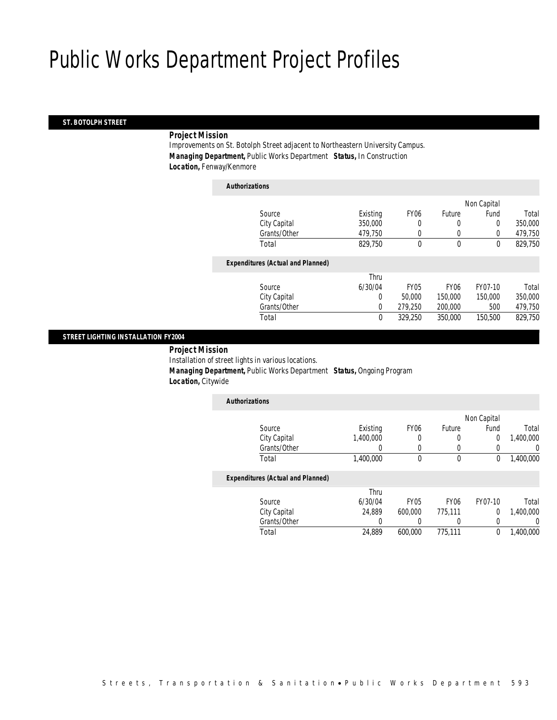### *ST. BOTOLPH STREET*

### *Project Mission*

Improvements on St. Botolph Street adjacent to Northeastern University Campus. *Managing Department,* Public Works Department *Status,* In Construction *Location,* Fenway/Kenmore

*Authorizations*

|                                          |          |             |                  | Non Capital |         |
|------------------------------------------|----------|-------------|------------------|-------------|---------|
| Source                                   | Existing | <b>FY06</b> | Future           | Fund        | Total   |
| City Capital                             | 350,000  | 0           | $\Omega$         | $\Omega$    | 350,000 |
| Grants/Other                             | 479,750  | 0           | 0                | 0           | 479,750 |
| Total                                    | 829,750  | 0           | $\mathbf 0$      | $\mathbf 0$ | 829,750 |
|                                          |          |             |                  |             |         |
| <b>Expenditures (Actual and Planned)</b> |          |             |                  |             |         |
|                                          | Thru     |             |                  |             |         |
| Source                                   | 6/30/04  | <b>FY05</b> | FY <sub>06</sub> | FY07-10     | Total   |
| City Capital                             | 0        | 50,000      | 150,000          | 150,000     | 350,000 |
| Grants/Other                             | 0        | 279.250     | 200,000          | 500         | 479,750 |
| Total                                    | 0        | 329,250     | 350,000          | 150,500     | 829,750 |
|                                          |          |             |                  |             |         |

#### *STREET LIGHTING INSTALLATION FY2004*

*Project Mission* 

Installation of street lights in various locations.

*Managing Department,* Public Works Department *Status,* Ongoing Program

| <b>Authorizations</b>                    |           |                  |        | Non Capital |           |
|------------------------------------------|-----------|------------------|--------|-------------|-----------|
| Source                                   | Existing  | FY <sub>06</sub> | Future | Fund        | Total     |
| City Capital                             | 1,400,000 | 0                | 0      | 0           | 1,400,000 |
| Grants/Other                             |           |                  |        |             | 0         |
| Total                                    | 1,400,000 |                  | 0      |             | 1,400,000 |
| <b>Expenditures (Actual and Planned)</b> |           |                  |        |             |           |

| 6/30/04<br><b>FY05</b><br>FY06<br>FY07-10<br>Source | Total     |
|-----------------------------------------------------|-----------|
| 24.889<br>City Capital<br>600,000<br>775.111        | 1,400,000 |
| Grants/Other                                        |           |
| 24.889<br>Total<br>600,000<br>775.111               | 1,400,000 |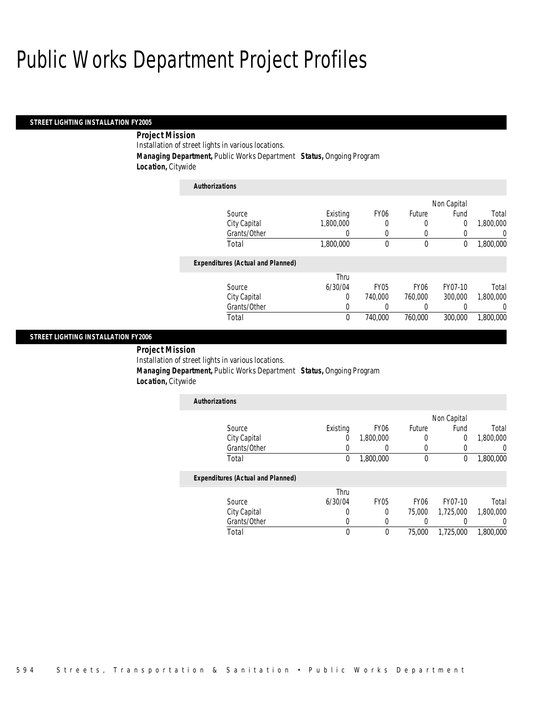#### *STREET LIGHTING INSTALLATION FY2005*

### *Project Mission*

Installation of street lights in various locations.

*Managing Department,* Public Works Department *Status,* Ongoing Program

*Location,* Citywide

### *Authorizations*

|                                          |           |                  |                  | Non Capital |           |
|------------------------------------------|-----------|------------------|------------------|-------------|-----------|
| Source                                   | Existing  | FY <sub>06</sub> | Future           | Fund        | Total     |
| City Capital                             | 1,800,000 | 0                | 0                | 0           | 1,800,000 |
| Grants/Other                             | 0         | $\left($         | 0                |             | $\Omega$  |
| Total                                    | 1,800,000 | 0                | 0                | $\theta$    | 1,800,000 |
| <b>Expenditures (Actual and Planned)</b> |           |                  |                  |             |           |
|                                          | Thru      |                  |                  |             |           |
| Source                                   | 6/30/04   | <b>FY05</b>      | FY <sub>06</sub> | FY07-10     | Total     |
| City Capital                             | 0         | 740.000          | 760.000          | 300,000     | 1.800.000 |
| Grants/Other                             | 0         | 0                | 0                |             | $\Omega$  |
| Total                                    | 0         | 740,000          | 760,000          | 300,000     | 1,800,000 |
|                                          |           |                  |                  |             |           |

#### *STREET LIGHTING INSTALLATION FY2006*

*Project Mission* 

Installation of street lights in various locations.

*Managing Department,* Public Works Department *Status,* Ongoing Program

*Location,* Citywide

| <b>Authorizations</b> |          |                  |             |      |           |  |
|-----------------------|----------|------------------|-------------|------|-----------|--|
|                       |          |                  | Non Capital |      |           |  |
| Source                | Existing | FY <sub>06</sub> | Future      | Fund | Total     |  |
| City Capital          | U        | 1,800,000        |             |      | 1,800,000 |  |
| Grants/Other          |          |                  |             |      |           |  |
| Total                 |          | 1,800,000        | 0           |      | 1,800,000 |  |

|              | Thru    |      |                  |           |           |
|--------------|---------|------|------------------|-----------|-----------|
| Source       | 6/30/04 | FY05 | FY <sub>06</sub> | FY07-10   | Total     |
| City Capital |         |      | 75,000           | 1.725.000 | 1,800,000 |
| Grants/Other |         |      |                  |           |           |
| Total        |         |      | 75,000           | 1.725.000 | 1,800,000 |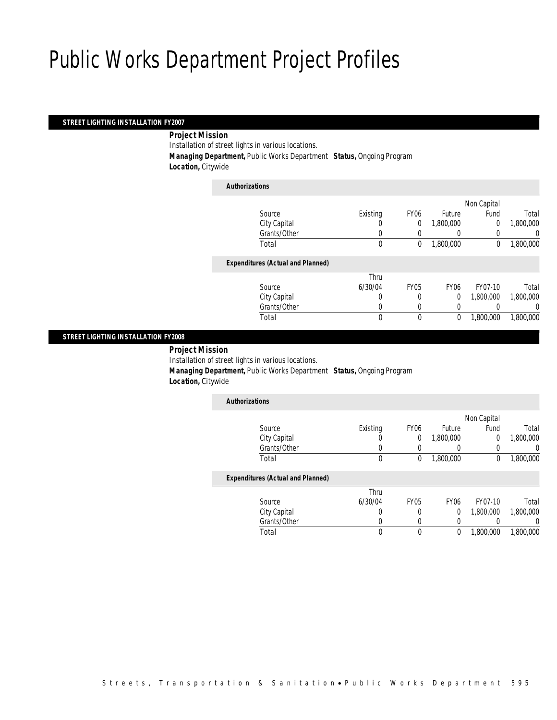#### *STREET LIGHTING INSTALLATION FY2007*

#### *Project Mission*

Installation of street lights in various locations.

*Managing Department,* Public Works Department *Status,* Ongoing Program

*Location,* Citywide

| <b>Authorizations</b>                    |              |                |                  |             |           |
|------------------------------------------|--------------|----------------|------------------|-------------|-----------|
|                                          |              |                |                  | Non Capital |           |
| Source                                   | Existing     | <b>FY06</b>    | Future           | Fund        | Total     |
| City Capital                             | 0            | $\overline{0}$ | 1,800,000        | 0           | 1,800,000 |
| Grants/Other                             | 0            |                |                  |             | 0         |
| Total                                    | 0            | 0              | 1,800,000        | 0           | 1,800,000 |
| <b>Expenditures (Actual and Planned)</b> |              |                |                  |             |           |
|                                          | Thru         |                |                  |             |           |
| Source                                   | 6/30/04      | <b>FY05</b>    | FY <sub>06</sub> | FY07-10     | Total     |
| City Capital                             | 0            | 0              | $\overline{0}$   | 1.800.000   | 1,800,000 |
| Grants/Other                             |              | 0              | 0                |             | 0         |
| Total                                    | $\mathbf{0}$ | 0              | $\mathbf{0}$     | 1.800.000   | 1.800.000 |
|                                          |              |                |                  |             |           |

#### *STREET LIGHTING INSTALLATION FY2008*

*Project Mission* 

Installation of street lights in various locations.

*Managing Department,* Public Works Department *Status,* Ongoing Program

*Location,* Citywide

|          |                  |           | Non Capital |           |
|----------|------------------|-----------|-------------|-----------|
| Existing | FY <sub>06</sub> | Future    | Fund        | Total     |
| U        | 0                | 1,800,000 |             | 1,800,000 |
|          |                  |           |             | 0         |
| 0        |                  | 1,800,000 |             | 1,800,000 |
|          |                  |           |             |           |

#### *Expenditures (Actual and Planned)*

| Total                             |
|-----------------------------------|
| 1,800,000                         |
|                                   |
| 1,800,000                         |
| FY07-10<br>1,800,000<br>1,800,000 |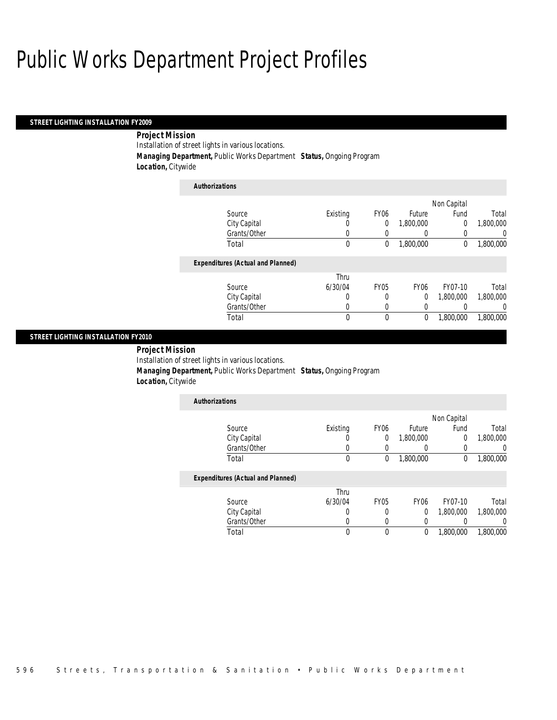#### *STREET LIGHTING INSTALLATION FY2009*

### *Project Mission*

Installation of street lights in various locations.

*Managing Department,* Public Works Department *Status,* Ongoing Program

*Location,* Citywide

| <b>Authorizations</b>                    |             |                  |                  |             |           |
|------------------------------------------|-------------|------------------|------------------|-------------|-----------|
|                                          |             |                  |                  | Non Capital |           |
| Source                                   | Existing    | FY <sub>06</sub> | Future           | Fund        | Total     |
| City Capital                             | O           | 0                | 1.800.000        | 0           | 1.800.000 |
| Grants/Other                             | 0           | 0                | 0                | 0           | 0         |
| Total                                    | $\mathbf 0$ | 0                | 1,800,000        | 0           | 1,800,000 |
| <b>Expenditures (Actual and Planned)</b> |             |                  |                  |             |           |
|                                          | Thru        |                  |                  |             |           |
| Source                                   | 6/30/04     | <b>FY05</b>      | FY <sub>06</sub> | FY07-10     | Total     |
| City Capital                             | 0           | 0                | 0                | 1.800.000   | 1,800,000 |
| Grants/Other                             | 0           | 0                | 0                |             | $\left($  |
| Total                                    | 0           | 0                | 0                | 1,800,000   | 1.800.000 |

#### *STREET LIGHTING INSTALLATION FY2010*

*Project Mission* 

Installation of street lights in various locations.

*Managing Department,* Public Works Department *Status,* Ongoing Program

*Location,* Citywide

| <b>Authorizations</b> |          |                  |           |             |           |
|-----------------------|----------|------------------|-----------|-------------|-----------|
|                       |          |                  |           | Non Capital |           |
| Source                | Existing | FY <sub>06</sub> | Future    | Fund        | Total     |
| City Capital          |          |                  | 1,800,000 |             | 1,800,000 |
| Grants/Other          |          |                  |           |             |           |
| Total                 | 0        |                  | 1.800.000 |             | 1,800,000 |

#### *Expenditures (Actual and Planned)*

|              | Thru    |      |      |           |           |
|--------------|---------|------|------|-----------|-----------|
| Source       | 6/30/04 | FY05 | FY06 | FY07-10   | Total     |
| City Capital |         |      |      | 1.800.000 | 1,800,000 |
| Grants/Other |         |      |      |           |           |
| Total        |         |      |      | 1,800,000 | 1,800,000 |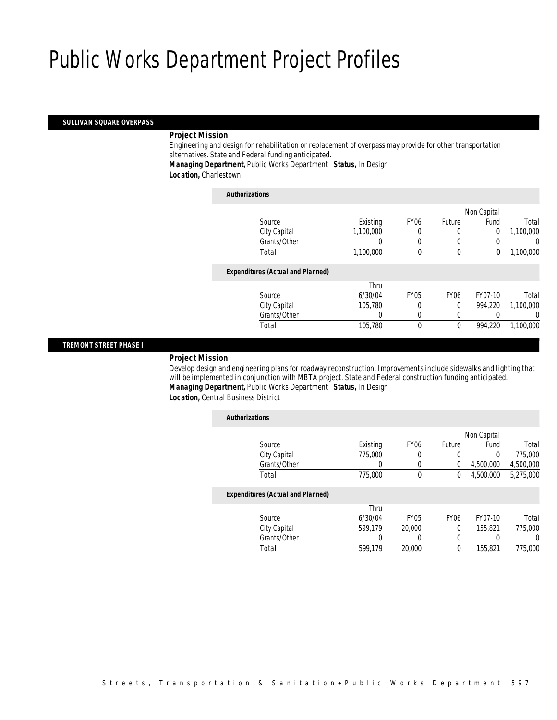#### *SULLIVAN SQUARE OVERPASS*

#### *Project Mission*

Engineering and design for rehabilitation or replacement of overpass may provide for other transportation alternatives. State and Federal funding anticipated. *Managing Department,* Public Works Department *Status,* In Design *Location,* Charlestown

#### *Authorizations* Source **Existing** FY06 Future Non Capital Fund Total<br>0 1,100,000 City Capital 1,100,000 0 0 0 0<br>Grants/Other 0 0 0 0 0 Grants/Other 0 0 0 0 0 0 Total 1,100,000 0 0 0 1,100,000*Expenditures (Actual and Planned)* Source Thru 6/30/04 FY05 FY06 FY07-10 Total City Capital 105,780 0 0 994,220 Grants/Other 0 0 0 0 0 0 Total 105,780 0 0 994,220 1,100,000

#### *TREMONT STREET PHASE I*

#### *Project Mission*

Develop design and engineering plans for roadway reconstruction. Improvements include sidewalks and lighting that will be implemented in conjunction with MBTA project. State and Federal construction funding anticipated. *Managing Department,* Public Works Department *Status,* In Design

*Location,* Central Business District

| <b>Authorizations</b>                    |          |                  |                  |             |           |
|------------------------------------------|----------|------------------|------------------|-------------|-----------|
|                                          |          |                  |                  | Non Capital |           |
| Source                                   | Existing | FY <sub>06</sub> | Future           | Fund        | Total     |
| City Capital                             | 775,000  | 0                | 0                | $\theta$    | 775,000   |
| Grants/Other                             | 0        | 0                | 0                | 4.500.000   | 4,500,000 |
| Total                                    | 775,000  | 0                | 0                | 4,500,000   | 5,275,000 |
| <b>Expenditures (Actual and Planned)</b> |          |                  |                  |             |           |
|                                          | Thru     |                  |                  |             |           |
| Source                                   | 6/30/04  | <b>FY05</b>      | FY <sub>06</sub> | FY07-10     | Total     |
| City Capital                             | 599,179  | 20,000           | 0                | 155,821     | 775,000   |
| Grants/Other                             | 0        | 0                | 0                |             | 0         |
| Total                                    | 599,179  | 20,000           | 0                | 155.821     | 775,000   |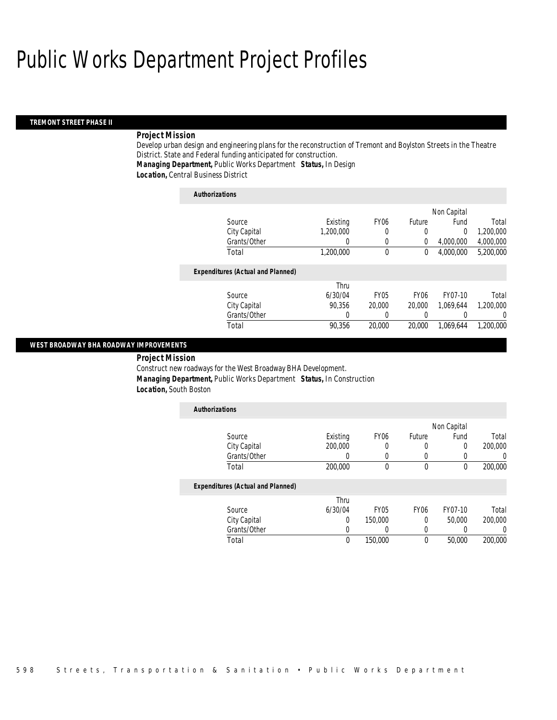#### *TREMONT STREET PHASE II*

#### *Project Mission*

Develop urban design and engineering plans for the reconstruction of Tremont and Boylston Streets in the Theatre District. State and Federal funding anticipated for construction. *Managing Department,* Public Works Department *Status,* In Design *Location,* Central Business District

### *Authorizations*

|                                          |           |                  |             | Non Capital |           |
|------------------------------------------|-----------|------------------|-------------|-------------|-----------|
| Source                                   | Existing  | FY <sub>06</sub> | Future      | Fund        | Total     |
| City Capital                             | 1,200,000 | 0                | 0           | 0           | 1,200,000 |
| Grants/Other                             | 0         | 0                | $\Omega$    | 4,000,000   | 4,000,000 |
| Total                                    | 1,200,000 | $\theta$         | 0           | 4,000,000   | 5,200,000 |
| <b>Expenditures (Actual and Planned)</b> |           |                  |             |             |           |
|                                          | Thru      |                  |             |             |           |
| Source                                   | 6/30/04   | <b>FY05</b>      | <b>FY06</b> | FY07-10     | Total     |
| City Capital                             | 90.356    | 20,000           | 20,000      | 1.069.644   | 1,200,000 |
| Grants/Other                             | 0         |                  |             |             | $\Omega$  |
| Total                                    | 90,356    | 20,000           | 20,000      | 1,069,644   | 1,200,000 |

#### *WEST BROADWAY BHA ROADWAY IMPROVEMENTS*

*Project Mission* 

Construct new roadways for the West Broadway BHA Development. *Managing Department,* Public Works Department *Status,* In Construction *Location,* South Boston

| <b>Authorizations</b>                    |          |                  |             |             |         |
|------------------------------------------|----------|------------------|-------------|-------------|---------|
|                                          |          |                  |             | Non Capital |         |
| Source                                   | Existing | FY <sub>06</sub> | Future      | Fund        | Total   |
| City Capital                             | 200,000  | 0                | 0           | 0           | 200,000 |
| Grants/Other                             |          | 0                |             | 0           | 0       |
| Total                                    | 200,000  | 0                | 0           | 0           | 200,000 |
| <b>Expenditures (Actual and Planned)</b> |          |                  |             |             |         |
|                                          | Thru     |                  |             |             |         |
| Source                                   | 6/30/04  | <b>FY05</b>      | <b>FY06</b> | FY07-10     | Total   |
| City Capital                             | 0        | 150,000          | 0           | 50,000      | 200,000 |
| Grants/Other                             | O        |                  | 0           | 0           | 0       |
| Total                                    | 0        | 150,000          | $\theta$    | 50,000      | 200,000 |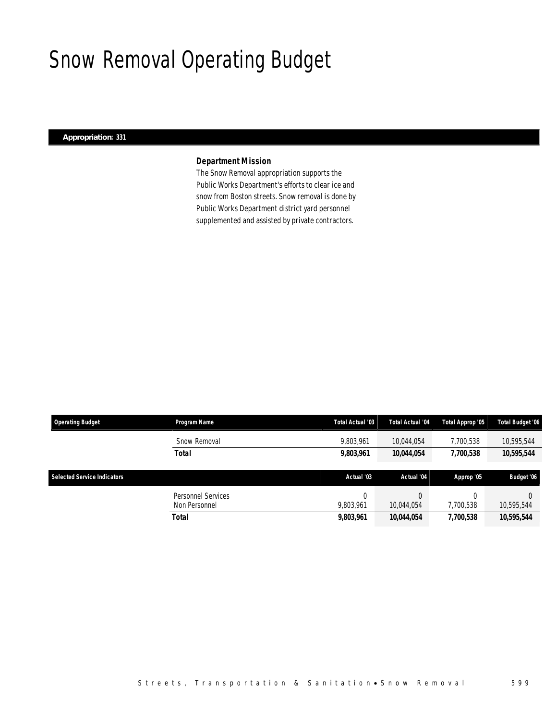# Snow Removal Operating Budget

#### *Appropriation: 331*

### *Department Mission*

The Snow Removal appropriation supports the Public Works Department's efforts to clear ice and snow from Boston streets. Snow removal is done by Public Works Department district yard personnel supplemented and assisted by private contractors.

| <b>Operating Budget</b>            | Program Name       | <b>Total Actual '03</b> | Total Actual '04 | Total Approp '05 | <b>Total Budget '06</b> |
|------------------------------------|--------------------|-------------------------|------------------|------------------|-------------------------|
|                                    | Snow Removal       | 9,803,961               | 10,044,054       | 7,700,538        | 10,595,544              |
|                                    | Total              | 9,803,961               | 10,044,054       | 7,700,538        | 10,595,544              |
|                                    |                    |                         |                  |                  |                         |
|                                    |                    |                         |                  |                  |                         |
| <b>Selected Service Indicators</b> |                    | Actual '03              | Actual '04       | Approp '05       | Budget '06              |
|                                    | Personnel Services | υ                       | 0                |                  |                         |
|                                    | Non Personnel      | 9.803.961               | 10.044.054       | 7,700,538        | 10,595,544              |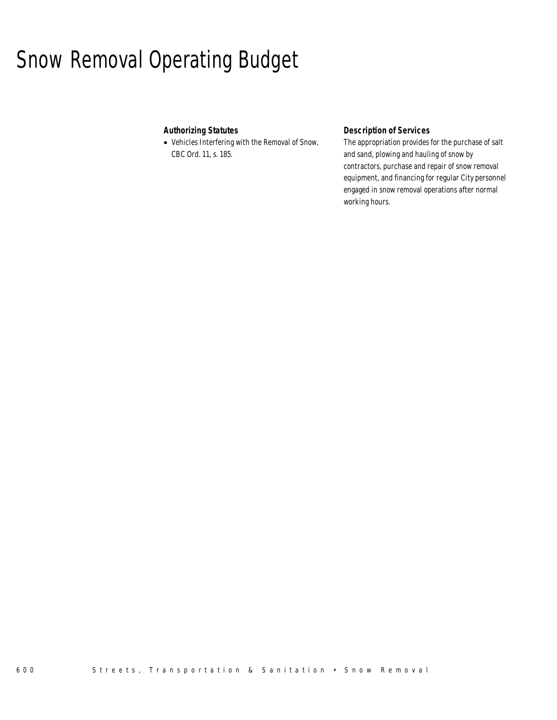# Snow Removal Operating Budget

### *Authorizing Statutes*

• Vehicles Interfering with the Removal of Snow, CBC Ord. 11, s. 185.

### *Description of Services*

The appropriation provides for the purchase of salt and sand, plowing and hauling of snow by contractors, purchase and repair of snow removal equipment, and financing for regular City personnel engaged in snow removal operations after normal working hours.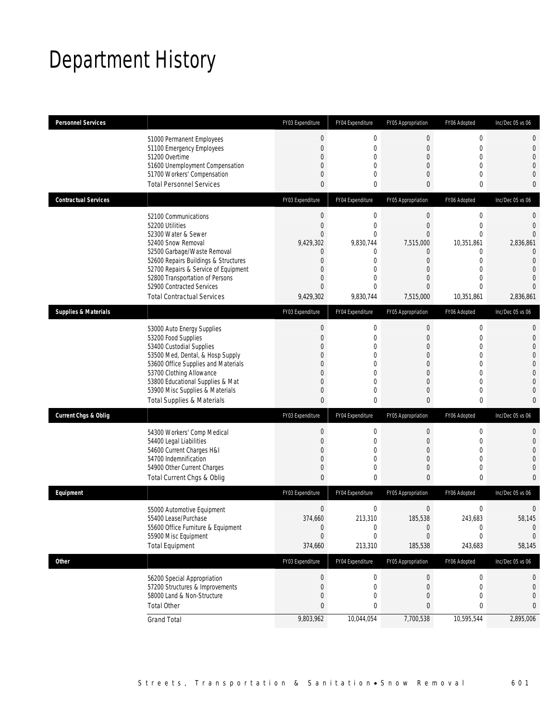# Department History

| <b>Personnel Services</b>       |                                                                                                                                                                                                                                                                                                          | FY03 Expenditure                                                                                                                                          | FY04 Expenditure                                                                                                                                     | FY05 Appropriation                                                                                                                                                   | FY06 Adopted                                                                                                                                   | Inc/Dec 05 vs 06                                                                                                                |
|---------------------------------|----------------------------------------------------------------------------------------------------------------------------------------------------------------------------------------------------------------------------------------------------------------------------------------------------------|-----------------------------------------------------------------------------------------------------------------------------------------------------------|------------------------------------------------------------------------------------------------------------------------------------------------------|----------------------------------------------------------------------------------------------------------------------------------------------------------------------|------------------------------------------------------------------------------------------------------------------------------------------------|---------------------------------------------------------------------------------------------------------------------------------|
|                                 | 51000 Permanent Employees<br>51100 Emergency Employees<br>51200 Overtime<br>51600 Unemployment Compensation<br>51700 Workers' Compensation<br><b>Total Personnel Services</b>                                                                                                                            | $\boldsymbol{0}$<br>$\mathbf 0$<br>$\overline{0}$<br>$\mathbf{0}$<br>$\mathbf 0$<br>$\mathbf{0}$                                                          | 0<br>$\mathbf 0$<br>$\mathbf{0}$<br>$\mathbf{0}$<br>$\mathbf 0$<br>$\mathbf 0$                                                                       | $\mathbf 0$<br>$\mathbf{0}$<br>$\overline{0}$<br>$\overline{0}$<br>0<br>0                                                                                            | $\mathbf 0$<br>$\mathbf{0}$<br>$\mathbf{0}$<br>$\mathbf{0}$<br>$\mathbf{0}$<br>0                                                               | 0<br>$\mathbf 0$<br>$\mathbf{0}$<br>$\theta$<br>$\mathbf 0$<br>$\mathbf{0}$                                                     |
| <b>Contractual Services</b>     |                                                                                                                                                                                                                                                                                                          | FY03 Expenditure                                                                                                                                          | FY04 Expenditure                                                                                                                                     | FY05 Appropriation                                                                                                                                                   | FY06 Adopted                                                                                                                                   | Inc/Dec 05 vs 06                                                                                                                |
|                                 | 52100 Communications<br>52200 Utilities<br>52300 Water & Sewer<br>52400 Snow Removal<br>52500 Garbage/Waste Removal<br>52600 Repairs Buildings & Structures<br>52700 Repairs & Service of Equipment<br>52800 Transportation of Persons<br>52900 Contracted Services<br><b>Total Contractual Services</b> | $\boldsymbol{0}$<br>$\mathbf{0}$<br>$\mathbf{0}$<br>9,429,302<br>$\mathbf 0$<br>$\mathbf{0}$<br>$\mathbf{0}$<br>$\mathbf{0}$<br>$\mathbf{0}$<br>9,429,302 | $\mathbf 0$<br>$\mathbf{0}$<br>$\mathbf{0}$<br>9,830,744<br>$\mathbf 0$<br>$\mathbf{0}$<br>$\mathbf{0}$<br>$\mathbf{0}$<br>$\mathbf{0}$<br>9,830,744 | $\mathbf{0}$<br>$\overline{0}$<br>$\overline{0}$<br>7,515,000<br>$\overline{0}$<br>$\overline{0}$<br>$\overline{0}$<br>$\overline{0}$<br>$\overline{0}$<br>7,515,000 | $\mathbf 0$<br>$\mathbf{0}$<br>$\Omega$<br>10,351,861<br>$\mathbf{0}$<br>$\mathbf 0$<br>$\Omega$<br>$\mathbf{0}$<br>$\mathbf{0}$<br>10,351,861 | $\theta$<br>$\mathbf{0}$<br>$\Omega$<br>2,836,861<br>$\theta$<br>$\theta$<br>$\mathbf{0}$<br>$\Omega$<br>$\Omega$<br>2,836,861  |
| <b>Supplies &amp; Materials</b> |                                                                                                                                                                                                                                                                                                          | FY03 Expenditure                                                                                                                                          | FY04 Expenditure                                                                                                                                     | FY05 Appropriation                                                                                                                                                   | FY06 Adopted                                                                                                                                   | Inc/Dec 05 vs 06                                                                                                                |
|                                 | 53000 Auto Energy Supplies<br>53200 Food Supplies<br>53400 Custodial Supplies<br>53500 Med, Dental, & Hosp Supply<br>53600 Office Supplies and Materials<br>53700 Clothing Allowance<br>53800 Educational Supplies & Mat<br>53900 Misc Supplies & Materials<br><b>Total Supplies &amp; Materials</b>     | $\boldsymbol{0}$<br>$\overline{0}$<br>$\mathbf{0}$<br>$\mathbf{0}$<br>$\mathbf{0}$<br>$\mathbf{0}$<br>$\overline{0}$<br>$\mathbf 0$<br>$\mathbf{0}$       | 0<br>$\mathbf 0$<br>$\mathbf 0$<br>$\mathbf 0$<br>$\mathbf{0}$<br>$\mathbf{0}$<br>$\mathbf{0}$<br>$\mathbf 0$<br>$\mathbf 0$                         | $\theta$<br>$\mathbf{0}$<br>0<br>$\overline{0}$<br>$\overline{0}$<br>$\overline{0}$<br>$\overline{0}$<br>0<br>0                                                      | $\mathbf 0$<br>$\mathbf{0}$<br>$\Omega$<br>$\mathbf{0}$<br>$\mathbf{0}$<br>$\mathbf{0}$<br>$\mathbf{0}$<br>$\mathbf{0}$<br>0                   | 0<br>$\theta$<br>$\boldsymbol{0}$<br>$\mathbf 0$<br>$\boldsymbol{0}$<br>$\theta$<br>$\mathbf{0}$<br>$\mathbf 0$<br>$\mathbf{0}$ |
| <b>Current Chgs &amp; Oblig</b> |                                                                                                                                                                                                                                                                                                          | FY03 Expenditure                                                                                                                                          | FY04 Expenditure                                                                                                                                     | FY05 Appropriation                                                                                                                                                   | FY06 Adopted                                                                                                                                   | Inc/Dec 05 vs 06                                                                                                                |
|                                 | 54300 Workers' Comp Medical<br>54400 Legal Liabilities<br>54600 Current Charges H&I<br>54700 Indemnification<br>54900 Other Current Charges<br>Total Current Chgs & Oblig                                                                                                                                | $\boldsymbol{0}$<br>$\mathbf{0}$<br>$\mathbf{0}$<br>$\mathbf{0}$<br>$\mathbf 0$<br>$\mathbf{0}$                                                           | $\mathbf 0$<br>$\mathbf{0}$<br>$\mathbf 0$<br>$\mathbf{0}$<br>$\mathbf 0$<br>$\mathbf 0$                                                             | $\mathbf 0$<br>$\mathbf{0}$<br>$\overline{0}$<br>$\overline{0}$<br>$\mathbf{0}$<br>0                                                                                 | $\mathbf 0$<br>$\mathbf 0$<br>$\mathbf{0}$<br>$\mathbf{0}$<br>$\mathbf{0}$<br>0                                                                | 0<br>$\theta$<br>$\boldsymbol{0}$<br>$\mathbf 0$<br>$\mathbf 0$<br>$\mathbf{0}$                                                 |
| Equipment                       |                                                                                                                                                                                                                                                                                                          | FY03 Expenditure                                                                                                                                          | FY04 Expenditure                                                                                                                                     | FY05 Appropriation                                                                                                                                                   | FY06 Adopted                                                                                                                                   | Inc/Dec 05 vs 06                                                                                                                |
|                                 | 55000 Automotive Equipment<br>55400 Lease/Purchase<br>55600 Office Furniture & Equipment<br>55900 Misc Equipment<br><b>Total Equipment</b>                                                                                                                                                               | $\mathbf 0$<br>374,660<br>$\boldsymbol{0}$<br>$\mathbf{0}$<br>374,660                                                                                     | 0<br>213,310<br>$\boldsymbol{0}$<br>$\mathbf{0}$<br>213,310                                                                                          | $\mathbf 0$<br>185,538<br>$\theta$<br>$\overline{0}$<br>185,538                                                                                                      | $\mathbf{0}$<br>243,683<br>0<br>0<br>243,683                                                                                                   | 0<br>58,145<br>$\mathbf 0$<br>$\mathbf 0$<br>58,145                                                                             |
| Other                           |                                                                                                                                                                                                                                                                                                          | FY03 Expenditure                                                                                                                                          | FY04 Expenditure                                                                                                                                     | FY05 Appropriation                                                                                                                                                   | FY06 Adopted                                                                                                                                   | Inc/Dec 05 vs 06                                                                                                                |
|                                 | 56200 Special Appropriation<br>57200 Structures & Improvements<br>58000 Land & Non-Structure<br><b>Total Other</b>                                                                                                                                                                                       | $\bf{0}$<br>$\mathbf 0$<br>$\overline{0}$<br>$\mathbf{0}$                                                                                                 | $\boldsymbol{0}$<br>0<br>$\mathbf{0}$<br>0                                                                                                           | $\boldsymbol{0}$<br>$\mathbf 0$<br>$\overline{0}$<br>0                                                                                                               | 0<br>0<br>0<br>0                                                                                                                               | $\theta$<br>$\mathbf{0}$<br>$\mathbf 0$<br>$\mathbf{0}$                                                                         |
|                                 | <b>Grand Total</b>                                                                                                                                                                                                                                                                                       | 9,803,962                                                                                                                                                 | 10,044,054                                                                                                                                           | 7,700,538                                                                                                                                                            | 10,595,544                                                                                                                                     | 2,895,006                                                                                                                       |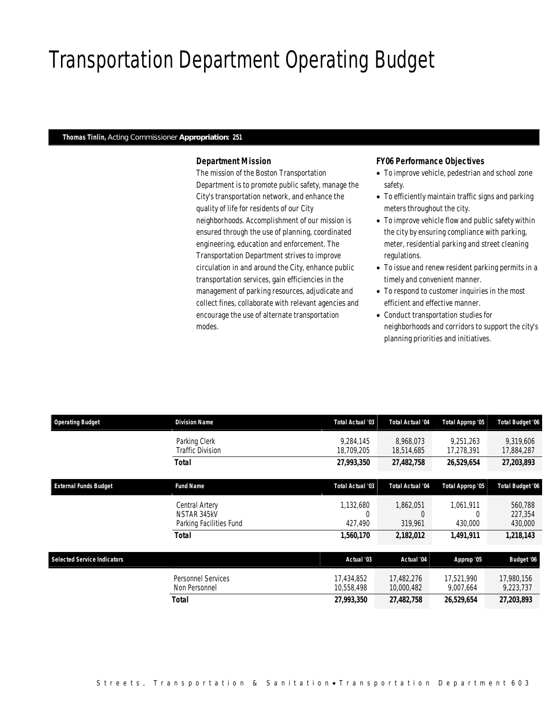# Transportation Department Operating Budget

#### *Thomas Tinlin, Acting Commissioner Appropriation: 251*

#### *Department Mission*

The mission of the Boston Transportation Department is to promote public safety, manage the City's transportation network, and enhance the quality of life for residents of our City neighborhoods. Accomplishment of our mission is ensured through the use of planning, coordinated engineering, education and enforcement. The Transportation Department strives to improve circulation in and around the City, enhance public transportation services, gain efficiencies in the management of parking resources, adjudicate and collect fines, collaborate with relevant agencies and encourage the use of alternate transportation modes.

#### *FY06 Performance Objectives*

- To improve vehicle, pedestrian and school zone safety.
- To efficiently maintain traffic signs and parking meters throughout the city.
- To improve vehicle flow and public safety within the city by ensuring compliance with parking, meter, residential parking and street cleaning regulations.
- To issue and renew resident parking permits in a timely and convenient manner.
- To respond to customer inquiries in the most efficient and effective manner.
- Conduct transportation studies for neighborhoods and corridors to support the city's planning priorities and initiatives.

| <b>Operating Budget</b>            | <b>Division Name</b>                                            | Total Actual '03                 | Total Actual '04          | Total Approp '05          | <b>Total Budget '06</b>       |
|------------------------------------|-----------------------------------------------------------------|----------------------------------|---------------------------|---------------------------|-------------------------------|
|                                    | Parking Clerk<br><b>Traffic Division</b>                        | 9,284,145<br>18,709,205          | 8,968,073<br>18,514,685   | 9,251,263<br>17,278,391   | 9,319,606<br>17,884,287       |
|                                    | <b>Total</b>                                                    | 27,993,350                       | 27,482,758                | 26,529,654                | 27,203,893                    |
| <b>External Funds Budget</b>       | <b>Fund Name</b>                                                | Total Actual '03                 | Total Actual '04          | Total Approp '05          | <b>Total Budget '06</b>       |
|                                    | <b>Central Artery</b><br>NSTAR 345kV<br>Parking Facilities Fund | 1,132,680<br>$\theta$<br>427,490 | 1,862,051<br>C<br>319,961 | 1,061,911<br>0<br>430,000 | 560,788<br>227,354<br>430,000 |
|                                    | Total                                                           | 1,560,170                        | 2,182,012                 | 1,491,911                 | 1,218,143                     |
| <b>Selected Service Indicators</b> |                                                                 | Actual '03                       | Actual '04                | Approp '05                | Budget '06                    |
|                                    | <b>Personnel Services</b><br>Non Personnel                      | 17,434,852<br>10,558,498         | 17.482.276<br>10,000,482  | 17,521,990<br>9,007,664   | 17,980,156<br>9,223,737       |
|                                    | Total                                                           | 27,993,350                       | 27,482,758                | 26,529,654                | 27,203,893                    |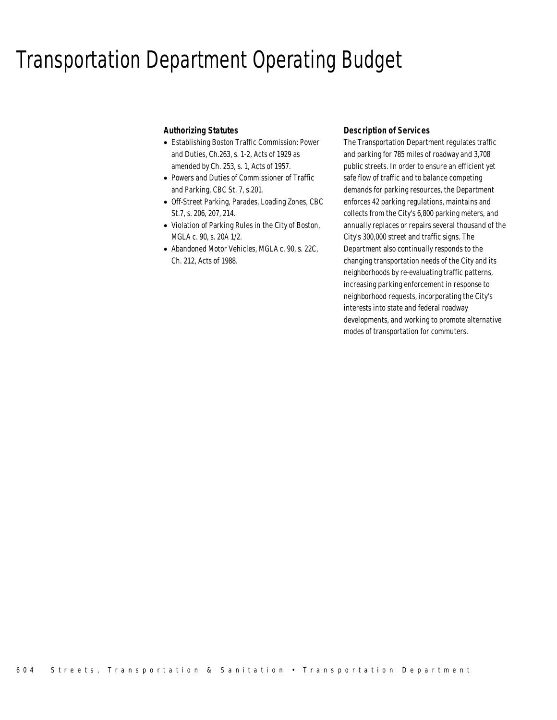### Transportation Department Operating Budget

#### *Authorizing Statutes*

- Establishing Boston Traffic Commission: Power and Duties, Ch.263, s. 1-2, Acts of 1929 as amended by Ch. 253, s. 1, Acts of 1957.
- Powers and Duties of Commissioner of Traffic and Parking, CBC St. 7, s.201.
- Off-Street Parking, Parades, Loading Zones, CBC St.7, s. 206, 207, 214.
- Violation of Parking Rules in the City of Boston, MGLA c. 90, s. 20A 1/2.
- Abandoned Motor Vehicles, MGLA c. 90, s. 22C, Ch. 212, Acts of 1988.

#### *Description of Services*

The Transportation Department regulates traffic and parking for 785 miles of roadway and 3,708 public streets. In order to ensure an efficient yet safe flow of traffic and to balance competing demands for parking resources, the Department enforces 42 parking regulations, maintains and collects from the City's 6,800 parking meters, and annually replaces or repairs several thousand of the City's 300,000 street and traffic signs. The Department also continually responds to the changing transportation needs of the City and its neighborhoods by re-evaluating traffic patterns, increasing parking enforcement in response to neighborhood requests, incorporating the City's interests into state and federal roadway developments, and working to promote alternative modes of transportation for commuters.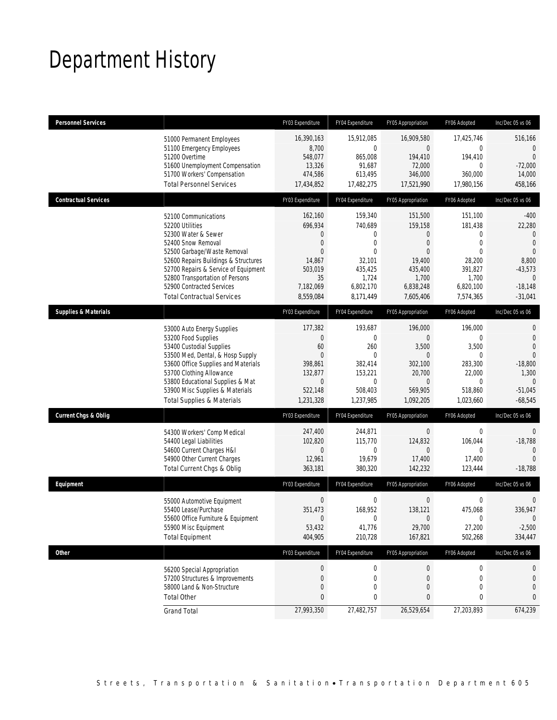# Department History

| <b>Personnel Services</b>       |                                                                                                                                                                                                                                                                                                          | FY03 Expenditure                                                                                                    | FY04 Expenditure                                                                                                       | FY05 Appropriation                                                                                                         | FY06 Adopted                                                                                                            | Inc/Dec 05 vs 06                                                                                          |
|---------------------------------|----------------------------------------------------------------------------------------------------------------------------------------------------------------------------------------------------------------------------------------------------------------------------------------------------------|---------------------------------------------------------------------------------------------------------------------|------------------------------------------------------------------------------------------------------------------------|----------------------------------------------------------------------------------------------------------------------------|-------------------------------------------------------------------------------------------------------------------------|-----------------------------------------------------------------------------------------------------------|
|                                 | 51000 Permanent Employees<br>51100 Emergency Employees<br>51200 Overtime<br>51600 Unemployment Compensation<br>51700 Workers' Compensation<br><b>Total Personnel Services</b>                                                                                                                            | 16,390,163<br>8,700<br>548,077<br>13,326<br>474,586<br>17,434,852                                                   | 15,912,085<br>$\mathbf{0}$<br>865,008<br>91,687<br>613,495<br>17,482,275                                               | 16,909,580<br>$\mathbf{0}$<br>194,410<br>72,000<br>346,000<br>17,521,990                                                   | 17,425,746<br>0<br>194,410<br>$\overline{0}$<br>360.000<br>17,980,156                                                   | 516,166<br>0<br>0<br>$-72,000$<br>14,000<br>458,166                                                       |
| <b>Contractual Services</b>     |                                                                                                                                                                                                                                                                                                          | FY03 Expenditure                                                                                                    | FY04 Expenditure                                                                                                       | FY05 Appropriation                                                                                                         | FY06 Adopted                                                                                                            | Inc/Dec 05 vs 06                                                                                          |
|                                 | 52100 Communications<br>52200 Utilities<br>52300 Water & Sewer<br>52400 Snow Removal<br>52500 Garbage/Waste Removal<br>52600 Repairs Buildings & Structures<br>52700 Repairs & Service of Equipment<br>52800 Transportation of Persons<br>52900 Contracted Services<br><b>Total Contractual Services</b> | 162,160<br>696,934<br>$\theta$<br>$\mathbf{0}$<br>$\mathbf{0}$<br>14,867<br>503,019<br>35<br>7,182,069<br>8,559,084 | 159,340<br>740,689<br>$\mathbf{0}$<br>$\mathbf{0}$<br>$\theta$<br>32,101<br>435,425<br>1,724<br>6,802,170<br>8,171,449 | 151,500<br>159,158<br>$\overline{0}$<br>$\overline{0}$<br>$\Omega$<br>19,400<br>435,400<br>1,700<br>6,838,248<br>7,605,406 | 151,100<br>181,438<br>$\overline{0}$<br>$\mathbf 0$<br>$\Omega$<br>28,200<br>391,827<br>1,700<br>6,820,100<br>7,574,365 | $-400$<br>22,280<br>0<br>$\Omega$<br>$\theta$<br>8,800<br>$-43,573$<br>$\theta$<br>$-18,148$<br>$-31,041$ |
| <b>Supplies &amp; Materials</b> |                                                                                                                                                                                                                                                                                                          | FY03 Expenditure                                                                                                    | FY04 Expenditure                                                                                                       | FY05 Appropriation                                                                                                         | FY06 Adopted                                                                                                            | Inc/Dec 05 vs 06                                                                                          |
|                                 | 53000 Auto Energy Supplies<br>53200 Food Supplies<br>53400 Custodial Supplies<br>53500 Med, Dental, & Hosp Supply<br>53600 Office Supplies and Materials<br>53700 Clothing Allowance<br>53800 Educational Supplies & Mat<br>53900 Misc Supplies & Materials<br><b>Total Supplies &amp; Materials</b>     | 177,382<br>$\overline{0}$<br>60<br>$\mathbf{0}$<br>398,861<br>132,877<br>$\overline{0}$<br>522,148<br>1,231,328     | 193,687<br>$\theta$<br>260<br>$\theta$<br>382,414<br>153,221<br>$\theta$<br>508,403<br>1,237,985                       | 196,000<br>$\Omega$<br>3,500<br>$\overline{0}$<br>302,100<br>20,700<br>$\Omega$<br>569,905<br>1,092,205                    | 196,000<br>$\Omega$<br>3,500<br>$\mathbf 0$<br>283,300<br>22,000<br>$\Omega$<br>518,860<br>1,023,660                    | 0<br>0<br>$\overline{0}$<br>$\overline{0}$<br>$-18,800$<br>1,300<br>$\Omega$<br>$-51,045$<br>$-68,545$    |
| <b>Current Chgs &amp; Oblig</b> |                                                                                                                                                                                                                                                                                                          | FY03 Expenditure                                                                                                    | FY04 Expenditure                                                                                                       | FY05 Appropriation                                                                                                         | FY06 Adopted                                                                                                            | Inc/Dec 05 vs 06                                                                                          |
|                                 | 54300 Workers' Comp Medical<br>54400 Legal Liabilities<br>54600 Current Charges H&I<br>54900 Other Current Charges<br>Total Current Chgs & Oblig                                                                                                                                                         | 247,400<br>102,820<br>$\mathbf 0$<br>12,961<br>363,181                                                              | 244,871<br>115,770<br>$\mathbf{0}$<br>19,679<br>380,320                                                                | 0<br>124,832<br>$\overline{0}$<br>17,400<br>142,232                                                                        | 0<br>106,044<br>$\mathbf 0$<br>17,400<br>123,444                                                                        | 0<br>$-18,788$<br>0<br>$\overline{0}$<br>$-18,788$                                                        |
| Equipment                       |                                                                                                                                                                                                                                                                                                          | FY03 Expenditure                                                                                                    | FY04 Expenditure                                                                                                       | FY05 Appropriation                                                                                                         | FY06 Adopted                                                                                                            | Inc/Dec 05 vs 06                                                                                          |
|                                 | 55000 Automotive Equipment<br>55400 Lease/Purchase<br>55600 Office Furniture & Equipment<br>55900 Misc Equipment<br><b>Total Equipment</b>                                                                                                                                                               | $\mathbf 0$<br>351,473<br>$\mathbf 0$<br>53,432<br>404,905                                                          | $\mathbf 0$<br>168,952<br>0<br>41,776<br>210,728                                                                       | 0<br>138.121<br>$\mathbf 0$<br>29,700<br>167,821                                                                           | 0<br>475,068<br>$\Omega$<br>27,200<br>502,268                                                                           | 0<br>336.947<br>$\Omega$<br>$-2,500$<br>334,447                                                           |
| <b>Other</b>                    |                                                                                                                                                                                                                                                                                                          | FY03 Expenditure                                                                                                    | FY04 Expenditure                                                                                                       | FY05 Appropriation                                                                                                         | FY06 Adopted                                                                                                            | Inc/Dec 05 vs 06                                                                                          |
|                                 | 56200 Special Appropriation<br>57200 Structures & Improvements<br>58000 Land & Non-Structure<br><b>Total Other</b>                                                                                                                                                                                       | $\boldsymbol{0}$<br>$\mathbf{0}$<br>$\mathbf{0}$<br>$\bf{0}$                                                        | $\mathbf 0$<br>$\mathbf 0$<br>$\mathbf 0$<br>0                                                                         | $\boldsymbol{0}$<br>$\mathbf 0$<br>0<br>0                                                                                  | $\boldsymbol{0}$<br>0<br>$\mathbf 0$<br>0                                                                               | 0<br>0<br>0<br>0                                                                                          |
|                                 | <b>Grand Total</b>                                                                                                                                                                                                                                                                                       | 27,993,350                                                                                                          | 27,482,757                                                                                                             | 26,529,654                                                                                                                 | 27,203,893                                                                                                              | 674,239                                                                                                   |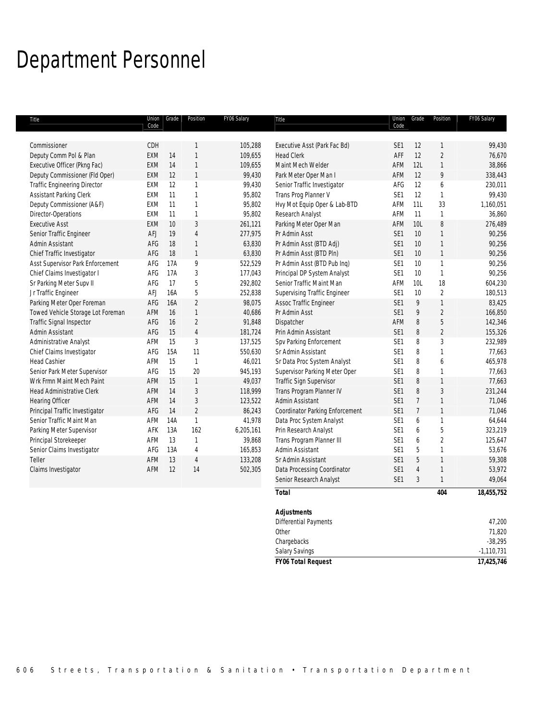## Department Personnel

| Title                               | Union<br>Code | Grade | Position       | FY06 Salary | Title                                       | Union<br>Code   | Grade           | Position       | FY06 Salary |
|-------------------------------------|---------------|-------|----------------|-------------|---------------------------------------------|-----------------|-----------------|----------------|-------------|
|                                     |               |       |                |             |                                             |                 |                 |                |             |
| Commissioner                        | CDH           |       | $\mathbf{1}$   | 105,288     | Executive Asst (Park Fac Bd)                | SE <sub>1</sub> | 12              | $\mathbf{1}$   | 99,430      |
| Deputy Comm Pol & Plan              | EXM           | 14    | $\mathbf{1}$   | 109,655     | <b>Head Clerk</b>                           | AFF             | 12              | $\overline{2}$ | 76,670      |
| Executive Officer (Pkng Fac)        | <b>EXM</b>    | 14    | $\mathbf{1}$   | 109,655     | Maint Mech Welder                           | <b>AFM</b>      | 12L             | 1              | 38,866      |
| Deputy Commissioner (Fld Oper)      | <b>EXM</b>    | 12    | $\mathbf{1}$   | 99,430      | Park Meter Oper Man I                       | AFM             | 12              | 9              | 338,443     |
| <b>Traffic Engineering Director</b> | <b>EXM</b>    | 12    | $\mathbf{1}$   | 99,430      | Senior Traffic Investigator                 | AFG             | 12              | 6              | 230,011     |
| Assistant Parking Clerk             | EXM           | 11    | $\mathbf{1}$   | 95,802      | Trans Prog Planner V                        | SE <sub>1</sub> | 12              | $\mathbf{1}$   | 99,430      |
| Deputy Commissioner (A&F)           | EXM           | 11    | $\mathbf{1}$   | 95,802      | Hvy Mot Equip Oper & Lab-BTD                | AFM             | 11L             | 33             | 1,160,051   |
| Director-Operations                 | EXM           | 11    | $\mathbf{1}$   | 95,802      | Research Analyst                            | AFM             | 11              | $\mathbf{1}$   | 36,860      |
| <b>Executive Asst</b>               | <b>EXM</b>    | 10    | $\mathfrak{Z}$ | 261,121     | Parking Meter Oper Man                      | AFM             | <b>10L</b>      | 8              | 276,489     |
| Senior Traffic Engineer             | AFJ           | 19    | $\overline{4}$ | 277,975     | Pr Admin Asst                               | SE <sub>1</sub> | 10              | $\mathbf{1}$   | 90,256      |
| Admin Assistant                     | AFG           | 18    | $\mathbf{1}$   | 63,830      | Pr Admin Asst (BTD Adj)                     | SE <sub>1</sub> | 10              | $\mathbf{1}$   | 90,256      |
| Chief Traffic Investigator          | AFG           | 18    | $\mathbf{1}$   | 63,830      | Pr Admin Asst (BTD Pln)                     | SE <sub>1</sub> | 10              | $\mathbf{1}$   | 90,256      |
| Asst Supervisor Park Enforcement    | AFG           | 17A   | 9              | 522,529     | Pr Admin Asst (BTD Pub Inq)                 | SE <sub>1</sub> | 10              | $\mathbf{1}$   | 90,256      |
| Chief Claims Investigator I         | AFG           | 17A   | $\mathfrak{Z}$ | 177,043     | Principal DP System Analyst                 | SE <sub>1</sub> | 10              | $\mathbf{1}$   | 90,256      |
| Sr Parking Meter Supv II            | AFG           | 17    | 5              | 292,802     | Senior Traffic Maint Man                    | AFM             | 10 <sub>L</sub> | 18             | 604,230     |
| Jr Traffic Engineer                 | AFJ           | 16A   | 5              | 252,838     | <b>Supervising Traffic Engineer</b>         | SE <sub>1</sub> | 10              | $\overline{2}$ | 180,513     |
| Parking Meter Oper Foreman          | AFG           | 16A   | $\overline{2}$ | 98,075      | Assoc Traffic Engineer                      | SE <sub>1</sub> | 9               | $\mathbf{1}$   | 83,425      |
| Towed Vehicle Storage Lot Foreman   | AFM           | 16    | $\mathbf{1}$   | 40,686      | Pr Admin Asst                               | SE <sub>1</sub> | 9               | $\overline{2}$ | 166,850     |
| Traffic Signal Inspector            | AFG           | 16    | $\overline{2}$ | 91,848      | Dispatcher                                  | AFM             | 8               | 5              | 142,346     |
| Admin Assistant                     | AFG           | 15    | $\sqrt{4}$     | 181,724     | Prin Admin Assistant                        | SE <sub>1</sub> | 8               | $\overline{2}$ | 155,326     |
| <b>Administrative Analyst</b>       | AFM           | 15    | $\mathfrak{Z}$ | 137,525     | Spv Parking Enforcement                     | SE <sub>1</sub> | 8               | 3              | 232,989     |
| Chief Claims Investigator           | AFG           | 15A   | 11             | 550,630     | Sr Admin Assistant                          | SE <sub>1</sub> | 8               | $\mathbf{1}$   | 77,663      |
| <b>Head Cashier</b>                 | AFM           | 15    | $\mathbf{1}$   | 46,021      | Sr Data Proc System Analyst                 | SE <sub>1</sub> | 8               | 6              | 465,978     |
| Senior Park Meter Supervisor        | AFG           | 15    | 20             | 945,193     | Supervisor Parking Meter Oper               | SE <sub>1</sub> | 8               | 1              | 77,663      |
| Wrk Frmn Maint Mech Paint           | AFM           | 15    | $\mathbf{1}$   | 49,037      | <b>Traffic Sign Supervisor</b>              | SE <sub>1</sub> | 8               | $\mathbf{1}$   | 77,663      |
| Head Administrative Clerk           | AFM           | 14    | $\overline{3}$ | 118,999     | Trans Program Planner IV                    | SE <sub>1</sub> | 8               | $\sqrt{3}$     | 231,244     |
| <b>Hearing Officer</b>              | <b>AFM</b>    | 14    | $\mathfrak{Z}$ | 123,522     | Admin Assistant                             | SE <sub>1</sub> | $\overline{7}$  | $\mathbf{1}$   | 71,046      |
| Principal Traffic Investigator      | AFG           | 14    | $\overline{2}$ | 86,243      | <b>Coordinator Parking Enforcement</b>      | SE <sub>1</sub> | $\overline{7}$  | $\mathbf{1}$   | 71,046      |
| Senior Traffic Maint Man            | AFM           | 14A   | $\mathbf{1}$   | 41,978      | Data Proc System Analyst                    | SE <sub>1</sub> | 6               | 1              | 64,644      |
| Parking Meter Supervisor            | AFK           | 13A   | 162            | 6,205,161   | Prin Research Analyst                       | SE <sub>1</sub> | 6               | 5              | 323,219     |
| Principal Storekeeper               | AFM           | 13    | $\mathbf{1}$   | 39,868      | Trans Program Planner III                   | SE <sub>1</sub> | 6               | $\overline{c}$ | 125,647     |
| Senior Claims Investigator          | AFG           | 13A   | $\sqrt{4}$     | 165,853     | Admin Assistant                             | SE <sub>1</sub> | 5               | $\mathbf{1}$   | 53,676      |
| Teller                              | AFM           | 13    | $\overline{4}$ | 133,208     | Sr Admin Assistant                          | SE <sub>1</sub> | 5               | $\mathbf{1}$   | 59,308      |
| Claims Investigator                 | AFM           | 12    | 14             | 502,305     | Data Processing Coordinator                 | SE1             | $\overline{4}$  | $\mathbf{1}$   | 53,972      |
|                                     |               |       |                |             | Senior Research Analyst                     | SE <sub>1</sub> | 3               | $\mathbf{1}$   | 49,064      |
|                                     |               |       |                |             | <b>Total</b>                                |                 |                 | 404            | 18,455,752  |
|                                     |               |       |                |             |                                             |                 |                 |                |             |
|                                     |               |       |                |             | <b>Adjustments</b><br>Differential Payments |                 |                 |                | 47,200      |
|                                     |               |       |                |             |                                             |                 |                 |                |             |

| <b>FY06 Total Request</b> | 17,425,746   |
|---------------------------|--------------|
| <b>Salary Savings</b>     | $-1,110,731$ |
| Chargebacks               | $-38,295$    |
| Other                     | 71,820       |
| DILICICINIAI FAVILICINS   | 47,ZUU       |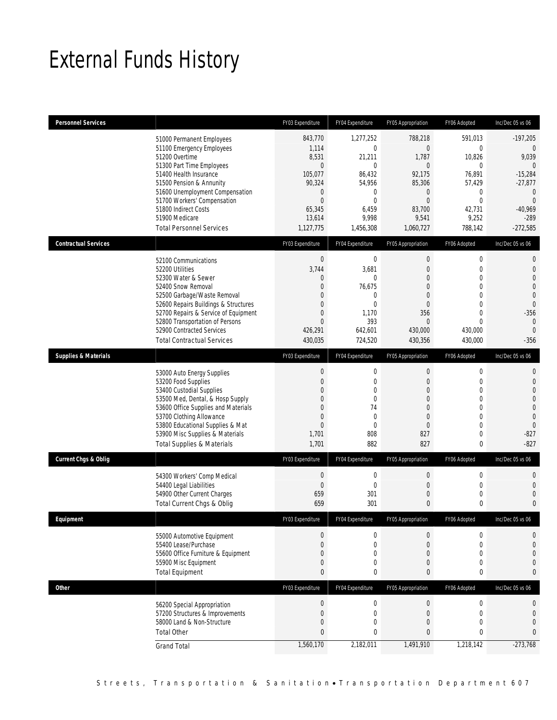# External Funds History

| <b>Personnel Services</b>       |                                                                                                                                                                                                                                                                                                            | FY03 Expenditure                                                                                                                                    | FY04 Expenditure                                                                                                                       | FY05 Appropriation                                                                                                                     | FY06 Adopted                                                                                                                    | Inc/Dec 05 vs 06                                                                                                                                       |
|---------------------------------|------------------------------------------------------------------------------------------------------------------------------------------------------------------------------------------------------------------------------------------------------------------------------------------------------------|-----------------------------------------------------------------------------------------------------------------------------------------------------|----------------------------------------------------------------------------------------------------------------------------------------|----------------------------------------------------------------------------------------------------------------------------------------|---------------------------------------------------------------------------------------------------------------------------------|--------------------------------------------------------------------------------------------------------------------------------------------------------|
|                                 | 51000 Permanent Employees<br>51100 Emergency Employees<br>51200 Overtime<br>51300 Part Time Employees<br>51400 Health Insurance<br>51500 Pension & Annunity<br>51600 Unemployment Compensation<br>51700 Workers' Compensation<br>51800 Indirect Costs<br>51900 Medicare<br><b>Total Personnel Services</b> | 843,770<br>1,114<br>8,531<br>$\mathbf 0$<br>105,077<br>90,324<br>$\mathbf{0}$<br>$\overline{0}$<br>65,345<br>13,614<br>1,127,775                    | 1,277,252<br>$\mathbf{0}$<br>21,211<br>$\mathbf{0}$<br>86,432<br>54,956<br>$\mathbf{0}$<br>$\mathbf{0}$<br>6,459<br>9,998<br>1,456,308 | 788,218<br>$\overline{0}$<br>1,787<br>$\overline{0}$<br>92,175<br>85,306<br>$\overline{0}$<br>$\Omega$<br>83,700<br>9,541<br>1,060,727 | 591,013<br>$\mathbf 0$<br>10,826<br>$\mathbf 0$<br>76,891<br>57,429<br>$\mathbf 0$<br>$\mathbf 0$<br>42,731<br>9,252<br>788,142 | $-197,205$<br>$\mathbf{0}$<br>9,039<br>$\mathbf{0}$<br>$-15,284$<br>$-27,877$<br>$\mathbf{0}$<br>$\overline{0}$<br>$-40,969$<br>$-289$<br>$-272,585$   |
| <b>Contractual Services</b>     |                                                                                                                                                                                                                                                                                                            | FY03 Expenditure                                                                                                                                    | FY04 Expenditure                                                                                                                       | FY05 Appropriation                                                                                                                     | FY06 Adopted                                                                                                                    | Inc/Dec 05 vs 06                                                                                                                                       |
|                                 | 52100 Communications<br>52200 Utilities<br>52300 Water & Sewer<br>52400 Snow Removal<br>52500 Garbage/Waste Removal<br>52600 Repairs Buildings & Structures<br>52700 Repairs & Service of Equipment<br>52800 Transportation of Persons<br>52900 Contracted Services<br><b>Total Contractual Services</b>   | $\boldsymbol{0}$<br>3,744<br>$\mathbf{0}$<br>$\mathbf{0}$<br>$\overline{0}$<br>$\mathbf{0}$<br>$\overline{0}$<br>$\mathbf{0}$<br>426,291<br>430,035 | $\mathbf 0$<br>3,681<br>$\mathbf{0}$<br>76,675<br>$\mathbf{0}$<br>$\mathbf{0}$<br>1,170<br>393<br>642,601<br>724,520                   | 0<br>$\boldsymbol{0}$<br>$\overline{0}$<br>$\overline{0}$<br>$\Omega$<br>$\Omega$<br>356<br>$\Omega$<br>430,000<br>430,356             | $\boldsymbol{0}$<br>$\boldsymbol{0}$<br>0<br>$\mathbf 0$<br>0<br>$\mathbf 0$<br>0<br>$\Omega$<br>430.000<br>430,000             | $\mathbf 0$<br>$\mathbf{0}$<br>$\mathbf 0$<br>$\overline{0}$<br>$\overline{0}$<br>$\overline{0}$<br>$-356$<br>$\mathbf{0}$<br>$\overline{0}$<br>$-356$ |
| <b>Supplies &amp; Materials</b> |                                                                                                                                                                                                                                                                                                            | FY03 Expenditure                                                                                                                                    | FY04 Expenditure                                                                                                                       | FY05 Appropriation                                                                                                                     | FY06 Adopted                                                                                                                    | Inc/Dec 05 vs 06                                                                                                                                       |
|                                 | 53000 Auto Energy Supplies<br>53200 Food Supplies<br>53400 Custodial Supplies<br>53500 Med, Dental, & Hosp Supply<br>53600 Office Supplies and Materials<br>53700 Clothing Allowance<br>53800 Educational Supplies & Mat<br>53900 Misc Supplies & Materials<br><b>Total Supplies &amp; Materials</b>       | $\mathbf 0$<br>$\mathbf{0}$<br>$\mathbf{0}$<br>$\Omega$<br>$\Omega$<br>$\overline{0}$<br>$\mathbf{0}$<br>1,701<br>1,701                             | $\mathbf 0$<br>$\mathbf{0}$<br>$\mathbf{0}$<br>$\mathbf{0}$<br>74<br>$\mathbf{0}$<br>$\mathbf{0}$<br>808<br>882                        | $\mathbf 0$<br>$\overline{0}$<br>$\boldsymbol{0}$<br>$\overline{0}$<br>$\Omega$<br>$\overline{0}$<br>$\theta$<br>827<br>827            | 0<br>$\boldsymbol{0}$<br>$\boldsymbol{0}$<br>0<br>$\mathbf 0$<br>$\mathbf 0$<br>0<br>0<br>0                                     | $\mathbf 0$<br>$\mathbf{0}$<br>$\overline{0}$<br>$\mathbf{0}$<br>$\overline{0}$<br>$\overline{0}$<br>$\mathbf 0$<br>$-827$<br>$-827$                   |
| <b>Current Chgs &amp; Oblig</b> |                                                                                                                                                                                                                                                                                                            | FY03 Expenditure                                                                                                                                    | FY04 Expenditure                                                                                                                       | FY05 Appropriation                                                                                                                     | FY06 Adopted                                                                                                                    | Inc/Dec 05 vs 06                                                                                                                                       |
|                                 | 54300 Workers' Comp Medical<br>54400 Legal Liabilities<br>54900 Other Current Charges<br>Total Current Chgs & Oblig                                                                                                                                                                                        | $\boldsymbol{0}$<br>$\mathbf 0$<br>659<br>659                                                                                                       | $\mathbf 0$<br>$\mathbf{0}$<br>301<br>301                                                                                              | $\mathbf 0$<br>$\theta$<br>$\mathbf 0$<br>$\mathbf{0}$                                                                                 | 0<br>0<br>$\boldsymbol{0}$<br>0                                                                                                 | $\mathbf{0}$<br>$\mathbf{0}$<br>$\overline{0}$<br>$\bf{0}$                                                                                             |
| Equipment                       |                                                                                                                                                                                                                                                                                                            | FY03 Expenditure                                                                                                                                    | FY04 Expenditure                                                                                                                       | FY05 Appropriation                                                                                                                     | FY06 Adopted                                                                                                                    | Inc/Dec 05 vs 06                                                                                                                                       |
|                                 | 55000 Automotive Equipment<br>55400 Lease/Purchase<br>55600 Office Furniture & Equipment<br>55900 Misc Equipment<br><b>Total Equipment</b>                                                                                                                                                                 | $\mathbf 0$<br>$\mathbf{0}$<br>$\mathbf{0}$<br>$\mathbf 0$<br>$\mathbf{0}$                                                                          | $\mathbf 0$<br>$\mathbf{0}$<br>$\mathbf 0$<br>$\boldsymbol{0}$<br>0                                                                    | $\mathbf 0$<br>$\overline{0}$<br>$\boldsymbol{0}$<br>0<br>0                                                                            | $\boldsymbol{0}$<br>0<br>$\boldsymbol{0}$<br>$\boldsymbol{0}$<br>0                                                              | $\mathbf 0$<br>0<br>$\mathbf{0}$<br>$\mathbf 0$<br>$\mathbf{0}$                                                                                        |
| <b>Other</b>                    |                                                                                                                                                                                                                                                                                                            | FY03 Expenditure                                                                                                                                    | FY04 Expenditure                                                                                                                       | FY05 Appropriation                                                                                                                     | FY06 Adopted                                                                                                                    | Inc/Dec 05 vs 06                                                                                                                                       |
|                                 | 56200 Special Appropriation<br>57200 Structures & Improvements<br>58000 Land & Non-Structure<br><b>Total Other</b>                                                                                                                                                                                         | $\mathbf 0$<br>$\mathbf{0}$<br>$\mathbf 0$<br>$\bf{0}$<br>1,560,170                                                                                 | 0<br>$\mathbf 0$<br>$\mathbf 0$<br>0<br>2,182,011                                                                                      | $\mathbf 0$<br>$\boldsymbol{0}$<br>$\boldsymbol{0}$<br>0<br>1,491,910                                                                  | 0<br>$\boldsymbol{0}$<br>$\boldsymbol{0}$<br>0<br>1,218,142                                                                     | 0<br>$\mathbf 0$<br>$\mathbf 0$<br>$\bf{0}$<br>$-273,768$                                                                                              |
|                                 | <b>Grand Total</b>                                                                                                                                                                                                                                                                                         |                                                                                                                                                     |                                                                                                                                        |                                                                                                                                        |                                                                                                                                 |                                                                                                                                                        |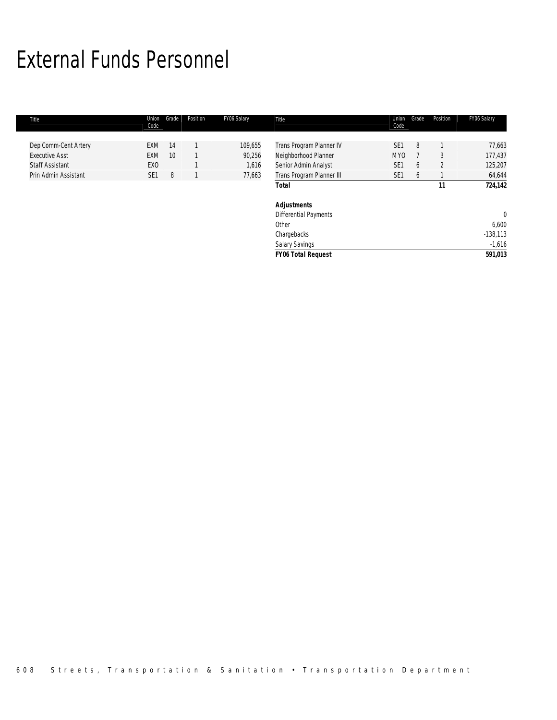# External Funds Personnel

| Title                  | Union<br>Code   | Grade | Position | FY06 Salary | Title                        | Union<br>Code   | Grade | Position | FY06 Salary  |
|------------------------|-----------------|-------|----------|-------------|------------------------------|-----------------|-------|----------|--------------|
|                        |                 |       |          |             |                              |                 |       |          |              |
| Dep Comm-Cent Artery   | <b>EXM</b>      | 14    |          | 109,655     | Trans Program Planner IV     | SE <sub>1</sub> | 8     |          | 77,663       |
| <b>Executive Asst</b>  | <b>EXM</b>      | 10    |          | 90,256      | Neighborhood Planner         | MY <sub>0</sub> |       | 3        | 177,437      |
| <b>Staff Assistant</b> | EXO             |       |          | 1,616       | Senior Admin Analyst         | SE <sub>1</sub> | 6     | 2        | 125,207      |
| Prin Admin Assistant   | SE <sub>1</sub> | 8     |          | 77,663      | Trans Program Planner III    | SE <sub>1</sub> | 6     |          | 64,644       |
|                        |                 |       |          |             | <b>Total</b>                 |                 |       | 11       | 724,142      |
|                        |                 |       |          |             | <b>Adjustments</b>           |                 |       |          |              |
|                        |                 |       |          |             | <b>Differential Payments</b> |                 |       |          | $\mathbf{0}$ |
|                        |                 |       |          |             | Other                        |                 |       |          | 6,600        |
|                        |                 |       |          |             | Chargebacks                  |                 |       |          | $-138,113$   |
|                        |                 |       |          |             | <b>Salary Savings</b>        |                 |       |          | $-1,616$     |
|                        |                 |       |          |             | <b>FY06 Total Request</b>    |                 |       |          | 591,013      |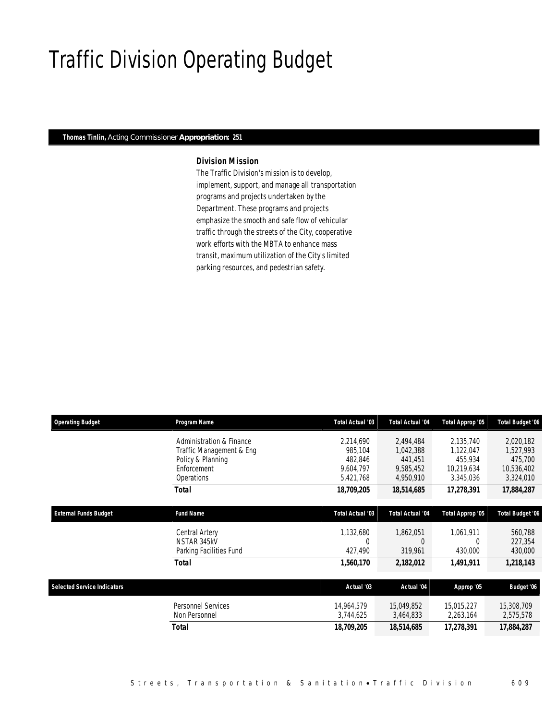# Traffic Division Operating Budget

#### *Thomas Tinlin, Acting Commissioner Appropriation: 251*

### *Division Mission*

The Traffic Division's mission is to develop, implement, support, and manage all transportation programs and projects undertaken by the Department. These programs and projects emphasize the smooth and safe flow of vehicular traffic through the streets of the City, cooperative work efforts with the MBTA to enhance mass transit, maximum utilization of the City's limited parking resources, and pedestrian safety.

| <b>Operating Budget</b>            | Program Name             | Total Actual '03 | <b>Total Actual '04</b> | Total Approp '05 | <b>Total Budget '06</b> |
|------------------------------------|--------------------------|------------------|-------------------------|------------------|-------------------------|
|                                    | Administration & Finance | 2,214,690        | 2,494,484               | 2,135,740        | 2,020,182               |
|                                    | Traffic Management & Eng | 985.104          | 1.042.388               | 1,122,047        | 1,527,993               |
|                                    | Policy & Planning        | 482.846          | 441,451                 | 455,934          | 475,700                 |
|                                    | Enforcement              | 9,604,797        | 9,585,452               | 10,219,634       | 10,536,402              |
|                                    | Operations               | 5,421,768        | 4,950,910               | 3,345,036        | 3,324,010               |
|                                    | Total                    | 18,709,205       | 18,514,685              | 17,278,391       | 17,884,287              |
|                                    |                          |                  |                         |                  |                         |
| <b>External Funds Budget</b>       | <b>Fund Name</b>         | Total Actual '03 | <b>Total Actual '04</b> | Total Approp '05 | <b>Total Budget '06</b> |
|                                    | Central Artery           | 1,132,680        | 1,862,051               | 1,061,911        | 560,788                 |
|                                    | NSTAR 345kV              | C                | 0                       |                  | 227,354                 |
|                                    | Parking Facilities Fund  | 427,490          | 319,961                 | 430,000          | 430,000                 |
|                                    | Total                    | 1,560,170        | 2,182,012               | 1,491,911        | 1,218,143               |
| <b>Selected Service Indicators</b> |                          | Actual '03       | Actual '04              | Approp '05       | <b>Budget '06</b>       |
|                                    |                          |                  |                         |                  |                         |
|                                    | Personnel Services       | 14,964,579       | 15,049,852              | 15,015,227       | 15,308,709              |
|                                    | Non Personnel            | 3,744,625        | 3,464,833               | 2,263,164        | 2,575,578               |
|                                    | Total                    | 18,709,205       | 18,514,685              | 17,278,391       | 17,884,287              |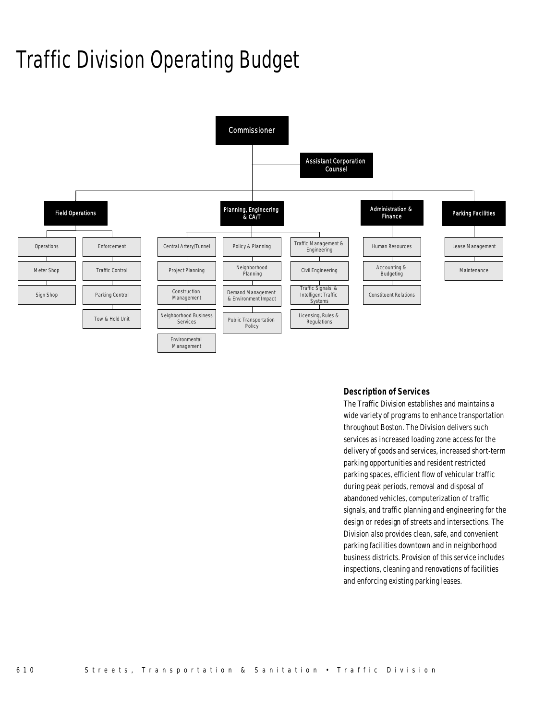# Traffic Division Operating Budget



#### *Description of Services*

The Traffic Division establishes and maintains a wide variety of programs to enhance transportation throughout Boston. The Division delivers such services as increased loading zone access for the delivery of goods and services, increased short-term parking opportunities and resident restricted parking spaces, efficient flow of vehicular traffic during peak periods, removal and disposal of abandoned vehicles, computerization of traffic signals, and traffic planning and engineering for the design or redesign of streets and intersections. The Division also provides clean, safe, and convenient parking facilities downtown and in neighborhood business districts. Provision of this service includes inspections, cleaning and renovations of facilities and enforcing existing parking leases.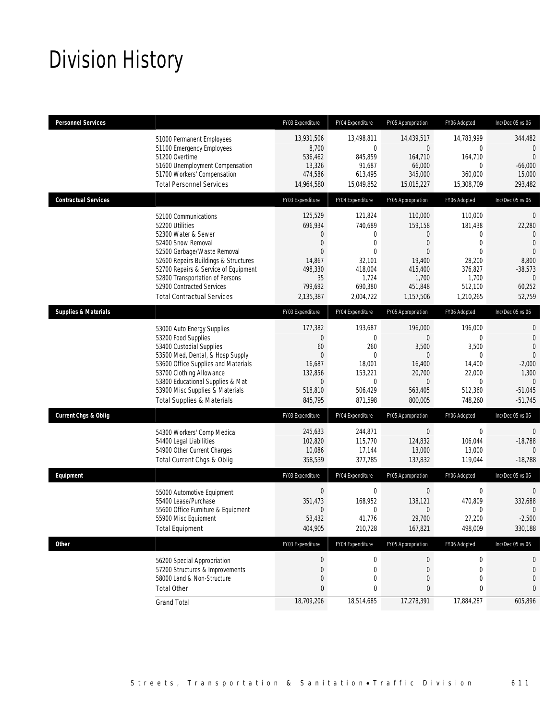# Division History

| <b>Personnel Services</b>       |                                                                                                                                                                                                                                                                                                          | FY03 Expenditure                                                                                         | FY04 Expenditure                                                                                                 | FY05 Appropriation                                                                             | FY06 Adopted                                                                                                       | Inc/Dec 05 vs 06                                                                                                                  |
|---------------------------------|----------------------------------------------------------------------------------------------------------------------------------------------------------------------------------------------------------------------------------------------------------------------------------------------------------|----------------------------------------------------------------------------------------------------------|------------------------------------------------------------------------------------------------------------------|------------------------------------------------------------------------------------------------|--------------------------------------------------------------------------------------------------------------------|-----------------------------------------------------------------------------------------------------------------------------------|
|                                 | 51000 Permanent Employees<br>51100 Emergency Employees<br>51200 Overtime<br>51600 Unemployment Compensation<br>51700 Workers' Compensation<br><b>Total Personnel Services</b>                                                                                                                            | 13,931,506<br>8,700<br>536,462<br>13,326<br>474,586<br>14,964,580                                        | 13,498,811<br>$\mathbf{0}$<br>845,859<br>91,687<br>613,495<br>15,049,852                                         | 14,439,517<br>$\overline{0}$<br>164,710<br>66,000<br>345,000<br>15,015,227                     | 14,783,999<br>$\mathbf{0}$<br>164,710<br>$\Omega$<br>360,000<br>15,308,709                                         | 344,482<br>$\mathbf{0}$<br>$\overline{0}$<br>$-66,000$<br>15,000<br>293,482                                                       |
| <b>Contractual Services</b>     |                                                                                                                                                                                                                                                                                                          | FY03 Expenditure                                                                                         | FY04 Expenditure                                                                                                 | FY05 Appropriation                                                                             | FY06 Adopted                                                                                                       | Inc/Dec 05 vs 06                                                                                                                  |
|                                 | 52100 Communications<br>52200 Utilities<br>52300 Water & Sewer<br>52400 Snow Removal<br>52500 Garbage/Waste Removal<br>52600 Repairs Buildings & Structures<br>52700 Repairs & Service of Equipment<br>52800 Transportation of Persons<br>52900 Contracted Services<br><b>Total Contractual Services</b> | 125,529<br>696,934<br>0<br>$\Omega$<br>$\Omega$<br>14,867<br>498,330<br>35<br>799,692<br>2,135,387       | 121,824<br>740,689<br>$\Omega$<br>$\mathbf{0}$<br>$\theta$<br>32,101<br>418,004<br>1,724<br>690,380<br>2,004,722 | 110,000<br>159,158<br>0<br>0<br>$\Omega$<br>19,400<br>415,400<br>1,700<br>451,848<br>1,157,506 | 110,000<br>181,438<br>$\Omega$<br>$\overline{0}$<br>$\Omega$<br>28,200<br>376,827<br>1,700<br>512,100<br>1,210,265 | $\mathbf 0$<br>22,280<br>$\Omega$<br>$\overline{0}$<br>$\overline{0}$<br>8,800<br>$-38,573$<br>$\overline{0}$<br>60,252<br>52,759 |
| <b>Supplies &amp; Materials</b> |                                                                                                                                                                                                                                                                                                          | FY03 Expenditure                                                                                         | FY04 Expenditure                                                                                                 | FY05 Appropriation                                                                             | FY06 Adopted                                                                                                       | Inc/Dec 05 vs 06                                                                                                                  |
|                                 | 53000 Auto Energy Supplies<br>53200 Food Supplies<br>53400 Custodial Supplies<br>53500 Med, Dental, & Hosp Supply<br>53600 Office Supplies and Materials<br>53700 Clothing Allowance<br>53800 Educational Supplies & Mat<br>53900 Misc Supplies & Materials<br>Total Supplies & Materials                | 177,382<br>$\mathbf{0}$<br>60<br>$\mathbf{0}$<br>16,687<br>132,856<br>$\mathbf{0}$<br>518,810<br>845,795 | 193,687<br>$\mathbf{0}$<br>260<br>$\mathbf{0}$<br>18,001<br>153,221<br>$\mathbf{0}$<br>506,429<br>871,598        | 196,000<br>$\Omega$<br>3,500<br>0<br>16,400<br>20,700<br>0<br>563,405<br>800,005               | 196,000<br>0<br>3,500<br>$\Omega$<br>14,400<br>22,000<br>$\Omega$<br>512,360<br>748,260                            | 0<br>$\overline{0}$<br>$\mathbf{0}$<br>$\overline{0}$<br>$-2,000$<br>1,300<br>$\Omega$<br>$-51,045$<br>$-51,745$                  |
| <b>Current Chgs &amp; Oblig</b> |                                                                                                                                                                                                                                                                                                          | FY03 Expenditure                                                                                         | FY04 Expenditure                                                                                                 | FY05 Appropriation                                                                             | FY06 Adopted                                                                                                       | Inc/Dec 05 vs 06                                                                                                                  |
|                                 | 54300 Workers' Comp Medical<br>54400 Legal Liabilities<br>54900 Other Current Charges<br>Total Current Chgs & Oblig                                                                                                                                                                                      | 245,633<br>102,820<br>10,086<br>358,539                                                                  | 244,871<br>115,770<br>17,144<br>377,785                                                                          | $\theta$<br>124,832<br>13,000<br>137,832                                                       | $\mathbf{0}$<br>106,044<br>13,000<br>119,044                                                                       | 0<br>$-18,788$<br>$\overline{0}$<br>$-18,788$                                                                                     |
| Equipment                       |                                                                                                                                                                                                                                                                                                          | FY03 Expenditure                                                                                         | FY04 Expenditure                                                                                                 | FY05 Appropriation                                                                             | FY06 Adopted                                                                                                       | Inc/Dec 05 vs 06                                                                                                                  |
|                                 | 55000 Automotive Equipment<br>55400 Lease/Purchase<br>55600 Office Furniture & Equipment<br>55900 Misc Equipment<br><b>Total Equipment</b>                                                                                                                                                               | $\mathbf 0$<br>351,473<br>0<br>53,432<br>404,905                                                         | $\mathbf 0$<br>168,952<br>$\mathbf{0}$<br>41,776<br>210,728                                                      | $\theta$<br>138,121<br>0<br>29,700<br>167,821                                                  | $\mathbf{0}$<br>470,809<br>$\Omega$<br>27,200<br>498,009                                                           | $\mathbf{0}$<br>332,688<br>$\overline{0}$<br>$-2,500$<br>330,188                                                                  |
| <b>Other</b>                    |                                                                                                                                                                                                                                                                                                          | FY03 Expenditure                                                                                         | FY04 Expenditure                                                                                                 | FY05 Appropriation                                                                             | FY06 Adopted                                                                                                       | Inc/Dec 05 vs 06                                                                                                                  |
|                                 | 56200 Special Appropriation<br>57200 Structures & Improvements<br>58000 Land & Non-Structure<br><b>Total Other</b>                                                                                                                                                                                       | $\boldsymbol{0}$<br>0<br>$\mathbf{0}$<br>0                                                               | $\boldsymbol{0}$<br>$\mathbf 0$<br>$\mathbf 0$<br>0                                                              | $\boldsymbol{0}$<br>0<br>0<br>0                                                                | 0<br>0<br>0<br>0                                                                                                   | $\mathbf{0}$<br>$\bf{0}$<br>0<br>0                                                                                                |
|                                 | <b>Grand Total</b>                                                                                                                                                                                                                                                                                       | 18,709,206                                                                                               | 18,514,685                                                                                                       | 17,278,391                                                                                     | 17,884,287                                                                                                         | 605,896                                                                                                                           |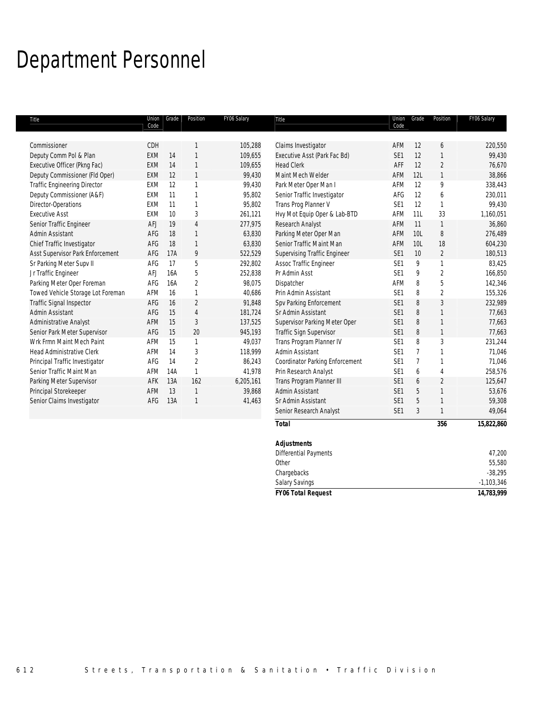# Department Personnel

| Title                               | Union<br>Code | Grade | Position       | FY06 Salary | Title                                  | Union<br>Code   | Grade          | Position       | FY06 Salary |
|-------------------------------------|---------------|-------|----------------|-------------|----------------------------------------|-----------------|----------------|----------------|-------------|
|                                     |               |       |                |             |                                        |                 |                |                |             |
| Commissioner                        | CDH           |       |                | 105,288     | Claims Investigator                    | <b>AFM</b>      | 12             | 6              | 220,550     |
| Deputy Comm Pol & Plan              | <b>EXM</b>    | 14    | $\mathbf{1}$   | 109,655     | Executive Asst (Park Fac Bd)           | SE1             | 12             | $\overline{1}$ | 99,430      |
| Executive Officer (Pkng Fac)        | <b>EXM</b>    | 14    | 1              | 109,655     | <b>Head Clerk</b>                      | AFF             | 12             | $\overline{2}$ | 76,670      |
| Deputy Commissioner (Fld Oper)      | EXM           | 12    | $\mathbf{1}$   | 99,430      | Maint Mech Welder                      | AFM             | 12L            | $\mathbf{1}$   | 38,866      |
| <b>Traffic Engineering Director</b> | <b>EXM</b>    | 12    | 1              | 99,430      | Park Meter Oper Man I                  | AFM             | 12             | 9              | 338,443     |
| Deputy Commissioner (A&F)           | <b>EXM</b>    | 11    | 1              | 95,802      | Senior Traffic Investigator            | AFG             | 12             | 6              | 230,011     |
| Director-Operations                 | EXM           | 11    | 1              | 95,802      | Trans Prog Planner V                   | SE <sub>1</sub> | 12             | $\mathbf{1}$   | 99,430      |
| <b>Executive Asst</b>               | EXM           | 10    | 3              | 261,121     | Hvy Mot Equip Oper & Lab-BTD           | AFM             | 11L            | 33             | 1,160,051   |
| Senior Traffic Engineer             | <b>AFJ</b>    | 19    | $\overline{4}$ | 277,975     | Research Analyst                       | AFM             | 11             | $\mathbf{1}$   | 36,860      |
| Admin Assistant                     | AFG           | 18    | 1              | 63,830      | Parking Meter Oper Man                 | AFM             | 10L            | 8              | 276,489     |
| Chief Traffic Investigator          | AFG           | 18    | 1              | 63,830      | Senior Traffic Maint Man               | <b>AFM</b>      | 10L            | 18             | 604,230     |
| Asst Supervisor Park Enforcement    | AFG           | 17A   | 9              | 522,529     | <b>Supervising Traffic Engineer</b>    | SE1             | 10             | $\overline{2}$ | 180,513     |
| Sr Parking Meter Supv II            | AFG           | 17    | 5              | 292,802     | Assoc Traffic Engineer                 | SE <sub>1</sub> | 9              | $\mathbf{1}$   | 83,425      |
| Jr Traffic Engineer                 | <b>AFJ</b>    | 16A   | 5              | 252,838     | Pr Admin Asst                          | SE <sub>1</sub> | 9              | $\overline{2}$ | 166,850     |
| Parking Meter Oper Foreman          | AFG           | 16A   | $\overline{2}$ | 98,075      | Dispatcher                             | AFM             | 8              | 5              | 142,346     |
| Towed Vehicle Storage Lot Foreman   | AFM           | 16    | 1              | 40,686      | Prin Admin Assistant                   | SE <sub>1</sub> | 8              | $\overline{2}$ | 155,326     |
| Traffic Signal Inspector            | AFG           | 16    | $\overline{2}$ | 91,848      | Spv Parking Enforcement                | SE <sub>1</sub> | 8              | 3              | 232,989     |
| Admin Assistant                     | <b>AFG</b>    | 15    | $\overline{4}$ | 181,724     | Sr Admin Assistant                     | SE <sub>1</sub> | 8              | $\mathbf{1}$   | 77,663      |
| <b>Administrative Analyst</b>       | <b>AFM</b>    | 15    | 3              | 137,525     | Supervisor Parking Meter Oper          | SE <sub>1</sub> | 8              | $\overline{1}$ | 77,663      |
| Senior Park Meter Supervisor        | AFG           | 15    | 20             | 945,193     | Traffic Sign Supervisor                | SE <sub>1</sub> | 8              | $\mathbf{1}$   | 77,663      |
| Wrk Frmn Maint Mech Paint           | AFM           | 15    | $\mathbf{1}$   | 49,037      | Trans Program Planner IV               | SE <sub>1</sub> | 8              | 3              | 231,244     |
| <b>Head Administrative Clerk</b>    | AFM           | 14    | 3              | 118,999     | Admin Assistant                        | SE <sub>1</sub> | $\overline{7}$ | $\mathbf{1}$   | 71,046      |
| Principal Traffic Investigator      | AFG           | 14    | $\overline{2}$ | 86,243      | <b>Coordinator Parking Enforcement</b> | SE <sub>1</sub> | $\overline{7}$ | $\mathbf{1}$   | 71,046      |
| Senior Traffic Maint Man            | AFM           | 14A   | $\mathbf{1}$   | 41,978      | Prin Research Analyst                  | SE <sub>1</sub> | 6              | $\overline{4}$ | 258,576     |
| Parking Meter Supervisor            | AFK           | 13A   | 162            | 6,205,161   | Trans Program Planner III              | SE <sub>1</sub> | 6              | $\overline{2}$ | 125,647     |
| Principal Storekeeper               | AFM           | 13    | $\mathbf{1}$   | 39,868      | Admin Assistant                        | SE1             | 5              | $\mathbf{1}$   | 53,676      |
| Senior Claims Investigator          | AFG           | 13A   | 1              | 41,463      | Sr Admin Assistant                     | SE1             | 5              | $\mathbf{1}$   | 59,308      |
|                                     |               |       |                |             | Senior Research Analyst                | SE <sub>1</sub> | 3              | $\mathbf{1}$   | 49,064      |
|                                     |               |       |                |             | <b>Total</b>                           |                 |                | 356            | 15,822,860  |
|                                     |               |       |                |             | <b>Adjustments</b>                     |                 |                |                |             |

| <b>Salary Savings</b>        | $-1,103,346$ |
|------------------------------|--------------|
|                              |              |
| Chargebacks                  | $-38,295$    |
| Other                        | 55,580       |
| <b>Differential Payments</b> | 47,200       |
| <b>Adjustments</b>           |              |
|                              |              |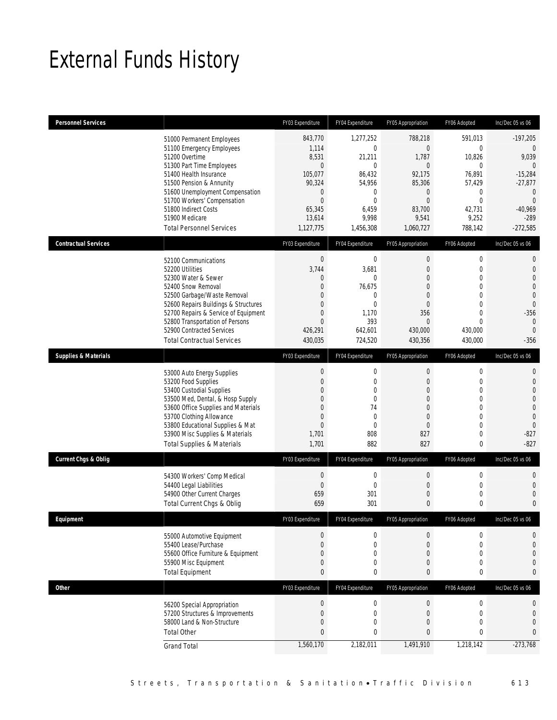# External Funds History

| <b>Personnel Services</b>       |                                                                                                                                                                                                                                                                                                            | FY03 Expenditure                                                                                                                                    | FY04 Expenditure                                                                                                                       | FY05 Appropriation                                                                                                                          | FY06 Adopted                                                                                                                          | Inc/Dec 05 vs 06                                                                                                                                      |
|---------------------------------|------------------------------------------------------------------------------------------------------------------------------------------------------------------------------------------------------------------------------------------------------------------------------------------------------------|-----------------------------------------------------------------------------------------------------------------------------------------------------|----------------------------------------------------------------------------------------------------------------------------------------|---------------------------------------------------------------------------------------------------------------------------------------------|---------------------------------------------------------------------------------------------------------------------------------------|-------------------------------------------------------------------------------------------------------------------------------------------------------|
|                                 | 51000 Permanent Employees<br>51100 Emergency Employees<br>51200 Overtime<br>51300 Part Time Employees<br>51400 Health Insurance<br>51500 Pension & Annunity<br>51600 Unemployment Compensation<br>51700 Workers' Compensation<br>51800 Indirect Costs<br>51900 Medicare<br><b>Total Personnel Services</b> | 843,770<br>1,114<br>8,531<br>$\mathbf 0$<br>105.077<br>90,324<br>$\mathbf 0$<br>$\mathbf{0}$<br>65,345<br>13,614<br>1,127,775                       | 1,277,252<br>$\mathbf{0}$<br>21,211<br>$\mathbf{0}$<br>86,432<br>54,956<br>$\mathbf{0}$<br>$\mathbf{0}$<br>6,459<br>9,998<br>1,456,308 | 788,218<br>$\mathbf 0$<br>1,787<br>$\mathbf{0}$<br>92,175<br>85,306<br>$\overline{0}$<br>$\Omega$<br>83,700<br>9,541<br>1,060,727           | 591.013<br>$\boldsymbol{0}$<br>10,826<br>$\mathbf 0$<br>76,891<br>57,429<br>0<br>$\mathbf 0$<br>42,731<br>9,252<br>788,142            | $-197,205$<br>$\overline{0}$<br>9,039<br>$\mathbf{0}$<br>$-15,284$<br>$-27,877$<br>$\mathbf 0$<br>$\overline{0}$<br>$-40,969$<br>$-289$<br>$-272,585$ |
| <b>Contractual Services</b>     |                                                                                                                                                                                                                                                                                                            | FY03 Expenditure                                                                                                                                    | FY04 Expenditure                                                                                                                       | FY05 Appropriation                                                                                                                          | FY06 Adopted                                                                                                                          | Inc/Dec 05 vs 06                                                                                                                                      |
|                                 | 52100 Communications<br>52200 Utilities<br>52300 Water & Sewer<br>52400 Snow Removal<br>52500 Garbage/Waste Removal<br>52600 Repairs Buildings & Structures<br>52700 Repairs & Service of Equipment<br>52800 Transportation of Persons<br>52900 Contracted Services<br><b>Total Contractual Services</b>   | $\boldsymbol{0}$<br>3,744<br>$\overline{0}$<br>$\mathbf{0}$<br>$\mathbf{0}$<br>$\mathbf{0}$<br>$\mathbf{0}$<br>$\overline{0}$<br>426,291<br>430,035 | $\mathbf 0$<br>3,681<br>$\mathbf{0}$<br>76,675<br>$\mathbf{0}$<br>$\mathbf{0}$<br>1,170<br>393<br>642,601<br>724,520                   | $\boldsymbol{0}$<br>$\overline{0}$<br>$\mathbf{0}$<br>$\overline{0}$<br>$\overline{0}$<br>$\Omega$<br>356<br>$\Omega$<br>430,000<br>430,356 | $\boldsymbol{0}$<br>$\boldsymbol{0}$<br>$\mathbf 0$<br>$\boldsymbol{0}$<br>$\mathbf 0$<br>$\mathbf 0$<br>0<br>0<br>430,000<br>430,000 | $\mathbf 0$<br>$\mathbf{0}$<br>$\mathbf 0$<br>$\mathbf{0}$<br>$\mathbf{0}$<br>$\overline{0}$<br>$-356$<br>$\theta$<br>$\left($<br>$-356$              |
| <b>Supplies &amp; Materials</b> |                                                                                                                                                                                                                                                                                                            | FY03 Expenditure                                                                                                                                    | FY04 Expenditure                                                                                                                       | FY05 Appropriation                                                                                                                          | FY06 Adopted                                                                                                                          | Inc/Dec 05 vs 06                                                                                                                                      |
|                                 | 53000 Auto Energy Supplies<br>53200 Food Supplies<br>53400 Custodial Supplies<br>53500 Med, Dental, & Hosp Supply<br>53600 Office Supplies and Materials<br>53700 Clothing Allowance<br>53800 Educational Supplies & Mat<br>53900 Misc Supplies & Materials<br><b>Total Supplies &amp; Materials</b>       | $\mathbf 0$<br>$\mathbf{0}$<br>$\overline{0}$<br>$\mathbf{0}$<br>$\Omega$<br>$\Omega$<br>$\mathbf{0}$<br>1,701<br>1,701                             | $\mathbf 0$<br>$\mathbf{0}$<br>$\mathbf{0}$<br>$\mathbf 0$<br>74<br>$\mathbf{0}$<br>$\mathbf{0}$<br>808<br>882                         | $\boldsymbol{0}$<br>$\overline{0}$<br>$\overline{0}$<br>$\mathbf{0}$<br>$\overline{0}$<br>$\Omega$<br>$\Omega$<br>827<br>827                | $\boldsymbol{0}$<br>$\mathbf 0$<br>0<br>$\boldsymbol{0}$<br>$\mathbf 0$<br>$\mathbf 0$<br>$\mathbf 0$<br>0<br>$\mathbf 0$             | $\mathbf 0$<br>$\mathbf 0$<br>$\mathbf{0}$<br>$\mathbf{0}$<br>$\overline{0}$<br>$\mathbf{0}$<br>$\mathbf 0$<br>$-827$<br>$-827$                       |
| <b>Current Chgs &amp; Oblig</b> |                                                                                                                                                                                                                                                                                                            | FY03 Expenditure                                                                                                                                    | FY04 Expenditure                                                                                                                       | FY05 Appropriation                                                                                                                          | FY06 Adopted                                                                                                                          | Inc/Dec 05 vs 06                                                                                                                                      |
|                                 | 54300 Workers' Comp Medical<br>54400 Legal Liabilities<br>54900 Other Current Charges<br>Total Current Chgs & Oblig                                                                                                                                                                                        | $\boldsymbol{0}$<br>$\mathbf 0$<br>659<br>659                                                                                                       | $\mathbf 0$<br>$\mathbf{0}$<br>301<br>301                                                                                              | $\boldsymbol{0}$<br>$\overline{0}$<br>0<br>$\mathbf{0}$                                                                                     | $\boldsymbol{0}$<br>$\boldsymbol{0}$<br>0<br>0                                                                                        | $\mathbf 0$<br>$\mathbf{0}$<br>$\overline{0}$<br>$\mathbf{0}$                                                                                         |
| Eauipment                       |                                                                                                                                                                                                                                                                                                            | FY03 Expenditure                                                                                                                                    | <b>FY04 Expenditure</b>                                                                                                                | FY05 Appropriation                                                                                                                          | <b>FY06 Adonted</b>                                                                                                                   | Inc/Dec 05 vs 06                                                                                                                                      |
|                                 | 55000 Automotive Equipment<br>55400 Lease/Purchase<br>55600 Office Furniture & Equipment<br>55900 Misc Equipment<br><b>Total Equipment</b>                                                                                                                                                                 | $\mathbf 0$<br>$\mathbf{0}$<br>$\mathbf{0}$<br>$\mathbf 0$<br>$\mathbf{0}$                                                                          | 0<br>$\mathbf{0}$<br>0<br>0<br>$\mathbf 0$                                                                                             | 0<br>$\overline{0}$<br>0<br>0<br>$\mathbf{0}$                                                                                               | 0<br>$\boldsymbol{0}$<br>0<br>0<br>0                                                                                                  | $\mathbf 0$<br>$\mathbf{0}$<br>$\mathbf{0}$<br>$\mathbf 0$<br>$\mathbf{0}$                                                                            |
| <b>Other</b>                    |                                                                                                                                                                                                                                                                                                            | FY03 Expenditure                                                                                                                                    | FY04 Expenditure                                                                                                                       | FY05 Appropriation                                                                                                                          | FY06 Adopted                                                                                                                          | Inc/Dec 05 vs 06                                                                                                                                      |
|                                 | 56200 Special Appropriation<br>57200 Structures & Improvements<br>58000 Land & Non-Structure<br><b>Total Other</b>                                                                                                                                                                                         | $\boldsymbol{0}$<br>$\boldsymbol{0}$<br>$\mathbf{0}$<br>$\mathbf{0}$                                                                                | $\mathbf 0$<br>$\mathbf 0$<br>$\mathbf 0$<br>$\mathbf 0$                                                                               | $\boldsymbol{0}$<br>$\boldsymbol{0}$<br>0<br>$\mathbf{0}$                                                                                   | $\boldsymbol{0}$<br>$\boldsymbol{0}$<br>$\boldsymbol{0}$<br>$\mathbf 0$                                                               | $\mathbf 0$<br>$\mathbf 0$<br>$\mathbf 0$<br>$\mathbf{0}$                                                                                             |
|                                 | <b>Grand Total</b>                                                                                                                                                                                                                                                                                         | 1,560,170                                                                                                                                           | 2,182,011                                                                                                                              | 1,491,910                                                                                                                                   | 1,218,142                                                                                                                             | $-273,768$                                                                                                                                            |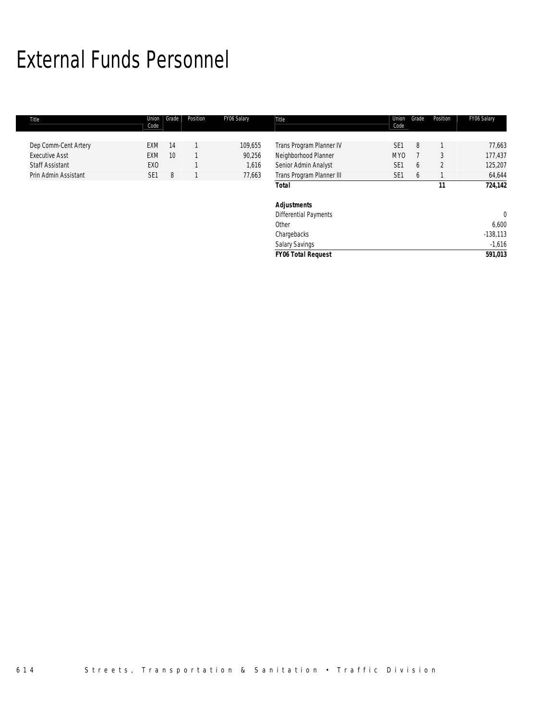# External Funds Personnel

| Title                  | Union<br>Code   | Grade | Position | FY06 Salary | Title                        | Union<br>Code   | Grade | Position | FY06 Salary  |
|------------------------|-----------------|-------|----------|-------------|------------------------------|-----------------|-------|----------|--------------|
|                        |                 |       |          |             |                              |                 |       |          |              |
| Dep Comm-Cent Artery   | <b>EXM</b>      | 14    |          | 109,655     | Trans Program Planner IV     | SE <sub>1</sub> | 8     |          | 77,663       |
| <b>Executive Asst</b>  | <b>EXM</b>      | 10    |          | 90,256      | Neighborhood Planner         | MY <sub>0</sub> |       | 3        | 177,437      |
| <b>Staff Assistant</b> | EXO             |       |          | 1,616       | Senior Admin Analyst         | SE <sub>1</sub> | 6     | 2        | 125,207      |
| Prin Admin Assistant   | SE <sub>1</sub> | 8     |          | 77,663      | Trans Program Planner III    | SE <sub>1</sub> | 6     |          | 64,644       |
|                        |                 |       |          |             | <b>Total</b>                 |                 |       | 11       | 724,142      |
|                        |                 |       |          |             | <b>Adjustments</b>           |                 |       |          |              |
|                        |                 |       |          |             | <b>Differential Payments</b> |                 |       |          | $\mathbf{0}$ |
|                        |                 |       |          |             | Other                        |                 |       |          | 6,600        |
|                        |                 |       |          |             | Chargebacks                  |                 |       |          | $-138,113$   |
|                        |                 |       |          |             | <b>Salary Savings</b>        |                 |       |          | $-1,616$     |
|                        |                 |       |          |             | <b>FY06 Total Request</b>    |                 |       |          | 591,013      |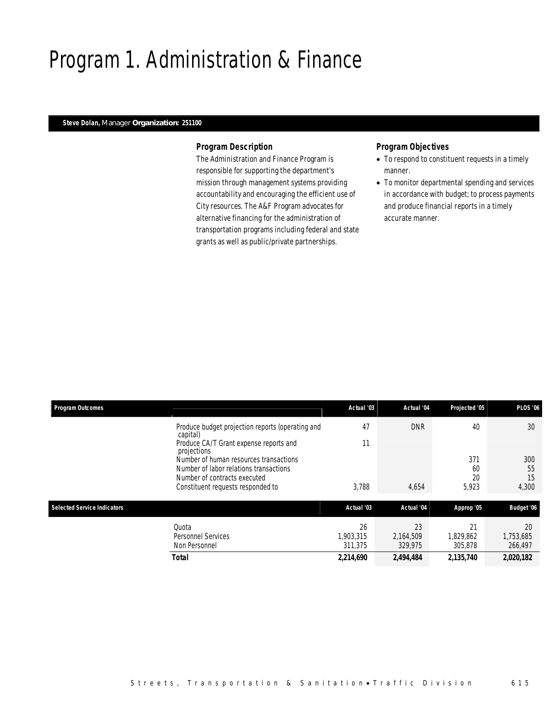# Program 1. Administration & Finance

#### *Steve Dolan, Manager Organization: 251100*

#### *Program Description*

The Administration and Finance Program is responsible for supporting the department's mission through management systems providing accountability and encouraging the efficient use of City resources. The A&F Program advocates for alternative financing for the administration of transportation programs including federal and state grants as well as public/private partnerships.

- To respond to constituent requests in a timely manner.
- To monitor departmental spending and services in accordance with budget; to process payments and produce financial reports in a timely accurate manner.

| <b>Program Outcomes</b>            |                                                                                  | Actual '03                 | Actual '04                 | Projected '05              | <b>PLOS '06</b>            |
|------------------------------------|----------------------------------------------------------------------------------|----------------------------|----------------------------|----------------------------|----------------------------|
|                                    | Produce budget projection reports (operating and<br>capital)                     | 47                         | <b>DNR</b>                 | 40                         | 30                         |
|                                    | Produce CA/T Grant expense reports and<br>projections                            | 11                         |                            |                            |                            |
|                                    | Number of human resources transactions<br>Number of labor relations transactions |                            |                            | 371<br>60                  | 300<br>55                  |
|                                    | Number of contracts executed<br>Constituent requests responded to                | 3.788                      | 4,654                      | 20<br>5,923                | 15<br>4,300                |
| <b>Selected Service Indicators</b> |                                                                                  | Actual '03                 | Actual '04                 | Approp '05                 | Budget '06                 |
|                                    | Quota<br>Personnel Services<br>Non Personnel                                     | 26<br>1.903.315<br>311,375 | 23<br>2,164,509<br>329,975 | 21<br>1,829,862<br>305,878 | 20<br>1,753,685<br>266,497 |
|                                    | <b>Total</b>                                                                     | 2,214,690                  | 2,494,484                  | 2,135,740                  | 2,020,182                  |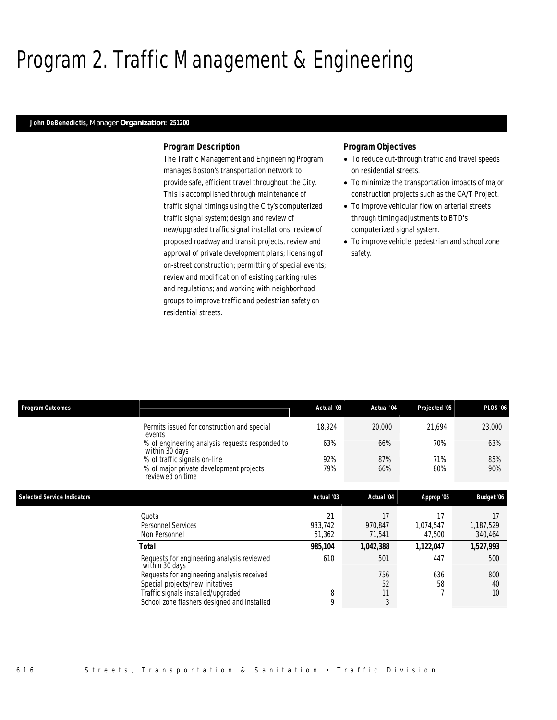# Program 2. Traffic Management & Engineering

#### *John DeBenedictis, Manager Organization: 251200*

#### *Program Description*

The Traffic Management and Engineering Program manages Boston's transportation network to provide safe, efficient travel throughout the City. This is accomplished through maintenance of traffic signal timings using the City's computerized traffic signal system; design and review of new/upgraded traffic signal installations; review of proposed roadway and transit projects, review and approval of private development plans; licensing of on-street construction; permitting of special events; review and modification of existing parking rules and regulations; and working with neighborhood groups to improve traffic and pedestrian safety on residential streets.

- To reduce cut-through traffic and travel speeds on residential streets.
- To minimize the transportation impacts of major construction projects such as the CA/T Project.
- To improve vehicular flow on arterial streets through timing adjustments to BTD's computerized signal system.
- To improve vehicle, pedestrian and school zone safety.

| <b>Program Outcomes</b>            |                                                                                             | Actual '03              | Actual '04              | Projected '05             | <b>PLOS '06</b>            |
|------------------------------------|---------------------------------------------------------------------------------------------|-------------------------|-------------------------|---------------------------|----------------------------|
|                                    | Permits issued for construction and special<br>events                                       | 18,924                  | 20,000                  | 21,694                    | 23,000                     |
|                                    | % of engineering analysis requests responded to<br>within 30 days                           | 63%                     | 66%                     | 70%                       | 63%                        |
|                                    | % of traffic signals on-line<br>% of major private development projects<br>reviewed on time | 92%<br>79%              | 87%<br>66%              | 71%<br>80%                | 85%<br>90%                 |
| <b>Selected Service Indicators</b> |                                                                                             | Actual '03              | Actual '04              | Approp '05                | Budget '06                 |
|                                    | Quota<br>Personnel Services<br>Non Personnel                                                | 21<br>933.742<br>51,362 | 17<br>970.847<br>71,541 | 17<br>1,074,547<br>47,500 | 17<br>1,187,529<br>340,464 |
|                                    | <b>Total</b>                                                                                | 985,104                 | 1,042,388               | 1,122,047                 | 1,527,993                  |
|                                    | Requests for engineering analysis reviewed<br>within 30 days                                | 610                     | 501                     | 447                       | 500                        |
|                                    | Requests for engineering analysis received<br>Special projects/new initatives               |                         | 756<br>52               | 636<br>58                 | 800<br>40                  |
|                                    | Traffic signals installed/upgraded<br>School zone flashers designed and installed           | 8<br>9                  | 11<br>$\mathfrak{Z}$    |                           | 10                         |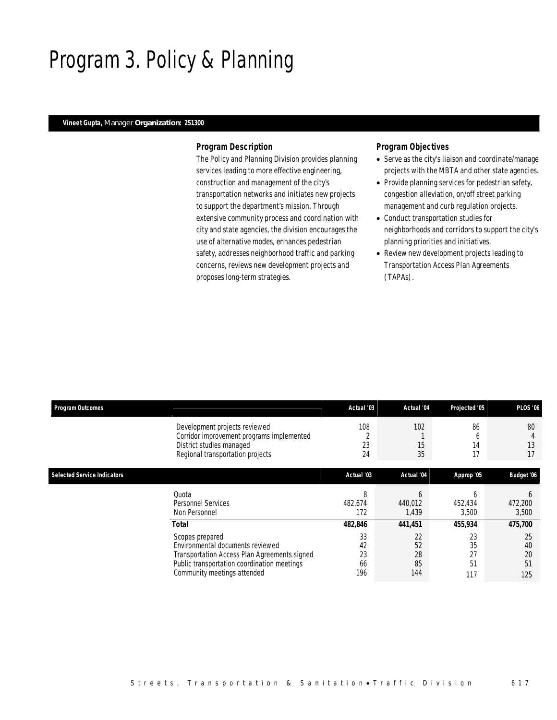## Program 3. Policy & Planning

#### *Vineet Gupta, Manager Organization: 251300*

#### *Program Description*

The Policy and Planning Division provides planning services leading to more effective engineering, construction and management of the city's transportation networks and initiates new projects to support the department's mission. Through extensive community process and coordination with city and state agencies, the division encourages the use of alternative modes, enhances pedestrian safety, addresses neighborhood traffic and parking concerns, reviews new development projects and proposes long-term strategies.

- Serve as the city's liaison and coordinate/manage projects with the MBTA and other state agencies.
- Provide planning services for pedestrian safety, congestion alleviation, on/off street parking management and curb regulation projects.
- Conduct transportation studies for neighborhoods and corridors to support the city's planning priorities and initiatives.
- Review new development projects leading to Transportation Access Plan Agreements (TAPAs).

| <b>Program Outcomes</b>            |                                                                                                                                                                                   | Actual '03                  | Actual '04                  | Projected '05                  | <b>PLOS '06</b>             |
|------------------------------------|-----------------------------------------------------------------------------------------------------------------------------------------------------------------------------------|-----------------------------|-----------------------------|--------------------------------|-----------------------------|
|                                    | Development projects reviewed<br>Corridor improvement programs implemented<br>District studies managed<br>Regional transportation projects                                        | 108<br>∠<br>23<br>24        | 102<br>15<br>35             | 86<br><sub>b</sub><br>14<br>17 | 80<br>13<br>17              |
| <b>Selected Service Indicators</b> |                                                                                                                                                                                   | Actual '03                  | Actual '04                  | Approp '05                     | Budget '06                  |
|                                    | Quota<br>Personnel Services<br>Non Personnel                                                                                                                                      | 8<br>482.674<br>172         | 6<br>440.012<br>1,439       | h<br>452,434<br>3,500          | h<br>472,200<br>3,500       |
|                                    | <b>Total</b>                                                                                                                                                                      | 482,846                     | 441,451                     | 455,934                        | 475,700                     |
|                                    | Scopes prepared<br>Environmental documents reviewed<br>Transportation Access Plan Agreements signed<br>Public transportation coordination meetings<br>Community meetings attended | 33<br>42<br>23<br>66<br>196 | 22<br>52<br>28<br>85<br>144 | 23<br>35<br>27<br>51<br>117    | 25<br>40<br>20<br>51<br>125 |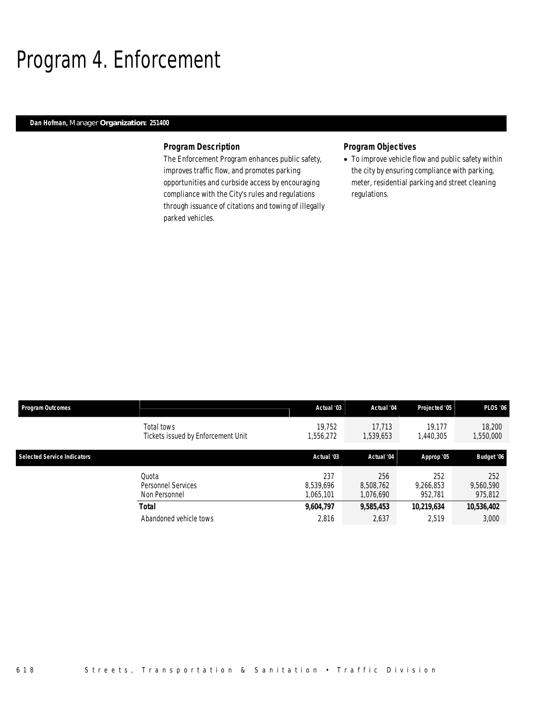## Program 4. Enforcement

#### *Dan Hofman, Manager Organization: 251400*

#### *Program Description*

The Enforcement Program enhances public safety, improves traffic flow, and promotes parking opportunities and curbside access by encouraging compliance with the City's rules and regulations through issuance of citations and towing of illegally parked vehicles.

#### *Program Objectives*

• To improve vehicle flow and public safety within the city by ensuring compliance with parking, meter, residential parking and street cleaning regulations.

| <b>Program Outcomes</b>            |                                                  | Actual '03                    | Actual '04                    | Projected '05               | <b>PLOS '06</b>             |
|------------------------------------|--------------------------------------------------|-------------------------------|-------------------------------|-----------------------------|-----------------------------|
|                                    | Total tows<br>Tickets issued by Enforcement Unit | 19.752<br>1,556,272           | 17.713<br>1,539,653           | 19.177<br>1,440,305         | 18,200<br>1,550,000         |
| <b>Selected Service Indicators</b> |                                                  | Actual '03                    | Actual '04                    | Approp '05                  | Budget '06                  |
|                                    | Quota<br>Personnel Services<br>Non Personnel     | 237<br>8,539,696<br>1.065.101 | 256<br>8,508,762<br>1,076,690 | 252<br>9,266,853<br>952,781 | 252<br>9,560,590<br>975,812 |
|                                    | Total                                            | 9,604,797                     | 9,585,453                     | 10,219,634                  | 10,536,402                  |
|                                    | Abandoned vehicle tows                           | 2,816                         | 2,637                         | 2,519                       | 3,000                       |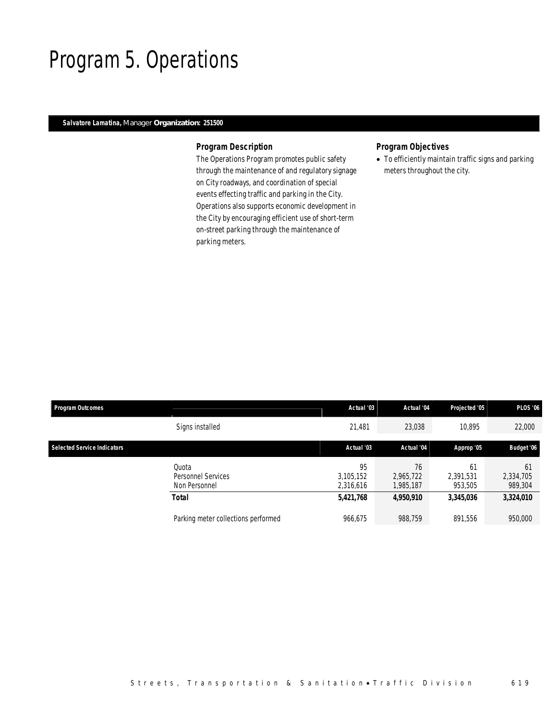## Program 5. Operations

#### *Salvatore Lamatina, Manager Organization: 251500*

#### *Program Description*

The Operations Program promotes public safety through the maintenance of and regulatory signage on City roadways, and coordination of special events effecting traffic and parking in the City. Operations also supports economic development in the City by encouraging efficient use of short-term on-street parking through the maintenance of parking meters.

### *Program Objectives*

• To efficiently maintain traffic signs and parking meters throughout the city.

| <b>Program Outcomes</b>            |                                              | Actual '03                   | Actual '04                   | Projected '05              | <b>PLOS '06</b>            |
|------------------------------------|----------------------------------------------|------------------------------|------------------------------|----------------------------|----------------------------|
|                                    | Signs installed                              | 21,481                       | 23,038                       | 10.895                     | 22,000                     |
| <b>Selected Service Indicators</b> |                                              | Actual '03                   | Actual '04                   | Approp '05                 | Budget '06                 |
|                                    | Quota<br>Personnel Services<br>Non Personnel | 95<br>3,105,152<br>2,316,616 | 76<br>2,965,722<br>1,985,187 | 61<br>2,391,531<br>953,505 | 61<br>2,334,705<br>989,304 |
|                                    | Total                                        | 5,421,768                    | 4,950,910                    | 3,345,036                  | 3,324,010                  |
|                                    | Parking meter collections performed          | 966.675                      | 988,759                      | 891,556                    | 950,000                    |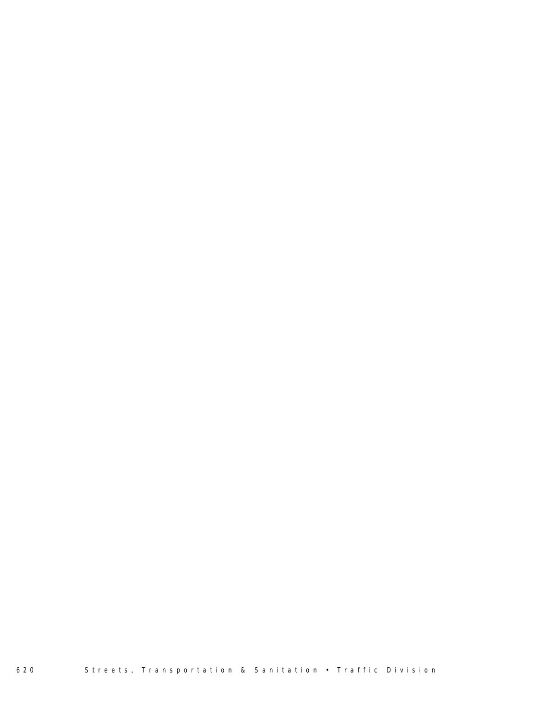620 Streets, Transportation & Sanitation • Traffic Division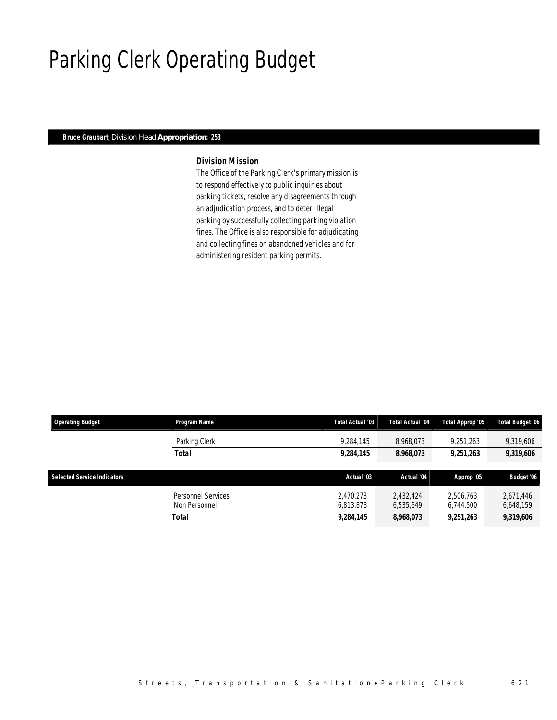# Parking Clerk Operating Budget

#### *Bruce Graubart, Division Head Appropriation: 253*

### *Division Mission*

The Office of the Parking Clerk's primary mission is to respond effectively to public inquiries about parking tickets, resolve any disagreements through an adjudication process, and to deter illegal parking by successfully collecting parking violation fines. The Office is also responsible for adjudicating and collecting fines on abandoned vehicles and for administering resident parking permits.

| <b>Operating Budget</b>            | Program Name                        | Total Actual '03       | Total Actual '04       | Total Approp '05       | Total Budget '06       |
|------------------------------------|-------------------------------------|------------------------|------------------------|------------------------|------------------------|
|                                    | Parking Clerk                       | 9,284,145              | 8,968,073              | 9,251,263              | 9,319,606              |
|                                    | <b>Total</b>                        | 9,284,145              | 8,968,073              | 9,251,263              | 9,319,606              |
| <b>Selected Service Indicators</b> |                                     | Actual '03             | Actual '04             | Approp '05             | Budget '06             |
|                                    |                                     |                        |                        |                        |                        |
|                                    | Personnel Services<br>Non Personnel | 2.470.273<br>6,813,873 | 2.432.424<br>6,535,649 | 2.506.763<br>6,744,500 | 2,671,446<br>6,648,159 |
|                                    | Total                               | 9,284,145              | 8,968,073              | 9,251,263              | 9,319,606              |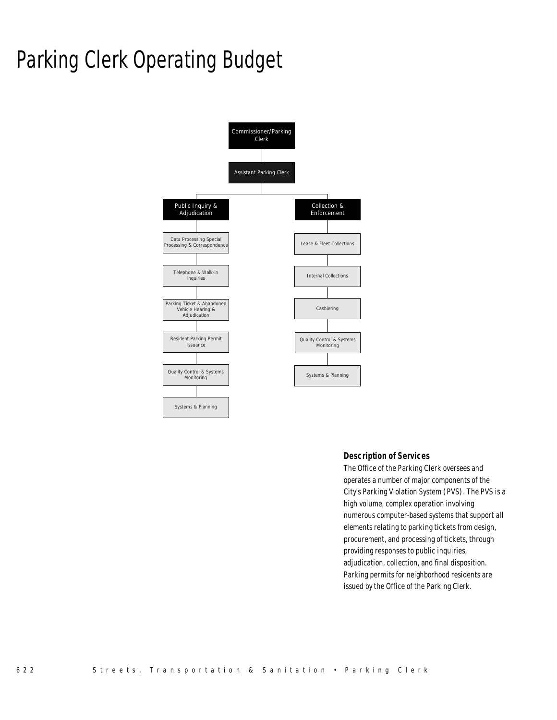# Parking Clerk Operating Budget



#### *Description of Services*

The Office of the Parking Clerk oversees and operates a number of major components of the City's Parking Violation System (PVS). The PVS is a high volume, complex operation involving numerous computer-based systems that support all elements relating to parking tickets from design, procurement, and processing of tickets, through providing responses to public inquiries, adjudication, collection, and final disposition. Parking permits for neighborhood residents are issued by the Office of the Parking Clerk.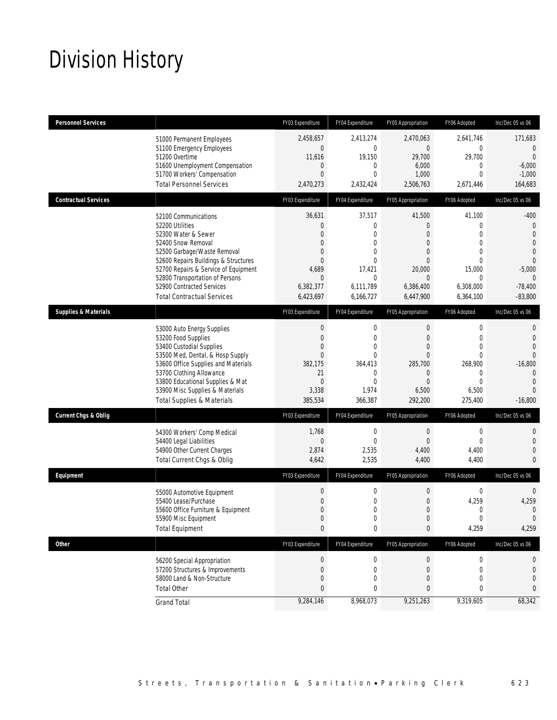# Division History

| <b>Personnel Services</b>       |                                                                                                                                                                                                                                                                                                          | FY03 Expenditure                                                                                                                        | FY04 Expenditure                                                                                                       | FY05 Appropriation                                                                                                   | FY06 Adopted                                                                                                                         | Inc/Dec 05 vs 06                                                                                           |
|---------------------------------|----------------------------------------------------------------------------------------------------------------------------------------------------------------------------------------------------------------------------------------------------------------------------------------------------------|-----------------------------------------------------------------------------------------------------------------------------------------|------------------------------------------------------------------------------------------------------------------------|----------------------------------------------------------------------------------------------------------------------|--------------------------------------------------------------------------------------------------------------------------------------|------------------------------------------------------------------------------------------------------------|
|                                 | 51000 Permanent Employees<br>51100 Emergency Employees<br>51200 Overtime<br>51600 Unemployment Compensation<br>51700 Workers' Compensation<br><b>Total Personnel Services</b>                                                                                                                            | 2,458,657<br>$\overline{0}$<br>11,616<br>$\mathbf{0}$<br>$\overline{0}$<br>2,470,273                                                    | 2,413,274<br>$\mathbf{0}$<br>19,150<br>$\mathbf{0}$<br>$\theta$<br>2,432,424                                           | 2,470,063<br>$\mathbf{0}$<br>29,700<br>6,000<br>1,000<br>2,506,763                                                   | 2.641.746<br>$\overline{0}$<br>29,700<br>$\mathbf 0$<br>$\Omega$<br>2,671,446                                                        | 171,683<br>0<br>$\theta$<br>$-6,000$<br>$-1,000$<br>164,683                                                |
| <b>Contractual Services</b>     |                                                                                                                                                                                                                                                                                                          | FY03 Expenditure                                                                                                                        | FY04 Expenditure                                                                                                       | FY05 Appropriation                                                                                                   | FY06 Adopted                                                                                                                         | Inc/Dec 05 vs 06                                                                                           |
|                                 | 52100 Communications<br>52200 Utilities<br>52300 Water & Sewer<br>52400 Snow Removal<br>52500 Garbage/Waste Removal<br>52600 Repairs Buildings & Structures<br>52700 Repairs & Service of Equipment<br>52800 Transportation of Persons<br>52900 Contracted Services<br><b>Total Contractual Services</b> | 36,631<br>$\overline{0}$<br>$\Omega$<br>$\overline{0}$<br>$\overline{0}$<br>$\Omega$<br>4,689<br>$\mathbf{0}$<br>6,382,377<br>6,423,697 | 37,517<br>$\theta$<br>$\theta$<br>$\theta$<br>$\theta$<br>$\theta$<br>17,421<br>$\mathbf{0}$<br>6,111,789<br>6,166,727 | 41,500<br>0<br>$\Omega$<br>$\overline{0}$<br>$\mathbf{0}$<br>$\overline{0}$<br>20,000<br>0<br>6,386,400<br>6,447,900 | 41,100<br>$\overline{0}$<br>$\Omega$<br>$\overline{0}$<br>$\Omega$<br>$\overline{0}$<br>15,000<br>$\theta$<br>6,308,000<br>6,364,100 | $-400$<br>$\mathbf{0}$<br>$\Omega$<br>$\Omega$<br>0<br>$\Omega$<br>$-5,000$<br>0<br>$-78,400$<br>$-83,800$ |
| <b>Supplies &amp; Materials</b> |                                                                                                                                                                                                                                                                                                          | FY03 Expenditure                                                                                                                        | FY04 Expenditure                                                                                                       | FY05 Appropriation                                                                                                   | FY06 Adopted                                                                                                                         | Inc/Dec 05 vs 06                                                                                           |
|                                 | 53000 Auto Energy Supplies<br>53200 Food Supplies<br>53400 Custodial Supplies<br>53500 Med, Dental, & Hosp Supply<br>53600 Office Supplies and Materials<br>53700 Clothing Allowance<br>53800 Educational Supplies & Mat<br>53900 Misc Supplies & Materials<br><b>Total Supplies &amp; Materials</b>     | $\mathbf 0$<br>$\Omega$<br>$\overline{0}$<br>$\overline{0}$<br>382,175<br>21<br>$\Omega$<br>3,338<br>385,534                            | $\mathbf{0}$<br>$\mathbf{0}$<br>$\theta$<br>$\theta$<br>364,413<br>$\mathbf{0}$<br>$\theta$<br>1,974<br>366,387        | 0<br>$\overline{0}$<br>$\overline{0}$<br>$\Omega$<br>285,700<br>$\overline{0}$<br>$\Omega$<br>6,500<br>292,200       | $\mathbf 0$<br>$\mathbf{0}$<br>$\overline{0}$<br>$\Omega$<br>268,900<br>0<br>$\Omega$<br>6,500<br>275,400                            | 0<br>$\Omega$<br>$\Omega$<br>0<br>$-16,800$<br>$\mathbf{0}$<br>$\Omega$<br>$\Omega$<br>$-16,800$           |
| <b>Current Chgs &amp; Oblig</b> |                                                                                                                                                                                                                                                                                                          | FY03 Expenditure                                                                                                                        | FY04 Expenditure                                                                                                       | FY05 Appropriation                                                                                                   | FY06 Adopted                                                                                                                         | Inc/Dec 05 vs 06                                                                                           |
|                                 | 54300 Workers' Comp Medical<br>54400 Legal Liabilities<br>54900 Other Current Charges<br>Total Current Chgs & Oblig                                                                                                                                                                                      | 1,768<br>$\mathbf{0}$<br>2,874<br>4,642                                                                                                 | $\mathbf{0}$<br>$\mathbf{0}$<br>2,535<br>2,535                                                                         | $\boldsymbol{0}$<br>$\overline{0}$<br>4,400<br>4,400                                                                 | $\mathbf 0$<br>0<br>4,400<br>4,400                                                                                                   | 0<br>0<br>0<br>0                                                                                           |
| Equipment                       |                                                                                                                                                                                                                                                                                                          | FY03 Expenditure                                                                                                                        | FY04 Expenditure                                                                                                       | FY05 Appropriation                                                                                                   | FY06 Adopted                                                                                                                         | Inc/Dec 05 vs 06                                                                                           |
|                                 | 55000 Automotive Equipment<br>55400 Lease/Purchase<br>55600 Office Furniture & Equipment<br>55900 Misc Equipment<br><b>Total Equipment</b>                                                                                                                                                               | $\mathbf 0$<br>$\mathbf{0}$<br>$\mathbf{0}$<br>$\Omega$<br>$\bf{0}$                                                                     | $\mathbf{0}$<br>$\mathbf{0}$<br>$\mathbf{0}$<br>$\Omega$<br>$\bf{0}$                                                   | $\mathbf 0$<br>$\overline{0}$<br>$\overline{0}$<br>$\Omega$<br>$\pmb{0}$                                             | $\mathbf 0$<br>4,259<br>$\mathbf 0$<br>$\Omega$<br>4,259                                                                             | 0<br>4,259<br>$\overline{0}$<br>$\overline{0}$<br>4,259                                                    |
| Other                           |                                                                                                                                                                                                                                                                                                          | FY03 Expenditure                                                                                                                        | FY04 Expenditure                                                                                                       | FY05 Appropriation                                                                                                   | FY06 Adopted                                                                                                                         | Inc/Dec 05 vs 06                                                                                           |
|                                 | 56200 Special Appropriation<br>57200 Structures & Improvements<br>58000 Land & Non-Structure<br><b>Total Other</b>                                                                                                                                                                                       | $\boldsymbol{0}$<br>$\mathbf{0}$<br>$\mathbf{0}$<br>$\mathbf{0}$                                                                        | $\boldsymbol{0}$<br>$\mathbf 0$<br>$\mathbf{0}$<br>$\mathbf 0$                                                         | $\boldsymbol{0}$<br>$\mathbf{0}$<br>$\overline{0}$<br>0                                                              | 0<br>$\mathbf 0$<br>0<br>0                                                                                                           | 0<br>$\mathbf 0$<br>0<br>0                                                                                 |
|                                 | <b>Grand Total</b>                                                                                                                                                                                                                                                                                       | 9,284,146                                                                                                                               | 8,968,073                                                                                                              | 9,251,263                                                                                                            | 9,319,605                                                                                                                            | 68,342                                                                                                     |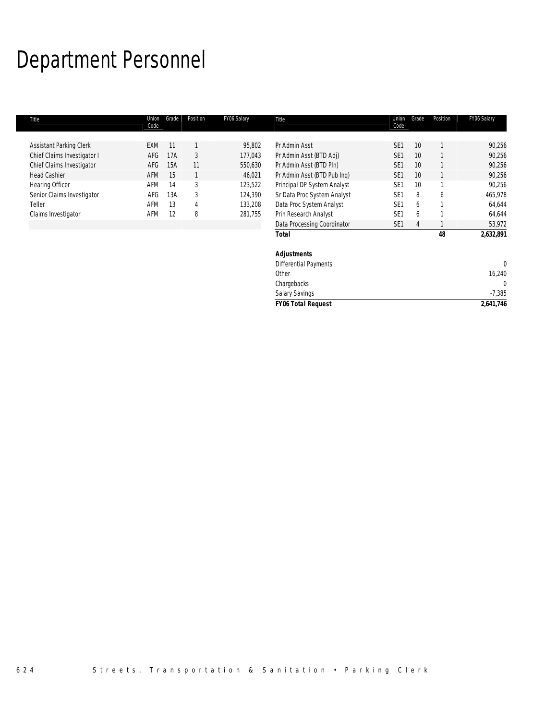# Department Personnel

| Title                       | Union<br>Code | Grade | Position | FY06 Salary | Title                        | Union<br>Code   | Grade | Position | FY06 Salary |
|-----------------------------|---------------|-------|----------|-------------|------------------------------|-----------------|-------|----------|-------------|
|                             |               |       |          |             |                              |                 |       |          |             |
| Assistant Parking Clerk     | <b>EXM</b>    | 11    |          | 95,802      | Pr Admin Asst                | SE <sub>1</sub> | 10    |          | 90,256      |
| Chief Claims Investigator I | AFG           | 17A   | 3        | 177,043     | Pr Admin Asst (BTD Adj)      | SE <sub>1</sub> | 10    |          | 90,256      |
| Chief Claims Investigator   | AFG           | 15A   | 11       | 550,630     | Pr Admin Asst (BTD Pln)      | SE <sub>1</sub> | 10    |          | 90,256      |
| <b>Head Cashier</b>         | AFM           | 15    |          | 46,021      | Pr Admin Asst (BTD Pub Ing)  | SE <sub>1</sub> | 10    |          | 90,256      |
| <b>Hearing Officer</b>      | AFM           | 14    | 3        | 123,522     | Principal DP System Analyst  | SE <sub>1</sub> | 10    |          | 90,256      |
| Senior Claims Investigator  | AFG           | 13A   | 3        | 124,390     | Sr Data Proc System Analyst  | SE <sub>1</sub> | 8     | 6        | 465,978     |
| Teller                      | AFM           | 13    | 4        | 133,208     | Data Proc System Analyst     | SE <sub>1</sub> | 6     |          | 64,644      |
| Claims Investigator         | AFM           | 12    | 8        | 281,755     | Prin Research Analyst        | SE <sub>1</sub> | 6     |          | 64,644      |
|                             |               |       |          |             | Data Processing Coordinator  | SE <sub>1</sub> | 4     |          | 53,972      |
|                             |               |       |          |             | Total                        |                 |       | 48       | 2,632,891   |
|                             |               |       |          |             | <b>Adjustments</b>           |                 |       |          |             |
|                             |               |       |          |             | <b>Differential Payments</b> |                 |       |          | $\mathbf 0$ |
|                             |               |       |          |             | Other                        |                 |       |          | 16,240      |
|                             |               |       |          |             | Chargebacks                  |                 |       |          | $\Omega$    |
|                             |               |       |          |             | Coloni Covinge               |                 |       |          | 7 205       |

Salary Savings -7,385 *FY06 Total Request 2,641,746*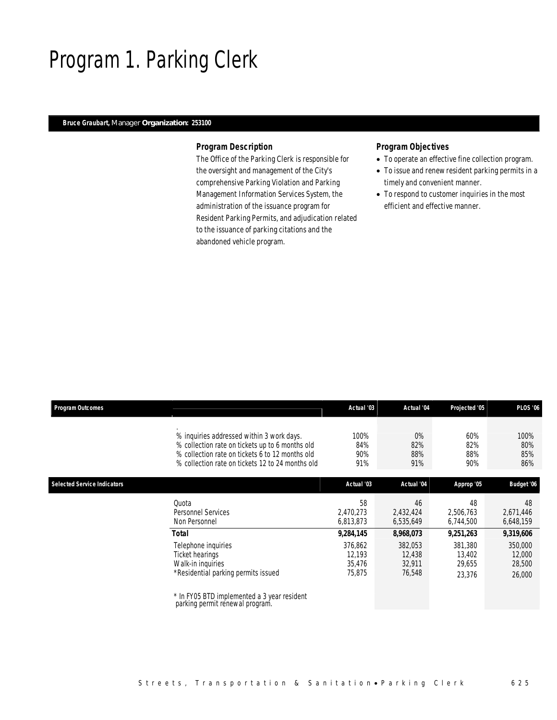## Program 1. Parking Clerk

### *Bruce Graubart, Manager Organization: 253100*

#### *Program Description*

The Office of the Parking Clerk is responsible for the oversight and management of the City's comprehensive Parking Violation and Parking Management Information Services System, the administration of the issuance program for Resident Parking Permits, and adjudication related to the issuance of parking citations and the abandoned vehicle program.

- To operate an effective fine collection program.
- To issue and renew resident parking permits in a timely and convenient manner.
- To respond to customer inquiries in the most efficient and effective manner.

| <b>Program Outcomes</b>            |                                                                                                                                                                                                             | Actual '03                                         | Actual '04                                         | Projected '05                                      | <b>PLOS '06</b>                                    |
|------------------------------------|-------------------------------------------------------------------------------------------------------------------------------------------------------------------------------------------------------------|----------------------------------------------------|----------------------------------------------------|----------------------------------------------------|----------------------------------------------------|
|                                    | % inquiries addressed within 3 work days.<br>% collection rate on tickets up to 6 months old<br>% collection rate on tickets 6 to 12 months old<br>% collection rate on tickets 12 to 24 months old         | 100%<br>84%<br>90%<br>91%                          | 0%<br>82%<br>88%<br>91%                            | 60%<br>82%<br>88%<br>90%                           | 100%<br>80%<br>85%<br>86%                          |
| <b>Selected Service Indicators</b> |                                                                                                                                                                                                             | Actual '03                                         | Actual '04                                         | Approp '05                                         | <b>Budget '06</b>                                  |
|                                    | Quota<br>Personnel Services<br>Non Personnel                                                                                                                                                                | 58<br>2,470,273<br>6,813,873                       | 46<br>2,432,424<br>6,535,649                       | 48<br>2,506,763<br>6,744,500                       | 48<br>2,671,446<br>6,648,159                       |
|                                    | <b>Total</b><br>Telephone inquiries<br><b>Ticket hearings</b><br>Walk-in inquiries<br>*Residential parking permits issued<br>* In FY05 BTD implemented a 3 year resident<br>parking permit renewal program. | 9,284,145<br>376,862<br>12,193<br>35,476<br>75,875 | 8,968,073<br>382,053<br>12,438<br>32,911<br>76,548 | 9,251,263<br>381,380<br>13.402<br>29,655<br>23,376 | 9,319,606<br>350,000<br>12,000<br>28,500<br>26,000 |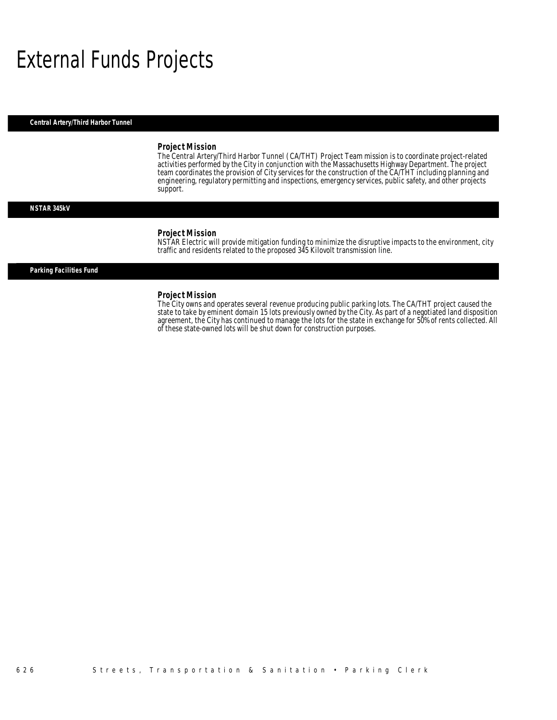## External Funds Projects

*Central Artery/Third Harbor Tunnel* 

#### *Project Mission*

The Central Artery/Third Harbor Tunnel (CA/THT) Project Team mission is to coordinate project-related activities performed by the City in conjunction with the Massachusetts Highway Department. The project team coordinates the provision of City services for the construction of the CA/THT including planning and engineering, regulatory permitting and inspections, emergency services, public safety, and other projects support.

#### *NSTAR 345kV*

### *Project Mission*

NSTAR Electric will provide mitigation funding to minimize the disruptive impacts to the environment, city traffic and residents related to the proposed 345 Kilovolt transmission line.

#### *Parking Facilities Fund*

#### *Project Mission*

The City owns and operates several revenue producing public parking lots. The CA/THT project caused the state to take by eminent domain 15 lots previously owned by the City. As part of a negotiated land disposition agreement, the City has continued to manage the lots for the state in exchange for 50% of rents collected. All of these state-owned lots will be shut down for construction purposes.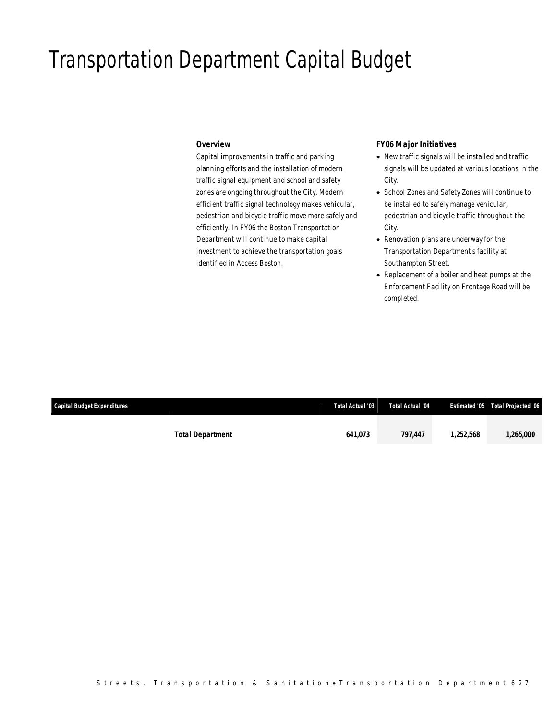### Transportation Department Capital Budget

#### *Overview*

Capital improvements in traffic and parking planning efforts and the installation of modern traffic signal equipment and school and safety zones are ongoing throughout the City. Modern efficient traffic signal technology makes vehicular, pedestrian and bicycle traffic move more safely and efficiently. In FY06 the Boston Transportation Department will continue to make capital investment to achieve the transportation goals identified in Access Boston.

#### *FY06 Major Initiatives*

- New traffic signals will be installed and traffic signals will be updated at various locations in the City.
- School Zones and Safety Zones will continue to be installed to safely manage vehicular, pedestrian and bicycle traffic throughout the City.
- Renovation plans are underway for the Transportation Department's facility at Southampton Street.
- Replacement of a boiler and heat pumps at the Enforcement Facility on Frontage Road will be completed.

| Capital Budget Expenditures |                         | Total Actual '03 | Total Actual '04 |           | Estimated '05 Total Projected '06 |
|-----------------------------|-------------------------|------------------|------------------|-----------|-----------------------------------|
|                             | <b>Total Department</b> | 641.073          | 797.447          | 1.252.568 | 1,265,000                         |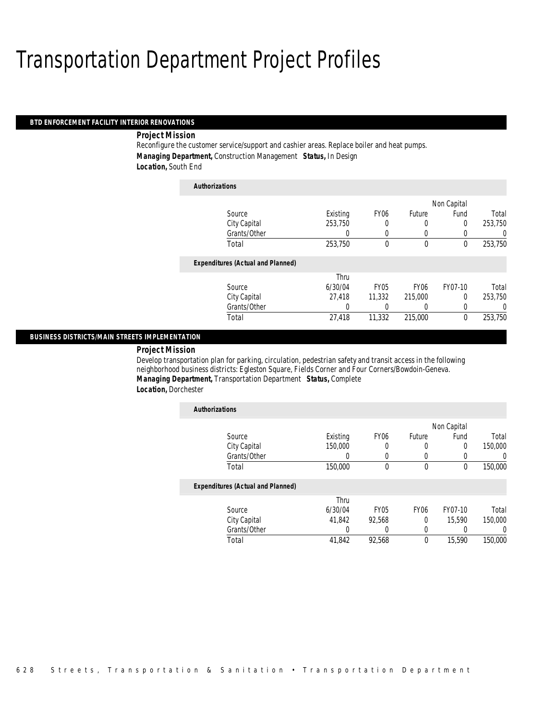### Transportation Department Project Profiles

#### *BTD ENFORCEMENT FACILITY INTERIOR RENOVATIONS*

*Project Mission* 

Reconfigure the customer service/support and cashier areas. Replace boiler and heat pumps. *Managing Department,* Construction Management *Status,* In Design *Location,* South End

| <b>Authorizations</b>                    |          |                  |                  |             |          |
|------------------------------------------|----------|------------------|------------------|-------------|----------|
|                                          |          |                  |                  | Non Capital |          |
| Source                                   | Existing | FY <sub>06</sub> | Future           | Fund        | Total    |
| City Capital                             | 253.750  | 0                | 0                | 0           | 253.750  |
| Grants/Other                             | 0        | 0                | 0                |             | $\Omega$ |
| Total                                    | 253.750  | 0                | $\mathbf 0$      | $\theta$    | 253,750  |
| <b>Expenditures (Actual and Planned)</b> |          |                  |                  |             |          |
|                                          | Thru     |                  |                  |             |          |
| Source                                   | 6/30/04  | <b>FY05</b>      | FY <sub>06</sub> | FY07-10     | Total    |
| City Capital                             | 27.418   | 11,332           | 215,000          | $\Omega$    | 253,750  |
| Grants/Other                             | 0        |                  | 0                | 0           | 0        |
| Total                                    | 27.418   | 11,332           | 215,000          | $\Omega$    | 253,750  |

#### *BUSINESS DISTRICTS/MAIN STREETS IMPLEMENTATION*

#### *Project Mission*

Develop transportation plan for parking, circulation, pedestrian safety and transit access in the following neighborhood business districts: Egleston Square, Fields Corner and Four Corners/Bowdoin-Geneva. *Managing Department,* Transportation Department *Status,* Complete *Location,* Dorchester

| <b>Authorizations</b>                    |          |                  |                  |             |         |
|------------------------------------------|----------|------------------|------------------|-------------|---------|
|                                          |          |                  |                  | Non Capital |         |
| Source                                   | Existing | FY <sub>06</sub> | Future           | Fund        | Total   |
| City Capital                             | 150,000  |                  |                  | 0           | 150,000 |
| Grants/Other                             | 0        |                  | 0                | 0           | 0       |
| Total                                    | 150,000  | $\theta$         | 0                | 0           | 150,000 |
| <b>Expenditures (Actual and Planned)</b> |          |                  |                  |             |         |
|                                          | Thru     |                  |                  |             |         |
| Source                                   | 6/30/04  | <b>FY05</b>      | FY <sub>06</sub> | FY07-10     | Total   |
| City Capital                             | 41.842   | 92.568           | 0                | 15,590      | 150,000 |
| Grants/Other                             | 0        |                  | 0                |             | 0       |
| Total                                    | 41,842   | 92.568           | $\theta$         | 15,590      | 150,000 |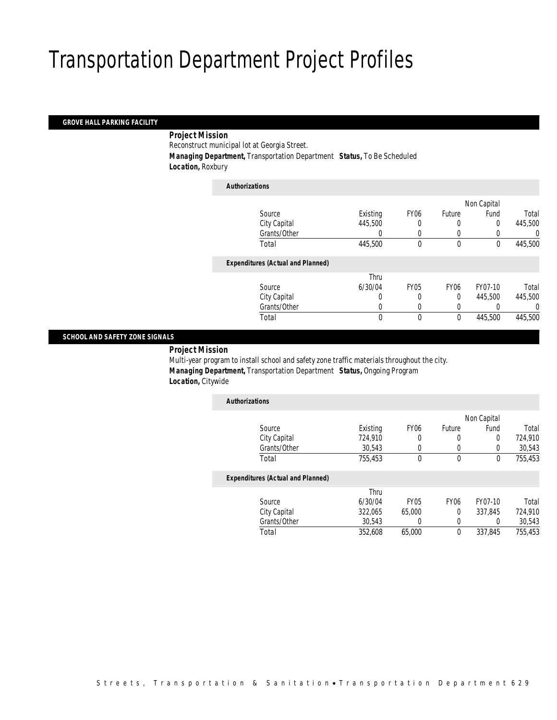# Transportation Department Project Profiles

#### *GROVE HALL PARKING FACILITY*

#### *Project Mission*

Reconstruct municipal lot at Georgia Street.

*Managing Department,* Transportation Department *Status,* To Be Scheduled

*Location,* Roxbury

| <b>Authorizations</b>                    |          |             |                  |             |         |
|------------------------------------------|----------|-------------|------------------|-------------|---------|
|                                          |          |             |                  | Non Capital |         |
| Source                                   | Existing | <b>FY06</b> | Future           | Fund        | Total   |
| City Capital                             | 445,500  |             | 0                | 0           | 445,500 |
| Grants/Other                             |          |             |                  |             | 0       |
| Total                                    | 445,500  | 0           | $\theta$         | 0           | 445,500 |
| <b>Expenditures (Actual and Planned)</b> |          |             |                  |             |         |
|                                          | Thru     |             |                  |             |         |
| Source                                   | 6/30/04  | <b>FY05</b> | FY <sub>06</sub> | FY07-10     | Total   |
| City Capital                             | 0        | 0           | $\Omega$         | 445,500     | 445,500 |
| Grants/Other                             | 0        | 0           | 0                |             | 0       |
| Total                                    | 0        | 0           | $\mathbf 0$      | 445,500     | 445,500 |
|                                          |          |             |                  |             |         |

#### *SCHOOL AND SAFETY ZONE SIGNALS*

*Project Mission* 

Multi-year program to install school and safety zone traffic materials throughout the city. *Managing Department,* Transportation Department *Status,* Ongoing Program *Location,* Citywide

| <b>Authorizations</b>                    |          |                  |                  |         |         |  |
|------------------------------------------|----------|------------------|------------------|---------|---------|--|
|                                          |          |                  | Non Capital      |         |         |  |
| Source                                   | Existing | <b>FY06</b>      | Future           | Fund    | Total   |  |
| City Capital                             | 724.910  | 0                | 0                | 0       | 724,910 |  |
| Grants/Other                             | 30.543   | 0                | 0                | 0       | 30,543  |  |
| Total                                    | 755,453  | 0                | 0                | 0       | 755,453 |  |
| <b>Expenditures (Actual and Planned)</b> |          |                  |                  |         |         |  |
|                                          | Thru     |                  |                  |         |         |  |
| Source                                   | 6/30/04  | FY <sub>05</sub> | FY <sub>06</sub> | FY07-10 | Total   |  |
| City Capital                             | 322.065  | 65,000           | 0                | 337.845 | 724,910 |  |
| Grants/Other                             | 30,543   | 0                | 0                | 0       | 30,543  |  |
| Total                                    | 352.608  | 65,000           | 0                | 337.845 | 755.453 |  |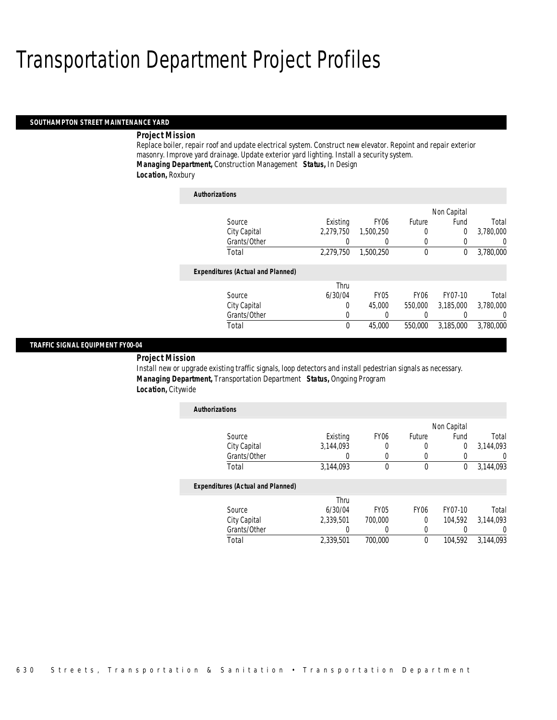### Transportation Department Project Profiles

#### *SOUTHAMPTON STREET MAINTENANCE YARD*

#### *Project Mission*

Replace boiler, repair roof and update electrical system. Construct new elevator. Repoint and repair exterior masonry. Improve yard drainage. Update exterior yard lighting. Install a security system. *Managing Department,* Construction Management *Status,* In Design

### *Location,* Roxbury

| <b>Authorizations</b>                    |           |                  |                  |             |           |
|------------------------------------------|-----------|------------------|------------------|-------------|-----------|
|                                          |           |                  |                  | Non Capital |           |
| Source                                   | Existing  | FY <sub>06</sub> | Future           | Fund        | Total     |
| City Capital                             | 2.279.750 | 1,500,250        | $\left($         | 0           | 3,780,000 |
| Grants/Other                             |           | 0                | 0                |             | $\Omega$  |
| Total                                    | 2.279.750 | 1.500.250        | $\theta$         | $\theta$    | 3,780,000 |
| <b>Expenditures (Actual and Planned)</b> |           |                  |                  |             |           |
|                                          | Thru      |                  |                  |             |           |
| Source                                   | 6/30/04   | <b>FY05</b>      | FY <sub>06</sub> | FY07-10     | Total     |
| City Capital                             | 0         | 45,000           | 550,000          | 3,185,000   | 3,780,000 |
| Grants/Other                             | 0         | 0                |                  |             | $\Omega$  |
| Total                                    | 0         | 45,000           | 550,000          | 3,185,000   | 3,780,000 |

#### *TRAFFIC SIGNAL EQUIPMENT FY00-04*

*Project Mission* 

Install new or upgrade existing traffic signals, loop detectors and install pedestrian signals as necessary. *Managing Department,* Transportation Department *Status,* Ongoing Program *Location,* Citywide

| <b>Authorizations</b>                    |           |                  |                  |             |                |
|------------------------------------------|-----------|------------------|------------------|-------------|----------------|
|                                          |           |                  |                  | Non Capital |                |
| Source                                   | Existing  | FY <sub>06</sub> | Future           | Fund        | Total          |
| City Capital                             | 3.144.093 | 0                | $\Omega$         | 0           | 3,144,093      |
| Grants/Other                             |           | 0                | $\left( \right)$ |             | $\overline{0}$ |
| Total                                    | 3,144,093 | 0                | 0                | 0           | 3,144,093      |
| <b>Expenditures (Actual and Planned)</b> |           |                  |                  |             |                |
|                                          | Thru      |                  |                  |             |                |
| Source                                   | 6/30/04   | <b>FY05</b>      | <b>FY06</b>      | FY07-10     | Total          |
| City Capital                             | 2.339.501 | 700,000          | 0                | 104.592     | 3.144.093      |
| Grants/Other                             | 0         | 0                | 0                |             | 0              |
| Total                                    | 2.339.501 | 700,000          | $\theta$         | 104.592     | 3.144.093      |